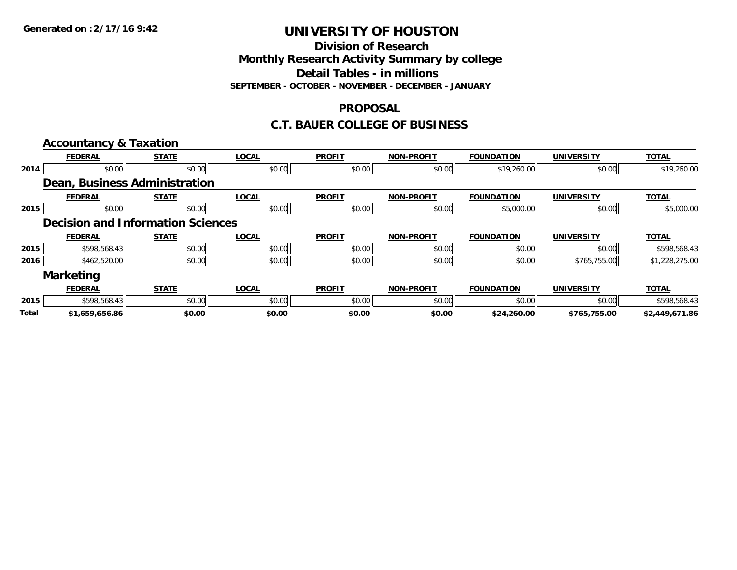**Division of Research**

**Monthly Research Activity Summary by college**

**Detail Tables - in millions**

**SEPTEMBER - OCTOBER - NOVEMBER - DECEMBER - JANUARY**

## **PROPOSAL**

## **C.T. BAUER COLLEGE OF BUSINESS**

|              | <b>Accountancy &amp; Taxation</b>        |              |              |               |                   |                   |                   |                |
|--------------|------------------------------------------|--------------|--------------|---------------|-------------------|-------------------|-------------------|----------------|
|              | <b>FEDERAL</b>                           | <b>STATE</b> | <b>LOCAL</b> | <b>PROFIT</b> | <b>NON-PROFIT</b> | <b>FOUNDATION</b> | <b>UNIVERSITY</b> | <b>TOTAL</b>   |
| 2014         | \$0.00                                   | \$0.00       | \$0.00       | \$0.00        | \$0.00            | \$19,260.00       | \$0.00            | \$19,260.00    |
|              | Dean, Business Administration            |              |              |               |                   |                   |                   |                |
|              | <b>FEDERAL</b>                           | <b>STATE</b> | <b>LOCAL</b> | <b>PROFIT</b> | <b>NON-PROFIT</b> | <b>FOUNDATION</b> | <b>UNIVERSITY</b> | <b>TOTAL</b>   |
| 2015         | \$0.00                                   | \$0.00       | \$0.00       | \$0.00        | \$0.00            | \$5,000.00        | \$0.00            | \$5,000.00     |
|              | <b>Decision and Information Sciences</b> |              |              |               |                   |                   |                   |                |
|              | <b>FEDERAL</b>                           | <b>STATE</b> | <b>LOCAL</b> | <b>PROFIT</b> | <b>NON-PROFIT</b> | <b>FOUNDATION</b> | <b>UNIVERSITY</b> | <b>TOTAL</b>   |
| 2015         | \$598,568.43                             | \$0.00       | \$0.00       | \$0.00        | \$0.00            | \$0.00            | \$0.00            | \$598,568.43   |
| 2016         | \$462,520.00                             | \$0.00       | \$0.00       | \$0.00        | \$0.00            | \$0.00            | \$765,755.00      | \$1,228,275.00 |
|              | <b>Marketing</b>                         |              |              |               |                   |                   |                   |                |
|              | <b>FEDERAL</b>                           | <b>STATE</b> | <b>LOCAL</b> | <b>PROFIT</b> | <b>NON-PROFIT</b> | <b>FOUNDATION</b> | <b>UNIVERSITY</b> | <b>TOTAL</b>   |
| 2015         | \$598,568.43                             | \$0.00       | \$0.00       | \$0.00        | \$0.00            | \$0.00            | \$0.00            | \$598,568.43   |
| <b>Total</b> | \$1,659,656.86                           | \$0.00       | \$0.00       | \$0.00        | \$0.00            | \$24,260.00       | \$765,755.00      | \$2,449,671.86 |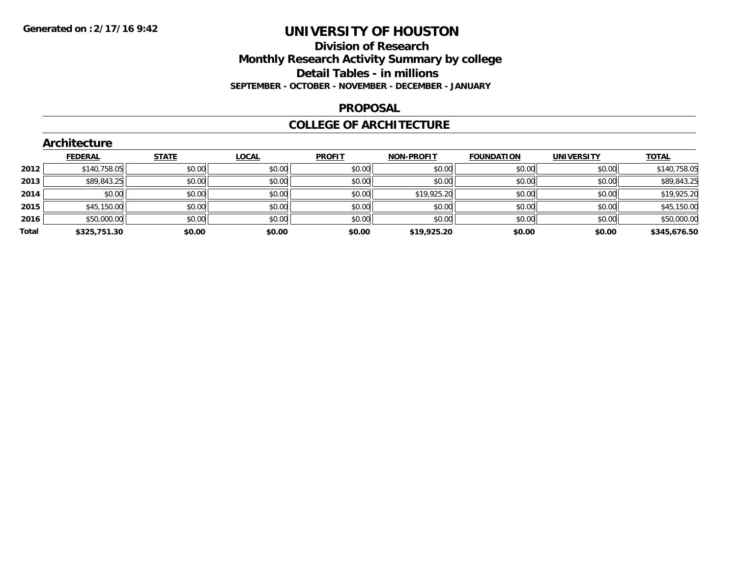## **Division of Research Monthly Research Activity Summary by college Detail Tables - in millions SEPTEMBER - OCTOBER - NOVEMBER - DECEMBER - JANUARY**

#### **PROPOSAL**

### **COLLEGE OF ARCHITECTURE**

|       | Architecture   |              |              |               |                   |                   |                   |              |  |  |
|-------|----------------|--------------|--------------|---------------|-------------------|-------------------|-------------------|--------------|--|--|
|       | <b>FEDERAL</b> | <b>STATE</b> | <b>LOCAL</b> | <b>PROFIT</b> | <b>NON-PROFIT</b> | <b>FOUNDATION</b> | <b>UNIVERSITY</b> | <b>TOTAL</b> |  |  |
| 2012  | \$140,758.05   | \$0.00       | \$0.00       | \$0.00        | \$0.00            | \$0.00            | \$0.00            | \$140,758.05 |  |  |
| 2013  | \$89,843.25    | \$0.00       | \$0.00       | \$0.00        | \$0.00            | \$0.00            | \$0.00            | \$89,843.25  |  |  |
| 2014  | \$0.00         | \$0.00       | \$0.00       | \$0.00        | \$19,925.20       | \$0.00            | \$0.00            | \$19,925.20  |  |  |
| 2015  | \$45,150.00    | \$0.00       | \$0.00       | \$0.00        | \$0.00            | \$0.00            | \$0.00            | \$45,150.00  |  |  |
| 2016  | \$50,000.00    | \$0.00       | \$0.00       | \$0.00        | \$0.00            | \$0.00            | \$0.00            | \$50,000.00  |  |  |
| Total | \$325,751.30   | \$0.00       | \$0.00       | \$0.00        | \$19,925.20       | \$0.00            | \$0.00            | \$345,676.50 |  |  |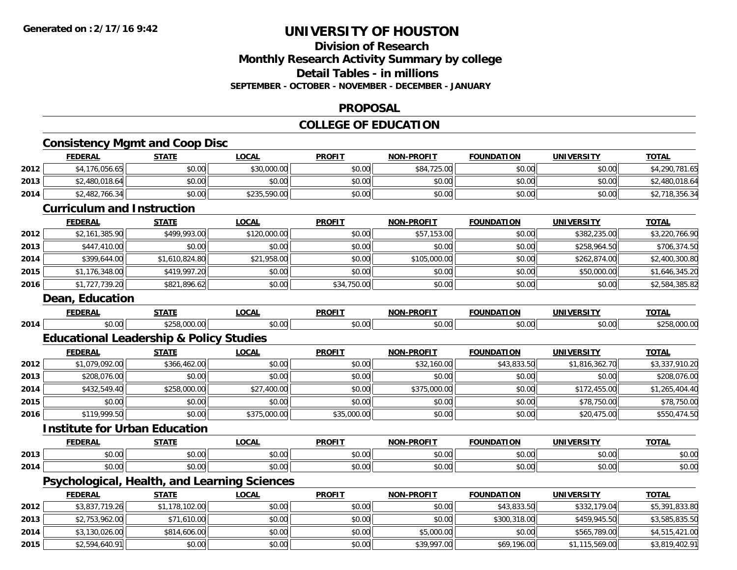## **Division of ResearchMonthly Research Activity Summary by college Detail Tables - in millions SEPTEMBER - OCTOBER - NOVEMBER - DECEMBER - JANUARY**

#### **PROPOSAL**

## **COLLEGE OF EDUCATION**

## **Consistency Mgmt and Coop Disc**

|      | <b>FEDERAL</b>                                     | <b>STATE</b>   | <b>LOCAL</b> | <b>PROFIT</b> | <b>NON-PROFIT</b> | <b>FOUNDATION</b> | <u>UNIVERSITY</u> | TOTAL          |
|------|----------------------------------------------------|----------------|--------------|---------------|-------------------|-------------------|-------------------|----------------|
| 2012 | \$4,176,056.65                                     | \$0.00         | \$30,000.00  | \$0.00        | \$84,725.00       | \$0.00            | \$0.00            | \$4,290,781.65 |
| 2013 | \$2,480,018.64                                     | \$0.00         | \$0.00       | \$0.00        | \$0.00            | \$0.00            | \$0.00            | \$2,480,018.64 |
| 2014 | \$2,482,766.34                                     | \$0.00         | \$235,590.00 | \$0.00        | \$0.00            | \$0.00            | \$0.00            | \$2,718,356.34 |
|      | <b>Curriculum and Instruction</b>                  |                |              |               |                   |                   |                   |                |
|      | <b>FEDERAL</b>                                     | <b>STATE</b>   | <b>LOCAL</b> | <b>PROFIT</b> | <b>NON-PROFIT</b> | <b>FOUNDATION</b> | <b>UNIVERSITY</b> | <b>TOTAL</b>   |
| 2012 | \$2,161,385.90                                     | \$499,993.00   | \$120,000.00 | \$0.00        | \$57,153.00       | \$0.00            | \$382,235.00      | \$3,220,766.90 |
| 2013 | \$447,410.00                                       | \$0.00         | \$0.00       | \$0.00        | \$0.00            | \$0.00            | \$258,964.50      | \$706,374.50   |
| 2014 | \$399,644.00                                       | \$1,610,824.80 | \$21,958.00  | \$0.00        | \$105,000.00      | \$0.00            | \$262,874.00      | \$2,400,300.80 |
| 2015 | \$1,176,348.00                                     | \$419,997.20   | \$0.00       | \$0.00        | \$0.00            | \$0.00            | \$50,000.00       | \$1,646,345.20 |
| 2016 | \$1,727,739.20                                     | \$821,896.62   | \$0.00       | \$34,750.00   | \$0.00            | \$0.00            | \$0.00            | \$2,584,385.82 |
|      | Dean, Education                                    |                |              |               |                   |                   |                   |                |
|      | <b>FEDERAL</b>                                     | <b>STATE</b>   | <b>LOCAL</b> | <b>PROFIT</b> | <b>NON-PROFIT</b> | <b>FOUNDATION</b> | <b>UNIVERSITY</b> | <b>TOTAL</b>   |
| 2014 | \$0.00                                             | \$258,000.00   | \$0.00       | \$0.00        | \$0.00            | \$0.00            | \$0.00            | \$258,000.00   |
|      | <b>Educational Leadership &amp; Policy Studies</b> |                |              |               |                   |                   |                   |                |
|      | <b>FEDERAL</b>                                     | <b>STATE</b>   | <b>LOCAL</b> | <b>PROFIT</b> | <b>NON-PROFIT</b> | <b>FOUNDATION</b> | <b>UNIVERSITY</b> | <b>TOTAL</b>   |
| 2012 | \$1,079,092.00                                     | \$366,462.00   | \$0.00       | \$0.00        | \$32,160.00       | \$43,833.50       | \$1,816,362.70    | \$3,337,910.20 |
| 2013 | \$208,076.00                                       | \$0.00         | \$0.00       | \$0.00        | \$0.00            | \$0.00            | \$0.00            | \$208,076.00   |
| 2014 | \$432,549.40                                       | \$258,000.00   | \$27,400.00  | \$0.00        | \$375,000.00      | \$0.00            | \$172,455.00      | \$1,265,404.40 |
| 2015 | \$0.00                                             | \$0.00         | \$0.00       | \$0.00        | \$0.00            | \$0.00            | \$78,750.00       | \$78,750.00    |
| 2016 | \$119,999.50                                       | \$0.00         | \$375,000.00 | \$35,000.00   | \$0.00            | \$0.00            | \$20,475.00       | \$550,474.50   |
|      | <b>Institute for Urban Education</b>               |                |              |               |                   |                   |                   |                |
|      | <b>FEDERAL</b>                                     | <b>STATE</b>   | <b>LOCAL</b> | <b>PROFIT</b> | <b>NON-PROFIT</b> | <b>FOUNDATION</b> | <b>UNIVERSITY</b> | <b>TOTAL</b>   |
| 2013 | \$0.00                                             | \$0.00         | \$0.00       | \$0.00        | \$0.00            | \$0.00            | \$0.00            | \$0.00         |
| 2014 | \$0.00                                             | \$0.00         | \$0.00       | \$0.00        | \$0.00            | \$0.00            | \$0.00            | \$0.00         |
|      | Psychological, Health, and Learning Sciences       |                |              |               |                   |                   |                   |                |
|      | <b>FEDERAL</b>                                     | <b>STATE</b>   | <b>LOCAL</b> | <b>PROFIT</b> | <b>NON-PROFIT</b> | <b>FOUNDATION</b> | <b>UNIVERSITY</b> | <b>TOTAL</b>   |
| 2012 | \$3,837,719.26                                     | \$1,178,102.00 | \$0.00       | \$0.00        | \$0.00            | \$43,833.50       | \$332,179.04      | \$5,391,833.80 |
| 2013 | \$2,753,962.00                                     | \$71,610.00    | \$0.00       | \$0.00        | \$0.00            | \$300,318.00      | \$459,945.50      | \$3,585,835.50 |
| 2014 | \$3,130,026.00                                     | \$814,606.00   | \$0.00       | \$0.00        | \$5,000.00        | \$0.00            | \$565,789.00      | \$4,515,421.00 |
| 2015 | \$2,594,640.91                                     | \$0.00         | \$0.00       | \$0.00        | \$39,997.00       | \$69,196.00       | \$1,115,569.00    | \$3,819,402.91 |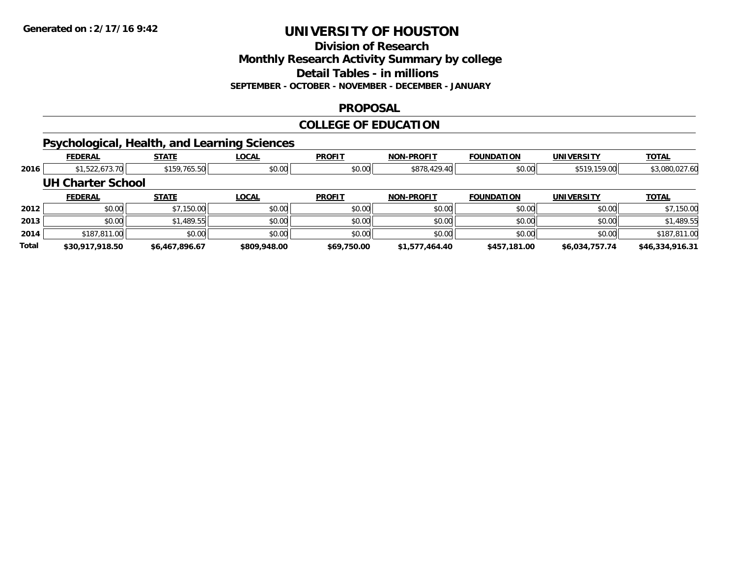#### **Division of Research**

**Monthly Research Activity Summary by college**

**Detail Tables - in millions**

**SEPTEMBER - OCTOBER - NOVEMBER - DECEMBER - JANUARY**

### **PROPOSAL**

#### **COLLEGE OF EDUCATION**

## **Psychological, Health, and Learning Sciences**

|       | <b>FEDERAL</b>           | <b>STATE</b>   | <b>LOCAL</b> | <b>PROFIT</b> | <b>NON-PROFIT</b> | <b>FOUNDATION</b> | UNIVERSITY     | <b>TOTAL</b>    |
|-------|--------------------------|----------------|--------------|---------------|-------------------|-------------------|----------------|-----------------|
| 2016  | \$1,522,673.70           | \$159,765.50   | \$0.00       | \$0.00        | \$878,429.40      | \$0.00            | \$519,159.00   | \$3,080,027.60  |
|       | <b>UH Charter School</b> |                |              |               |                   |                   |                |                 |
|       | <b>FEDERAL</b>           | <b>STATE</b>   | LOCAL        | <b>PROFIT</b> | <b>NON-PROFIT</b> | <b>FOUNDATION</b> | UNIVERSITY     | <b>TOTAL</b>    |
| 2012  | \$0.00                   | \$7,150.00     | \$0.00       | \$0.00        | \$0.00            | \$0.00            | \$0.00         | \$7,150.00      |
| 2013  | \$0.00                   | \$1,489.55     | \$0.00       | \$0.00        | \$0.00            | \$0.00            | \$0.00         | \$1,489.55      |
| 2014  | \$187,811.00             | \$0.00         | \$0.00       | \$0.00        | \$0.00            | \$0.00            | \$0.00         | \$187,811.00    |
| Total | \$30,917,918.50          | \$6,467,896.67 | \$809,948.00 | \$69,750.00   | \$1,577,464.40    | \$457.181.00      | \$6,034,757.74 | \$46,334,916.31 |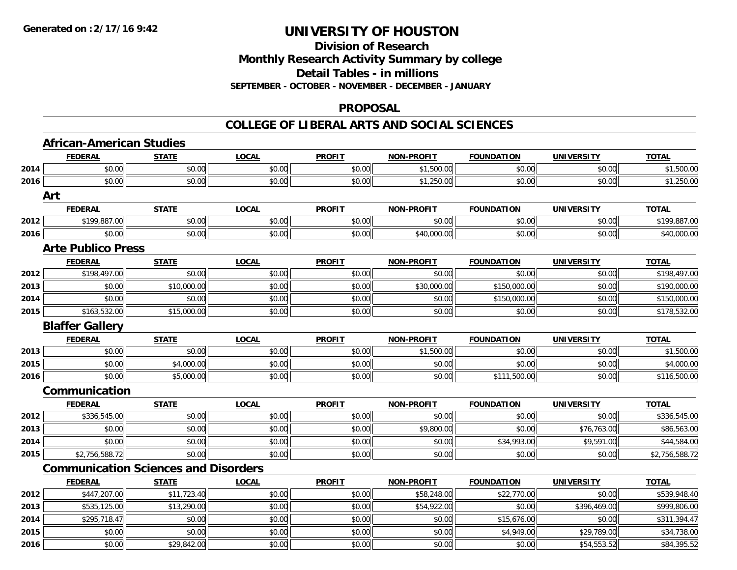### **Division of Research Monthly Research Activity Summary by college Detail Tables - in millions SEPTEMBER - OCTOBER - NOVEMBER - DECEMBER - JANUARY**

### **PROPOSAL**

## **COLLEGE OF LIBERAL ARTS AND SOCIAL SCIENCES**

|      | <b>African-American Studies</b>             |              |              |               |                   |                   |                   |                |
|------|---------------------------------------------|--------------|--------------|---------------|-------------------|-------------------|-------------------|----------------|
|      | <b>FEDERAL</b>                              | <b>STATE</b> | <b>LOCAL</b> | <b>PROFIT</b> | <b>NON-PROFIT</b> | <b>FOUNDATION</b> | <b>UNIVERSITY</b> | <b>TOTAL</b>   |
| 2014 | \$0.00                                      | \$0.00       | \$0.00       | \$0.00        | \$1,500.00        | \$0.00            | \$0.00            | \$1,500.00     |
| 2016 | \$0.00                                      | \$0.00       | \$0.00       | \$0.00        | \$1,250.00        | \$0.00            | \$0.00            | \$1,250.00     |
|      | Art                                         |              |              |               |                   |                   |                   |                |
|      | <b>FEDERAL</b>                              | <b>STATE</b> | <b>LOCAL</b> | <b>PROFIT</b> | <b>NON-PROFIT</b> | <b>FOUNDATION</b> | <b>UNIVERSITY</b> | <b>TOTAL</b>   |
| 2012 | \$199,887.00                                | \$0.00       | \$0.00       | \$0.00        | \$0.00            | \$0.00            | \$0.00            | \$199,887.00   |
| 2016 | \$0.00                                      | \$0.00       | \$0.00       | \$0.00        | \$40,000.00       | \$0.00            | \$0.00            | \$40,000.00    |
|      | <b>Arte Publico Press</b>                   |              |              |               |                   |                   |                   |                |
|      | <b>FEDERAL</b>                              | <b>STATE</b> | <b>LOCAL</b> | <b>PROFIT</b> | NON-PROFIT        | <b>FOUNDATION</b> | <b>UNIVERSITY</b> | <b>TOTAL</b>   |
| 2012 | \$198,497.00                                | \$0.00       | \$0.00       | \$0.00        | \$0.00            | \$0.00            | \$0.00            | \$198,497.00   |
| 2013 | \$0.00                                      | \$10,000.00  | \$0.00       | \$0.00        | \$30,000.00       | \$150,000.00      | \$0.00            | \$190,000.00   |
| 2014 | \$0.00                                      | \$0.00       | \$0.00       | \$0.00        | \$0.00            | \$150,000.00      | \$0.00            | \$150,000.00   |
| 2015 | \$163,532.00                                | \$15,000.00  | \$0.00       | \$0.00        | \$0.00            | \$0.00            | \$0.00            | \$178,532.00   |
|      | <b>Blaffer Gallery</b>                      |              |              |               |                   |                   |                   |                |
|      | <b>FEDERAL</b>                              | <b>STATE</b> | LOCAL        | <b>PROFIT</b> | <b>NON-PROFIT</b> | <b>FOUNDATION</b> | <b>UNIVERSITY</b> | <b>TOTAL</b>   |
| 2013 | \$0.00                                      | \$0.00       | \$0.00       | \$0.00        | \$1,500.00        | \$0.00            | \$0.00            | \$1,500.00     |
| 2015 | \$0.00                                      | \$4,000.00   | \$0.00       | \$0.00        | \$0.00            | \$0.00            | \$0.00            | \$4,000.00     |
| 2016 | \$0.00                                      | \$5,000.00   | \$0.00       | \$0.00        | \$0.00            | \$111,500.00      | \$0.00            | \$116,500.00   |
|      | Communication                               |              |              |               |                   |                   |                   |                |
|      | <b>FEDERAL</b>                              | <b>STATE</b> | <b>LOCAL</b> | <b>PROFIT</b> | <b>NON-PROFIT</b> | <b>FOUNDATION</b> | <b>UNIVERSITY</b> | <b>TOTAL</b>   |
| 2012 | \$336,545.00                                | \$0.00       | \$0.00       | \$0.00        | \$0.00            | \$0.00            | \$0.00            | \$336,545.00   |
| 2013 | \$0.00                                      | \$0.00       | \$0.00       | \$0.00        | \$9,800.00        | \$0.00            | \$76,763.00       | \$86,563.00    |
| 2014 | \$0.00                                      | \$0.00       | \$0.00       | \$0.00        | \$0.00            | \$34,993.00       | \$9,591.00        | \$44,584.00    |
| 2015 | \$2,756,588.72                              | \$0.00       | \$0.00       | \$0.00        | \$0.00            | \$0.00            | \$0.00            | \$2,756,588.72 |
|      | <b>Communication Sciences and Disorders</b> |              |              |               |                   |                   |                   |                |
|      | <b>FEDERAL</b>                              | <b>STATE</b> | <b>LOCAL</b> | <b>PROFIT</b> | <b>NON-PROFIT</b> | <b>FOUNDATION</b> | <b>UNIVERSITY</b> | <b>TOTAL</b>   |
| 2012 | \$447,207.00                                | \$11,723.40  | \$0.00       | \$0.00        | \$58,248.00       | \$22,770.00       | \$0.00            | \$539,948.40   |
| 2013 | \$535,125.00                                | \$13,290.00  | \$0.00       | \$0.00        | \$54,922.00       | \$0.00            | \$396,469.00      | \$999,806.00   |
| 2014 | \$295,718.47                                | \$0.00       | \$0.00       | \$0.00        | \$0.00            | \$15,676.00       | \$0.00            | \$311,394.47   |
| 2015 | \$0.00                                      | \$0.00       | \$0.00       | \$0.00        | \$0.00            | \$4,949.00        | \$29,789.00       | \$34,738.00    |
| 2016 | \$0.00                                      | \$29,842.00  | \$0.00       | \$0.00        | \$0.00            | \$0.00            | \$54,553.52       | \$84,395.52    |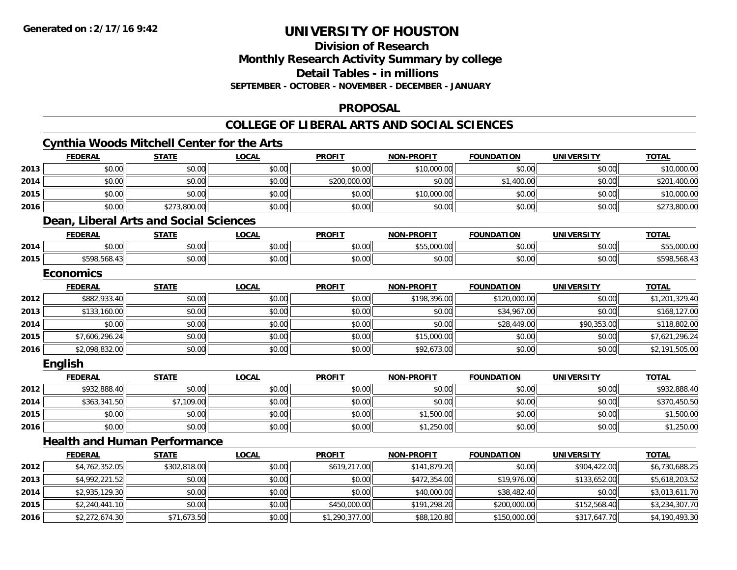**2016**

## **UNIVERSITY OF HOUSTON**

**Division of Research**

**Monthly Research Activity Summary by college**

**Detail Tables - in millions**

**SEPTEMBER - OCTOBER - NOVEMBER - DECEMBER - JANUARY**

## **PROPOSAL**

### **COLLEGE OF LIBERAL ARTS AND SOCIAL SCIENCES**

|      | <b>FEDERAL</b>   | <b>Cynthia Woods Mitchell Center for the Arts</b><br><b>STATE</b> | <b>LOCAL</b> | <b>PROFIT</b> | <b>NON-PROFIT</b> | <b>FOUNDATION</b> | <b>UNIVERSITY</b> | <b>TOTAL</b>   |
|------|------------------|-------------------------------------------------------------------|--------------|---------------|-------------------|-------------------|-------------------|----------------|
| 2013 | \$0.00           | \$0.00                                                            | \$0.00       | \$0.00        | \$10,000.00       | \$0.00            | \$0.00            | \$10,000.00    |
| 2014 | \$0.00           | \$0.00                                                            | \$0.00       | \$200,000.00  | \$0.00            | \$1,400.00        | \$0.00            | \$201,400.00   |
| 2015 | \$0.00           | \$0.00                                                            | \$0.00       | \$0.00        | \$10,000.00       | \$0.00            | \$0.00            | \$10,000.00    |
| 2016 | \$0.00           | \$273,800.00                                                      | \$0.00       | \$0.00        | \$0.00            | \$0.00            | \$0.00            | \$273,800.00   |
|      |                  | Dean, Liberal Arts and Social Sciences                            |              |               |                   |                   |                   |                |
|      | <b>FEDERAL</b>   | <b>STATE</b>                                                      | <b>LOCAL</b> | <b>PROFIT</b> | <b>NON-PROFIT</b> | <b>FOUNDATION</b> | <b>UNIVERSITY</b> | <b>TOTAL</b>   |
| 2014 | \$0.00           | \$0.00                                                            | \$0.00       | \$0.00        | \$55,000.00       | \$0.00            | \$0.00            | \$55,000.00    |
| 2015 | \$598,568.43     | \$0.00                                                            | \$0.00       | \$0.00        | \$0.00            | \$0.00            | \$0.00            | \$598,568.43   |
|      | <b>Economics</b> |                                                                   |              |               |                   |                   |                   |                |
|      | <b>FEDERAL</b>   | <b>STATE</b>                                                      | <b>LOCAL</b> | <b>PROFIT</b> | <b>NON-PROFIT</b> | <b>FOUNDATION</b> | <b>UNIVERSITY</b> | <b>TOTAL</b>   |
| 2012 | \$882,933.40     | \$0.00                                                            | \$0.00       | \$0.00        | \$198,396.00      | \$120,000.00      | \$0.00            | \$1,201,329.40 |
| 2013 | \$133,160.00     | \$0.00                                                            | \$0.00       | \$0.00        | \$0.00            | \$34,967.00       | \$0.00            | \$168,127.00   |
| 2014 | \$0.00           | \$0.00                                                            | \$0.00       | \$0.00        | \$0.00            | \$28,449.00       | \$90,353.00       | \$118,802.00   |
| 2015 | \$7,606,296.24   | \$0.00                                                            | \$0.00       | \$0.00        | \$15,000.00       | \$0.00            | \$0.00            | \$7,621,296.24 |
| 2016 | \$2,098,832.00   | \$0.00                                                            | \$0.00       | \$0.00        | \$92,673.00       | \$0.00            | \$0.00            | \$2,191,505.00 |
|      | <b>English</b>   |                                                                   |              |               |                   |                   |                   |                |
|      | <b>FEDERAL</b>   | <b>STATE</b>                                                      | <b>LOCAL</b> | <b>PROFIT</b> | <b>NON-PROFIT</b> | <b>FOUNDATION</b> | <b>UNIVERSITY</b> | <b>TOTAL</b>   |
| 2012 | \$932,888.40     | \$0.00                                                            | \$0.00       | \$0.00        | \$0.00            | \$0.00            | \$0.00            | \$932,888.40   |
| 2014 | \$363,341.50     | \$7,109.00                                                        | \$0.00       | \$0.00        | \$0.00            | \$0.00            | \$0.00            | \$370,450.50   |
| 2015 | \$0.00           | \$0.00                                                            | \$0.00       | \$0.00        | \$1,500.00        | \$0.00            | \$0.00            | \$1,500.00     |
| 2016 | \$0.00           | \$0.00                                                            | \$0.00       | \$0.00        | \$1,250.00        | \$0.00            | \$0.00            | \$1,250.00     |
|      |                  | <b>Health and Human Performance</b>                               |              |               |                   |                   |                   |                |
|      | <b>FEDERAL</b>   | <b>STATE</b>                                                      | <b>LOCAL</b> | <b>PROFIT</b> | <b>NON-PROFIT</b> | <b>FOUNDATION</b> | <b>UNIVERSITY</b> | <b>TOTAL</b>   |
| 2012 | \$4,762,352.05   | \$302,818.00                                                      | \$0.00       | \$619,217.00  | \$141,879.20      | \$0.00            | \$904,422.00      | \$6,730,688.25 |
| 2013 | \$4,992,221.52   | \$0.00                                                            | \$0.00       | \$0.00        | \$472,354.00      | \$19,976.00       | \$133,652.00      | \$5,618,203.52 |
| 2014 | \$2,935,129.30   | \$0.00                                                            | \$0.00       | \$0.00        | \$40,000.00       | \$38,482.40       | \$0.00            | \$3,013,611.70 |
| 2015 | \$2,240,441.10   | \$0.00                                                            | \$0.00       | \$450,000.00  | \$191,298.20      | \$200,000.00      | \$152,568.40      | \$3,234,307.70 |

\$2,272,674.30 \$71,673.50 \$0.00 \$1,290,377.00 \$88,120.80 \$150,000.00 \$317,647.70 \$4,190,493.30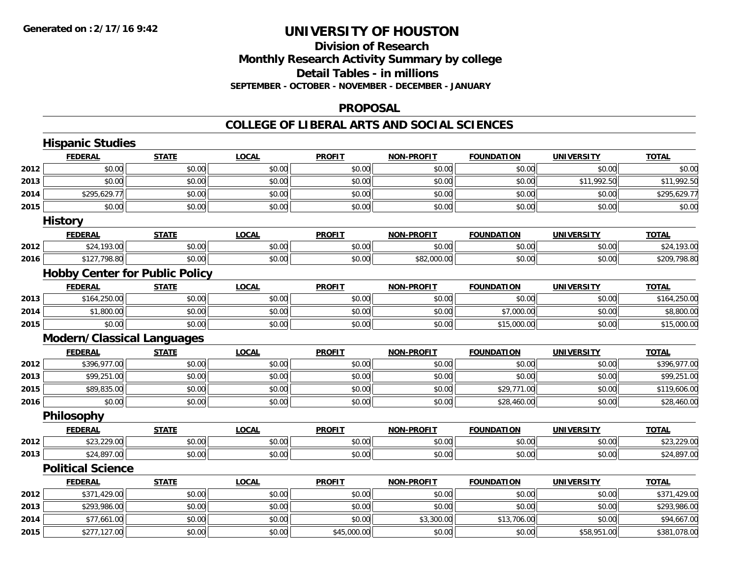## **Division of ResearchMonthly Research Activity Summary by college Detail Tables - in millions SEPTEMBER - OCTOBER - NOVEMBER - DECEMBER - JANUARY**

#### **PROPOSAL**

#### **COLLEGE OF LIBERAL ARTS AND SOCIAL SCIENCES**

|      | <b>Hispanic Studies</b>               |              |              |               |                   |                   |                   |              |
|------|---------------------------------------|--------------|--------------|---------------|-------------------|-------------------|-------------------|--------------|
|      | <b>FEDERAL</b>                        | <b>STATE</b> | <b>LOCAL</b> | <b>PROFIT</b> | <b>NON-PROFIT</b> | <b>FOUNDATION</b> | <b>UNIVERSITY</b> | <b>TOTAL</b> |
| 2012 | \$0.00                                | \$0.00       | \$0.00       | \$0.00        | \$0.00            | \$0.00            | \$0.00            | \$0.00       |
| 2013 | \$0.00                                | \$0.00       | \$0.00       | \$0.00        | \$0.00            | \$0.00            | \$11,992.50       | \$11,992.50  |
| 2014 | \$295,629.77                          | \$0.00       | \$0.00       | \$0.00        | \$0.00            | \$0.00            | \$0.00            | \$295,629.77 |
| 2015 | \$0.00                                | \$0.00       | \$0.00       | \$0.00        | \$0.00            | \$0.00            | \$0.00            | \$0.00       |
|      | <b>History</b>                        |              |              |               |                   |                   |                   |              |
|      | <b>FEDERAL</b>                        | <b>STATE</b> | <b>LOCAL</b> | <b>PROFIT</b> | <b>NON-PROFIT</b> | <b>FOUNDATION</b> | <b>UNIVERSITY</b> | <b>TOTAL</b> |
| 2012 | \$24,193.00                           | \$0.00       | \$0.00       | \$0.00        | \$0.00            | \$0.00            | \$0.00            | \$24,193.00  |
| 2016 | \$127,798.80                          | \$0.00       | \$0.00       | \$0.00        | \$82,000.00       | \$0.00            | \$0.00            | \$209,798.80 |
|      | <b>Hobby Center for Public Policy</b> |              |              |               |                   |                   |                   |              |
|      | <b>FEDERAL</b>                        | <b>STATE</b> | <b>LOCAL</b> | <b>PROFIT</b> | <b>NON-PROFIT</b> | <b>FOUNDATION</b> | <b>UNIVERSITY</b> | <b>TOTAL</b> |
| 2013 | \$164,250.00                          | \$0.00       | \$0.00       | \$0.00        | \$0.00            | \$0.00            | \$0.00            | \$164,250.00 |
| 2014 | \$1,800.00                            | \$0.00       | \$0.00       | \$0.00        | \$0.00            | \$7,000.00        | \$0.00            | \$8,800.00   |
| 2015 | \$0.00                                | \$0.00       | \$0.00       | \$0.00        | \$0.00            | \$15,000.00       | \$0.00            | \$15,000.00  |
|      | <b>Modern/Classical Languages</b>     |              |              |               |                   |                   |                   |              |
|      | <b>FEDERAL</b>                        | <b>STATE</b> | <b>LOCAL</b> | <b>PROFIT</b> | <b>NON-PROFIT</b> | <b>FOUNDATION</b> | <b>UNIVERSITY</b> | <b>TOTAL</b> |
| 2012 | \$396,977.00                          | \$0.00       | \$0.00       | \$0.00        | \$0.00            | \$0.00            | \$0.00            | \$396,977.00 |
| 2013 | \$99,251.00                           | \$0.00       | \$0.00       | \$0.00        | \$0.00            | \$0.00            | \$0.00            | \$99,251.00  |
| 2015 | \$89,835.00                           | \$0.00       | \$0.00       | \$0.00        | \$0.00            | \$29,771.00       | \$0.00            | \$119,606.00 |
| 2016 | \$0.00                                | \$0.00       | \$0.00       | \$0.00        | \$0.00            | \$28,460.00       | \$0.00            | \$28,460.00  |
|      | Philosophy                            |              |              |               |                   |                   |                   |              |
|      | <b>FEDERAL</b>                        | <b>STATE</b> | <b>LOCAL</b> | <b>PROFIT</b> | <b>NON-PROFIT</b> | <b>FOUNDATION</b> | <b>UNIVERSITY</b> | <b>TOTAL</b> |
| 2012 | \$23,229.00                           | \$0.00       | \$0.00       | \$0.00        | \$0.00            | \$0.00            | \$0.00            | \$23,229.00  |
| 2013 | \$24,897.00                           | \$0.00       | \$0.00       | \$0.00        | \$0.00            | \$0.00            | \$0.00            | \$24,897.00  |
|      | <b>Political Science</b>              |              |              |               |                   |                   |                   |              |
|      | <b>FEDERAL</b>                        | <b>STATE</b> | <b>LOCAL</b> | <b>PROFIT</b> | <b>NON-PROFIT</b> | <b>FOUNDATION</b> | <b>UNIVERSITY</b> | <b>TOTAL</b> |
| 2012 | \$371,429.00                          | \$0.00       | \$0.00       | \$0.00        | \$0.00            | \$0.00            | \$0.00            | \$371,429.00 |
| 2013 | \$293,986.00                          | \$0.00       | \$0.00       | \$0.00        | \$0.00            | \$0.00            | \$0.00            | \$293,986.00 |
| 2014 | \$77,661.00                           | \$0.00       | \$0.00       | \$0.00        | \$3,300.00        | \$13,706.00       | \$0.00            | \$94,667.00  |
| 2015 | \$277,127.00                          | \$0.00       | \$0.00       | \$45,000.00   | \$0.00            | \$0.00            | \$58,951.00       | \$381,078.00 |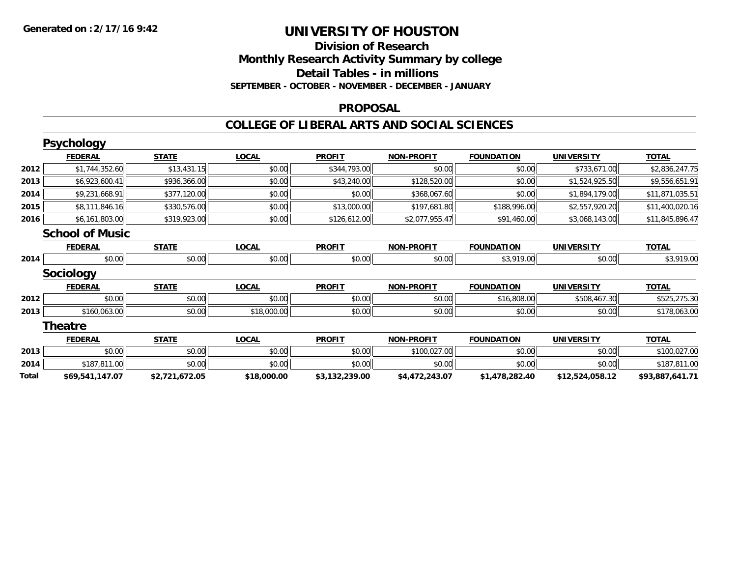## **Division of ResearchMonthly Research Activity Summary by college Detail Tables - in millions SEPTEMBER - OCTOBER - NOVEMBER - DECEMBER - JANUARY**

#### **PROPOSAL**

#### **COLLEGE OF LIBERAL ARTS AND SOCIAL SCIENCES**

|       | <b>Psychology</b>      |                |              |                |                   |                   |                   |                 |
|-------|------------------------|----------------|--------------|----------------|-------------------|-------------------|-------------------|-----------------|
|       | <b>FEDERAL</b>         | <b>STATE</b>   | <b>LOCAL</b> | <b>PROFIT</b>  | <b>NON-PROFIT</b> | <b>FOUNDATION</b> | <b>UNIVERSITY</b> | <b>TOTAL</b>    |
| 2012  | \$1,744,352.60         | \$13,431.15    | \$0.00       | \$344,793.00   | \$0.00            | \$0.00            | \$733,671.00      | \$2,836,247.75  |
| 2013  | \$6,923,600.41         | \$936,366.00   | \$0.00       | \$43,240.00    | \$128,520.00      | \$0.00            | \$1,524,925.50    | \$9,556,651.91  |
| 2014  | \$9,231,668.91         | \$377,120.00   | \$0.00       | \$0.00         | \$368,067.60      | \$0.00            | \$1,894,179.00    | \$11,871,035.51 |
| 2015  | \$8,111,846.16         | \$330,576.00   | \$0.00       | \$13,000.00    | \$197,681.80      | \$188,996.00      | \$2,557,920.20    | \$11,400,020.16 |
| 2016  | \$6,161,803.00         | \$319,923.00   | \$0.00       | \$126,612.00   | \$2,077,955.47    | \$91,460.00       | \$3,068,143.00    | \$11,845,896.47 |
|       | <b>School of Music</b> |                |              |                |                   |                   |                   |                 |
|       | <b>FEDERAL</b>         | <b>STATE</b>   | <b>LOCAL</b> | <b>PROFIT</b>  | <b>NON-PROFIT</b> | <b>FOUNDATION</b> | <b>UNIVERSITY</b> | <b>TOTAL</b>    |
| 2014  | \$0.00                 | \$0.00         | \$0.00       | \$0.00         | \$0.00            | \$3,919.00        | \$0.00            | \$3,919.00      |
|       | <b>Sociology</b>       |                |              |                |                   |                   |                   |                 |
|       | <b>FEDERAL</b>         | <b>STATE</b>   | <b>LOCAL</b> | <b>PROFIT</b>  | <b>NON-PROFIT</b> | <b>FOUNDATION</b> | <b>UNIVERSITY</b> | <b>TOTAL</b>    |
| 2012  | \$0.00                 | \$0.00         | \$0.00       | \$0.00         | \$0.00            | \$16,808.00       | \$508,467.30      | \$525,275.30    |
| 2013  | \$160,063.00           | \$0.00         | \$18,000.00  | \$0.00         | \$0.00            | \$0.00            | \$0.00            | \$178,063.00    |
|       | <b>Theatre</b>         |                |              |                |                   |                   |                   |                 |
|       | <b>FEDERAL</b>         | <b>STATE</b>   | <b>LOCAL</b> | <b>PROFIT</b>  | <b>NON-PROFIT</b> | <b>FOUNDATION</b> | <b>UNIVERSITY</b> | <b>TOTAL</b>    |
| 2013  | \$0.00                 | \$0.00         | \$0.00       | \$0.00         | \$100,027.00      | \$0.00            | \$0.00            | \$100,027.00    |
| 2014  | \$187,811.00           | \$0.00         | \$0.00       | \$0.00         | \$0.00            | \$0.00            | \$0.00            | \$187,811.00    |
| Total | \$69,541,147.07        | \$2,721,672.05 | \$18,000.00  | \$3,132,239.00 | \$4,472,243.07    | \$1,478,282.40    | \$12,524,058.12   | \$93,887,641.71 |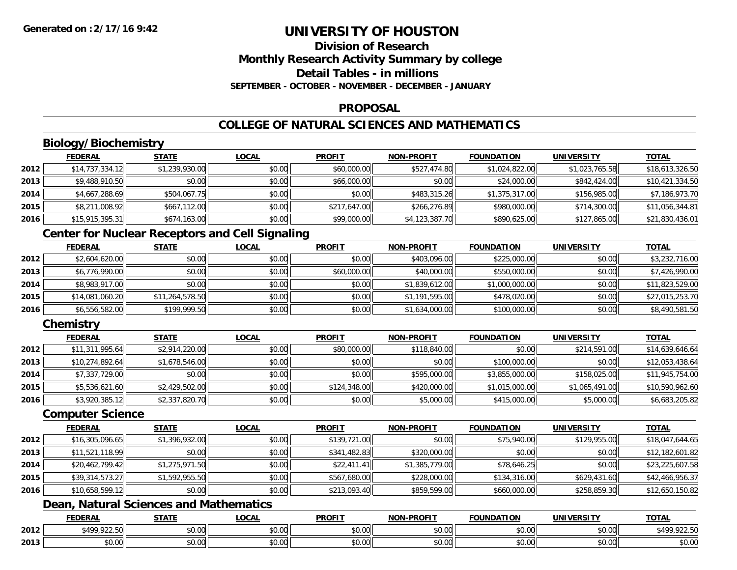## **Division of ResearchMonthly Research Activity Summary by college Detail Tables - in millionsSEPTEMBER - OCTOBER - NOVEMBER - DECEMBER - JANUARY**

### **PROPOSAL**

## **COLLEGE OF NATURAL SCIENCES AND MATHEMATICS**

## **Biology/Biochemistry**

|      | <b>FEDERAL</b>  | <b>STATE</b>   | <u>LOCAL</u> | <b>PROFIT</b> | <b>NON-PROFIT</b> | <b>FOUNDATION</b> | <b>UNIVERSITY</b> | <b>TOTAL</b>    |
|------|-----------------|----------------|--------------|---------------|-------------------|-------------------|-------------------|-----------------|
| 2012 | \$14,737,334.12 | \$1,239,930.00 | \$0.00       | \$60,000.00   | \$527,474.80      | \$1,024,822.00    | \$1,023,765.58    | \$18,613,326.50 |
| 2013 | \$9,488,910.50  | \$0.00         | \$0.00       | \$66,000.00   | \$0.00            | \$24,000.00       | \$842,424.00      | \$10,421,334.50 |
| 2014 | \$4,667,288.69  | \$504,067.75   | \$0.00       | \$0.00        | \$483,315,26      | \$1,375,317.00    | \$156,985,00      | \$7,186,973.70  |
| 2015 | \$8,211,008.92  | \$667,112.00   | \$0.00       | \$217,647.00  | \$266,276.89      | \$980,000.00      | \$714,300.00      | \$11,056,344.81 |
| 2016 | \$15,915,395.31 | \$674,163.00   | \$0.00       | \$99,000.00   | \$4,123,387.70    | \$890,625.00      | \$127,865.00      | \$21,830,436.01 |

## **Center for Nuclear Receptors and Cell Signaling**

|      | <b>FEDERAL</b>  | <b>STATE</b>    | <b>LOCAL</b> | <b>PROFIT</b> | <b>NON-PROFIT</b> | <b>FOUNDATION</b> | <b>UNIVERSITY</b> | <b>TOTAL</b>    |
|------|-----------------|-----------------|--------------|---------------|-------------------|-------------------|-------------------|-----------------|
| 2012 | \$2,604,620.00  | \$0.00          | \$0.00       | \$0.00        | \$403,096,00      | \$225,000.00      | \$0.00            | \$3,232,716.00  |
| 2013 | \$6,776,990.00  | \$0.00          | \$0.00       | \$60,000.00   | \$40,000.00       | \$550,000.00      | \$0.00            | \$7,426,990.00  |
| 2014 | \$8,983,917.00  | \$0.00          | \$0.00       | \$0.00        | \$1,839,612.00    | \$1,000,000.00    | \$0.00            | \$11,823,529.00 |
| 2015 | \$14,081,060.20 | \$11,264,578.50 | \$0.00       | \$0.00        | \$1,191,595.00    | \$478,020.00      | \$0.00            | \$27,015,253.70 |
| 2016 | \$6,556,582.00  | \$199,999.50    | \$0.00       | \$0.00        | \$1,634,000.00    | \$100,000.00      | \$0.00            | \$8,490,581.50  |

## **Chemistry**

|      | <b>FEDERAL</b>  | <b>STATE</b>   | <b>LOCAL</b> | <b>PROFIT</b> | <b>NON-PROFIT</b> | <b>FOUNDATION</b> | <b>UNIVERSITY</b> | <b>TOTAL</b>    |
|------|-----------------|----------------|--------------|---------------|-------------------|-------------------|-------------------|-----------------|
| 2012 | \$11,311,995.64 | \$2,914,220.00 | \$0.00       | \$80,000.00   | \$118,840.00      | \$0.00            | \$214,591.00      | \$14,639,646.64 |
| 2013 | \$10,274,892.64 | \$1,678,546.00 | \$0.00       | \$0.00        | \$0.00            | \$100,000.00      | \$0.00            | \$12,053,438.64 |
| 2014 | \$7,337,729.00  | \$0.00         | \$0.00       | \$0.00        | \$595,000.00      | \$3,855,000.00    | \$158,025.00      | \$11,945,754.00 |
| 2015 | \$5,536,621.60  | \$2,429,502.00 | \$0.00       | \$124,348.00  | \$420,000.00      | \$1,015,000.00    | \$1,065,491.00    | \$10,590,962.60 |
| 2016 | \$3,920,385.12  | \$2,337,820.70 | \$0.00       | \$0.00        | \$5,000.00        | \$415,000.00      | \$5,000.00        | \$6,683,205.82  |

#### **Computer Science**

|      | <b>FEDERAL</b>  | <b>STATE</b>   | <b>LOCAL</b> | <b>PROFIT</b> | <b>NON-PROFIT</b> | <b>FOUNDATION</b> | <b>UNIVERSITY</b> | <b>TOTAL</b>    |
|------|-----------------|----------------|--------------|---------------|-------------------|-------------------|-------------------|-----------------|
| 2012 | \$16,305,096.65 | \$1,396,932.00 | \$0.00       | \$139,721.00  | \$0.00            | \$75,940.00       | \$129,955.00      | \$18,047,644.65 |
| 2013 | \$11,521,118.99 | \$0.00         | \$0.00       | \$341,482.83  | \$320,000.00      | \$0.00            | \$0.00            | \$12,182,601.82 |
| 2014 | \$20,462,799.42 | \$1,275,971.50 | \$0.00       | \$22,411.41   | \$1,385,779.00    | \$78,646.25       | \$0.00            | \$23,225,607.58 |
| 2015 | \$39,314,573.27 | \$1,592,955.50 | \$0.00       | \$567,680.00  | \$228,000.00      | \$134,316.00      | \$629,431.60      | \$42,466,956.37 |
| 2016 | \$10,658,599.12 | \$0.00         | \$0.00       | \$213,093.40  | \$859,599.00      | \$660,000.00      | \$258,859.30      | \$12,650,150.82 |

## **Dean, Natural Sciences and Mathematics**

|      | <b>EEDEDA</b><br>cdera | <b>STATI</b>                                  | LOCAI              | <b>PROFIT</b>          | <b>DDAEL</b><br>וחרות  | <b>UNDATION</b> | UNIVERSITY     | TATI                          |
|------|------------------------|-----------------------------------------------|--------------------|------------------------|------------------------|-----------------|----------------|-------------------------------|
| 2012 | $*100.0225$<br>12.23   | $\uparrow$ $\uparrow$<br>$\sim$ $\sim$<br>ט.ט | $\sim$ 00<br>טט.טע | $\sim$ $\sim$<br>vu.vu | $\sim$ $\sim$<br>vv.vv | \$0.00          | \$0.00         | 0.2250<br>001<br>51<br>744.99 |
| 2013 | \$0.00                 | $\overline{ }$<br>ט.ט                         | $\sim$ 00<br>J∪.∪∪ | 0000<br>vv.vv          | 0.00<br>JU.UU          | \$0.00          | 0.001<br>JU.UU | ልስ ሰሰ<br><b>JU.UU</b>         |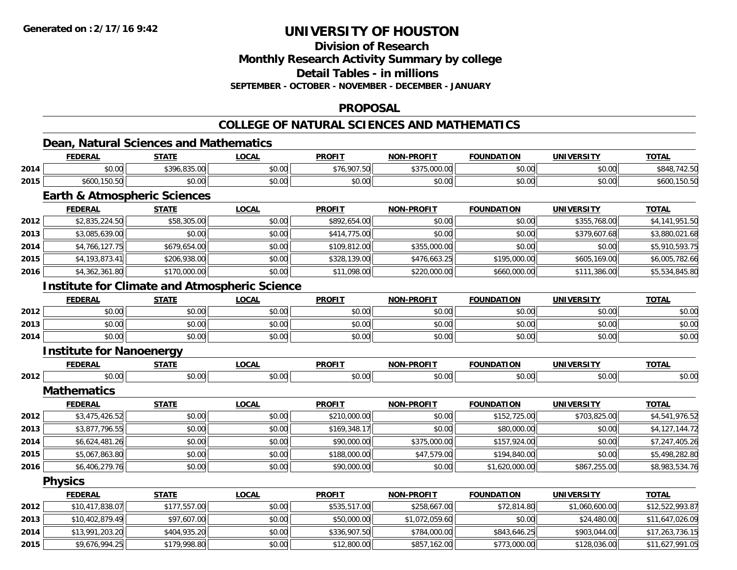**2014**

**2015**

## **UNIVERSITY OF HOUSTON**

**Division of Research**

**Monthly Research Activity Summary by college**

**Detail Tables - in millions**

**SEPTEMBER - OCTOBER - NOVEMBER - DECEMBER - JANUARY**

## **PROPOSAL**

## **COLLEGE OF NATURAL SCIENCES AND MATHEMATICS**

## **Dean, Natural Sciences and Mathematics**

|      | <b>FEDERAL</b>                                       | <b>STATE</b> | <b>LOCAL</b> | <b>PROFIT</b> | <b>NON-PROFIT</b> | <b>FOUNDATION</b> | <b>UNIVERSITY</b> | <b>TOTAL</b>    |  |  |  |  |
|------|------------------------------------------------------|--------------|--------------|---------------|-------------------|-------------------|-------------------|-----------------|--|--|--|--|
| 2014 | \$0.00                                               | \$396,835.00 | \$0.00       | \$76,907.50   | \$375,000.00      | \$0.00            | \$0.00            | \$848,742.50    |  |  |  |  |
| 2015 | \$600,150.50                                         | \$0.00       | \$0.00       | \$0.00        | \$0.00            | \$0.00            | \$0.00            | \$600,150.50    |  |  |  |  |
|      | <b>Earth &amp; Atmospheric Sciences</b>              |              |              |               |                   |                   |                   |                 |  |  |  |  |
|      | <b>FEDERAL</b>                                       | <b>STATE</b> | <b>LOCAL</b> | <b>PROFIT</b> | <b>NON-PROFIT</b> | <b>FOUNDATION</b> | <b>UNIVERSITY</b> | <b>TOTAL</b>    |  |  |  |  |
| 2012 | \$2,835,224.50                                       | \$58,305.00  | \$0.00       | \$892,654.00  | \$0.00            | \$0.00            | \$355,768.00      | \$4,141,951.50  |  |  |  |  |
| 2013 | \$3,085,639.00                                       | \$0.00       | \$0.00       | \$414,775.00  | \$0.00            | \$0.00            | \$379,607.68      | \$3,880,021.68  |  |  |  |  |
| 2014 | \$4,766,127.75                                       | \$679,654.00 | \$0.00       | \$109,812.00  | \$355,000.00      | \$0.00            | \$0.00            | \$5,910,593.75  |  |  |  |  |
| 2015 | \$4,193,873.41                                       | \$206,938.00 | \$0.00       | \$328,139.00  | \$476,663.25      | \$195,000.00      | \$605,169.00      | \$6,005,782.66  |  |  |  |  |
| 2016 | \$4,362,361.80                                       | \$170,000.00 | \$0.00       | \$11,098.00   | \$220,000.00      | \$660,000.00      | \$111,386.00      | \$5,534,845.80  |  |  |  |  |
|      | <b>Institute for Climate and Atmospheric Science</b> |              |              |               |                   |                   |                   |                 |  |  |  |  |
|      | <b>FEDERAL</b>                                       | <b>STATE</b> | <b>LOCAL</b> | <b>PROFIT</b> | <b>NON-PROFIT</b> | <b>FOUNDATION</b> | <b>UNIVERSITY</b> | <b>TOTAL</b>    |  |  |  |  |
| 2012 | \$0.00                                               | \$0.00       | \$0.00       | \$0.00        | \$0.00            | \$0.00            | \$0.00            | \$0.00          |  |  |  |  |
| 2013 | \$0.00                                               | \$0.00       | \$0.00       | \$0.00        | \$0.00            | \$0.00            | \$0.00            | \$0.00          |  |  |  |  |
| 2014 | \$0.00                                               | \$0.00       | \$0.00       | \$0.00        | \$0.00            | \$0.00            | \$0.00            | \$0.00          |  |  |  |  |
|      | <b>Institute for Nanoenergy</b>                      |              |              |               |                   |                   |                   |                 |  |  |  |  |
|      | <b>FEDERAL</b>                                       | <b>STATE</b> | <b>LOCAL</b> | <b>PROFIT</b> | <b>NON-PROFIT</b> | <b>FOUNDATION</b> | <b>UNIVERSITY</b> | <b>TOTAL</b>    |  |  |  |  |
| 2012 | \$0.00                                               | \$0.00       | \$0.00       | \$0.00        | \$0.00            | \$0.00            | \$0.00            | \$0.00          |  |  |  |  |
|      | <b>Mathematics</b>                                   |              |              |               |                   |                   |                   |                 |  |  |  |  |
|      | <b>FEDERAL</b>                                       | <b>STATE</b> | <b>LOCAL</b> | <b>PROFIT</b> | <b>NON-PROFIT</b> | <b>FOUNDATION</b> | <b>UNIVERSITY</b> | <b>TOTAL</b>    |  |  |  |  |
| 2012 | \$3,475,426.52                                       | \$0.00       | \$0.00       | \$210,000.00  | \$0.00            | \$152,725.00      | \$703,825.00      | \$4,541,976.52  |  |  |  |  |
| 2013 | \$3,877,796.55                                       | \$0.00       | \$0.00       | \$169,348.17  | \$0.00            | \$80,000.00       | \$0.00            | \$4,127,144.72  |  |  |  |  |
| 2014 | \$6,624,481.26                                       | \$0.00       | \$0.00       | \$90,000.00   | \$375,000.00      | \$157,924.00      | \$0.00            | \$7,247,405.26  |  |  |  |  |
| 2015 | \$5,067,863.80                                       | \$0.00       | \$0.00       | \$188,000.00  | \$47,579.00       | \$194,840.00      | \$0.00            | \$5,498,282.80  |  |  |  |  |
| 2016 | \$6,406,279.76                                       | \$0.00       | \$0.00       | \$90,000.00   | \$0.00            | \$1,620,000.00    | \$867,255.00      | \$8,983,534.76  |  |  |  |  |
|      | <b>Physics</b>                                       |              |              |               |                   |                   |                   |                 |  |  |  |  |
|      | <b>FEDERAL</b>                                       | <b>STATE</b> | <b>LOCAL</b> | <b>PROFIT</b> | <b>NON-PROFIT</b> | <b>FOUNDATION</b> | <b>UNIVERSITY</b> | <b>TOTAL</b>    |  |  |  |  |
| 2012 | \$10,417,838.07                                      | \$177,557.00 | \$0.00       | \$535,517.00  | \$258,667.00      | \$72,814.80       | \$1,060,600.00    | \$12,522,993.87 |  |  |  |  |
| 2013 | \$10,402,879.49                                      | \$97,607.00  | \$0.00       | \$50,000.00   | \$1,072,059.60    | \$0.00            | \$24,480.00       | \$11,647,026.09 |  |  |  |  |

4 \$13,991,203.20 \$404,935.20 \$0.00 \$0.00 \$336,907.50 \$784,000.00 \$843,646.25 \$903,044.00 \$17,263,736.15

\$9,676,994.25 \$179,998.80 \$0.00 \$12,800.00 \$857,162.00 \$773,000.00 \$128,036.00 \$11,627,991.05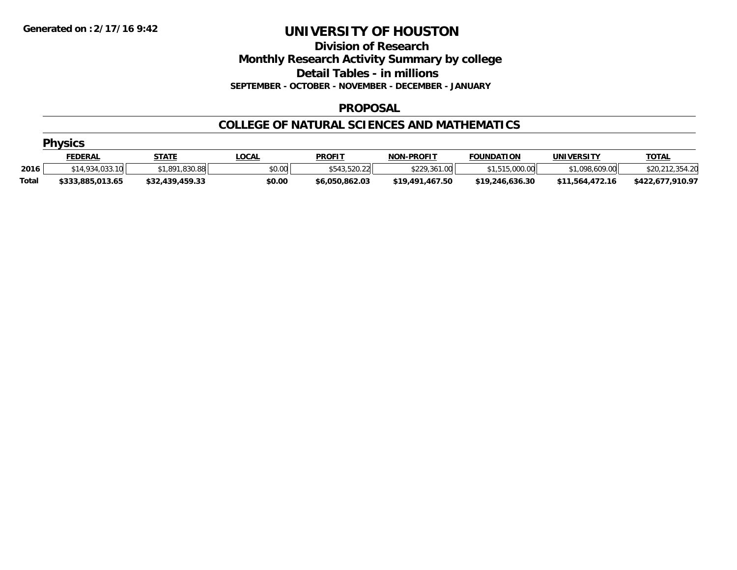**Division of Research**

**Monthly Research Activity Summary by college**

**Detail Tables - in millions**

**SEPTEMBER - OCTOBER - NOVEMBER - DECEMBER - JANUARY**

## **PROPOSAL**

## **COLLEGE OF NATURAL SCIENCES AND MATHEMATICS**

|              | <b>Physics</b>   |                 |              |                |                   |                   |                   |                      |  |  |  |  |
|--------------|------------------|-----------------|--------------|----------------|-------------------|-------------------|-------------------|----------------------|--|--|--|--|
|              | <u>FEDERAL</u>   | <b>STATE</b>    | <u>LOCAL</u> | <b>PROFIT</b>  | <b>NON-PROFIT</b> | <b>FOUNDATION</b> | <b>UNIVERSITY</b> | <b>TOTAL</b>         |  |  |  |  |
| 2016         | \$14,934,033.10  | \$1,891,830.88  | \$0.00       | \$543,520.22   | \$229,361.00      | \$1,515,000.00    | \$1,098,609.00    | .354.20<br>\$20,212. |  |  |  |  |
| <b>Total</b> | \$333,885,013.65 | \$32,439,459.33 | \$0.00       | \$6,050,862.03 | \$19,491,467.50   | \$19,246,636,30   | \$11.564.472.16   | \$422,677,910.97     |  |  |  |  |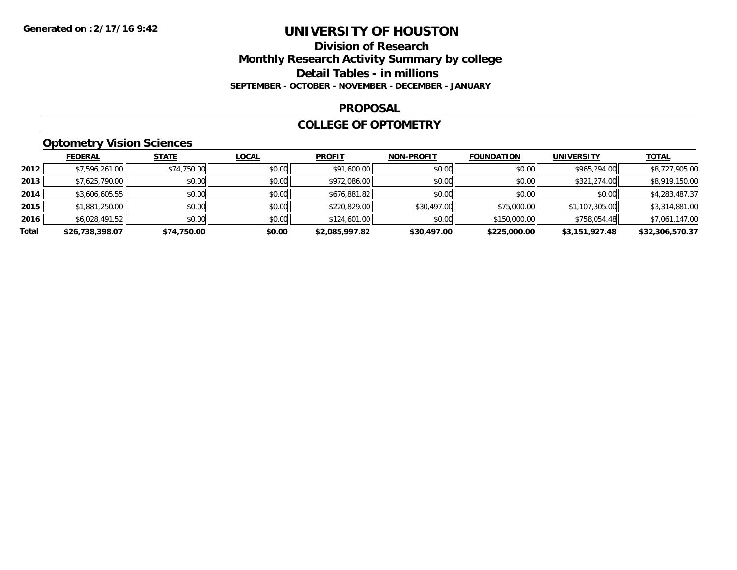## **Division of Research Monthly Research Activity Summary by college Detail Tables - in millions SEPTEMBER - OCTOBER - NOVEMBER - DECEMBER - JANUARY**

#### **PROPOSAL**

### **COLLEGE OF OPTOMETRY**

## **Optometry Vision Sciences**

|       | <b>FEDERAL</b>  | <b>STATE</b> | <b>LOCAL</b> | <b>PROFIT</b>  | <b>NON-PROFIT</b> | <b>FOUNDATION</b> | <b>UNIVERSITY</b> | <b>TOTAL</b>    |
|-------|-----------------|--------------|--------------|----------------|-------------------|-------------------|-------------------|-----------------|
| 2012  | \$7,596,261.00  | \$74,750.00  | \$0.00       | \$91,600.00    | \$0.00            | \$0.00            | \$965,294.00      | \$8,727,905.00  |
| 2013  | \$7,625,790.00  | \$0.00       | \$0.00       | \$972,086.00   | \$0.00            | \$0.00            | \$321,274.00      | \$8,919,150.00  |
| 2014  | \$3,606,605.55  | \$0.00       | \$0.00       | \$676,881.82   | \$0.00            | \$0.00            | \$0.00            | \$4,283,487.37  |
| 2015  | \$1,881,250.00  | \$0.00       | \$0.00       | \$220,829.00   | \$30,497.00       | \$75,000.00       | \$1,107,305.00    | \$3,314,881.00  |
| 2016  | \$6,028,491.52  | \$0.00       | \$0.00       | \$124,601.00   | \$0.00            | \$150,000.00      | \$758,054.48      | \$7,061,147.00  |
| Total | \$26,738,398.07 | \$74,750.00  | \$0.00       | \$2.085.997.82 | \$30,497.00       | \$225,000.00      | \$3,151,927.48    | \$32,306,570.37 |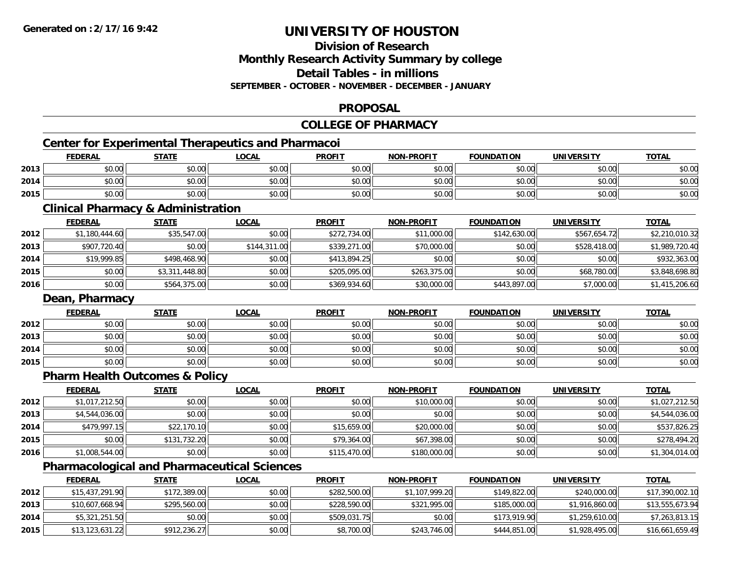## **Division of ResearchMonthly Research Activity Summary by college Detail Tables - in millionsSEPTEMBER - OCTOBER - NOVEMBER - DECEMBER - JANUARY**

## **PROPOSAL**

## **COLLEGE OF PHARMACY**

## **Center for Experimental Therapeutics and Pharmacoi**

|      | <b>FEDERAL</b> | <b>STATE</b> | <b>LOCAL</b> | <b>PROFIT</b> | <b>NON-PROFIT</b> | <b>FOUNDATION</b> | <b>UNIVERSITY</b> | <b>TOTAL</b> |
|------|----------------|--------------|--------------|---------------|-------------------|-------------------|-------------------|--------------|
| 2013 | \$0.00         | \$0.00       | \$0.00       | \$0.00        | \$0.00            | \$0.00            | \$0.00            | \$0.00       |
| 2014 | 0000<br>\$U.UU | \$0.00       | \$0.00       | \$0.00        | \$0.00            | \$0.00            | \$0.00            | \$0.00       |
| 2015 | \$0.00         | \$0.00       | \$0.00       | \$0.00        | \$0.00            | \$0.00            | \$0.00            | \$0.00       |

<u> 1980 - Johann Barbara, martxa amerikan bashkar (</u>

## **Clinical Pharmacy & Administration**

|      | <b>FEDERAL</b> | <b>STATE</b>   | <b>LOCAL</b> | <b>PROFIT</b> | <b>NON-PROFIT</b> | <b>FOUNDATION</b> | <b>UNIVERSITY</b> | <b>TOTAL</b>   |
|------|----------------|----------------|--------------|---------------|-------------------|-------------------|-------------------|----------------|
| 2012 | \$1,180,444.60 | \$35,547.00    | \$0.00       | \$272,734.00  | \$11,000.00       | \$142,630.00      | \$567,654.72      | \$2,210,010.32 |
| 2013 | \$907,720.40   | \$0.00         | \$144,311.00 | \$339,271.00  | \$70,000.00       | \$0.00            | \$528,418.00      | \$1,989,720.40 |
| 2014 | \$19,999.85    | \$498,468.90   | \$0.00       | \$413,894.25  | \$0.00            | \$0.00            | \$0.00            | \$932,363.00   |
| 2015 | \$0.00         | \$3,311,448.80 | \$0.00       | \$205,095,00  | \$263,375.00      | \$0.00            | \$68,780.00       | \$3,848,698.80 |
| 2016 | \$0.00         | \$564,375.00   | \$0.00       | \$369,934.60  | \$30,000.00       | \$443,897.00      | \$7,000.00        | \$1,415,206.60 |

## **Dean, Pharmacy**

|      | <b>FEDERAL</b> | <b>STATE</b> | <u>LOCAL</u> | <b>PROFIT</b> | <b>NON-PROFIT</b> | <b>FOUNDATION</b> | <b>UNIVERSITY</b> | <b>TOTAL</b> |
|------|----------------|--------------|--------------|---------------|-------------------|-------------------|-------------------|--------------|
| 2012 | \$0.00         | \$0.00       | \$0.00       | \$0.00        | \$0.00            | \$0.00            | \$0.00            | \$0.00       |
| 2013 | \$0.00         | \$0.00       | \$0.00       | \$0.00        | \$0.00            | \$0.00            | \$0.00            | \$0.00       |
| 2014 | \$0.00         | \$0.00       | \$0.00       | \$0.00        | \$0.00            | \$0.00            | \$0.00            | \$0.00       |
| 2015 | \$0.00         | \$0.00       | \$0.00       | \$0.00        | \$0.00            | \$0.00            | \$0.00            | \$0.00       |

## **Pharm Health Outcomes & Policy**

|      | <b>FEDERAL</b> | <b>STATE</b> | <b>LOCAL</b> | <b>PROFIT</b> | <b>NON-PROFIT</b> | <b>FOUNDATION</b> | <b>UNIVERSITY</b> | <b>TOTAL</b>   |
|------|----------------|--------------|--------------|---------------|-------------------|-------------------|-------------------|----------------|
| 2012 | \$1,017,212.50 | \$0.00       | \$0.00       | \$0.00        | \$10,000.00       | \$0.00            | \$0.00            | \$1,027,212.50 |
| 2013 | \$4,544,036.00 | \$0.00       | \$0.00       | \$0.00        | \$0.00            | \$0.00            | \$0.00            | \$4,544,036.00 |
| 2014 | \$479,997.15   | \$22,170.10  | \$0.00       | \$15,659.00   | \$20,000.00       | \$0.00            | \$0.00            | \$537,826.25   |
| 2015 | \$0.00         | \$131,732.20 | \$0.00       | \$79,364.00   | \$67,398.00       | \$0.00            | \$0.00            | \$278,494.20   |
| 2016 | \$1,008,544.00 | \$0.00       | \$0.00       | \$115,470.00  | \$180,000.00      | \$0.00            | \$0.00            | \$1,304,014.00 |

## **Pharmacological and Pharmaceutical Sciences**

|      | <b>FEDERAL</b>  | <b>STATE</b> | <u>LOCAL</u> | <b>PROFIT</b> | <b>NON-PROFIT</b> | <b>FOUNDATION</b> | <b>UNIVERSITY</b> | <b>TOTAL</b>    |
|------|-----------------|--------------|--------------|---------------|-------------------|-------------------|-------------------|-----------------|
| 2012 | \$15,437,291.90 | \$172,389.00 | \$0.00       | \$282,500,00  | \$1,107,999.20    | \$149,822,00      | \$240,000.00      | \$17,390,002.10 |
| 2013 | \$10,607,668.94 | \$295,560.00 | \$0.00       | \$228,590,00  | \$321,995.00      | \$185,000.00      | \$1,916,860,00    | \$13,555,673.94 |
| 2014 | \$5,321,251.50  | \$0.00       | \$0.00       | \$509,031.75  | \$0.00            | \$173,919.90      | \$1,259,610.00    | \$7,263,813.15  |
| 2015 | \$13,123,631.22 | \$912,236.27 | \$0.00       | \$8,700.00    | \$243,746.00      | \$444,851.00      | \$1,928,495.00    | \$16,661,659.49 |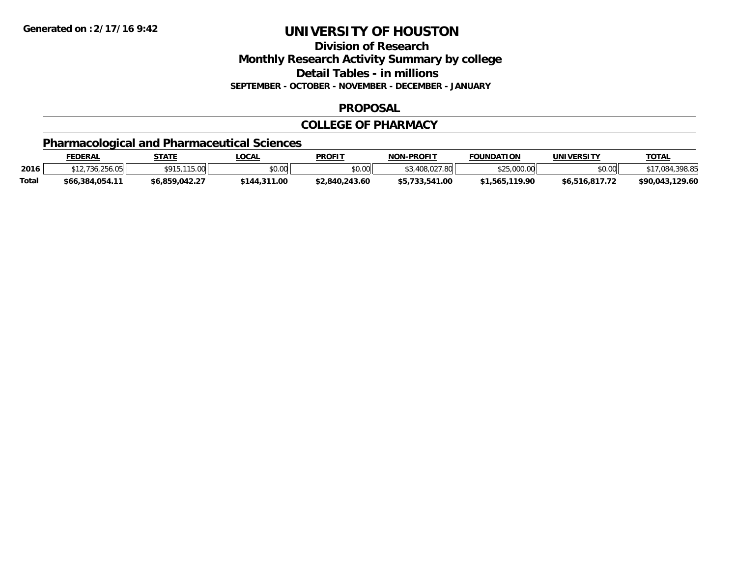**Division of Research**

**Monthly Research Activity Summary by college**

**Detail Tables - in millions**

**SEPTEMBER - OCTOBER - NOVEMBER - DECEMBER - JANUARY**

## **PROPOSAL**

## **COLLEGE OF PHARMACY**

## **Pharmacological and Pharmaceutical Sciences**

|              | <b>FEDERAL</b>  | <b>STATE</b>     | _OCAL        | <b>PROFIT</b>  | <b>NON-PROFIT</b> | <b>FOUNDATION</b> | UNIVERSITY     | <u> τοτal</u>   |
|--------------|-----------------|------------------|--------------|----------------|-------------------|-------------------|----------------|-----------------|
| 2016         | 736.256.05      | .115.00<br>ቀሰ1 ሮ | vv.vv        | \$0.00         | .408.027<br>.80   | 0.000             | \$0.00         | \$17,084,398.85 |
| <b>Total</b> | \$66,384,054.11 | \$6,859,042.27   | \$144,311.00 | \$2,840,243.60 | \$5,733,541.00    | \$1,565,119.90    | \$6.516.817.72 | \$90.043.129.60 |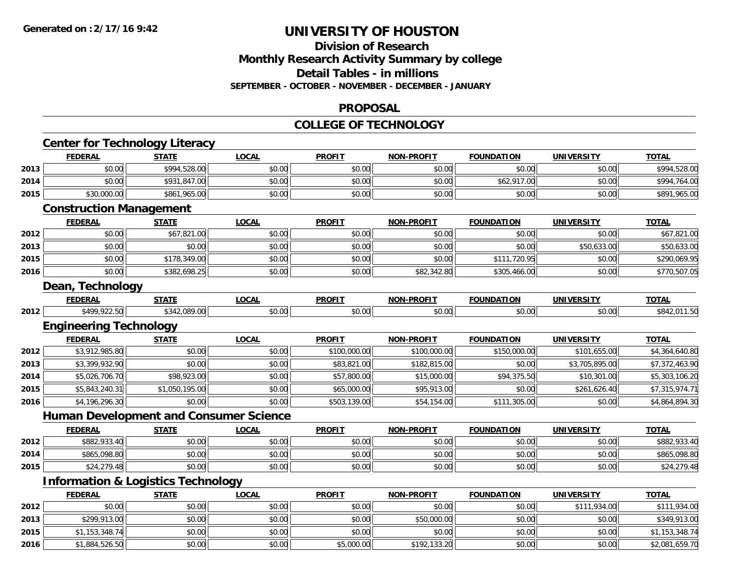## **Division of Research Monthly Research Activity Summary by college Detail Tables - in millions SEPTEMBER - OCTOBER - NOVEMBER - DECEMBER - JANUARY**

#### **PROPOSAL**

#### **COLLEGE OF TECHNOLOGY**

|      |                                | <b>Center for Technology Literacy</b>         |              |               |                   |                   |                   |                |
|------|--------------------------------|-----------------------------------------------|--------------|---------------|-------------------|-------------------|-------------------|----------------|
|      | <b>FEDERAL</b>                 | <b>STATE</b>                                  | <b>LOCAL</b> | <b>PROFIT</b> | <b>NON-PROFIT</b> | <b>FOUNDATION</b> | <b>UNIVERSITY</b> | <b>TOTAL</b>   |
| 2013 | \$0.00                         | \$994,528.00                                  | \$0.00       | \$0.00        | \$0.00            | \$0.00            | \$0.00            | \$994,528.00   |
| 2014 | \$0.00                         | \$931,847.00                                  | \$0.00       | \$0.00        | \$0.00            | \$62,917.00       | \$0.00            | \$994,764.00   |
| 2015 | \$30,000.00                    | \$861,965.00                                  | \$0.00       | \$0.00        | \$0.00            | \$0.00            | \$0.00            | \$891,965.00   |
|      | <b>Construction Management</b> |                                               |              |               |                   |                   |                   |                |
|      | <b>FEDERAL</b>                 | <b>STATE</b>                                  | <b>LOCAL</b> | <b>PROFIT</b> | <b>NON-PROFIT</b> | <b>FOUNDATION</b> | <b>UNIVERSITY</b> | <b>TOTAL</b>   |
| 2012 | \$0.00                         | \$67,821.00                                   | \$0.00       | \$0.00        | \$0.00            | \$0.00            | \$0.00            | \$67,821.00    |
| 2013 | \$0.00                         | \$0.00                                        | \$0.00       | \$0.00        | \$0.00            | \$0.00            | \$50,633.00       | \$50,633.00    |
| 2015 | \$0.00                         | \$178,349.00                                  | \$0.00       | \$0.00        | \$0.00            | \$111,720.95      | \$0.00            | \$290,069.95   |
| 2016 | \$0.00                         | \$382,698.25                                  | \$0.00       | \$0.00        | \$82,342.80       | \$305,466.00      | \$0.00            | \$770,507.05   |
|      | Dean, Technology               |                                               |              |               |                   |                   |                   |                |
|      | <b>FEDERAL</b>                 | <b>STATE</b>                                  | <b>LOCAL</b> | <b>PROFIT</b> | <b>NON-PROFIT</b> | <b>FOUNDATION</b> | <b>UNIVERSITY</b> | <b>TOTAL</b>   |
| 2012 | \$499,922.50                   | \$342,089.00                                  | \$0.00       | \$0.00        | \$0.00            | \$0.00            | \$0.00            | \$842,011.50   |
|      | <b>Engineering Technology</b>  |                                               |              |               |                   |                   |                   |                |
|      | <b>FEDERAL</b>                 | <b>STATE</b>                                  | <b>LOCAL</b> | <b>PROFIT</b> | <b>NON-PROFIT</b> | <b>FOUNDATION</b> | <b>UNIVERSITY</b> | <b>TOTAL</b>   |
| 2012 | \$3,912,985.80                 | \$0.00                                        | \$0.00       | \$100,000.00  | \$100,000.00      | \$150,000.00      | \$101,655.00      | \$4,364,640.80 |
| 2013 | \$3,399,932.90                 | \$0.00                                        | \$0.00       | \$83,821.00   | \$182,815.00      | \$0.00            | \$3,705,895.00    | \$7,372,463.90 |
| 2014 | \$5,026,706.70                 | \$98,923.00                                   | \$0.00       | \$57,800.00   | \$15,000.00       | \$94,375.50       | \$10,301.00       | \$5,303,106.20 |
| 2015 | \$5,843,240.31                 | \$1,050,195.00                                | \$0.00       | \$65,000.00   | \$95,913.00       | \$0.00            | \$261,626.40      | \$7,315,974.71 |
| 2016 | \$4,196,296.30                 | \$0.00                                        | \$0.00       | \$503,139.00  | \$54,154.00       | \$111,305.00      | \$0.00            | \$4,864,894.30 |
|      |                                | <b>Human Development and Consumer Science</b> |              |               |                   |                   |                   |                |
|      | <b>FEDERAL</b>                 | <b>STATE</b>                                  | <b>LOCAL</b> | <b>PROFIT</b> | <b>NON-PROFIT</b> | <b>FOUNDATION</b> | <b>UNIVERSITY</b> | <b>TOTAL</b>   |
| 2012 | \$882,933.40                   | \$0.00                                        | \$0.00       | \$0.00        | \$0.00            | \$0.00            | \$0.00            | \$882,933.40   |
| 2014 | \$865,098.80                   | \$0.00                                        | \$0.00       | \$0.00        | \$0.00            | \$0.00            | \$0.00            | \$865,098.80   |
| 2015 | \$24,279.48                    | \$0.00                                        | \$0.00       | \$0.00        | \$0.00            | \$0.00            | \$0.00            | \$24,279.48    |
|      |                                | <b>Information &amp; Logistics Technology</b> |              |               |                   |                   |                   |                |
|      | <b>FEDERAL</b>                 | <b>STATE</b>                                  | <b>LOCAL</b> | <b>PROFIT</b> | <b>NON-PROFIT</b> | <b>FOUNDATION</b> | <b>UNIVERSITY</b> | <b>TOTAL</b>   |
| 2012 | \$0.00                         | \$0.00                                        | \$0.00       | \$0.00        | \$0.00            | \$0.00            | \$111,934.00      | \$111,934.00   |
| 2013 | \$299,913.00                   | \$0.00                                        | \$0.00       | \$0.00        | \$50,000.00       | \$0.00            | \$0.00            | \$349,913.00   |
| 2015 | \$1,153,348.74                 | \$0.00                                        | \$0.00       | \$0.00        | \$0.00            | \$0.00            | \$0.00            | \$1,153,348.74 |
| 2016 | \$1,884,526.50                 | \$0.00                                        | \$0.00       | \$5,000.00    | \$192,133.20      | \$0.00            | \$0.00            | \$2,081,659.70 |
|      |                                |                                               |              |               |                   |                   |                   |                |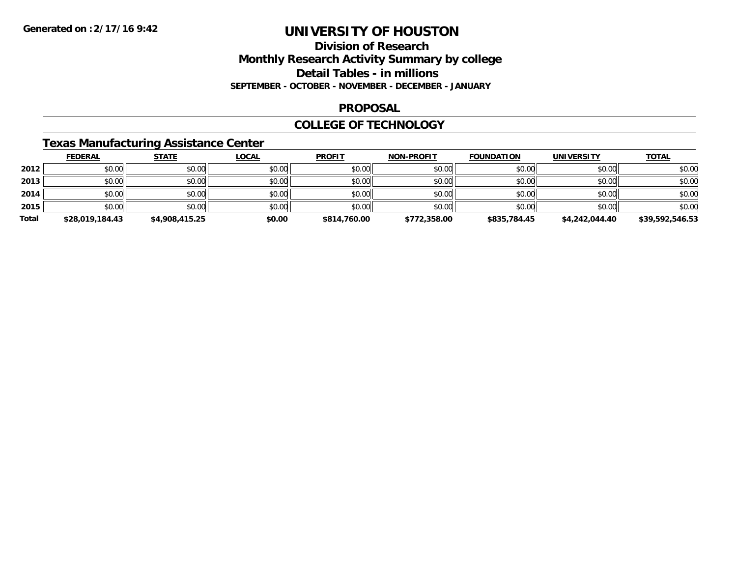## **Division of ResearchMonthly Research Activity Summary by college Detail Tables - in millions SEPTEMBER - OCTOBER - NOVEMBER - DECEMBER - JANUARY**

### **PROPOSAL**

### **COLLEGE OF TECHNOLOGY**

## **Texas Manufacturing Assistance Center**

|       | <b>FEDERAL</b>  | <b>STATE</b>   | <b>LOCAL</b> | <b>PROFIT</b> | <b>NON-PROFIT</b> | <b>FOUNDATION</b> | <b>UNIVERSITY</b> | <b>TOTAL</b>    |
|-------|-----------------|----------------|--------------|---------------|-------------------|-------------------|-------------------|-----------------|
| 2012  | \$0.00          | \$0.00         | \$0.00       | \$0.00        | \$0.00            | \$0.00            | \$0.00            | \$0.00          |
| 2013  | \$0.00          | \$0.00         | \$0.00       | \$0.00        | \$0.00            | \$0.00            | \$0.00            | \$0.00          |
| 2014  | \$0.00          | \$0.00         | \$0.00       | \$0.00        | \$0.00            | \$0.00            | \$0.00            | \$0.00          |
| 2015  | \$0.00          | \$0.00         | \$0.00       | \$0.00        | \$0.00            | \$0.00            | \$0.00            | \$0.00          |
| Total | \$28,019,184.43 | \$4,908,415.25 | \$0.00       | \$814,760.00  | \$772,358.00      | \$835,784.45      | \$4,242,044.40    | \$39,592,546.53 |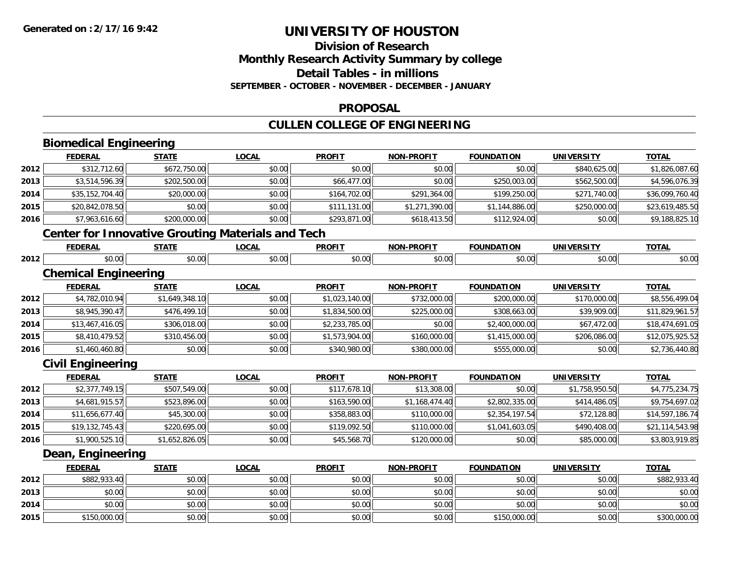## **Division of ResearchMonthly Research Activity Summary by college Detail Tables - in millions SEPTEMBER - OCTOBER - NOVEMBER - DECEMBER - JANUARY**

### **PROPOSAL**

## **CULLEN COLLEGE OF ENGINEERING**

# **Biomedical Engineering**

|      | <b>FEDERAL</b>                                           | <b>STATE</b>   | <b>LOCAL</b> | <b>PROFIT</b>  | <b>NON-PROFIT</b> | <b>FOUNDATION</b> | <b>UNIVERSITY</b> | <b>TOTAL</b>    |
|------|----------------------------------------------------------|----------------|--------------|----------------|-------------------|-------------------|-------------------|-----------------|
| 2012 | \$312,712.60                                             | \$672,750.00   | \$0.00       | \$0.00         | \$0.00            | \$0.00            | \$840,625.00      | \$1,826,087.60  |
| 2013 | \$3,514,596.39                                           | \$202,500.00   | \$0.00       | \$66,477.00    | \$0.00            | \$250,003.00      | \$562,500.00      | \$4,596,076.39  |
| 2014 | \$35,152,704.40                                          | \$20,000.00    | \$0.00       | \$164,702.00   | \$291,364.00      | \$199,250.00      | \$271,740.00      | \$36,099,760.40 |
| 2015 | \$20,842,078.50                                          | \$0.00         | \$0.00       | \$111,131.00   | \$1,271,390.00    | \$1,144,886.00    | \$250,000.00      | \$23,619,485.50 |
| 2016 | \$7,963,616.60                                           | \$200,000.00   | \$0.00       | \$293,871.00   | \$618,413.50      | \$112,924.00      | \$0.00            | \$9,188,825.10  |
|      | <b>Center for Innovative Grouting Materials and Tech</b> |                |              |                |                   |                   |                   |                 |
|      | <b>FEDERAL</b>                                           | <b>STATE</b>   | <b>LOCAL</b> | <b>PROFIT</b>  | <b>NON-PROFIT</b> | <b>FOUNDATION</b> | <b>UNIVERSITY</b> | <b>TOTAL</b>    |
| 2012 | \$0.00                                                   | \$0.00         | \$0.00       | \$0.00         | \$0.00            | \$0.00            | \$0.00            | \$0.00          |
|      | <b>Chemical Engineering</b>                              |                |              |                |                   |                   |                   |                 |
|      | <b>FEDERAL</b>                                           | <b>STATE</b>   | <b>LOCAL</b> | <b>PROFIT</b>  | <b>NON-PROFIT</b> | <b>FOUNDATION</b> | <b>UNIVERSITY</b> | <b>TOTAL</b>    |
| 2012 | \$4,782,010.94                                           | \$1,649,348.10 | \$0.00       | \$1,023,140.00 | \$732,000.00      | \$200,000.00      | \$170,000.00      | \$8,556,499.04  |
| 2013 | \$8,945,390.47                                           | \$476,499.10   | \$0.00       | \$1,834,500.00 | \$225,000.00      | \$308,663.00      | \$39,909.00       | \$11,829,961.57 |
| 2014 | \$13,467,416.05                                          | \$306,018.00   | \$0.00       | \$2,233,785.00 | \$0.00            | \$2,400,000.00    | \$67,472.00       | \$18,474,691.05 |
| 2015 | \$8,410,479.52                                           | \$310,456.00   | \$0.00       | \$1,573,904.00 | \$160,000.00      | \$1,415,000.00    | \$206,086.00      | \$12,075,925.52 |
| 2016 | \$1,460,460.80                                           | \$0.00         | \$0.00       | \$340,980.00   | \$380,000.00      | \$555,000.00      | \$0.00            | \$2,736,440.80  |
|      | <b>Civil Engineering</b>                                 |                |              |                |                   |                   |                   |                 |
|      | <b>FEDERAL</b>                                           | <b>STATE</b>   | <b>LOCAL</b> | <b>PROFIT</b>  | <b>NON-PROFIT</b> | <b>FOUNDATION</b> | <b>UNIVERSITY</b> | <b>TOTAL</b>    |
| 2012 | \$2,377,749.15                                           | \$507,549.00   | \$0.00       | \$117,678.10   | \$13,308.00       | \$0.00            | \$1,758,950.50    | \$4,775,234.75  |
| 2013 | \$4,681,915.57                                           | \$523,896.00   | \$0.00       | \$163,590.00   | \$1,168,474.40    | \$2,802,335.00    | \$414,486.05      | \$9,754,697.02  |
| 2014 | \$11,656,677.40                                          | \$45,300.00    | \$0.00       | \$358,883.00   | \$110,000.00      | \$2,354,197.54    | \$72,128.80       | \$14,597,186.74 |
| 2015 | \$19,132,745.43                                          | \$220,695.00   | \$0.00       | \$119,092.50   | \$110,000.00      | \$1,041,603.05    | \$490,408.00      | \$21,114,543.98 |
| 2016 | \$1,900,525.10                                           | \$1,652,826.05 | \$0.00       | \$45,568.70    | \$120,000.00      | \$0.00            | \$85,000.00       | \$3,803,919.85  |
|      | Dean, Engineering                                        |                |              |                |                   |                   |                   |                 |
|      | <b>FEDERAL</b>                                           | <b>STATE</b>   | <b>LOCAL</b> | <b>PROFIT</b>  | <b>NON-PROFIT</b> | <b>FOUNDATION</b> | <b>UNIVERSITY</b> | <b>TOTAL</b>    |
| 2012 | \$882,933.40                                             | \$0.00         | \$0.00       | \$0.00         | \$0.00            | \$0.00            | \$0.00            | \$882,933.40    |
| 2013 | \$0.00                                                   | \$0.00         | \$0.00       | \$0.00         | \$0.00            | \$0.00            | \$0.00            | \$0.00          |
| 2014 | \$0.00                                                   | \$0.00         | \$0.00       | \$0.00         | \$0.00            | \$0.00            | \$0.00            | \$0.00          |
| 2015 | \$150,000.00                                             | \$0.00         | \$0.00       | \$0.00         | \$0.00            | \$150,000.00      | \$0.00            | \$300,000.00    |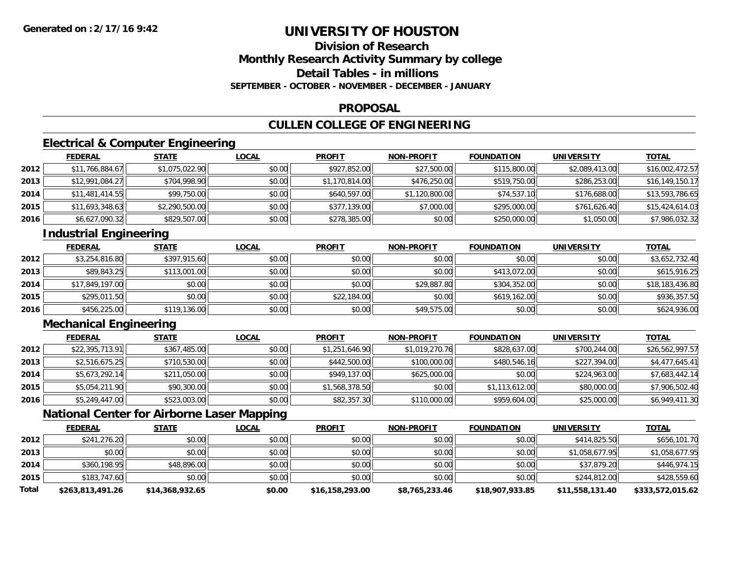## **Division of ResearchMonthly Research Activity Summary by college Detail Tables - in millionsSEPTEMBER - OCTOBER - NOVEMBER - DECEMBER - JANUARY**

### **PROPOSAL**

## **CULLEN COLLEGE OF ENGINEERING**

## **Electrical & Computer Engineering**

|      | <b>FEDERAL</b>  | <b>STATE</b>   | <b>LOCAL</b> | <b>PROFIT</b>  | <b>NON-PROFIT</b> | <b>FOUNDATION</b> | <b>UNIVERSITY</b> | <b>TOTAL</b>    |
|------|-----------------|----------------|--------------|----------------|-------------------|-------------------|-------------------|-----------------|
| 2012 | \$11,766,884.67 | \$1,075,022.90 | \$0.00       | \$927,852.00   | \$27,500.00       | \$115,800.00      | \$2,089,413.00    | \$16,002,472.57 |
| 2013 | \$12,991,084.27 | \$704,998.90   | \$0.00       | \$1,170,814.00 | \$476,250.00      | \$519,750.00      | \$286,253.00      | \$16,149,150.17 |
| 2014 | \$11,481,414.55 | \$99,750.00    | \$0.00       | \$640,597.00   | \$1,120,800.00    | \$74,537.10       | \$176,688.00      | \$13,593,786.65 |
| 2015 | \$11,693,348.63 | \$2,290,500.00 | \$0.00       | \$377,139.00   | \$7,000.00        | \$295,000.00      | \$761,626.40      | \$15,424,614.03 |
| 2016 | \$6,627,090.32  | \$829,507.00   | \$0.00       | \$278,385.00   | \$0.00            | \$250,000.00      | \$1,050.00        | \$7,986,032.32  |

## **Industrial Engineering**

|      | <b>FEDERAL</b>  | <b>STATE</b> | <b>LOCAL</b> | <b>PROFIT</b> | <b>NON-PROFIT</b> | <b>FOUNDATION</b> | <b>UNIVERSITY</b> | <b>TOTAL</b>    |
|------|-----------------|--------------|--------------|---------------|-------------------|-------------------|-------------------|-----------------|
| 2012 | \$3,254,816.80  | \$397,915.60 | \$0.00       | \$0.00        | \$0.00            | \$0.00            | \$0.00            | \$3,652,732.40  |
| 2013 | \$89,843.25     | \$113,001.00 | \$0.00       | \$0.00        | \$0.00            | \$413,072.00      | \$0.00            | \$615,916.25    |
| 2014 | \$17,849,197.00 | \$0.00       | \$0.00       | \$0.00        | \$29,887.80       | \$304,352.00      | \$0.00            | \$18,183,436.80 |
| 2015 | \$295,011.50    | \$0.00       | \$0.00       | \$22,184.00   | \$0.00            | \$619,162.00      | \$0.00            | \$936,357.50    |
| 2016 | \$456,225.00    | \$119,136.00 | \$0.00       | \$0.00        | \$49,575.00       | \$0.00            | \$0.00            | \$624,936.00    |

## **Mechanical Engineering**

|      | <b>FEDERAL</b>  | <b>STATE</b> | <b>LOCAL</b> | <b>PROFIT</b>  | <b>NON-PROFIT</b> | <b>FOUNDATION</b> | <b>UNIVERSITY</b> | <b>TOTAL</b>    |
|------|-----------------|--------------|--------------|----------------|-------------------|-------------------|-------------------|-----------------|
| 2012 | \$22,395,713.91 | \$367,485.00 | \$0.00       | \$1,251,646.90 | \$1,019,270.76    | \$828,637.00      | \$700,244.00      | \$26,562,997.57 |
| 2013 | \$2,516,675.25  | \$710,530.00 | \$0.00       | \$442,500.00   | \$100,000.00      | \$480,546.16      | \$227,394.00      | \$4,477,645.41  |
| 2014 | \$5,673,292.14  | \$211,050.00 | \$0.00       | \$949,137.00   | \$625,000.00      | \$0.00            | \$224,963.00      | \$7,683,442.14  |
| 2015 | \$5,054,211.90  | \$90,300.00  | \$0.00       | \$1,568,378.50 | \$0.00            | \$1,113,612.00    | \$80,000.00       | \$7,906,502.40  |
| 2016 | \$5,249,447.00  | \$523,003.00 | \$0.00       | \$82,357.30    | \$110,000.00      | \$959,604.00      | \$25,000.00       | \$6,949,411.30  |

## **National Center for Airborne Laser Mapping**

|              | <b>FEDERAL</b>   | <b>STATE</b>    | <u>LOCAL</u> | <b>PROFIT</b>   | <b>NON-PROFIT</b> | <b>FOUNDATION</b> | <b>UNIVERSITY</b> | <b>TOTAL</b>     |
|--------------|------------------|-----------------|--------------|-----------------|-------------------|-------------------|-------------------|------------------|
| 2012         | \$241,276.20     | \$0.00          | \$0.00       | \$0.00          | \$0.00            | \$0.00            | \$414,825.50      | \$656,101.70     |
| 2013         | \$0.00           | \$0.00          | \$0.00       | \$0.00          | \$0.00            | \$0.00            | \$1,058,677.95    | \$1,058,677.95   |
| 2014         | \$360,198.95     | \$48,896.00     | \$0.00       | \$0.00          | \$0.00            | \$0.00            | \$37,879.20       | \$446,974.15     |
| 2015         | \$183,747.60     | \$0.00          | \$0.00       | \$0.00          | \$0.00            | \$0.00            | \$244,812,00      | \$428,559.60     |
| <b>Total</b> | \$263,813,491.26 | \$14,368,932.65 | \$0.00       | \$16,158,293.00 | \$8,765,233.46    | \$18,907,933.85   | \$11,558,131.40   | \$333,572,015.62 |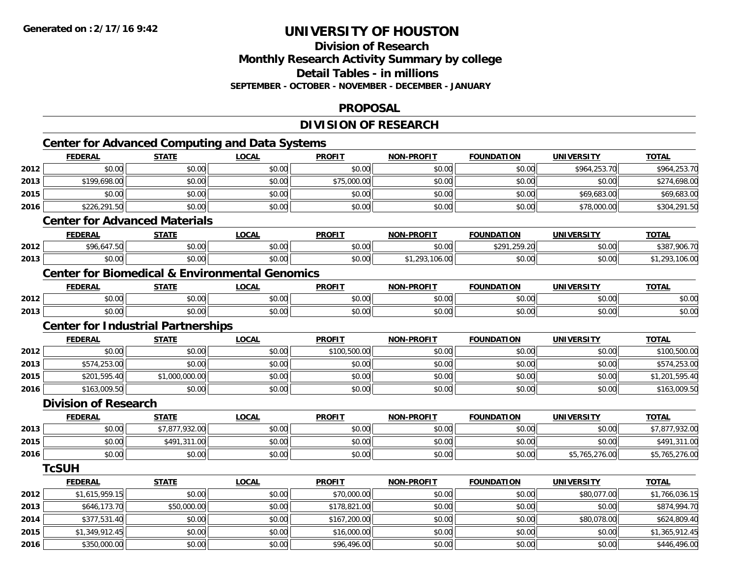**2016**

## **UNIVERSITY OF HOUSTON**

## **Division of ResearchMonthly Research Activity Summary by college Detail Tables - in millions SEPTEMBER - OCTOBER - NOVEMBER - DECEMBER - JANUARY**

### **PROPOSAL**

## **DIVISION OF RESEARCH**

|      |                             |                                           | <b>Center for Advanced Computing and Data Systems</b>     |               |                   |                   |                   |                |
|------|-----------------------------|-------------------------------------------|-----------------------------------------------------------|---------------|-------------------|-------------------|-------------------|----------------|
|      | <b>FEDERAL</b>              | <b>STATE</b>                              | <b>LOCAL</b>                                              | <b>PROFIT</b> | <b>NON-PROFIT</b> | <b>FOUNDATION</b> | <b>UNIVERSITY</b> | <b>TOTAL</b>   |
| 2012 | \$0.00                      | \$0.00                                    | \$0.00                                                    | \$0.00        | \$0.00            | \$0.00            | \$964,253.70      | \$964,253.70   |
| 2013 | \$199,698.00                | \$0.00                                    | \$0.00                                                    | \$75,000.00   | \$0.00            | \$0.00            | \$0.00            | \$274,698.00   |
| 2015 | \$0.00                      | \$0.00                                    | \$0.00                                                    | \$0.00        | \$0.00            | \$0.00            | \$69,683.00       | \$69,683.00    |
| 2016 | \$226,291.50                | \$0.00                                    | \$0.00                                                    | \$0.00        | \$0.00            | \$0.00            | \$78,000.00       | \$304,291.50   |
|      |                             | <b>Center for Advanced Materials</b>      |                                                           |               |                   |                   |                   |                |
|      | <b>FEDERAL</b>              | <b>STATE</b>                              | <b>LOCAL</b>                                              | <b>PROFIT</b> | <b>NON-PROFIT</b> | <b>FOUNDATION</b> | <b>UNIVERSITY</b> | <b>TOTAL</b>   |
| 2012 | \$96,647.50                 | \$0.00                                    | \$0.00                                                    | \$0.00        | \$0.00            | \$291,259.20      | \$0.00            | \$387,906.70   |
| 2013 | \$0.00                      | \$0.00                                    | \$0.00                                                    | \$0.00        | \$1,293,106.00    | \$0.00            | \$0.00            | \$1,293,106.00 |
|      |                             |                                           | <b>Center for Biomedical &amp; Environmental Genomics</b> |               |                   |                   |                   |                |
|      | <b>FEDERAL</b>              | <b>STATE</b>                              | <b>LOCAL</b>                                              | <b>PROFIT</b> | <b>NON-PROFIT</b> | <b>FOUNDATION</b> | <b>UNIVERSITY</b> | <b>TOTAL</b>   |
| 2012 | \$0.00                      | \$0.00                                    | \$0.00                                                    | \$0.00        | \$0.00            | \$0.00            | \$0.00            | \$0.00         |
| 2013 | \$0.00                      | \$0.00                                    | \$0.00                                                    | \$0.00        | \$0.00            | \$0.00            | \$0.00            | \$0.00         |
|      |                             | <b>Center for Industrial Partnerships</b> |                                                           |               |                   |                   |                   |                |
|      | <b>FEDERAL</b>              | <b>STATE</b>                              | <b>LOCAL</b>                                              | <b>PROFIT</b> | <b>NON-PROFIT</b> | <b>FOUNDATION</b> | <b>UNIVERSITY</b> | <b>TOTAL</b>   |
| 2012 | \$0.00                      | \$0.00                                    | \$0.00                                                    | \$100,500.00  | \$0.00            | \$0.00            | \$0.00            | \$100,500.00   |
| 2013 | \$574,253.00                | \$0.00                                    | \$0.00                                                    | \$0.00        | \$0.00            | \$0.00            | \$0.00            | \$574,253.00   |
| 2015 | \$201,595.40                | \$1,000,000.00                            | \$0.00                                                    | \$0.00        | \$0.00            | \$0.00            | \$0.00            | \$1,201,595.40 |
| 2016 | \$163,009.50                | \$0.00                                    | \$0.00                                                    | \$0.00        | \$0.00            | \$0.00            | \$0.00            | \$163,009.50   |
|      | <b>Division of Research</b> |                                           |                                                           |               |                   |                   |                   |                |
|      | <b>FEDERAL</b>              | <b>STATE</b>                              | <b>LOCAL</b>                                              | <b>PROFIT</b> | <b>NON-PROFIT</b> | <b>FOUNDATION</b> | <b>UNIVERSITY</b> | <b>TOTAL</b>   |
| 2013 | \$0.00                      | \$7,877,932.00                            | \$0.00                                                    | \$0.00        | \$0.00            | \$0.00            | \$0.00            | \$7,877,932.00 |
| 2015 | \$0.00                      | \$491,311.00                              | \$0.00                                                    | \$0.00        | \$0.00            | \$0.00            | \$0.00            | \$491,311.00   |
| 2016 | \$0.00                      | \$0.00                                    | \$0.00                                                    | \$0.00        | \$0.00            | \$0.00            | \$5,765,276.00    | \$5,765,276.00 |
|      | <b>TcSUH</b>                |                                           |                                                           |               |                   |                   |                   |                |
|      | <b>FEDERAL</b>              | <b>STATE</b>                              | <b>LOCAL</b>                                              | <b>PROFIT</b> | <b>NON-PROFIT</b> | <b>FOUNDATION</b> | <b>UNIVERSITY</b> | <b>TOTAL</b>   |
| 2012 | \$1,615,959.15              | \$0.00                                    | \$0.00                                                    | \$70,000.00   | \$0.00            | \$0.00            | \$80,077.00       | \$1,766,036.15 |
| 2013 | \$646,173.70                | \$50,000.00                               | \$0.00                                                    | \$178,821.00  | \$0.00            | \$0.00            | \$0.00            | \$874,994.70   |
| 2014 | \$377,531.40                | \$0.00                                    | \$0.00                                                    | \$167,200.00  | \$0.00            | \$0.00            | \$80,078.00       | \$624,809.40   |
| 2015 | \$1,349,912.45              | \$0.00                                    | \$0.00                                                    | \$16,000.00   | \$0.00            | \$0.00            | \$0.00            | \$1,365,912.45 |

6 \$350,000.00 \$0.00 \$0.00 \$0.00 \$0.00 \$0.00 \$96,496.00 \$0.00 \$0.00 \$0.00 \$0.00 \$0.00 \$146,496.00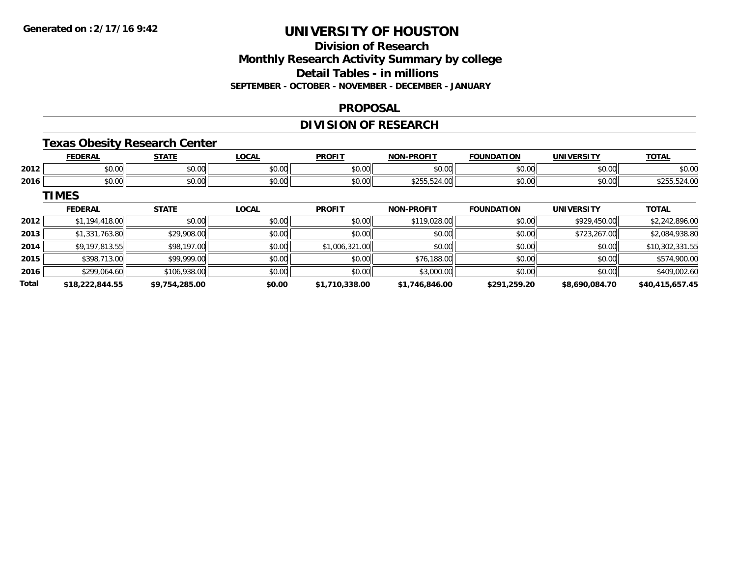## **Division of ResearchMonthly Research Activity Summary by college Detail Tables - in millions SEPTEMBER - OCTOBER - NOVEMBER - DECEMBER - JANUARY**

#### **PROPOSAL**

## **DIVISION OF RESEARCH**

## **Texas Obesity Research Center**

|      | <b>FEDERAL</b> | <b>STATF</b><br>,,,,,, | LOCAL         | <b>PROFIT</b> | <b>M-PROFIT</b><br><b>MAN</b> | <b>FOUNDATION</b>     | <b>UNIVERSITY</b>                      | <b>TOTAL</b>          |
|------|----------------|------------------------|---------------|---------------|-------------------------------|-----------------------|----------------------------------------|-----------------------|
| 2012 | 0000<br>,uu    | 0000<br>vu.uu          | 0.00<br>vv.vv | \$0.00        | \$0.00                        | 4000<br>JU.UU         | $\mathfrak{g}$ $\mathfrak{g}$<br>JU.UU | \$0.00                |
| 2016 | \$0.00         | ÷0.<br>$\sim$<br>JU.UU | 0000<br>JU.UU | \$0.00        | ぐつにご<br>JZ4.UU                | 40.00<br><b>JU.UU</b> | \$0.00                                 | $\sim$<br>3255,524.UU |

**TIMES**

|              | <b>FEDERAL</b>  | <b>STATE</b>   | <u>LOCAL</u> | <b>PROFIT</b>  | <b>NON-PROFIT</b> | <b>FOUNDATION</b> | <b>UNIVERSITY</b> | <b>TOTAL</b>    |
|--------------|-----------------|----------------|--------------|----------------|-------------------|-------------------|-------------------|-----------------|
| 2012         | \$1,194,418.00  | \$0.00         | \$0.00       | \$0.00         | \$119,028.00      | \$0.00            | \$929,450.00      | \$2,242,896.00  |
| 2013         | \$1,331,763.80  | \$29,908.00    | \$0.00       | \$0.00         | \$0.00            | \$0.00            | \$723,267.00      | \$2,084,938.80  |
| 2014         | \$9,197,813.55  | \$98,197.00    | \$0.00       | \$1,006,321.00 | \$0.00            | \$0.00            | \$0.00            | \$10,302,331.55 |
| 2015         | \$398,713.00    | \$99,999.00    | \$0.00       | \$0.00         | \$76,188.00       | \$0.00            | \$0.00            | \$574,900.00    |
| 2016         | \$299,064.60    | \$106,938.00   | \$0.00       | \$0.00         | \$3,000.00        | \$0.00            | \$0.00            | \$409,002.60    |
| <b>Total</b> | \$18,222,844.55 | \$9,754,285.00 | \$0.00       | \$1,710,338.00 | \$1,746,846.00    | \$291,259.20      | \$8,690,084.70    | \$40,415,657.45 |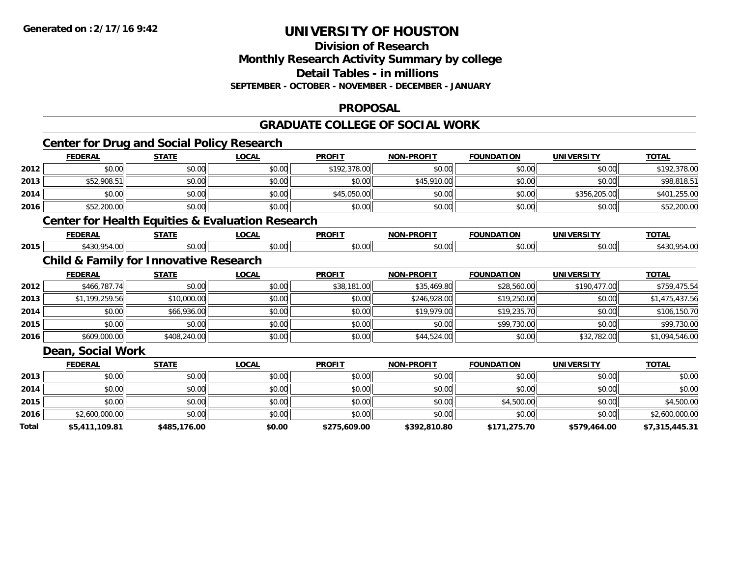#### **Division of Research Monthly Research Activity Summary by college**

**Detail Tables - in millions**

**SEPTEMBER - OCTOBER - NOVEMBER - DECEMBER - JANUARY**

## **PROPOSAL**

## **GRADUATE COLLEGE OF SOCIAL WORK**

|       | <b>Center for Drug and Social Policy Research</b>           |              |              |               |                   |                   |                   |                |
|-------|-------------------------------------------------------------|--------------|--------------|---------------|-------------------|-------------------|-------------------|----------------|
|       | <b>FEDERAL</b>                                              | <b>STATE</b> | <b>LOCAL</b> | <b>PROFIT</b> | <b>NON-PROFIT</b> | <b>FOUNDATION</b> | <b>UNIVERSITY</b> | <b>TOTAL</b>   |
| 2012  | \$0.00                                                      | \$0.00       | \$0.00       | \$192,378.00  | \$0.00            | \$0.00            | \$0.00            | \$192,378.00   |
| 2013  | \$52,908.51                                                 | \$0.00       | \$0.00       | \$0.00        | \$45,910.00       | \$0.00            | \$0.00            | \$98,818.51    |
| 2014  | \$0.00                                                      | \$0.00       | \$0.00       | \$45,050.00   | \$0.00            | \$0.00            | \$356,205.00      | \$401,255.00   |
| 2016  | \$52,200.00                                                 | \$0.00       | \$0.00       | \$0.00        | \$0.00            | \$0.00            | \$0.00            | \$52,200.00    |
|       | <b>Center for Health Equities &amp; Evaluation Research</b> |              |              |               |                   |                   |                   |                |
|       | <b>FEDERAL</b>                                              | <b>STATE</b> | <b>LOCAL</b> | <b>PROFIT</b> | <b>NON-PROFIT</b> | <b>FOUNDATION</b> | <b>UNIVERSITY</b> | <b>TOTAL</b>   |
| 2015  | \$430,954.00                                                | \$0.00       | \$0.00       | \$0.00        | \$0.00            | \$0.00            | \$0.00            | \$430,954.00   |
|       | <b>Child &amp; Family for Innovative Research</b>           |              |              |               |                   |                   |                   |                |
|       | <b>FEDERAL</b>                                              | <b>STATE</b> | <b>LOCAL</b> | <b>PROFIT</b> | <b>NON-PROFIT</b> | <b>FOUNDATION</b> | <b>UNIVERSITY</b> | <b>TOTAL</b>   |
| 2012  | \$466,787.74                                                | \$0.00       | \$0.00       | \$38,181.00   | \$35,469.80       | \$28,560.00       | \$190,477.00      | \$759,475.54   |
| 2013  | \$1,199,259.56                                              | \$10,000.00  | \$0.00       | \$0.00        | \$246,928.00      | \$19,250.00       | \$0.00            | \$1,475,437.56 |
| 2014  | \$0.00                                                      | \$66,936.00  | \$0.00       | \$0.00        | \$19,979.00       | \$19,235.70       | \$0.00            | \$106,150.70   |
| 2015  | \$0.00                                                      | \$0.00       | \$0.00       | \$0.00        | \$0.00            | \$99,730.00       | \$0.00            | \$99,730.00    |
| 2016  | \$609,000.00                                                | \$408,240.00 | \$0.00       | \$0.00        | \$44,524.00       | \$0.00            | \$32,782.00       | \$1,094,546.00 |
|       | Dean, Social Work                                           |              |              |               |                   |                   |                   |                |
|       | <b>FEDERAL</b>                                              | <b>STATE</b> | <b>LOCAL</b> | <b>PROFIT</b> | <b>NON-PROFIT</b> | <b>FOUNDATION</b> | <b>UNIVERSITY</b> | <b>TOTAL</b>   |
| 2013  | \$0.00                                                      | \$0.00       | \$0.00       | \$0.00        | \$0.00            | \$0.00            | \$0.00            | \$0.00         |
| 2014  | \$0.00                                                      | \$0.00       | \$0.00       | \$0.00        | \$0.00            | \$0.00            | \$0.00            | \$0.00         |
| 2015  | \$0.00                                                      | \$0.00       | \$0.00       | \$0.00        | \$0.00            | \$4,500.00        | \$0.00            | \$4,500.00     |
| 2016  | \$2,600,000.00                                              | \$0.00       | \$0.00       | \$0.00        | \$0.00            | \$0.00            | \$0.00            | \$2,600,000.00 |
| Total | \$5,411,109.81                                              | \$485,176.00 | \$0.00       | \$275,609.00  | \$392,810.80      | \$171,275.70      | \$579,464.00      | \$7,315,445.31 |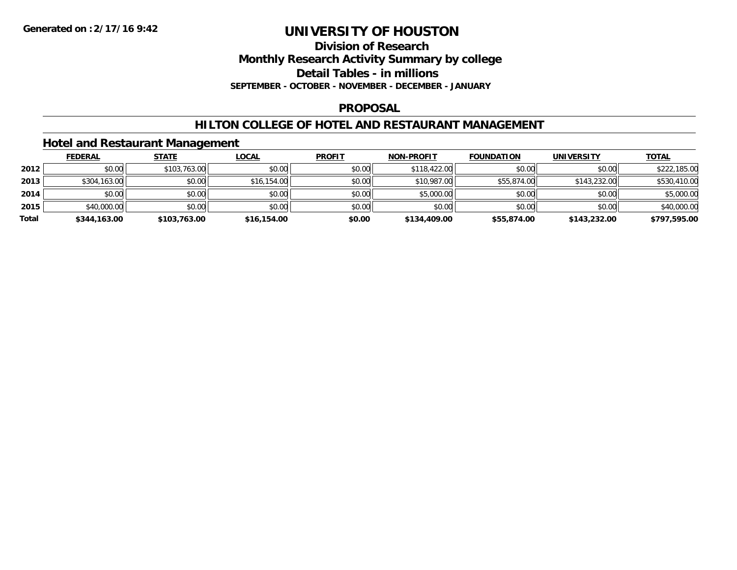**Division of Research**

**Monthly Research Activity Summary by college**

**Detail Tables - in millions**

**SEPTEMBER - OCTOBER - NOVEMBER - DECEMBER - JANUARY**

## **PROPOSAL**

## **HILTON COLLEGE OF HOTEL AND RESTAURANT MANAGEMENT**

## **Hotel and Restaurant Management**

|       | <b>FEDERAL</b> | STATE        | <u>LOCAL</u> | <b>PROFIT</b> | <b>NON-PROFIT</b> | <b>FOUNDATION</b> | <b>UNIVERSITY</b> | <b>TOTAL</b> |
|-------|----------------|--------------|--------------|---------------|-------------------|-------------------|-------------------|--------------|
| 2012  | \$0.00         | \$103,763.00 | \$0.00       | \$0.00        | \$118,422,00      | \$0.00            | \$0.00            | \$222,185.00 |
| 2013  | \$304,163.00   | \$0.00       | \$16,154.00  | \$0.00        | \$10,987.00       | \$55,874.00       | \$143,232.00      | \$530,410.00 |
| 2014  | \$0.00         | \$0.00       | \$0.00       | \$0.00        | \$5,000.00        | \$0.00            | \$0.00            | \$5,000.00   |
| 2015  | \$40,000.00    | \$0.00       | \$0.00       | \$0.00        | \$0.00            | \$0.00            | \$0.00            | \$40,000.00  |
| Total | \$344,163.00   | \$103,763.00 | \$16,154.00  | \$0.00        | \$134,409.00      | \$55,874.00       | \$143,232.00      | \$797,595.00 |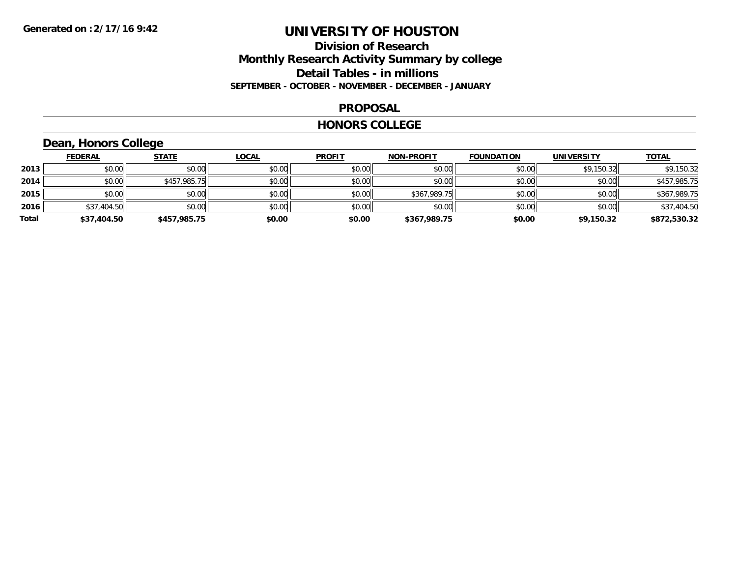## **Division of Research Monthly Research Activity Summary by college Detail Tables - in millions SEPTEMBER - OCTOBER - NOVEMBER - DECEMBER - JANUARY**

#### **PROPOSAL**

#### **HONORS COLLEGE**

## **Dean, Honors College**

|       | <b>FEDERAL</b> | <b>STATE</b> | <b>LOCAL</b> | <b>PROFIT</b> | <b>NON-PROFIT</b> | <b>FOUNDATION</b> | <b>UNIVERSITY</b> | <b>TOTAL</b> |
|-------|----------------|--------------|--------------|---------------|-------------------|-------------------|-------------------|--------------|
| 2013  | \$0.00         | \$0.00       | \$0.00       | \$0.00        | \$0.00            | \$0.00            | \$9,150.32        | \$9,150.32   |
| 2014  | \$0.00         | \$457,985.75 | \$0.00       | \$0.00        | \$0.00            | \$0.00            | \$0.00            | \$457,985.75 |
| 2015  | \$0.00         | \$0.00       | \$0.00       | \$0.00        | \$367,989.75      | \$0.00            | \$0.00            | \$367,989.75 |
| 2016  | \$37,404.50    | \$0.00       | \$0.00       | \$0.00        | \$0.00            | \$0.00            | \$0.00            | \$37,404.50  |
| Total | \$37,404.50    | \$457,985.75 | \$0.00       | \$0.00        | \$367,989.75      | \$0.00            | \$9,150.32        | \$872,530.32 |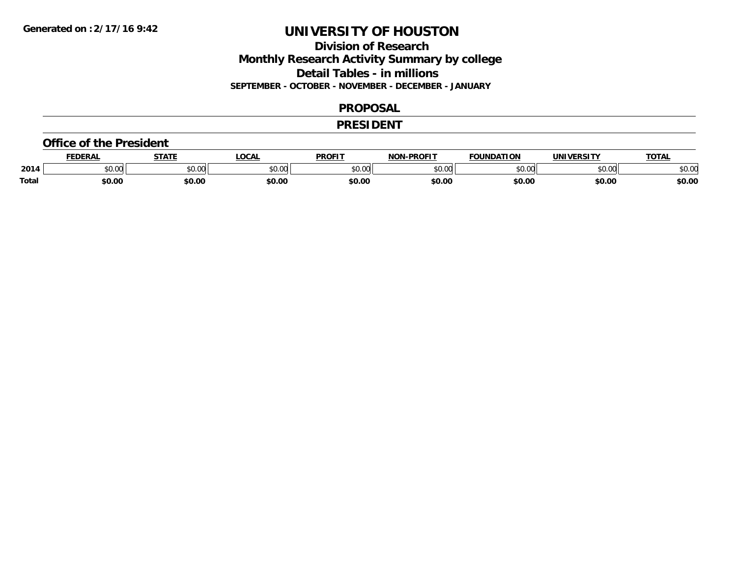## **Division of Research Monthly Research Activity Summary by college Detail Tables - in millions SEPTEMBER - OCTOBER - NOVEMBER - DECEMBER - JANUARY**

#### **PROPOSAL**

#### **PRESIDENT**

#### **Office of the President**

|              | <b>EDERAL</b> | <b>CTATE</b>  | <b>OCAL</b> | <b>PROFIT</b> | -PROFIT<br>NIANI | <b>FOUNDATION</b>       | UNIVERSITY | <b>TOTAL</b> |
|--------------|---------------|---------------|-------------|---------------|------------------|-------------------------|------------|--------------|
| 2014         | 0.00<br>JU.UU | 0.00<br>JU.UU | \$0.00      | 0000<br>PO.OO | nn nn<br>pu.uu   | $n \cap \Omega$<br>∪.∪∪ | \$0.00     | \$0.00       |
| <b>Total</b> | \$0.00        | \$0.00        | \$0.00      | \$0.00        | \$0.00           | \$0.00                  | \$0.00     | \$0.00       |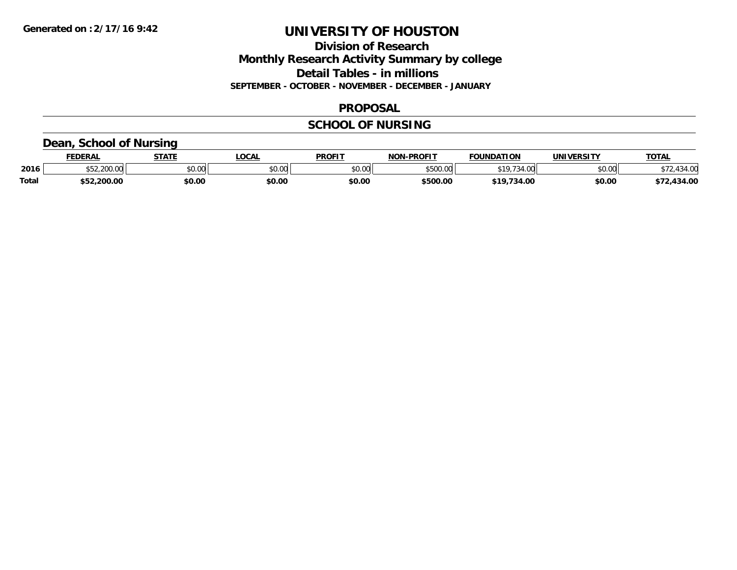## **Division of Research Monthly Research Activity Summary by college Detail Tables - in millions SEPTEMBER - OCTOBER - NOVEMBER - DECEMBER - JANUARY**

### **PROPOSAL**

## **SCHOOL OF NURSING**

## **Dean, School of Nursing**

|              | <b>FEDERAL</b>      | <b>STATE</b> | LOCAL  | <b>PROFIT</b> | <b>NON-PROFIT</b> | <b>FOUNDATION</b>  | UNIVERSITY | <b>TOTAL</b>          |
|--------------|---------------------|--------------|--------|---------------|-------------------|--------------------|------------|-----------------------|
| 2016         | 0.200.00<br>JUU.UUL | \$0.00       | \$0.00 | \$0.00        | \$500.00          | 34.00<br>$610 - 7$ | \$0.00     | $\lambda$ or<br>34.UU |
| <b>Total</b> | \$52,200.00         | \$0.00       | \$0.00 | \$0.00        | \$500.00          | $+10$<br>734.00    | \$0.00     | 434.00                |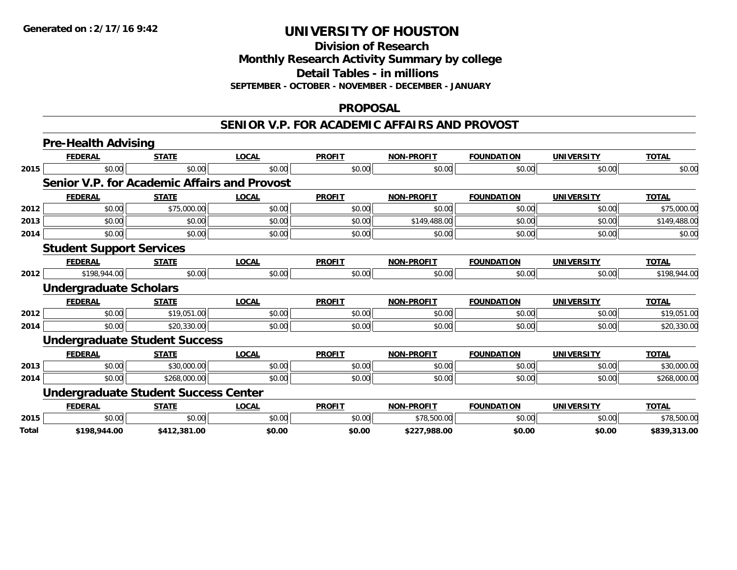**Division of Research**

**Monthly Research Activity Summary by college**

**Detail Tables - in millions**

**SEPTEMBER - OCTOBER - NOVEMBER - DECEMBER - JANUARY**

### **PROPOSAL**

#### **SENIOR V.P. FOR ACADEMIC AFFAIRS AND PROVOST**

|              | <b>Pre-Health Advising</b>                   |              |              |               |                   |                   |                   |              |
|--------------|----------------------------------------------|--------------|--------------|---------------|-------------------|-------------------|-------------------|--------------|
|              | <b>FEDERAL</b>                               | <b>STATE</b> | <b>LOCAL</b> | <b>PROFIT</b> | <b>NON-PROFIT</b> | <b>FOUNDATION</b> | <b>UNIVERSITY</b> | <b>TOTAL</b> |
| 2015         | \$0.00                                       | \$0.00       | \$0.00       | \$0.00        | \$0.00            | \$0.00            | \$0.00            | \$0.00       |
|              | Senior V.P. for Academic Affairs and Provost |              |              |               |                   |                   |                   |              |
|              | <b>FEDERAL</b>                               | <b>STATE</b> | <b>LOCAL</b> | <b>PROFIT</b> | <b>NON-PROFIT</b> | <b>FOUNDATION</b> | <b>UNIVERSITY</b> | <b>TOTAL</b> |
| 2012         | \$0.00                                       | \$75,000.00  | \$0.00       | \$0.00        | \$0.00            | \$0.00            | \$0.00            | \$75,000.00  |
| 2013         | \$0.00                                       | \$0.00       | \$0.00       | \$0.00        | \$149,488.00      | \$0.00            | \$0.00            | \$149,488.00 |
| 2014         | \$0.00                                       | \$0.00       | \$0.00       | \$0.00        | \$0.00            | \$0.00            | \$0.00            | \$0.00       |
|              | <b>Student Support Services</b>              |              |              |               |                   |                   |                   |              |
|              | <b>FEDERAL</b>                               | <b>STATE</b> | <b>LOCAL</b> | <b>PROFIT</b> | <b>NON-PROFIT</b> | <b>FOUNDATION</b> | <b>UNIVERSITY</b> | <b>TOTAL</b> |
| 2012         | \$198,944.00                                 | \$0.00       | \$0.00       | \$0.00        | \$0.00            | \$0.00            | \$0.00            | \$198,944.00 |
|              | <b>Undergraduate Scholars</b>                |              |              |               |                   |                   |                   |              |
|              | <b>FEDERAL</b>                               | <b>STATE</b> | <b>LOCAL</b> | <b>PROFIT</b> | <b>NON-PROFIT</b> | <b>FOUNDATION</b> | <b>UNIVERSITY</b> | <b>TOTAL</b> |
| 2012         | \$0.00                                       | \$19,051.00  | \$0.00       | \$0.00        | \$0.00            | \$0.00            | \$0.00            | \$19,051.00  |
| 2014         | \$0.00                                       | \$20,330.00  | \$0.00       | \$0.00        | \$0.00            | \$0.00            | \$0.00            | \$20,330.00  |
|              | <b>Undergraduate Student Success</b>         |              |              |               |                   |                   |                   |              |
|              | <b>FEDERAL</b>                               | <b>STATE</b> | <b>LOCAL</b> | <b>PROFIT</b> | <b>NON-PROFIT</b> | <b>FOUNDATION</b> | <b>UNIVERSITY</b> | <b>TOTAL</b> |
| 2013         | \$0.00                                       | \$30,000.00  | \$0.00       | \$0.00        | \$0.00            | \$0.00            | \$0.00            | \$30,000.00  |
| 2014         | \$0.00                                       | \$268,000.00 | \$0.00       | \$0.00        | \$0.00            | \$0.00            | \$0.00            | \$268,000.00 |
|              | <b>Undergraduate Student Success Center</b>  |              |              |               |                   |                   |                   |              |
|              | <b>FEDERAL</b>                               | <b>STATE</b> | <b>LOCAL</b> | <b>PROFIT</b> | <b>NON-PROFIT</b> | <b>FOUNDATION</b> | <b>UNIVERSITY</b> | <b>TOTAL</b> |
| 2015         | \$0.00                                       | \$0.00       | \$0.00       | \$0.00        | \$78,500.00       | \$0.00            | \$0.00            | \$78,500.00  |
| <b>Total</b> | \$198,944.00                                 | \$412,381.00 | \$0.00       | \$0.00        | \$227,988.00      | \$0.00            | \$0.00            | \$839,313.00 |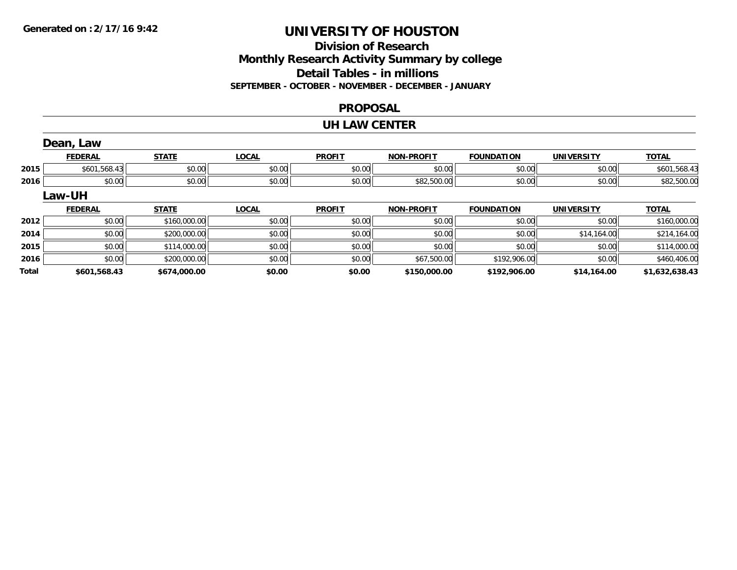## **Division of ResearchMonthly Research Activity Summary by college Detail Tables - in millions SEPTEMBER - OCTOBER - NOVEMBER - DECEMBER - JANUARY**

#### **PROPOSAL**

#### **UH LAW CENTER**

|       | Dean, Law      |              |              |               |                   |                   |                   |                |
|-------|----------------|--------------|--------------|---------------|-------------------|-------------------|-------------------|----------------|
|       | <b>FEDERAL</b> | <b>STATE</b> | <b>LOCAL</b> | <b>PROFIT</b> | <b>NON-PROFIT</b> | <b>FOUNDATION</b> | <b>UNIVERSITY</b> | <b>TOTAL</b>   |
| 2015  | \$601,568.43   | \$0.00       | \$0.00       | \$0.00        | \$0.00            | \$0.00            | \$0.00            | \$601,568.43   |
| 2016  | \$0.00         | \$0.00       | \$0.00       | \$0.00        | \$82,500.00       | \$0.00            | \$0.00            | \$82,500.00    |
|       | Law-UH         |              |              |               |                   |                   |                   |                |
|       | <b>FEDERAL</b> | <b>STATE</b> | <b>LOCAL</b> | <b>PROFIT</b> | <b>NON-PROFIT</b> | <b>FOUNDATION</b> | <b>UNIVERSITY</b> | <b>TOTAL</b>   |
| 2012  | \$0.00         | \$160,000.00 | \$0.00       | \$0.00        | \$0.00            | \$0.00            | \$0.00            | \$160,000.00   |
| 2014  | \$0.00         | \$200,000.00 | \$0.00       | \$0.00        | \$0.00            | \$0.00            | \$14,164.00       | \$214,164.00   |
| 2015  | \$0.00         | \$114,000.00 | \$0.00       | \$0.00        | \$0.00            | \$0.00            | \$0.00            | \$114,000.00   |
| 2016  | \$0.00         | \$200,000.00 | \$0.00       | \$0.00        | \$67,500.00       | \$192,906.00      | \$0.00            | \$460,406.00   |
| Total | \$601,568.43   | \$674,000.00 | \$0.00       | \$0.00        | \$150,000.00      | \$192,906.00      | \$14,164.00       | \$1,632,638.43 |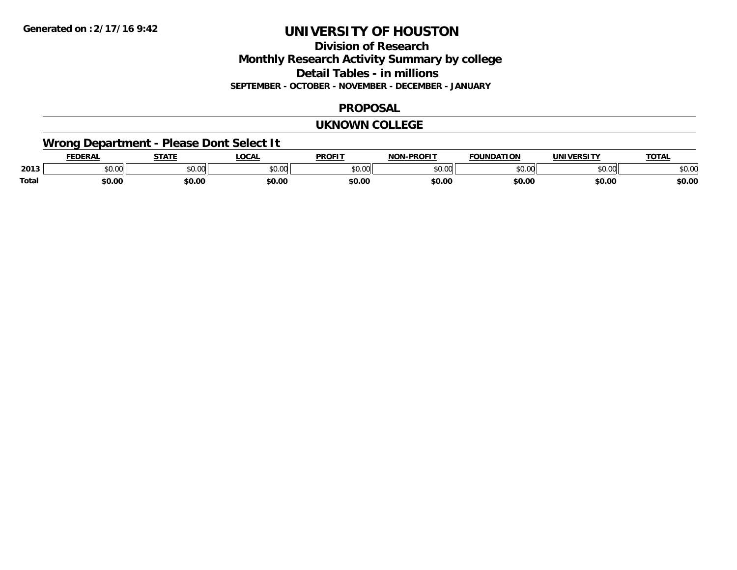## **Division of ResearchMonthly Research Activity Summary by college Detail Tables - in millions SEPTEMBER - OCTOBER - NOVEMBER - DECEMBER - JANUARY**

## **PROPOSAL**

#### **UKNOWN COLLEGE**

## **Wrong Department - Please Dont Select It**

|              | <b>EDERAL</b> | <b>STATE</b> | LOCAI         | <b>DDAEIT</b>      | <b>DDAFIT</b><br>ארות | <b>FOUNDATION</b> | <b>UNIVERSITY</b> | <b>TOTAL</b>   |
|--------------|---------------|--------------|---------------|--------------------|-----------------------|-------------------|-------------------|----------------|
| 2013         | JU.UU         | \$0.00       | 0000<br>JU.UU | $\sim$ 00<br>טט.טט | $\sim$ 00<br>JU.UU    | $\Omega$          | 0000<br>JU.UU     | ቀስ ስር<br>⊋∪.∪⊌ |
| <b>Total</b> | \$0.00        | \$0.00       | \$0.00        | \$0.00             | \$0.00                | \$0.00            | \$0.00            | \$0.00         |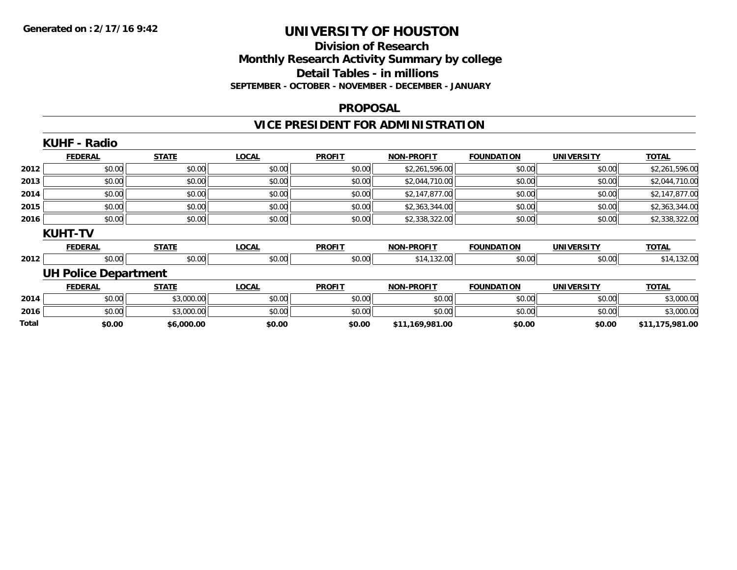## **Division of Research Monthly Research Activity Summary by college Detail Tables - in millions SEPTEMBER - OCTOBER - NOVEMBER - DECEMBER - JANUARY**

#### **PROPOSAL**

## **VICE PRESIDENT FOR ADMINISTRATION**

|       | <b>KUHF - Radio</b>         |              |              |               |                   |                   |                   |                 |
|-------|-----------------------------|--------------|--------------|---------------|-------------------|-------------------|-------------------|-----------------|
|       | <b>FEDERAL</b>              | <b>STATE</b> | <b>LOCAL</b> | <b>PROFIT</b> | <b>NON-PROFIT</b> | <b>FOUNDATION</b> | <b>UNIVERSITY</b> | <b>TOTAL</b>    |
| 2012  | \$0.00                      | \$0.00       | \$0.00       | \$0.00        | \$2,261,596.00    | \$0.00            | \$0.00            | \$2,261,596.00  |
| 2013  | \$0.00                      | \$0.00       | \$0.00       | \$0.00        | \$2,044,710.00    | \$0.00            | \$0.00            | \$2,044,710.00  |
| 2014  | \$0.00                      | \$0.00       | \$0.00       | \$0.00        | \$2,147,877.00    | \$0.00            | \$0.00            | \$2,147,877.00  |
| 2015  | \$0.00                      | \$0.00       | \$0.00       | \$0.00        | \$2,363,344.00    | \$0.00            | \$0.00            | \$2,363,344.00  |
| 2016  | \$0.00                      | \$0.00       | \$0.00       | \$0.00        | \$2,338,322.00    | \$0.00            | \$0.00            | \$2,338,322.00  |
|       | <b>KUHT-TV</b>              |              |              |               |                   |                   |                   |                 |
|       | <b>FEDERAL</b>              | <b>STATE</b> | <b>LOCAL</b> | <b>PROFIT</b> | <b>NON-PROFIT</b> | <b>FOUNDATION</b> | <b>UNIVERSITY</b> | <b>TOTAL</b>    |
| 2012  | \$0.00                      | \$0.00       | \$0.00       | \$0.00        | \$14,132.00       | \$0.00            | \$0.00            | \$14,132.00     |
|       | <b>UH Police Department</b> |              |              |               |                   |                   |                   |                 |
|       | <b>FEDERAL</b>              | <b>STATE</b> | <b>LOCAL</b> | <b>PROFIT</b> | <b>NON-PROFIT</b> | <b>FOUNDATION</b> | <b>UNIVERSITY</b> | <b>TOTAL</b>    |
| 2014  | \$0.00                      | \$3,000.00   | \$0.00       | \$0.00        | \$0.00            | \$0.00            | \$0.00            | \$3,000.00      |
| 2016  | \$0.00                      | \$3,000.00   | \$0.00       | \$0.00        | \$0.00            | \$0.00            | \$0.00            | \$3,000.00      |
| Total | \$0.00                      | \$6,000.00   | \$0.00       | \$0.00        | \$11,169,981.00   | \$0.00            | \$0.00            | \$11,175,981.00 |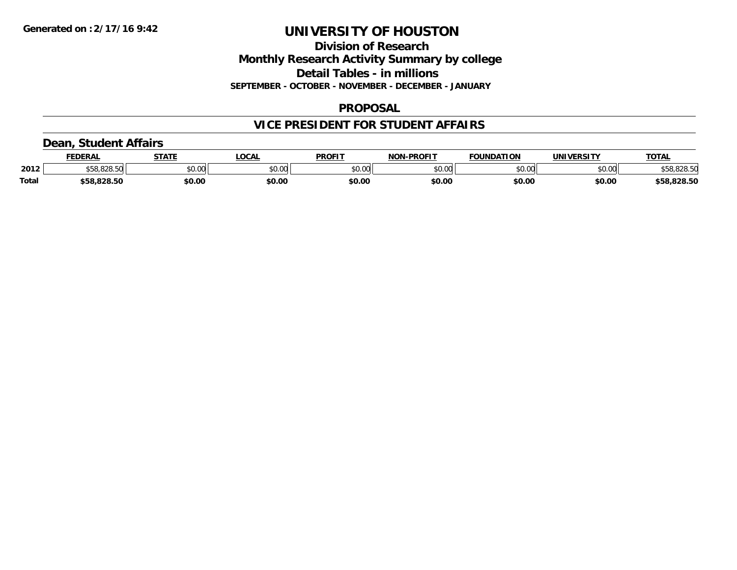## **Division of Research Monthly Research Activity Summary by college Detail Tables - in millions SEPTEMBER - OCTOBER - NOVEMBER - DECEMBER - JANUARY**

## **PROPOSAL**

## **VICE PRESIDENT FOR STUDENT AFFAIRS**

## **Dean, Student Affairs**

|              | <b>FEDERAL</b>     | <b>STATE</b> | .OCAL  | <b>PROFIT</b> | <b>NON-PROFIT</b> | <b>FOUNDATION</b> | UNIVERSITY | <b>TOTAL</b> |
|--------------|--------------------|--------------|--------|---------------|-------------------|-------------------|------------|--------------|
| 2012         | 020E<br>ა58.828.50 | \$0.00       | \$0.00 | \$0.00        | \$0.00            | \$0.00            | \$0.00     | \$58,828.50  |
| <b>Total</b> | \$58,828.50        | \$0.00       | \$0.00 | \$0.00        | \$0.00            | \$0.00            | \$0.00     | \$58,828.50  |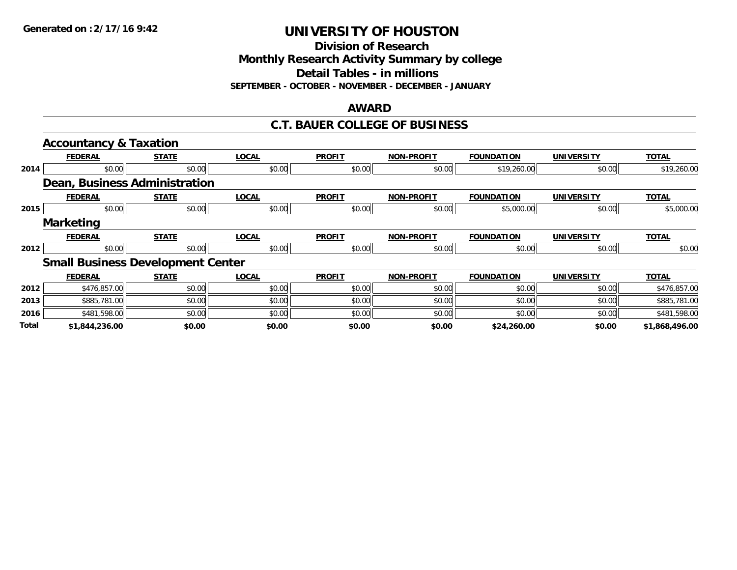**Division of Research**

**Monthly Research Activity Summary by college**

**Detail Tables - in millions**

**SEPTEMBER - OCTOBER - NOVEMBER - DECEMBER - JANUARY**

#### **AWARD**

### **C.T. BAUER COLLEGE OF BUSINESS**

|              | <b>Accountancy &amp; Taxation</b>        |              |              |               |                   |                   |                   |                |
|--------------|------------------------------------------|--------------|--------------|---------------|-------------------|-------------------|-------------------|----------------|
|              | <b>FEDERAL</b>                           | <b>STATE</b> | <b>LOCAL</b> | <b>PROFIT</b> | <b>NON-PROFIT</b> | <b>FOUNDATION</b> | <b>UNIVERSITY</b> | <b>TOTAL</b>   |
| 2014         | \$0.00                                   | \$0.00       | \$0.00       | \$0.00        | \$0.00            | \$19,260.00       | \$0.00            | \$19,260.00    |
|              | Dean, Business Administration            |              |              |               |                   |                   |                   |                |
|              | <b>FEDERAL</b>                           | <b>STATE</b> | <b>LOCAL</b> | <b>PROFIT</b> | <b>NON-PROFIT</b> | <b>FOUNDATION</b> | <b>UNIVERSITY</b> | <b>TOTAL</b>   |
| 2015         | \$0.00                                   | \$0.00       | \$0.00       | \$0.00        | \$0.00            | \$5,000.00        | \$0.00            | \$5,000.00     |
|              | <b>Marketing</b>                         |              |              |               |                   |                   |                   |                |
|              | <b>FEDERAL</b>                           | <b>STATE</b> | <b>LOCAL</b> | <b>PROFIT</b> | <b>NON-PROFIT</b> | <b>FOUNDATION</b> | <b>UNIVERSITY</b> | <b>TOTAL</b>   |
| 2012         | \$0.00                                   | \$0.00       | \$0.00       | \$0.00        | \$0.00            | \$0.00            | \$0.00            | \$0.00         |
|              | <b>Small Business Development Center</b> |              |              |               |                   |                   |                   |                |
|              | <b>FEDERAL</b>                           | <b>STATE</b> | <b>LOCAL</b> | <b>PROFIT</b> | <b>NON-PROFIT</b> | <b>FOUNDATION</b> | <b>UNIVERSITY</b> | <b>TOTAL</b>   |
| 2012         | \$476,857.00                             | \$0.00       | \$0.00       | \$0.00        | \$0.00            | \$0.00            | \$0.00            | \$476,857.00   |
| 2013         | \$885,781.00                             | \$0.00       | \$0.00       | \$0.00        | \$0.00            | \$0.00            | \$0.00            | \$885,781.00   |
| 2016         | \$481,598.00                             | \$0.00       | \$0.00       | \$0.00        | \$0.00            | \$0.00            | \$0.00            | \$481,598.00   |
| <b>Total</b> | \$1,844,236.00                           | \$0.00       | \$0.00       | \$0.00        | \$0.00            | \$24,260.00       | \$0.00            | \$1,868,496.00 |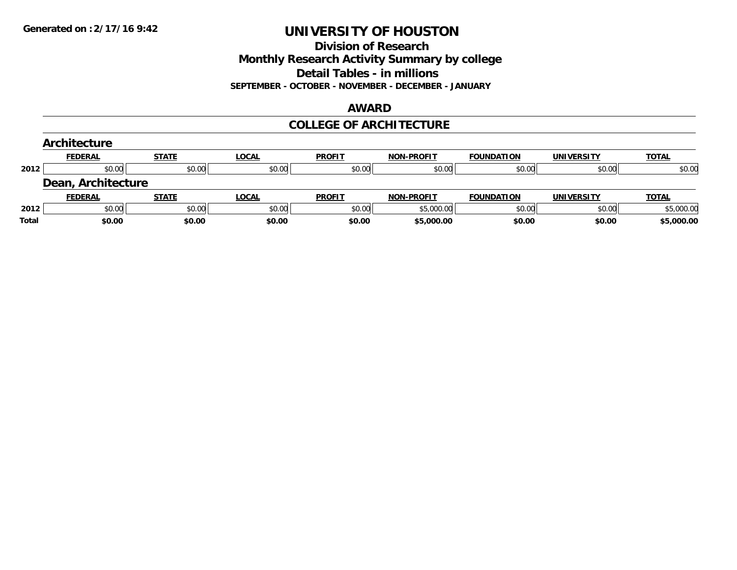## **Division of Research Monthly Research Activity Summary by college Detail Tables - in millions SEPTEMBER - OCTOBER - NOVEMBER - DECEMBER - JANUARY**

#### **AWARD**

## **COLLEGE OF ARCHITECTURE**

|       | Architecture       |              |              |               |                   |                   |                   |              |
|-------|--------------------|--------------|--------------|---------------|-------------------|-------------------|-------------------|--------------|
|       | <b>FEDERAL</b>     | <b>STATE</b> | <u>LOCAL</u> | <b>PROFIT</b> | <b>NON-PROFIT</b> | <b>FOUNDATION</b> | <b>UNIVERSITY</b> | <b>TOTAL</b> |
| 2012  | \$0.00             | \$0.00       | \$0.00       | \$0.00        | \$0.00            | \$0.00            | \$0.00            | \$0.00       |
|       | Dean, Architecture |              |              |               |                   |                   |                   |              |
|       | <b>FEDERAL</b>     | <b>STATE</b> | <u>LOCAL</u> | <b>PROFIT</b> | <b>NON-PROFIT</b> | <b>FOUNDATION</b> | UNIVERSITY        | <b>TOTAL</b> |
| 2012  | \$0.00             | \$0.00       | \$0.00       | \$0.00        | \$5,000.00        | \$0.00            | \$0.00            | \$5,000.00   |
| Total | \$0.00             | \$0.00       | \$0.00       | \$0.00        | \$5,000.00        | \$0.00            | \$0.00            | \$5,000.00   |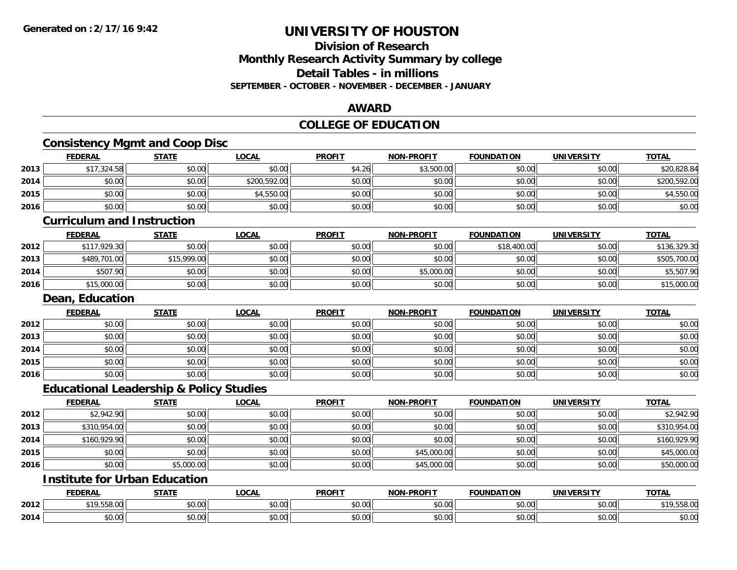**2014**

## **UNIVERSITY OF HOUSTON**

## **Division of ResearchMonthly Research Activity Summary by college Detail Tables - in millionsSEPTEMBER - OCTOBER - NOVEMBER - DECEMBER - JANUARY**

#### **AWARD**

#### **COLLEGE OF EDUCATION**

#### **Consistency Mgmt and Coop Disc FEDERAL STATE LOCAL PROFIT NON-PROFIT FOUNDATION UNIVERSITY TOTALTOTAL 2013** $\textbf{3} \quad \textbf{\textcolor{blue}{817.324.58}} \quad \textbf{\textcolor{blue}{81.324.58}} \quad \textbf{\textcolor{blue}{81.326.84}} \quad \textbf{\textcolor{blue}{81.350.00}} \quad \textbf{\textcolor{blue}{81.3500.00}} \quad \textbf{\textcolor{blue}{81.3500.00}} \quad \textbf{\textcolor{blue}{81.3500.00}} \quad \textbf{\textcolor{blue}{81.3500.00}} \quad \textbf{\textcolor{blue}{81.3500.00}} \quad \textbf{\textcolor{blue}{81.3500.$ **2014**4 \$0.00 \$0.00 \$0.00 \$0.00 \$0.00 \$200,592.00 \$200,592.00 \$0.00 \$0.00 \$0.00 \$0.00 \$0.00 \$0.00 \$200,592.00 **2015**5 | \$0.00 \$0.00 \$0.00 \$0.00 \$0.00 \$0.00 \$1,550.00 \$0.00 \$0.00 \$0.00 \$0.00 \$0.00 \$0.00 \$0.00 \$1,550.00 \$4,550.0 **2016** \$0.00 \$0.00 \$0.00 \$0.00 \$0.00 \$0.00 \$0.00 \$0.00 **Curriculum and InstructionFEDERAL STATE LOCAL PROFIT NON-PROFIT FOUNDATION UNIVERSITY TOTALTOTAL 2012**2 \$117,929.30| \$0.00| \$0.00| \$0.00| \$0.00| \$1,400.00| \$0.00| \$136,329.30| **2013** \$489,701.00 \$15,999.00 \$0.00 \$0.00 \$0.00 \$0.00 \$0.00 \$505,700.00 **2014**4 \$507.90 \$507.90 \$0.00 \$0.00 \$0.00 \$0.00 \$0.00 \$0.00 \$0.00 \$5,000.00 \$0.00 \$0.00 \$0.00 \$5,507.90 **2016** $\mathbf{6} \mid 515,000.00 \mid 50.00 \mid 50.00 \mid 50.00 \mid 50.00 \mid 50.00 \mid 50.00 \mid 50.00 \mid 515,000.00 \mid 515,000.00 \mid 515,000.00 \mid 515,000.00 \mid 515,000.00 \mid 515,000.00 \mid 515,000.00 \mid 515,000.00 \mid 515,000.00 \mid 515,000.00 \mid 515,000.00 \mid$ **Dean, Education FEDERAL STATE LOCAL PROFIT NON-PROFIT FOUNDATION UNIVERSITY TOTAL2012** \$0.00 \$0.00 \$0.00 \$0.00 \$0.00 \$0.00 \$0.00 \$0.00 **2013** $\textbf{3} \quad \textbf{\textcolor{blue}{\textbf{50.00}}} \quad \textbf{\textcolor{blue}{\textbf{50.00}}} \quad \textbf{\textcolor{blue}{\textbf{50.00}}} \quad \textbf{\textcolor{blue}{\textbf{50.00}}} \quad \textbf{\textcolor{blue}{\textbf{50.00}}} \quad \textbf{\textcolor{blue}{\textbf{50.00}}} \quad \textbf{\textcolor{blue}{\textbf{50.00}}} \quad \textbf{\textcolor{blue}{\textbf{50.00}}} \quad \textbf{\textcolor{blue}{\textbf{50.00}}} \quad \textbf{\textcolor{blue}{\textbf{50.00}}} \quad \text$ **2014**4 \$0.00 \$0.00 \$0.00 \$0.00 \$0.00 \$0.00 \$0.00 \$0.00 \$0.00 \$0.00 \$0.00 \$0.00 \$0.00 \$0.00 \$0.00 \$0.00 \$0.00 \$0.00 **2015**5 | \$0.00 \$0.00 \$0.00 \$0.00 \$0.00 \$0.00 \$0.00 \$0.00 \$0.00 \$0.00 \$0.00 \$0.00 \$0.00 \$0.00 \$0.00 \$0.00 \$0.00 \$0.00 **2016** \$0.00 \$0.00 \$0.00 \$0.00 \$0.00 \$0.00 \$0.00 \$0.00 **Educational Leadership & Policy Studies FEDERAL STATE LOCAL PROFIT NON-PROFIT FOUNDATION UNIVERSITY TOTALTOTAL 2012** \$2,942.90 \$0.00 \$0.00 \$0.00 \$0.00 \$0.00 \$0.00 \$2,942.90 **2013** $\textbf{3} \quad \textbf{3} \quad \textbf{3} \quad \textbf{3} \quad \textbf{3} \quad \textbf{3} \quad \textbf{3} \quad \textbf{3} \quad \textbf{4} \quad \textbf{5} \quad \textbf{6} \quad \textbf{0} \quad \textbf{0} \quad \textbf{1} \quad \textbf{1} \quad \textbf{1} \quad \textbf{1} \quad \textbf{1} \quad \textbf{1} \quad \textbf{1} \quad \textbf{1} \quad \textbf{1} \quad \textbf{1} \quad \textbf{1} \quad \textbf{1} \quad \textbf{1} \quad \textbf{1} \quad \textbf{$ **2014**4 \$160,929.90 \$0.00 \$0.00 \$0.00 \$0.00 \$0.00 \$0.00 \$0.00 \$0.00 \$0.00 \$0.00 \$160,929.90 **2015**5 | \$0.00 \$0.00 \$0.00 \$0.00 \$0.00 \$0.00 \$0.00 \$0.00 \$0.00 \$0.00 \$0.00 \$0.00 \$0.00 \$45,000.00 \$0.00 \$0.00 \$45,000 **2016**6 \$0.00 \$0.00 \$0.00 \$0.00 \$0.00 \$0.00 \$0.00 \$0.00 \$0.00 \$0.00 \$150,000.00 \$0.00 \$0.00 \$50,000.00 \$50,000.00 **Institute for Urban EducationFEDERAL STATE LOCAL PROFIT NON-PROFIT FOUNDATION UNIVERSITY TOTALTOTAL 2012**2 \$19,558.00| \$0.00| \$0.00| \$0.00| \$0.00| \$0.00| \$19,558.00| \$19,558

4 \$0.00 \$0.00 \$0.00 \$0.00 \$0.00 \$0.00 \$0.00 \$0.00 \$0.00 \$0.00 \$0.00 \$0.00 \$0.00 \$0.00 \$0.00 \$0.00 \$0.00 \$0.00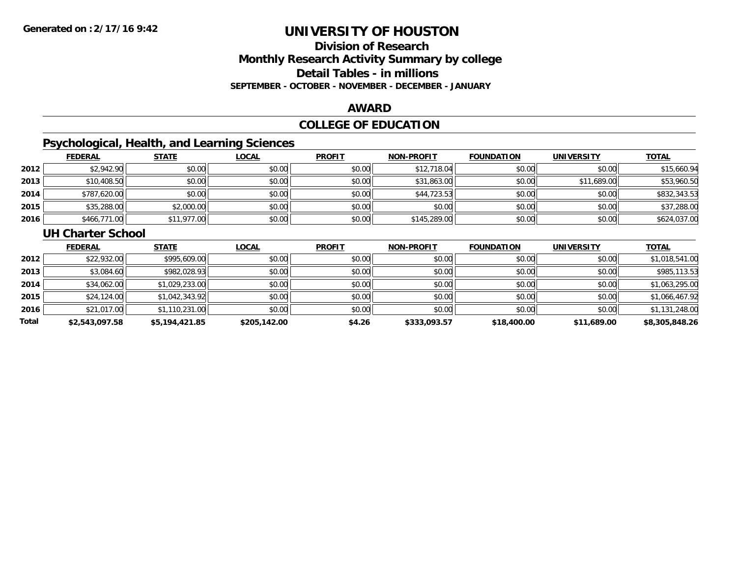## **Division of ResearchMonthly Research Activity Summary by college Detail Tables - in millions SEPTEMBER - OCTOBER - NOVEMBER - DECEMBER - JANUARY**

#### **AWARD**

## **COLLEGE OF EDUCATION**

## **Psychological, Health, and Learning Sciences**

|      | <b>FEDERAL</b> | <b>STATE</b> | <u>LOCAL</u> | <b>PROFIT</b> | <b>NON-PROFIT</b> | <b>FOUNDATION</b> | UNIVERSITY  | <b>TOTAL</b> |
|------|----------------|--------------|--------------|---------------|-------------------|-------------------|-------------|--------------|
| 2012 | \$2,942.90     | \$0.00       | \$0.00       | \$0.00        | \$12,718.04       | \$0.00            | \$0.00      | \$15,660.94  |
| 2013 | \$10,408.50    | \$0.00       | \$0.00       | \$0.00        | \$31,863.00       | \$0.00            | \$11,689.00 | \$53,960.50  |
| 2014 | \$787,620.00   | \$0.00       | \$0.00       | \$0.00        | \$44,723.53       | \$0.00            | \$0.00      | \$832,343.53 |
| 2015 | \$35,288.00    | \$2,000.00   | \$0.00       | \$0.00        | \$0.00            | \$0.00            | \$0.00      | \$37,288.00  |
| 2016 | \$466,771.00   | \$11,977.00  | \$0.00       | \$0.00        | \$145,289.00      | \$0.00            | \$0.00      | \$624,037.00 |

#### **UH Charter School**

|       | <b>FEDERAL</b> | <b>STATE</b>   | <u>LOCAL</u> | <b>PROFIT</b> | <b>NON-PROFIT</b> | <b>FOUNDATION</b> | <b>UNIVERSITY</b> | <b>TOTAL</b>   |
|-------|----------------|----------------|--------------|---------------|-------------------|-------------------|-------------------|----------------|
| 2012  | \$22,932.00    | \$995,609.00   | \$0.00       | \$0.00        | \$0.00            | \$0.00            | \$0.00            | \$1,018,541.00 |
| 2013  | \$3,084.60     | \$982,028.93   | \$0.00       | \$0.00        | \$0.00            | \$0.00            | \$0.00            | \$985,113.53   |
| 2014  | \$34,062.00    | \$1,029,233.00 | \$0.00       | \$0.00        | \$0.00            | \$0.00            | \$0.00            | \$1,063,295.00 |
| 2015  | \$24,124.00    | \$1,042,343.92 | \$0.00       | \$0.00        | \$0.00            | \$0.00            | \$0.00            | \$1,066,467.92 |
| 2016  | \$21,017.00    | \$1,110,231.00 | \$0.00       | \$0.00        | \$0.00            | \$0.00            | \$0.00            | \$1,131,248.00 |
| Total | \$2,543,097.58 | \$5,194,421.85 | \$205,142.00 | \$4.26        | \$333,093.57      | \$18,400.00       | \$11,689.00       | \$8,305,848.26 |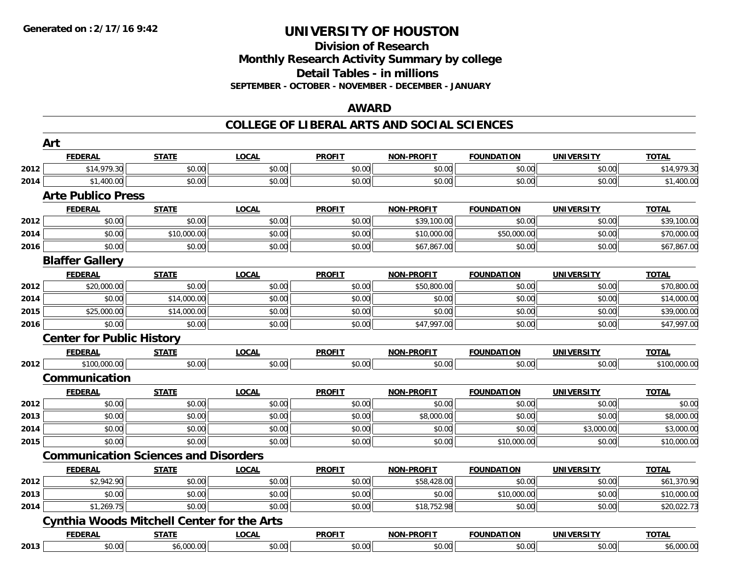## **Division of Research Monthly Research Activity Summary by college Detail Tables - in millions SEPTEMBER - OCTOBER - NOVEMBER - DECEMBER - JANUARY**

#### **AWARD**

### **COLLEGE OF LIBERAL ARTS AND SOCIAL SCIENCES**

|      | Art                                               |              |              |               |                   |                   |                   |              |
|------|---------------------------------------------------|--------------|--------------|---------------|-------------------|-------------------|-------------------|--------------|
|      | <b>FEDERAL</b>                                    | <b>STATE</b> | <b>LOCAL</b> | <b>PROFIT</b> | <b>NON-PROFIT</b> | <b>FOUNDATION</b> | <b>UNIVERSITY</b> | <b>TOTAL</b> |
| 2012 | \$14,979.30                                       | \$0.00       | \$0.00       | \$0.00        | \$0.00            | \$0.00            | \$0.00            | \$14,979.30  |
| 2014 | \$1,400.00                                        | \$0.00       | \$0.00       | \$0.00        | \$0.00            | \$0.00            | \$0.00            | \$1,400.00   |
|      | <b>Arte Publico Press</b>                         |              |              |               |                   |                   |                   |              |
|      | <b>FEDERAL</b>                                    | <b>STATE</b> | <b>LOCAL</b> | <b>PROFIT</b> | <b>NON-PROFIT</b> | <b>FOUNDATION</b> | <b>UNIVERSITY</b> | <b>TOTAL</b> |
| 2012 | \$0.00                                            | \$0.00       | \$0.00       | \$0.00        | \$39,100.00       | \$0.00            | \$0.00            | \$39,100.00  |
| 2014 | \$0.00                                            | \$10,000.00  | \$0.00       | \$0.00        | \$10,000.00       | \$50,000.00       | \$0.00            | \$70,000.00  |
| 2016 | \$0.00                                            | \$0.00       | \$0.00       | \$0.00        | \$67,867.00       | \$0.00            | \$0.00            | \$67,867.00  |
|      | <b>Blaffer Gallery</b>                            |              |              |               |                   |                   |                   |              |
|      | <b>FEDERAL</b>                                    | <b>STATE</b> | <b>LOCAL</b> | <b>PROFIT</b> | <b>NON-PROFIT</b> | <b>FOUNDATION</b> | <b>UNIVERSITY</b> | <b>TOTAL</b> |
| 2012 | \$20,000.00                                       | \$0.00       | \$0.00       | \$0.00        | \$50,800.00       | \$0.00            | \$0.00            | \$70,800.00  |
| 2014 | \$0.00                                            | \$14,000.00  | \$0.00       | \$0.00        | \$0.00            | \$0.00            | \$0.00            | \$14,000.00  |
| 2015 | \$25,000.00                                       | \$14,000.00  | \$0.00       | \$0.00        | \$0.00            | \$0.00            | \$0.00            | \$39,000.00  |
| 2016 | \$0.00                                            | \$0.00       | \$0.00       | \$0.00        | \$47,997.00       | \$0.00            | \$0.00            | \$47,997.00  |
|      | <b>Center for Public History</b>                  |              |              |               |                   |                   |                   |              |
|      | <b>FEDERAL</b>                                    | <b>STATE</b> | <b>LOCAL</b> | <b>PROFIT</b> | <b>NON-PROFIT</b> | <b>FOUNDATION</b> | <b>UNIVERSITY</b> | <b>TOTAL</b> |
| 2012 | \$100,000.00                                      | \$0.00       | \$0.00       | \$0.00        | \$0.00            | \$0.00            | \$0.00            | \$100,000.00 |
|      | Communication                                     |              |              |               |                   |                   |                   |              |
|      | <b>FEDERAL</b>                                    | <b>STATE</b> | <b>LOCAL</b> | <b>PROFIT</b> | <b>NON-PROFIT</b> | <b>FOUNDATION</b> | <b>UNIVERSITY</b> | <b>TOTAL</b> |
| 2012 | \$0.00                                            | \$0.00       | \$0.00       | \$0.00        | \$0.00            | \$0.00            | \$0.00            | \$0.00       |
| 2013 | \$0.00                                            | \$0.00       | \$0.00       | \$0.00        | \$8,000.00        | \$0.00            | \$0.00            | \$8,000.00   |
| 2014 | \$0.00                                            | \$0.00       | \$0.00       | \$0.00        | \$0.00            | \$0.00            | \$3,000.00        | \$3,000.00   |
| 2015 | \$0.00                                            | \$0.00       | \$0.00       | \$0.00        | \$0.00            | \$10,000.00       | \$0.00            | \$10,000.00  |
|      | <b>Communication Sciences and Disorders</b>       |              |              |               |                   |                   |                   |              |
|      | <b>FEDERAL</b>                                    | <b>STATE</b> | <b>LOCAL</b> | <b>PROFIT</b> | <b>NON-PROFIT</b> | <b>FOUNDATION</b> | <b>UNIVERSITY</b> | <b>TOTAL</b> |
| 2012 | \$2,942.90                                        | \$0.00       | \$0.00       | \$0.00        | \$58,428.00       | \$0.00            | \$0.00            | \$61,370.90  |
| 2013 | \$0.00                                            | \$0.00       | \$0.00       | \$0.00        | \$0.00            | \$10,000.00       | \$0.00            | \$10,000.00  |
| 2014 | \$1,269.75                                        | \$0.00       | \$0.00       | \$0.00        | \$18,752.98       | \$0.00            | \$0.00            | \$20,022.73  |
|      | <b>Cynthia Woods Mitchell Center for the Arts</b> |              |              |               |                   |                   |                   |              |
|      | <b>FEDERAL</b>                                    | <b>STATE</b> | <b>LOCAL</b> | <b>PROFIT</b> | <b>NON-PROFIT</b> | <b>FOUNDATION</b> | <b>UNIVERSITY</b> | <b>TOTAL</b> |
| 2013 | \$0.00                                            | \$6,000.00   | \$0.00       | \$0.00        | \$0.00            | \$0.00            | \$0.00            | \$6,000.00   |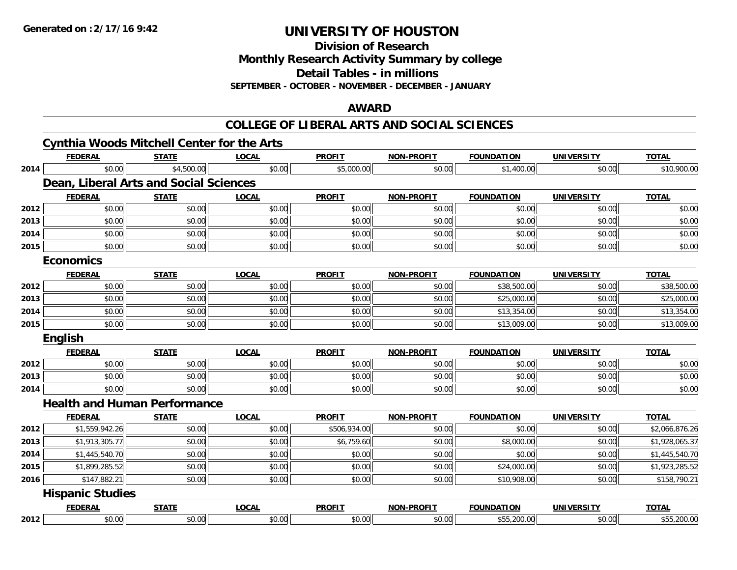**Division of Research**

**Monthly Research Activity Summary by college**

**Detail Tables - in millions**

**SEPTEMBER - OCTOBER - NOVEMBER - DECEMBER - JANUARY**

#### **AWARD**

#### **COLLEGE OF LIBERAL ARTS AND SOCIAL SCIENCES**

|      | <b>Cynthia Woods Mitchell Center for the Arts</b> |              |              |               |                   |                   |                   |                |
|------|---------------------------------------------------|--------------|--------------|---------------|-------------------|-------------------|-------------------|----------------|
|      | <b>FEDERAL</b>                                    | <b>STATE</b> | <b>LOCAL</b> | <b>PROFIT</b> | <b>NON-PROFIT</b> | <b>FOUNDATION</b> | <b>UNIVERSITY</b> | <b>TOTAL</b>   |
| 2014 | \$0.00                                            | \$4,500.00   | \$0.00       | \$5,000.00    | \$0.00            | \$1,400.00        | \$0.00            | \$10,900.00    |
|      | Dean, Liberal Arts and Social Sciences            |              |              |               |                   |                   |                   |                |
|      | <b>FEDERAL</b>                                    | <b>STATE</b> | <b>LOCAL</b> | <b>PROFIT</b> | <b>NON-PROFIT</b> | <b>FOUNDATION</b> | <b>UNIVERSITY</b> | <b>TOTAL</b>   |
| 2012 | \$0.00                                            | \$0.00       | \$0.00       | \$0.00        | \$0.00            | \$0.00            | \$0.00            | \$0.00         |
| 2013 | \$0.00                                            | \$0.00       | \$0.00       | \$0.00        | \$0.00            | \$0.00            | \$0.00            | \$0.00         |
| 2014 | \$0.00                                            | \$0.00       | \$0.00       | \$0.00        | \$0.00            | \$0.00            | \$0.00            | \$0.00         |
| 2015 | \$0.00                                            | \$0.00       | \$0.00       | \$0.00        | \$0.00            | \$0.00            | \$0.00            | \$0.00         |
|      | <b>Economics</b>                                  |              |              |               |                   |                   |                   |                |
|      | <b>FEDERAL</b>                                    | <b>STATE</b> | <b>LOCAL</b> | <b>PROFIT</b> | <b>NON-PROFIT</b> | <b>FOUNDATION</b> | <b>UNIVERSITY</b> | <b>TOTAL</b>   |
| 2012 | \$0.00                                            | \$0.00       | \$0.00       | \$0.00        | \$0.00            | \$38,500.00       | \$0.00            | \$38,500.00    |
| 2013 | \$0.00                                            | \$0.00       | \$0.00       | \$0.00        | \$0.00            | \$25,000.00       | \$0.00            | \$25,000.00    |
| 2014 | \$0.00                                            | \$0.00       | \$0.00       | \$0.00        | \$0.00            | \$13,354.00       | \$0.00            | \$13,354.00    |
| 2015 | \$0.00                                            | \$0.00       | \$0.00       | \$0.00        | \$0.00            | \$13,009.00       | \$0.00            | \$13,009.00    |
|      | <b>English</b>                                    |              |              |               |                   |                   |                   |                |
|      | <b>FEDERAL</b>                                    | <b>STATE</b> | <b>LOCAL</b> | <b>PROFIT</b> | <b>NON-PROFIT</b> | <b>FOUNDATION</b> | <b>UNIVERSITY</b> | <b>TOTAL</b>   |
| 2012 | \$0.00                                            | \$0.00       | \$0.00       | \$0.00        | \$0.00            | \$0.00            | \$0.00            | \$0.00         |
| 2013 | \$0.00                                            | \$0.00       | \$0.00       | \$0.00        | \$0.00            | \$0.00            | \$0.00            | \$0.00         |
| 2014 | \$0.00                                            | \$0.00       | \$0.00       | \$0.00        | \$0.00            | \$0.00            | \$0.00            | \$0.00         |
|      | <b>Health and Human Performance</b>               |              |              |               |                   |                   |                   |                |
|      | <b>FEDERAL</b>                                    | <b>STATE</b> | <b>LOCAL</b> | <b>PROFIT</b> | <b>NON-PROFIT</b> | <b>FOUNDATION</b> | <b>UNIVERSITY</b> | <b>TOTAL</b>   |
| 2012 | \$1,559,942.26                                    | \$0.00       | \$0.00       | \$506,934.00  | \$0.00            | \$0.00            | \$0.00            | \$2,066,876.26 |
| 2013 | \$1,913,305.77                                    | \$0.00       | \$0.00       | \$6,759.60    | \$0.00            | \$8,000.00        | \$0.00            | \$1,928,065.37 |
| 2014 | \$1,445,540.70                                    | \$0.00       | \$0.00       | \$0.00        | \$0.00            | \$0.00            | \$0.00            | \$1,445,540.70 |
| 2015 | \$1,899,285.52                                    | \$0.00       | \$0.00       | \$0.00        | \$0.00            | \$24,000.00       | \$0.00            | \$1,923,285.52 |
| 2016 | \$147,882.21                                      | \$0.00       | \$0.00       | \$0.00        | \$0.00            | \$10,908.00       | \$0.00            | \$158,790.21   |
|      | <b>Hispanic Studies</b>                           |              |              |               |                   |                   |                   |                |
|      | <b>FEDERAL</b>                                    | <b>STATE</b> | <b>LOCAL</b> | <b>PROFIT</b> | <b>NON-PROFIT</b> | <b>FOUNDATION</b> | <b>UNIVERSITY</b> | <b>TOTAL</b>   |
| 2012 | \$0.00                                            | \$0.00       | \$0.00       | \$0.00        | \$0.00            | \$55,200.00       | \$0.00            | \$55,200.00    |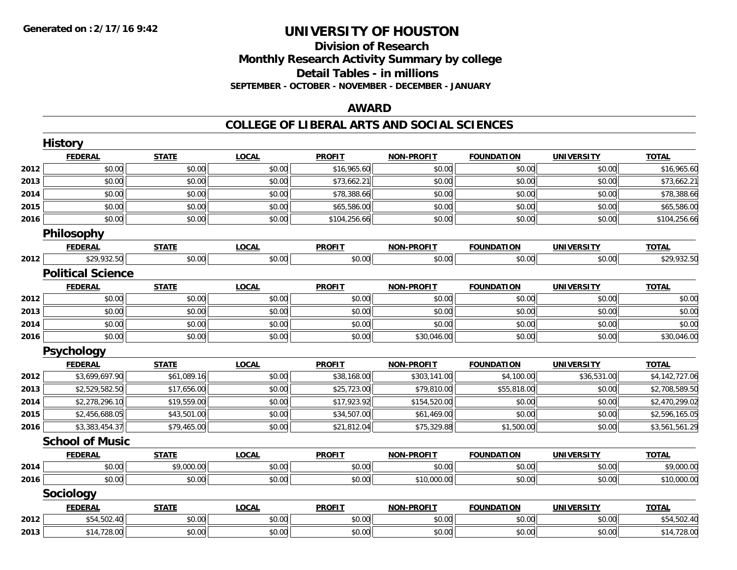### **Division of Research Monthly Research Activity Summary by college Detail Tables - in millions SEPTEMBER - OCTOBER - NOVEMBER - DECEMBER - JANUARY**

#### **AWARD**

|      | <b>History</b>           |              |              |               |                   |                   |                   |                |
|------|--------------------------|--------------|--------------|---------------|-------------------|-------------------|-------------------|----------------|
|      | <b>FEDERAL</b>           | <b>STATE</b> | <b>LOCAL</b> | <b>PROFIT</b> | <b>NON-PROFIT</b> | <b>FOUNDATION</b> | <b>UNIVERSITY</b> | <b>TOTAL</b>   |
| 2012 | \$0.00                   | \$0.00       | \$0.00       | \$16,965.60   | \$0.00            | \$0.00            | \$0.00            | \$16,965.60    |
| 2013 | \$0.00                   | \$0.00       | \$0.00       | \$73,662.21   | \$0.00            | \$0.00            | \$0.00            | \$73,662.21    |
| 2014 | \$0.00                   | \$0.00       | \$0.00       | \$78,388.66   | \$0.00            | \$0.00            | \$0.00            | \$78,388.66    |
| 2015 | \$0.00                   | \$0.00       | \$0.00       | \$65,586.00   | \$0.00            | \$0.00            | \$0.00            | \$65,586.00    |
| 2016 | \$0.00                   | \$0.00       | \$0.00       | \$104,256.66  | \$0.00            | \$0.00            | \$0.00            | \$104,256.66   |
|      | Philosophy               |              |              |               |                   |                   |                   |                |
|      | <b>FEDERAL</b>           | <b>STATE</b> | <b>LOCAL</b> | <b>PROFIT</b> | <b>NON-PROFIT</b> | <b>FOUNDATION</b> | <b>UNIVERSITY</b> | <b>TOTAL</b>   |
| 2012 | \$29,932.50              | \$0.00       | \$0.00       | \$0.00        | \$0.00            | \$0.00            | \$0.00            | \$29,932.50    |
|      | <b>Political Science</b> |              |              |               |                   |                   |                   |                |
|      | <b>FEDERAL</b>           | <b>STATE</b> | <b>LOCAL</b> | <b>PROFIT</b> | <b>NON-PROFIT</b> | <b>FOUNDATION</b> | <b>UNIVERSITY</b> | <b>TOTAL</b>   |
| 2012 | \$0.00                   | \$0.00       | \$0.00       | \$0.00        | \$0.00            | \$0.00            | \$0.00            | \$0.00         |
| 2013 | \$0.00                   | \$0.00       | \$0.00       | \$0.00        | \$0.00            | \$0.00            | \$0.00            | \$0.00         |
| 2014 | \$0.00                   | \$0.00       | \$0.00       | \$0.00        | \$0.00            | \$0.00            | \$0.00            | \$0.00         |
| 2016 | \$0.00                   | \$0.00       | \$0.00       | \$0.00        | \$30,046.00       | \$0.00            | \$0.00            | \$30,046.00    |
|      | Psychology               |              |              |               |                   |                   |                   |                |
|      | <b>FEDERAL</b>           | <b>STATE</b> | <b>LOCAL</b> | <b>PROFIT</b> | <b>NON-PROFIT</b> | <b>FOUNDATION</b> | <b>UNIVERSITY</b> | <b>TOTAL</b>   |
| 2012 | \$3,699,697.90           | \$61,089.16  | \$0.00       | \$38,168.00   | \$303,141.00      | \$4,100.00        | \$36,531.00       | \$4,142,727.06 |
| 2013 | \$2,529,582.50           | \$17,656.00  | \$0.00       | \$25,723.00   | \$79,810.00       | \$55,818.00       | \$0.00            | \$2,708,589.50 |
| 2014 | \$2,278,296.10           | \$19,559.00  | \$0.00       | \$17,923.92   | \$154,520.00      | \$0.00            | \$0.00            | \$2,470,299.02 |
| 2015 | \$2,456,688.05           | \$43,501.00  | \$0.00       | \$34,507.00   | \$61,469.00       | \$0.00            | \$0.00            | \$2,596,165.05 |
| 2016 | \$3,383,454.37           | \$79,465.00  | \$0.00       | \$21,812.04   | \$75,329.88       | \$1,500.00        | \$0.00            | \$3,561,561.29 |
|      | <b>School of Music</b>   |              |              |               |                   |                   |                   |                |
|      | <b>FEDERAL</b>           | <b>STATE</b> | <b>LOCAL</b> | <b>PROFIT</b> | <b>NON-PROFIT</b> | <b>FOUNDATION</b> | <b>UNIVERSITY</b> | <b>TOTAL</b>   |
| 2014 | \$0.00                   | \$9,000.00   | \$0.00       | \$0.00        | \$0.00            | \$0.00            | \$0.00            | \$9,000.00     |
| 2016 | \$0.00                   | \$0.00       | \$0.00       | \$0.00        | \$10,000.00       | \$0.00            | \$0.00            | \$10,000.00    |
|      | Sociology                |              |              |               |                   |                   |                   |                |
|      | <b>FEDERAL</b>           | <b>STATE</b> | <b>LOCAL</b> | <b>PROFIT</b> | <b>NON-PROFIT</b> | <b>FOUNDATION</b> | <b>UNIVERSITY</b> | <b>TOTAL</b>   |
| 2012 | \$54,502.40              | \$0.00       | \$0.00       | \$0.00        | \$0.00            | \$0.00            | \$0.00            | \$54,502.40    |
| 2013 | \$14,728.00              | \$0.00       | \$0.00       | \$0.00        | \$0.00            | \$0.00            | \$0.00            | \$14,728.00    |
|      |                          |              |              |               |                   |                   |                   |                |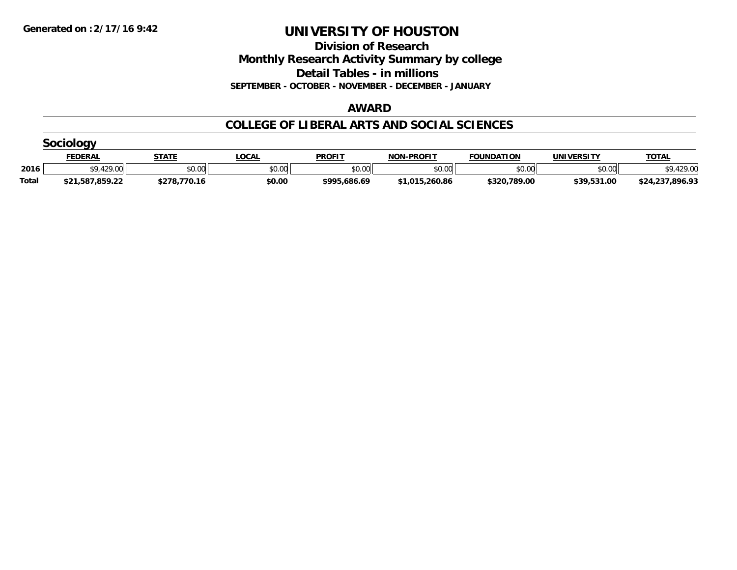**Division of Research**

**Monthly Research Activity Summary by college**

**Detail Tables - in millions**

**SEPTEMBER - OCTOBER - NOVEMBER - DECEMBER - JANUARY**

#### **AWARD**

|       | <b>FEDERAL</b>  | <b>STATE</b> | _OCAL  | <b>PROFIT</b> | <b>NON-PROFIT</b> | <b>FOUNDATION</b> | <b>UNIVERSITY</b> | <b>TOTAL</b>    |  |  |  |  |
|-------|-----------------|--------------|--------|---------------|-------------------|-------------------|-------------------|-----------------|--|--|--|--|
| 2016  | \$9,429.00      | \$0.00       | \$0.00 | \$0.00        | \$0.00            | \$0.00            | \$0.00            | 429.00          |  |  |  |  |
| Total | \$21,587,859.22 | \$278,770.16 | \$0.00 | \$995,686.69  | \$1,015,260.86    | \$320,789.00      | \$39,531.00       | \$24,237,896.93 |  |  |  |  |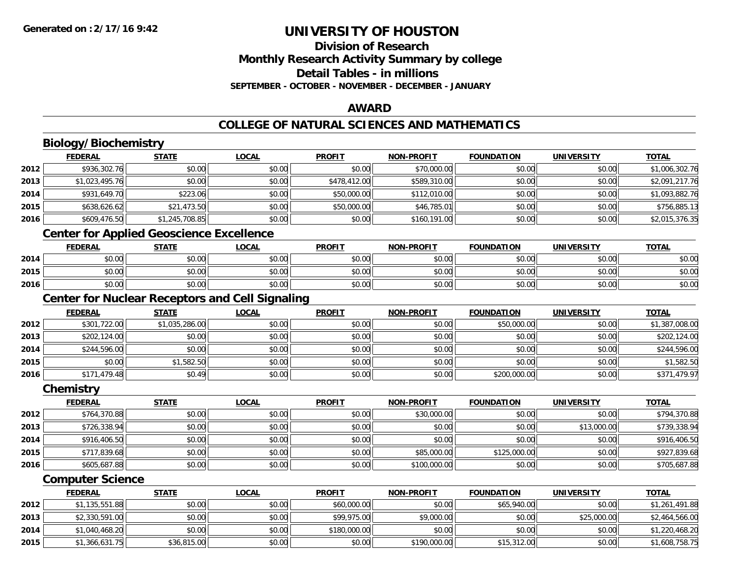### **Division of ResearchMonthly Research Activity Summary by college Detail Tables - in millionsSEPTEMBER - OCTOBER - NOVEMBER - DECEMBER - JANUARY**

#### **AWARD**

# **COLLEGE OF NATURAL SCIENCES AND MATHEMATICS**

# **Biology/Biochemistry**

|      | <b>FEDERAL</b> | <u>STATE</u>   | <u>LOCAL</u> | <b>PROFIT</b> | <b>NON-PROFIT</b> | <b>FOUNDATION</b> | <b>UNIVERSITY</b> | <b>TOTAL</b>   |
|------|----------------|----------------|--------------|---------------|-------------------|-------------------|-------------------|----------------|
| 2012 | \$936,302.76   | \$0.00         | \$0.00       | \$0.00        | \$70,000.00       | \$0.00            | \$0.00            | \$1,006,302.76 |
| 2013 | \$1,023,495.76 | \$0.00         | \$0.00       | \$478,412.00  | \$589,310.00      | \$0.00            | \$0.00            | \$2,091,217.76 |
| 2014 | \$931,649.70   | \$223.06       | \$0.00       | \$50,000.00   | \$112,010.00      | \$0.00            | \$0.00            | \$1,093,882.76 |
| 2015 | \$638,626.62   | \$21,473.50    | \$0.00       | \$50,000.00   | \$46,785.01       | \$0.00            | \$0.00            | \$756,885.13   |
| 2016 | \$609,476.50   | \$1,245,708.85 | \$0.00       | \$0.00        | \$160,191.00      | \$0.00            | \$0.00            | \$2,015,376.35 |
|      |                |                |              |               |                   |                   |                   |                |

#### **Center for Applied Geoscience Excellence**

|      | <b>FEDERAL</b>                                 | <b>STATE</b> | <u>LOCAL</u> | <b>PROFIT</b> | <b>NON-PROFIT</b> | <b>FOUNDATION</b> | UNIVERSITY | <b>TOTAL</b> |
|------|------------------------------------------------|--------------|--------------|---------------|-------------------|-------------------|------------|--------------|
| 2014 | ተ በ<br>JU.UU                                   | \$0.00       | \$0.00       | \$0.00        | \$0.00            | \$0.00            | \$0.00     | \$0.00       |
| 2015 | $\mathfrak{c} \cap \mathfrak{c} \cap$<br>DU.UU | \$0.00       | \$0.00       | \$0.00        | \$0.00            | \$0.00            | \$0.00     | \$0.00       |
| 2016 | \$0.00                                         | \$0.00       | \$0.00       | \$0.00        | \$0.00            | \$0.00            | \$0.00     | \$0.00       |

# **Center for Nuclear Receptors and Cell Signaling**

|      | <b>FEDERAL</b> | <u>STATE</u>   | <u>LOCAL</u> | <b>PROFIT</b> | <b>NON-PROFIT</b> | <b>FOUNDATION</b> | <b>UNIVERSITY</b> | <b>TOTAL</b>   |
|------|----------------|----------------|--------------|---------------|-------------------|-------------------|-------------------|----------------|
| 2012 | \$301,722.00   | \$1,035,286.00 | \$0.00       | \$0.00        | \$0.00            | \$50,000.00       | \$0.00            | \$1,387,008.00 |
| 2013 | \$202,124.00   | \$0.00         | \$0.00       | \$0.00        | \$0.00            | \$0.00            | \$0.00            | \$202,124.00   |
| 2014 | \$244,596.00   | \$0.00         | \$0.00       | \$0.00        | \$0.00            | \$0.00            | \$0.00            | \$244,596.00   |
| 2015 | \$0.00         | \$1,582.50     | \$0.00       | \$0.00        | \$0.00            | \$0.00            | \$0.00            | \$1,582.50     |
| 2016 | \$171,479.48   | \$0.49         | \$0.00       | \$0.00        | \$0.00            | \$200,000.00      | \$0.00            | \$371,479.97   |

#### **Chemistry**

|      | <b>FEDERAL</b> | <b>STATE</b> | <b>LOCAL</b> | <b>PROFIT</b> | <b>NON-PROFIT</b> | <b>FOUNDATION</b> | <b>UNIVERSITY</b> | <b>TOTAL</b> |
|------|----------------|--------------|--------------|---------------|-------------------|-------------------|-------------------|--------------|
| 2012 | \$764,370.88   | \$0.00       | \$0.00       | \$0.00        | \$30,000.00       | \$0.00            | \$0.00            | \$794,370.88 |
| 2013 | \$726,338.94   | \$0.00       | \$0.00       | \$0.00        | \$0.00            | \$0.00            | \$13,000.00       | \$739,338.94 |
| 2014 | \$916,406.50   | \$0.00       | \$0.00       | \$0.00        | \$0.00            | \$0.00            | \$0.00            | \$916,406.50 |
| 2015 | \$717,839.68   | \$0.00       | \$0.00       | \$0.00        | \$85,000.00       | \$125,000.00      | \$0.00            | \$927,839.68 |
| 2016 | \$605,687.88   | \$0.00       | \$0.00       | \$0.00        | \$100,000.00      | \$0.00            | \$0.00            | \$705,687.88 |

### **Computer Science**

|      | <b>FEDERAL</b> | <b>STATE</b> | <u>LOCAL</u> | <b>PROFIT</b> | <b>NON-PROFIT</b> | <b>FOUNDATION</b> | UNIVERSITY  | <b>TOTAL</b>   |
|------|----------------|--------------|--------------|---------------|-------------------|-------------------|-------------|----------------|
| 2012 | \$1,135,551.88 | \$0.00       | \$0.00       | \$60,000.00   | \$0.00            | \$65,940.00       | \$0.00      | \$1,261,491.88 |
| 2013 | \$2,330,591.00 | \$0.00       | \$0.00       | \$99,975.00   | \$9,000.00        | \$0.00            | \$25,000.00 | \$2,464,566.00 |
| 2014 | \$1,040,468.20 | \$0.00       | \$0.00       | \$180,000.00  | \$0.00            | \$0.00            | \$0.00      | \$1,220,468.20 |
| 2015 | \$1,366,631.75 | \$36,815.00  | \$0.00       | \$0.00        | \$190,000.00      | \$15,312.00       | \$0.00      | \$1,608,758.75 |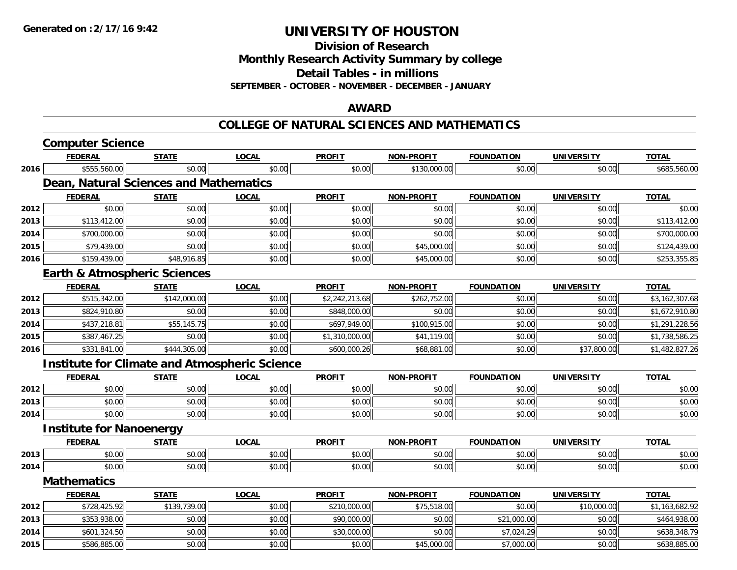**Division of Research**

**Monthly Research Activity Summary by college**

**Detail Tables - in millions**

**SEPTEMBER - OCTOBER - NOVEMBER - DECEMBER - JANUARY**

#### **AWARD**

#### **COLLEGE OF NATURAL SCIENCES AND MATHEMATICS**

|      | <b>Computer Science</b>                              |              |              |                |                   |                   |                   |                |
|------|------------------------------------------------------|--------------|--------------|----------------|-------------------|-------------------|-------------------|----------------|
|      | <b>FEDERAL</b>                                       | <b>STATE</b> | <b>LOCAL</b> | <b>PROFIT</b>  | <b>NON-PROFIT</b> | <b>FOUNDATION</b> | <b>UNIVERSITY</b> | <b>TOTAL</b>   |
| 2016 | \$555,560.00                                         | \$0.00       | \$0.00       | \$0.00         | \$130,000.00      | \$0.00            | \$0.00            | \$685,560.00   |
|      | Dean, Natural Sciences and Mathematics               |              |              |                |                   |                   |                   |                |
|      | <b>FEDERAL</b>                                       | <b>STATE</b> | <b>LOCAL</b> | <b>PROFIT</b>  | <b>NON-PROFIT</b> | <b>FOUNDATION</b> | <b>UNIVERSITY</b> | <b>TOTAL</b>   |
| 2012 | \$0.00                                               | \$0.00       | \$0.00       | \$0.00         | \$0.00            | \$0.00            | \$0.00            | \$0.00         |
| 2013 | \$113,412.00                                         | \$0.00       | \$0.00       | \$0.00         | \$0.00            | \$0.00            | \$0.00            | \$113,412.00   |
| 2014 | \$700,000.00                                         | \$0.00       | \$0.00       | \$0.00         | \$0.00            | \$0.00            | \$0.00            | \$700,000.00   |
| 2015 | \$79,439.00                                          | \$0.00       | \$0.00       | \$0.00         | \$45,000.00       | \$0.00            | \$0.00            | \$124,439.00   |
| 2016 | \$159,439.00                                         | \$48,916.85  | \$0.00       | \$0.00         | \$45,000.00       | \$0.00            | \$0.00            | \$253,355.85   |
|      | <b>Earth &amp; Atmospheric Sciences</b>              |              |              |                |                   |                   |                   |                |
|      | <b>FEDERAL</b>                                       | <b>STATE</b> | <b>LOCAL</b> | <b>PROFIT</b>  | <b>NON-PROFIT</b> | <b>FOUNDATION</b> | <b>UNIVERSITY</b> | <b>TOTAL</b>   |
| 2012 | \$515,342.00                                         | \$142,000.00 | \$0.00       | \$2,242,213.68 | \$262,752.00      | \$0.00            | \$0.00            | \$3,162,307.68 |
| 2013 | \$824,910.80                                         | \$0.00       | \$0.00       | \$848,000.00   | \$0.00            | \$0.00            | \$0.00            | \$1,672,910.80 |
| 2014 | \$437,218.81                                         | \$55,145.75  | \$0.00       | \$697,949.00   | \$100,915.00      | \$0.00            | \$0.00            | \$1,291,228.56 |
| 2015 | \$387,467.25                                         | \$0.00       | \$0.00       | \$1,310,000.00 | \$41,119.00       | \$0.00            | \$0.00            | \$1,738,586.25 |
| 2016 | \$331,841.00                                         | \$444,305.00 | \$0.00       | \$600,000.26   | \$68,881.00       | \$0.00            | \$37,800.00       | \$1,482,827.26 |
|      | <b>Institute for Climate and Atmospheric Science</b> |              |              |                |                   |                   |                   |                |
|      | <b>FEDERAL</b>                                       | <b>STATE</b> | <b>LOCAL</b> | <b>PROFIT</b>  | <b>NON-PROFIT</b> | <b>FOUNDATION</b> | <b>UNIVERSITY</b> | <b>TOTAL</b>   |
| 2012 | \$0.00                                               | \$0.00       | \$0.00       | \$0.00         | \$0.00            | \$0.00            | \$0.00            | \$0.00         |
| 2013 | \$0.00                                               | \$0.00       | \$0.00       | \$0.00         | \$0.00            | \$0.00            | \$0.00            | \$0.00         |
| 2014 | \$0.00                                               | \$0.00       | \$0.00       | \$0.00         | \$0.00            | \$0.00            | \$0.00            | \$0.00         |
|      | <b>Institute for Nanoenergy</b>                      |              |              |                |                   |                   |                   |                |
|      | <b>FEDERAL</b>                                       | <b>STATE</b> | <b>LOCAL</b> | <b>PROFIT</b>  | NON-PROFIT        | <b>FOUNDATION</b> | <b>UNIVERSITY</b> | <b>TOTAL</b>   |
| 2013 | \$0.00                                               | \$0.00       | \$0.00       | \$0.00         | \$0.00            | \$0.00            | \$0.00            | \$0.00         |
| 2014 | \$0.00                                               | \$0.00       | \$0.00       | \$0.00         | \$0.00            | \$0.00            | \$0.00            | \$0.00         |
|      | <b>Mathematics</b>                                   |              |              |                |                   |                   |                   |                |
|      | <b>FEDERAL</b>                                       | <b>STATE</b> | <b>LOCAL</b> | <b>PROFIT</b>  | <b>NON-PROFIT</b> | <b>FOUNDATION</b> | <b>UNIVERSITY</b> | <b>TOTAL</b>   |
| 2012 | \$728,425.92                                         | \$139,739.00 | \$0.00       | \$210,000.00   | \$75,518.00       | \$0.00            | \$10,000.00       | \$1,163,682.92 |
| 2013 | \$353,938.00                                         | \$0.00       | \$0.00       | \$90,000.00    | \$0.00            | \$21,000.00       | \$0.00            | \$464,938.00   |
| 2014 | \$601,324.50                                         | \$0.00       | \$0.00       | \$30,000.00    | \$0.00            | \$7,024.29        | \$0.00            | \$638,348.79   |
| 2015 | \$586,885.00                                         | \$0.00       | \$0.00       | \$0.00         | \$45,000.00       | \$7,000.00        | \$0.00            | \$638,885.00   |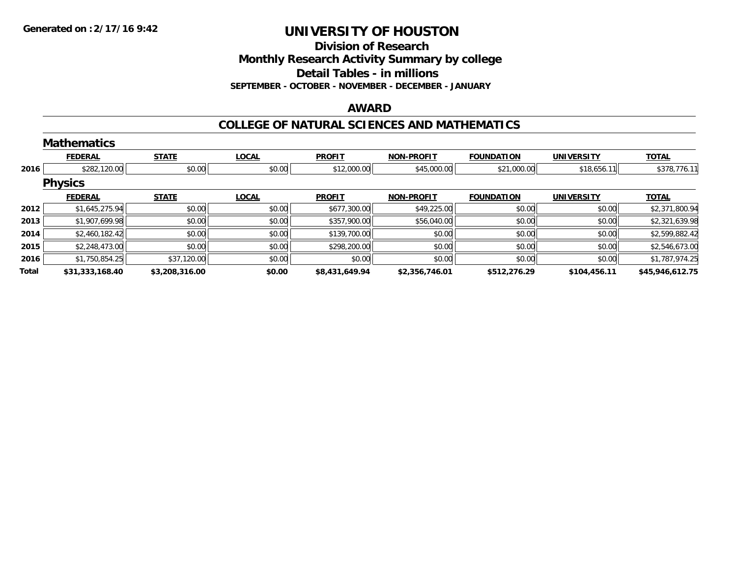**Division of Research**

**Monthly Research Activity Summary by college**

**Detail Tables - in millions**

**SEPTEMBER - OCTOBER - NOVEMBER - DECEMBER - JANUARY**

### **AWARD**

#### **COLLEGE OF NATURAL SCIENCES AND MATHEMATICS**

|       | <b>Mathematics</b> |                |              |                |                   |                   |                   |                 |
|-------|--------------------|----------------|--------------|----------------|-------------------|-------------------|-------------------|-----------------|
|       | <b>FEDERAL</b>     | <b>STATE</b>   | <b>LOCAL</b> | <b>PROFIT</b>  | <b>NON-PROFIT</b> | <b>FOUNDATION</b> | <b>UNIVERSITY</b> | <b>TOTAL</b>    |
| 2016  | \$282,120.00       | \$0.00         | \$0.00       | \$12,000.00    | \$45,000.00       | \$21,000.00       | \$18,656.11       | \$378,776.11    |
|       | <b>Physics</b>     |                |              |                |                   |                   |                   |                 |
|       | <b>FEDERAL</b>     | <b>STATE</b>   | <b>LOCAL</b> | <b>PROFIT</b>  | <b>NON-PROFIT</b> | <b>FOUNDATION</b> | <b>UNIVERSITY</b> | <b>TOTAL</b>    |
| 2012  | \$1,645,275.94     | \$0.00         | \$0.00       | \$677,300.00   | \$49,225.00       | \$0.00            | \$0.00            | \$2,371,800.94  |
| 2013  | \$1,907,699.98     | \$0.00         | \$0.00       | \$357,900.00   | \$56,040.00       | \$0.00            | \$0.00            | \$2,321,639.98  |
| 2014  | \$2,460,182.42     | \$0.00         | \$0.00       | \$139,700.00   | \$0.00            | \$0.00            | \$0.00            | \$2,599,882.42  |
| 2015  | \$2,248,473.00     | \$0.00         | \$0.00       | \$298,200.00   | \$0.00            | \$0.00            | \$0.00            | \$2,546,673.00  |
| 2016  | \$1,750,854.25     | \$37,120.00    | \$0.00       | \$0.00         | \$0.00            | \$0.00            | \$0.00            | \$1,787,974.25  |
| Total | \$31,333,168.40    | \$3,208,316.00 | \$0.00       | \$8,431,649.94 | \$2,356,746.01    | \$512,276.29      | \$104,456.11      | \$45,946,612.75 |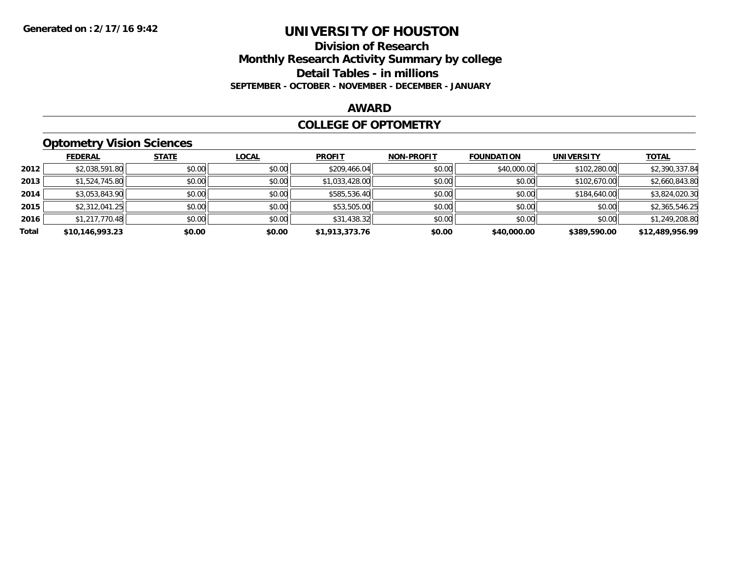### **Division of Research Monthly Research Activity Summary by college Detail Tables - in millions SEPTEMBER - OCTOBER - NOVEMBER - DECEMBER - JANUARY**

#### **AWARD**

#### **COLLEGE OF OPTOMETRY**

# **Optometry Vision Sciences**

|       | <b>FEDERAL</b>  | <b>STATE</b> | <b>LOCAL</b> | <b>PROFIT</b>  | <b>NON-PROFIT</b> | <b>FOUNDATION</b> | <b>UNIVERSITY</b> | <u>TOTAL</u>    |
|-------|-----------------|--------------|--------------|----------------|-------------------|-------------------|-------------------|-----------------|
| 2012  | \$2,038,591.80  | \$0.00       | \$0.00       | \$209,466.04   | \$0.00            | \$40,000.00       | \$102,280.00      | \$2,390,337.84  |
| 2013  | \$1,524,745.80  | \$0.00       | \$0.00       | \$1,033,428.00 | \$0.00            | \$0.00            | \$102,670.00      | \$2,660,843.80  |
| 2014  | \$3,053,843.90  | \$0.00       | \$0.00       | \$585,536.40   | \$0.00            | \$0.00            | \$184,640.00      | \$3,824,020.30  |
| 2015  | \$2,312,041.25  | \$0.00       | \$0.00       | \$53,505.00    | \$0.00            | \$0.00            | \$0.00            | \$2,365,546.25  |
| 2016  | \$1,217,770.48  | \$0.00       | \$0.00       | \$31,438.32    | \$0.00            | \$0.00            | \$0.00            | \$1,249,208.80  |
| Total | \$10,146,993.23 | \$0.00       | \$0.00       | \$1,913,373.76 | \$0.00            | \$40,000.00       | \$389,590.00      | \$12,489,956.99 |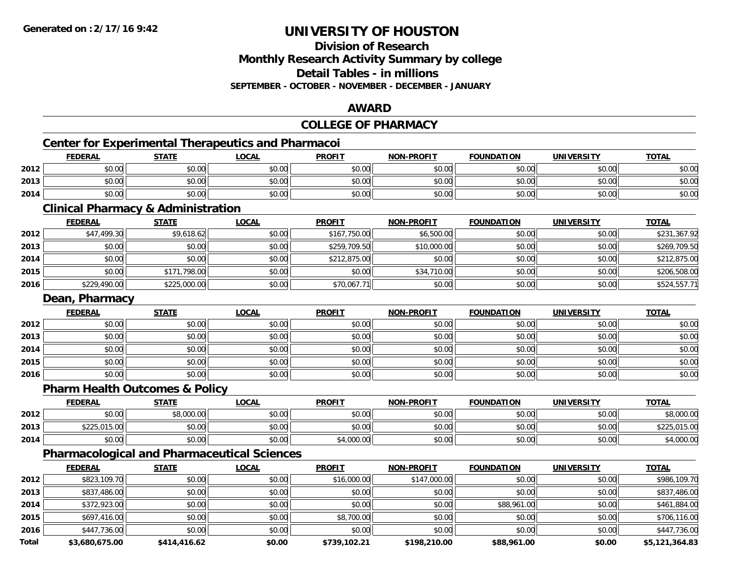**Division of Research**

**Monthly Research Activity Summary by college**

**Detail Tables - in millions**

**SEPTEMBER - OCTOBER - NOVEMBER - DECEMBER - JANUARY**

# **AWARD**

# **COLLEGE OF PHARMACY**

# **Center for Experimental Therapeutics and Pharmacoi**

|      | <b>Center for Experimental Therapeutics and Pharmacoi</b> |              |              |               |                   |                   |                   |              |  |  |
|------|-----------------------------------------------------------|--------------|--------------|---------------|-------------------|-------------------|-------------------|--------------|--|--|
|      | <b>FEDERAL</b>                                            | <u>STATE</u> | <u>LOCAL</u> | <b>PROFIT</b> | <b>NON-PROFIT</b> | <b>FOUNDATION</b> | <b>UNIVERSITY</b> | <b>TOTAL</b> |  |  |
| 2012 | \$0.00                                                    | \$0.00       | \$0.00       | \$0.00        | \$0.00            | \$0.00            | \$0.00            | \$0.00       |  |  |
| 2013 | \$0.00                                                    | \$0.00       | \$0.00       | \$0.00        | \$0.00            | \$0.00            | \$0.00            | \$0.00       |  |  |
| 2014 | \$0.00                                                    | \$0.00       | \$0.00       | \$0.00        | \$0.00            | \$0.00            | \$0.00            | \$0.00       |  |  |

#### **Clinical Pharmacy & Administration**

|      | <b>FEDERAL</b> | <b>STATE</b> | <u>LOCAL</u> | <b>PROFIT</b> | <b>NON-PROFIT</b> | <b>FOUNDATION</b> | <b>UNIVERSITY</b> | <b>TOTAL</b> |
|------|----------------|--------------|--------------|---------------|-------------------|-------------------|-------------------|--------------|
| 2012 | \$47,499.30    | \$9,618.62   | \$0.00       | \$167,750.00  | \$6,500.00        | \$0.00            | \$0.00            | \$231,367.92 |
| 2013 | \$0.00         | \$0.00       | \$0.00       | \$259,709.50  | \$10,000.00       | \$0.00            | \$0.00            | \$269,709.50 |
| 2014 | \$0.00         | \$0.00       | \$0.00       | \$212,875.00  | \$0.00            | \$0.00            | \$0.00            | \$212,875.00 |
| 2015 | \$0.00         | \$171,798.00 | \$0.00       | \$0.00        | \$34,710.00       | \$0.00            | \$0.00            | \$206,508.00 |
| 2016 | \$229,490.00   | \$225,000.00 | \$0.00       | \$70,067.71   | \$0.00            | \$0.00            | \$0.00            | \$524,557.71 |

#### **Dean, Pharmacy**

|      | <b>FEDERAL</b> | <b>STATE</b> | <u>LOCAL</u> | <b>PROFIT</b> | <b>NON-PROFIT</b> | <b>FOUNDATION</b> | <b>UNIVERSITY</b> | <b>TOTAL</b> |
|------|----------------|--------------|--------------|---------------|-------------------|-------------------|-------------------|--------------|
| 2012 | \$0.00         | \$0.00       | \$0.00       | \$0.00        | \$0.00            | \$0.00            | \$0.00            | \$0.00       |
| 2013 | \$0.00         | \$0.00       | \$0.00       | \$0.00        | \$0.00            | \$0.00            | \$0.00            | \$0.00       |
| 2014 | \$0.00         | \$0.00       | \$0.00       | \$0.00        | \$0.00            | \$0.00            | \$0.00            | \$0.00       |
| 2015 | \$0.00         | \$0.00       | \$0.00       | \$0.00        | \$0.00            | \$0.00            | \$0.00            | \$0.00       |
| 2016 | \$0.00         | \$0.00       | \$0.00       | \$0.00        | \$0.00            | \$0.00            | \$0.00            | \$0.00       |

#### **Pharm Health Outcomes & Policy**

|      | <b>FEDERAL</b> | <b>STATE</b> | <b>LOCAL</b>           | <b>PROFIT</b> | <b>NON-PROFIT</b> | <b>FOUNDATION</b> | UNIVERSITY<br>ERJI | <b>TOTAL</b>          |
|------|----------------|--------------|------------------------|---------------|-------------------|-------------------|--------------------|-----------------------|
| 2012 | ልስ ለለ<br>DU.UG | \$8,000.00   | 0000<br>vu.vu          | \$0.00        | \$0.00            | \$0.00            | \$0.00             | noo oc<br>,UUU.Ul     |
| 2013 | \$225,015.00   | \$0.00       | $\sim$ $\sim$<br>JU.UU | \$0.00        | \$0.00            | \$0.00            | \$0.00             | $\sim$ 0.0<br>ሐ へ へ г |
| 2014 | \$0.00         | \$0.00       | \$0.00                 | ,000.00       | \$0.00            | \$0.00            | \$0.00             | UUU.Ul                |

### **Pharmacological and Pharmaceutical Sciences**

|              | <b>FEDERAL</b> | <b>STATE</b> | <b>LOCAL</b> | <b>PROFIT</b> | <b>NON-PROFIT</b> | <b>FOUNDATION</b> | <b>UNIVERSITY</b> | <b>TOTAL</b>   |
|--------------|----------------|--------------|--------------|---------------|-------------------|-------------------|-------------------|----------------|
| 2012         | \$823,109.70   | \$0.00       | \$0.00       | \$16,000.00   | \$147,000.00      | \$0.00            | \$0.00            | \$986,109.70   |
| 2013         | \$837,486.00   | \$0.00       | \$0.00       | \$0.00        | \$0.00            | \$0.00            | \$0.00            | \$837,486.00   |
| 2014         | \$372,923.00   | \$0.00       | \$0.00       | \$0.00        | \$0.00            | \$88,961.00       | \$0.00            | \$461,884.00   |
| 2015         | \$697,416.00   | \$0.00       | \$0.00       | \$8,700.00    | \$0.00            | \$0.00            | \$0.00            | \$706,116.00   |
| 2016         | \$447,736.00   | \$0.00       | \$0.00       | \$0.00        | \$0.00            | \$0.00            | \$0.00            | \$447,736.00   |
| <b>Total</b> | \$3,680,675.00 | \$414,416.62 | \$0.00       | \$739,102.21  | \$198,210.00      | \$88,961.00       | \$0.00            | \$5,121,364.83 |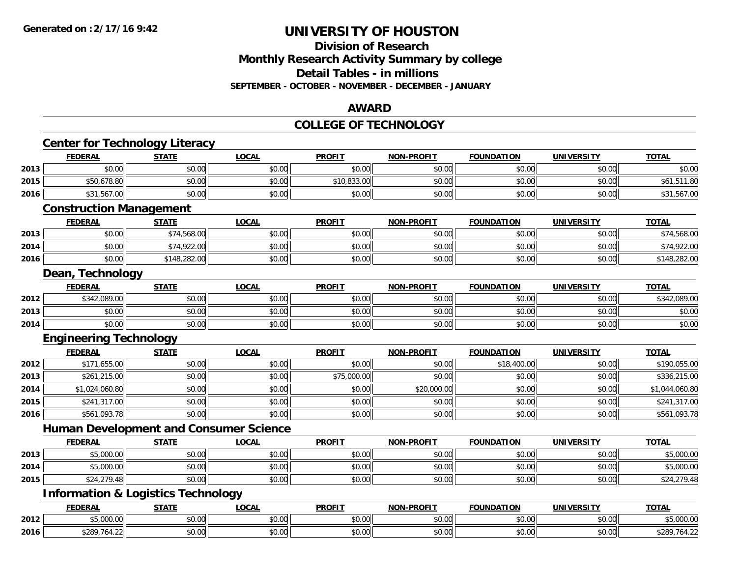#### **Division of Research Monthly Research Activity Summary by college Detail Tables - in millions SEPTEMBER - OCTOBER - NOVEMBER - DECEMBER - JANUARY**

#### **AWARD**

#### **COLLEGE OF TECHNOLOGY**

|      | <b>Center for Technology Literacy</b>         |              |                                               |               |                   |                   |                   |                |
|------|-----------------------------------------------|--------------|-----------------------------------------------|---------------|-------------------|-------------------|-------------------|----------------|
|      | <b>FEDERAL</b>                                | <b>STATE</b> | <b>LOCAL</b>                                  | <b>PROFIT</b> | <b>NON-PROFIT</b> | <b>FOUNDATION</b> | <b>UNIVERSITY</b> | <b>TOTAL</b>   |
| 2013 | \$0.00                                        | \$0.00       | \$0.00                                        | \$0.00        | \$0.00            | \$0.00            | \$0.00            | \$0.00         |
| 2015 | \$50,678.80                                   | \$0.00       | \$0.00                                        | \$10,833.00   | \$0.00            | \$0.00            | \$0.00            | \$61,511.80    |
| 2016 | \$31,567.00                                   | \$0.00       | \$0.00                                        | \$0.00        | \$0.00            | \$0.00            | \$0.00            | \$31,567.00    |
|      | <b>Construction Management</b>                |              |                                               |               |                   |                   |                   |                |
|      | <b>FEDERAL</b>                                | <b>STATE</b> | <b>LOCAL</b>                                  | <b>PROFIT</b> | <b>NON-PROFIT</b> | <b>FOUNDATION</b> | <b>UNIVERSITY</b> | <b>TOTAL</b>   |
| 2013 | \$0.00                                        | \$74,568.00  | \$0.00                                        | \$0.00        | \$0.00            | \$0.00            | \$0.00            | \$74,568.00    |
| 2014 | \$0.00                                        | \$74,922.00  | \$0.00                                        | \$0.00        | \$0.00            | \$0.00            | \$0.00            | \$74,922.00    |
| 2016 | \$0.00                                        | \$148,282.00 | \$0.00                                        | \$0.00        | \$0.00            | \$0.00            | \$0.00            | \$148,282.00   |
|      | Dean, Technology                              |              |                                               |               |                   |                   |                   |                |
|      | <b>FEDERAL</b>                                | <b>STATE</b> | <b>LOCAL</b>                                  | <b>PROFIT</b> | <b>NON-PROFIT</b> | <b>FOUNDATION</b> | <b>UNIVERSITY</b> | <b>TOTAL</b>   |
| 2012 | \$342,089.00                                  | \$0.00       | \$0.00                                        | \$0.00        | \$0.00            | \$0.00            | \$0.00            | \$342,089.00   |
| 2013 | \$0.00                                        | \$0.00       | \$0.00                                        | \$0.00        | \$0.00            | \$0.00            | \$0.00            | \$0.00         |
| 2014 | \$0.00                                        | \$0.00       | \$0.00                                        | \$0.00        | \$0.00            | \$0.00            | \$0.00            | \$0.00         |
|      | <b>Engineering Technology</b>                 |              |                                               |               |                   |                   |                   |                |
|      |                                               |              |                                               |               |                   |                   |                   |                |
|      | <b>FEDERAL</b>                                | <b>STATE</b> | <b>LOCAL</b>                                  | <b>PROFIT</b> | <b>NON-PROFIT</b> | <b>FOUNDATION</b> | <b>UNIVERSITY</b> | <b>TOTAL</b>   |
| 2012 | \$171,655.00                                  | \$0.00       | \$0.00                                        | \$0.00        | \$0.00            | \$18,400.00       | \$0.00            | \$190,055.00   |
| 2013 | \$261,215.00                                  | \$0.00       | \$0.00                                        | \$75,000.00   | \$0.00            | \$0.00            | \$0.00            | \$336,215.00   |
| 2014 | \$1,024,060.80                                | \$0.00       | \$0.00                                        | \$0.00        | \$20,000.00       | \$0.00            | \$0.00            | \$1,044,060.80 |
| 2015 | \$241,317.00                                  | \$0.00       | \$0.00                                        | \$0.00        | \$0.00            | \$0.00            | \$0.00            | \$241,317.00   |
| 2016 | \$561,093.78                                  | \$0.00       | \$0.00                                        | \$0.00        | \$0.00            | \$0.00            | \$0.00            | \$561,093.78   |
|      |                                               |              | <b>Human Development and Consumer Science</b> |               |                   |                   |                   |                |
|      | <b>FEDERAL</b>                                | <b>STATE</b> | <b>LOCAL</b>                                  | <b>PROFIT</b> | <b>NON-PROFIT</b> | <b>FOUNDATION</b> | <b>UNIVERSITY</b> | <b>TOTAL</b>   |
| 2013 | \$5,000.00                                    | \$0.00       | \$0.00                                        | \$0.00        | \$0.00            | \$0.00            | \$0.00            | \$5,000.00     |
| 2014 | \$5,000.00                                    | \$0.00       | \$0.00                                        | \$0.00        | \$0.00            | \$0.00            | \$0.00            | \$5,000.00     |
| 2015 | \$24,279.48                                   | \$0.00       | \$0.00                                        | \$0.00        | \$0.00            | \$0.00            | \$0.00            | \$24,279.48    |
|      | <b>Information &amp; Logistics Technology</b> |              |                                               |               |                   |                   |                   |                |
|      | <b>FEDERAL</b>                                | <b>STATE</b> | <b>LOCAL</b>                                  | <b>PROFIT</b> | <b>NON-PROFIT</b> | <b>FOUNDATION</b> | <b>UNIVERSITY</b> | <b>TOTAL</b>   |
| 2012 | \$5,000.00                                    | \$0.00       | \$0.00                                        | \$0.00        | \$0.00            | \$0.00            | \$0.00            | \$5,000.00     |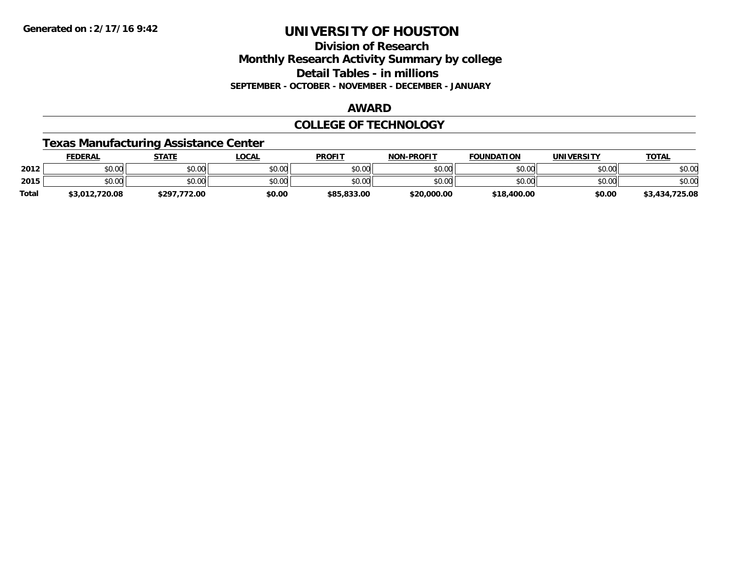**Division of ResearchMonthly Research Activity Summary by college Detail Tables - in millions SEPTEMBER - OCTOBER - NOVEMBER - DECEMBER - JANUARY**

#### **AWARD**

#### **COLLEGE OF TECHNOLOGY**

### **Texas Manufacturing Assistance Center**

|              | FEDERAL        | <b>STATE</b> | <b>LOCAL</b> | <b>PROFIT</b> | <b>NON-PROFIT</b> | <b>FOUNDATION</b> | UNIVERSITY | <b>TOTAL</b>   |
|--------------|----------------|--------------|--------------|---------------|-------------------|-------------------|------------|----------------|
| 2012         | \$0.00         | \$0.00       | \$0.00       | \$0.00        | \$0.00            | \$0.00            | \$0.00     | \$0.00         |
| 2015         | \$0.00         | \$0.00       | \$0.00       | \$0.00        | \$0.00            | \$0.00            | \$0.00     | \$0.00         |
| <b>Total</b> | \$3,012,720.08 | \$297.772.00 | \$0.00       | \$85,833,00   | \$20,000.00       | \$18,400.00       | \$0.00     | \$3,434,725.08 |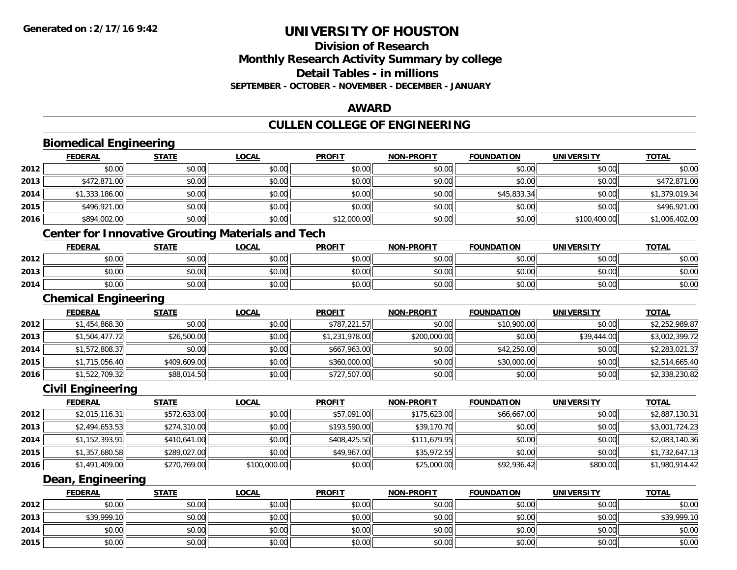### **Division of ResearchMonthly Research Activity Summary by college Detail Tables - in millionsSEPTEMBER - OCTOBER - NOVEMBER - DECEMBER - JANUARY**

#### **AWARD**

### **CULLEN COLLEGE OF ENGINEERING**

#### **Biomedical Engineering FEDERAL STATE LOCAL PROFIT NON-PROFIT FOUNDATION UNIVERSITY TOTALTOTAL 2012**2 | \$0.00 \$0.00 \$0.00 \$0.00 \$0.00 \$0.00 \$0.00 \$0.00 \$0.00 \$0.00 \$0.00 \$0.00 \$0.00 \$0.00 \$0.00 \$0.00 \$0.00 \$0.0 **2013** \$472,871.00 \$0.00 \$0.00 \$0.00 \$0.00 \$0.00 \$0.00 \$472,871.00 **2014**4 \$1,333,186.00|| \$0.00|| \$0.00|| \$0.00|| \$0.00|| \$45,833.34|| \$0.00|| \$1,379,019.34 **2015** \$496,921.00 \$0.00 \$0.00 \$0.00 \$0.00 \$0.00 \$0.00 \$496,921.00 **2016** $\bf{6}$  \$894,002.00| \$0.00| \$0.00| \$0.00| \$12,000.00| \$0.00| \$0.00| \$0.00| \$100,400.00| \$1,006,402.00 **Center for Innovative Grouting Materials and Tech FEDERAL STATE LOCAL PROFIT NON-PROFIT FOUNDATION UNIVERSITY TOTAL2012**2 | \$0.00 \$0.00 \$0.00 \$0.00 \$0.00 \$0.00 \$0.00 \$0.00 \$0.00 \$0.00 \$0.00 \$0.00 \$0.00 \$0.00 \$0.00 \$0.00 \$0.00 \$0.0 **2013**3 \$0.00 | \$0.00 | \$0.00 | \$0.00 | \$0.00 | \$0.00 | \$0.00 | \$0.00 **2014**4 \$0.00 \$0.00 \$0.00 \$0.00 \$0.00 \$0.00 \$0.00 \$0.00 \$0.00 \$0.00 \$0.00 \$0.00 \$0.00 \$0.00 \$0.00 \$0.00 \$0.00 \$0.00 **Chemical Engineering FEDERAL STATE LOCAL PROFIT NON-PROFIT FOUNDATION UNIVERSITY TOTAL2012** $\texttt{2} \mid \texttt{3} \mid \texttt{454,868.30} \mid \texttt{3} \mid \texttt{487,000} \mid \texttt{487,000} \mid \texttt{5787,221.57} \mid \texttt{5787,021.57} \mid \texttt{50.00} \mid \texttt{578,000} \mid \texttt{587,000} \mid \texttt{687,000} \mid \texttt{697,000} \mid \texttt{697,000} \mid \texttt{697,000} \mid \texttt{697,000} \mid \texttt{69$ **2013** $\textbf{3} \mid \textbf{3} \mid \textbf{4} \mid \textbf{5} \mid \textbf{5} \mid \textbf{5} \mid \textbf{6} \mid \textbf{6} \mid \textbf{7} \mid \textbf{7} \mid \textbf{8} \mid \textbf{6} \mid \textbf{7} \mid \textbf{8} \mid \textbf{7} \mid \textbf{8} \mid \textbf{8} \mid \textbf{9} \mid \textbf{9} \mid \textbf{1} \mid \textbf{9} \mid \textbf{8} \mid \textbf{9} \mid \textbf{8} \mid \textbf{9} \mid \textbf{9} \mid \textbf{1} \mid \textbf{9$ **2014**4 \$1,572,808.37|| \$0.00|| \$0.00|| \$667,963.00|| \$0.00|| \$42,250.00|| \$0.00|| \$2,283,021.37 **2015** \$1,715,056.40 \$409,609.00 \$0.00 \$360,000.00 \$0.00 \$30,000.00 \$0.00 \$2,514,665.40 **2016**6 \$1,522,709.32|| \$88,014.50|| \$0.00|| \$727,507.00|| \$0.00|| \$0.00|| \$0.00|| \$2,338,230.82 **Civil Engineering FEDERAL STATE LOCAL PROFIT NON-PROFIT FOUNDATION UNIVERSITY TOTALTOTAL 2012**2 | \$2,015,116.31|| \$572,633.00|| \$0.00|| \$57,091.00|| \$175,623.00|| \$66,667.00|| \$0.00|| \$2,887,130.31 **2013**3 \$2,494,653.53|| \$274,310.00|| \$0.00|| \$193,590.00|| \$39,170.70|| \$0.00|| \$0.00|| \$3,001,724.23 **2014**4 \$1,152,393.91|| \$410,641.00|| \$0.00|| \$0.00|| \$408,425.50|| \$111,679.95|| \$0.00|| \$0.00|| \$2,083,140.36 **2015** \$1,357,680.58 \$289,027.00 \$0.00 \$49,967.00 \$35,972.55 \$0.00 \$0.00 \$1,732,647.13 **2016** $\bf{6}$  \$1,491,409.00 \$270,769.00 \$100,000.00 \$100,000.00 \$0.00 \$25,000.00 \$92,936.42 \$800.00 \$800.00 \$1,980,914.42 **Dean, Engineering FEDERAL STATE LOCAL PROFIT NON-PROFIT FOUNDATION UNIVERSITY TOTAL2012**2 | \$0.00 \$0.00 \$0.00 \$0.00 \$0.00 \$0.00 \$0.00 \$0.00 \$0.00 \$0.00 \$0.00 \$0.00 \$0.00 \$0.00 \$0.00 \$0.00 \$0.00 \$0.0

| 2012 | ልስ ሰሰ<br>PU.UU                 | \$0.00 | \$0.00                              | $n \cap \neg$<br>JU.UU | \$0.00 | \$0.00 | $\theta$ $\theta$ $\theta$<br>PO.OO        | \$0.00      |
|------|--------------------------------|--------|-------------------------------------|------------------------|--------|--------|--------------------------------------------|-------------|
| 2013 | \$39,999.10                    | \$0.00 | 0.00<br>\$U.UU                      | \$0.00                 | \$0.00 | \$0.00 | $\theta$ $\theta$ $\theta$<br><b>DU.UG</b> | \$39,999.10 |
| 2014 | 0000<br>vv.vv                  | \$0.00 | $\theta$ $\theta$ $\theta$<br>JU.UU | \$0.00                 | \$0.00 | \$0.00 | $\theta$ $\theta$ $\theta$<br><b>DU.UG</b> | \$0.00      |
| 2015 | 0 <sup>n</sup><br><b>DU.UU</b> | \$0.00 | 0000<br>งบ.บบ                       | \$0.00                 | \$0.00 | \$0.00 | $\sim$ $\sim$<br>DU.UG                     | \$0.00      |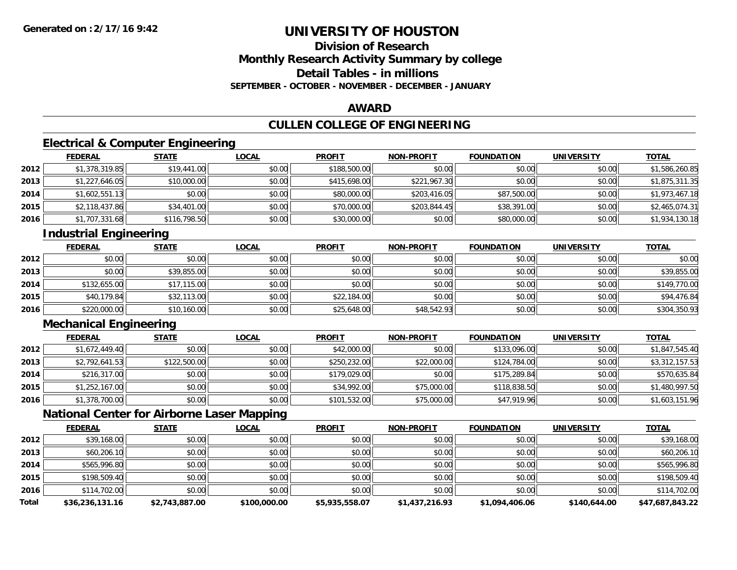### **Division of ResearchMonthly Research Activity Summary by college Detail Tables - in millionsSEPTEMBER - OCTOBER - NOVEMBER - DECEMBER - JANUARY**

#### **AWARD**

# **CULLEN COLLEGE OF ENGINEERING**

### **Electrical & Computer Engineering**

|      | <b>FEDERAL</b> | <b>STATE</b> | <u>LOCAL</u> | <b>PROFIT</b> | <b>NON-PROFIT</b> | <b>FOUNDATION</b> | <b>UNIVERSITY</b> | <u>TOTAL</u>   |
|------|----------------|--------------|--------------|---------------|-------------------|-------------------|-------------------|----------------|
| 2012 | \$1,378,319.85 | \$19,441.00  | \$0.00       | \$188,500.00  | \$0.00            | \$0.00            | \$0.00            | \$1,586,260.85 |
| 2013 | \$1,227,646.05 | \$10,000.00  | \$0.00       | \$415,698.00  | \$221,967.30      | \$0.00            | \$0.00            | \$1,875,311.35 |
| 2014 | \$1,602,551.13 | \$0.00       | \$0.00       | \$80,000.00   | \$203,416.05      | \$87,500.00       | \$0.00            | \$1,973,467.18 |
| 2015 | \$2,118,437.86 | \$34,401.00  | \$0.00       | \$70,000.00   | \$203,844.45      | \$38,391.00       | \$0.00            | \$2,465,074.31 |
| 2016 | \$1,707,331.68 | \$116,798.50 | \$0.00       | \$30,000.00   | \$0.00            | \$80,000.00       | \$0.00            | \$1,934,130.18 |

# **Industrial Engineering**

|      | <u>FEDERAL</u> | <b>STATE</b> | <b>LOCAL</b> | <b>PROFIT</b> | <b>NON-PROFIT</b> | <b>FOUNDATION</b> | <b>UNIVERSITY</b> | <b>TOTAL</b> |
|------|----------------|--------------|--------------|---------------|-------------------|-------------------|-------------------|--------------|
| 2012 | \$0.00         | \$0.00       | \$0.00       | \$0.00        | \$0.00            | \$0.00            | \$0.00            | \$0.00       |
| 2013 | \$0.00         | \$39,855.00  | \$0.00       | \$0.00        | \$0.00            | \$0.00            | \$0.00            | \$39,855.00  |
| 2014 | \$132,655.00   | \$17,115.00  | \$0.00       | \$0.00        | \$0.00            | \$0.00            | \$0.00            | \$149,770.00 |
| 2015 | \$40,179.84    | \$32,113.00  | \$0.00       | \$22,184.00   | \$0.00            | \$0.00            | \$0.00            | \$94,476.84  |
| 2016 | \$220,000.00   | \$10,160.00  | \$0.00       | \$25,648.00   | \$48,542.93       | \$0.00            | \$0.00            | \$304,350.93 |

# **Mechanical Engineering**

|      | <b>FEDERAL</b> | <b>STATE</b> | <u>LOCAL</u> | <b>PROFIT</b> | <b>NON-PROFIT</b> | <b>FOUNDATION</b> | <b>UNIVERSITY</b> | <b>TOTAL</b>   |
|------|----------------|--------------|--------------|---------------|-------------------|-------------------|-------------------|----------------|
| 2012 | \$1,672,449.40 | \$0.00       | \$0.00       | \$42,000.00   | \$0.00            | \$133,096.00      | \$0.00            | \$1,847,545.40 |
| 2013 | \$2,792,641.53 | \$122,500.00 | \$0.00       | \$250,232.00  | \$22,000.00       | \$124,784.00      | \$0.00            | \$3,312,157.53 |
| 2014 | \$216,317.00   | \$0.00       | \$0.00       | \$179,029.00  | \$0.00            | \$175,289.84      | \$0.00            | \$570,635.84   |
| 2015 | \$1,252,167.00 | \$0.00       | \$0.00       | \$34,992.00   | \$75,000.00       | \$118,838.50      | \$0.00            | \$1,480,997.50 |
| 2016 | \$1,378,700.00 | \$0.00       | \$0.00       | \$101,532.00  | \$75,000.00       | \$47,919.96       | \$0.00            | \$1,603,151.96 |

### **National Center for Airborne Laser Mapping**

|              | <b>FEDERAL</b>  | <b>STATE</b>   | <u>LOCAL</u> | <b>PROFIT</b>  | <b>NON-PROFIT</b> | <b>FOUNDATION</b> | <b>UNIVERSITY</b> | <b>TOTAL</b>    |
|--------------|-----------------|----------------|--------------|----------------|-------------------|-------------------|-------------------|-----------------|
| 2012         | \$39,168.00     | \$0.00         | \$0.00       | \$0.00         | \$0.00            | \$0.00            | \$0.00            | \$39,168.00     |
| 2013         | \$60,206.10     | \$0.00         | \$0.00       | \$0.00         | \$0.00            | \$0.00            | \$0.00            | \$60,206.10     |
| 2014         | \$565,996.80    | \$0.00         | \$0.00       | \$0.00         | \$0.00            | \$0.00            | \$0.00            | \$565,996.80    |
| 2015         | \$198,509.40    | \$0.00         | \$0.00       | \$0.00         | \$0.00            | \$0.00            | \$0.00            | \$198,509.40    |
| 2016         | \$114,702.00    | \$0.00         | \$0.00       | \$0.00         | \$0.00            | \$0.00            | \$0.00            | \$114,702.00    |
| <b>Total</b> | \$36,236,131.16 | \$2,743,887.00 | \$100,000.00 | \$5,935,558.07 | \$1,437,216.93    | \$1,094,406.06    | \$140,644.00      | \$47,687,843.22 |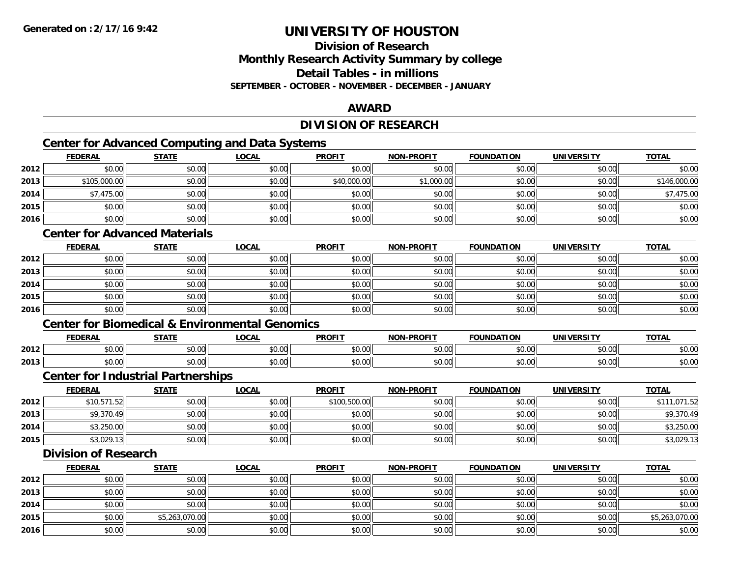### **Division of ResearchMonthly Research Activity Summary by college Detail Tables - in millionsSEPTEMBER - OCTOBER - NOVEMBER - DECEMBER - JANUARY**

### **AWARD**

### **DIVISION OF RESEARCH**

<u> 1980 - Johann Barn, mars an t-Amerikaansk politiker (</u>

# **Center for Advanced Computing and Data Systems**

|      | <b>FEDERAL</b> | <b>STATE</b> | <b>LOCAL</b> | <b>PROFIT</b> | <b>NON-PROFIT</b> | <b>FOUNDATION</b> | <b>UNIVERSITY</b> | <b>TOTAL</b> |
|------|----------------|--------------|--------------|---------------|-------------------|-------------------|-------------------|--------------|
| 2012 | \$0.00         | \$0.00       | \$0.00       | \$0.00        | \$0.00            | \$0.00            | \$0.00            | \$0.00       |
| 2013 | \$105,000.00   | \$0.00       | \$0.00       | \$40,000.00   | \$1,000.00        | \$0.00            | \$0.00            | \$146,000.00 |
| 2014 | \$7,475.00     | \$0.00       | \$0.00       | \$0.00        | \$0.00            | \$0.00            | \$0.00            | \$7,475.00   |
| 2015 | \$0.00         | \$0.00       | \$0.00       | \$0.00        | \$0.00            | \$0.00            | \$0.00            | \$0.00       |
| 2016 | \$0.00         | \$0.00       | \$0.00       | \$0.00        | \$0.00            | \$0.00            | \$0.00            | \$0.00       |

### **Center for Advanced Materials**

|      | <b>FEDERAL</b> | <b>STATE</b> | <u>LOCAL</u> | <b>PROFIT</b> | <b>NON-PROFIT</b> | <b>FOUNDATION</b> | <b>UNIVERSITY</b> | <b>TOTAL</b> |
|------|----------------|--------------|--------------|---------------|-------------------|-------------------|-------------------|--------------|
| 2012 | \$0.00         | \$0.00       | \$0.00       | \$0.00        | \$0.00            | \$0.00            | \$0.00            | \$0.00       |
| 2013 | \$0.00         | \$0.00       | \$0.00       | \$0.00        | \$0.00            | \$0.00            | \$0.00            | \$0.00       |
| 2014 | \$0.00         | \$0.00       | \$0.00       | \$0.00        | \$0.00            | \$0.00            | \$0.00            | \$0.00       |
| 2015 | \$0.00         | \$0.00       | \$0.00       | \$0.00        | \$0.00            | \$0.00            | \$0.00            | \$0.00       |
| 2016 | \$0.00         | \$0.00       | \$0.00       | \$0.00        | \$0.00            | \$0.00            | \$0.00            | \$0.00       |

#### **Center for Biomedical & Environmental Genomics**

|      | <b>FEDERAL</b> | <b>CTATE</b>        | .OCAI              | <b>PROFIT</b>                   | <b>PROFIT</b><br><b>NION</b> | דמחוחוה<br>ΓΙΟΝ | UNIVERSITY           | <b>TOTAL</b>  |
|------|----------------|---------------------|--------------------|---------------------------------|------------------------------|-----------------|----------------------|---------------|
| 2012 | 0000<br>טט.טע  | $\uparrow$<br>טט.טע | ሶስ ሰሰ<br>vu.vu     | $\sim$ $\sim$<br>$\cap$<br>ט.טע | 0000<br>งบ.บเ                | 0000<br>,u.uu   | 0000<br>JU.UU        | \$0.00        |
| 2013 | 0000<br>DU.UU  | $\sim$<br>JU.UU     | $\sim$ 00<br>JU.UU | \$0.00                          | \$0.00                       | \$0.00          | 0000<br><b>DU.UU</b> | 0000<br>ນບ.ບປ |

#### **Center for Industrial Partnerships**

|      | <b>FEDERAL</b> | <u>STATE</u> | <b>LOCAL</b> | <b>PROFIT</b> | <b>NON-PROFIT</b> | <b>FOUNDATION</b> | <b>UNIVERSITY</b> | <b>TOTAL</b> |
|------|----------------|--------------|--------------|---------------|-------------------|-------------------|-------------------|--------------|
| 2012 | \$10,571.52    | \$0.00       | \$0.00       | \$100,500.00  | \$0.00            | \$0.00            | \$0.00            | \$111.071.52 |
| 2013 | \$9,370.49     | \$0.00       | \$0.00       | \$0.00        | \$0.00            | \$0.00            | \$0.00            | \$9,370.49   |
| 2014 | \$3,250.00     | \$0.00       | \$0.00       | \$0.00        | \$0.00            | \$0.00            | \$0.00            | \$3,250.00   |
| 2015 | \$3,029.13     | \$0.00       | \$0.00       | \$0.00        | \$0.00            | \$0.00            | \$0.00            | \$3,029.13   |

#### **Division of Research**

|      | <b>FEDERAL</b> | <b>STATE</b>   | <u>LOCAL</u> | <b>PROFIT</b> | <b>NON-PROFIT</b> | <b>FOUNDATION</b> | <b>UNIVERSITY</b> | <b>TOTAL</b>   |
|------|----------------|----------------|--------------|---------------|-------------------|-------------------|-------------------|----------------|
| 2012 | \$0.00         | \$0.00         | \$0.00       | \$0.00        | \$0.00            | \$0.00            | \$0.00            | \$0.00         |
| 2013 | \$0.00         | \$0.00         | \$0.00       | \$0.00        | \$0.00            | \$0.00            | \$0.00            | \$0.00         |
| 2014 | \$0.00         | \$0.00         | \$0.00       | \$0.00        | \$0.00            | \$0.00            | \$0.00            | \$0.00         |
| 2015 | \$0.00         | \$5,263,070.00 | \$0.00       | \$0.00        | \$0.00            | \$0.00            | \$0.00            | \$5,263,070.00 |
| 2016 | \$0.00         | \$0.00         | \$0.00       | \$0.00        | \$0.00            | \$0.00            | \$0.00            | \$0.00         |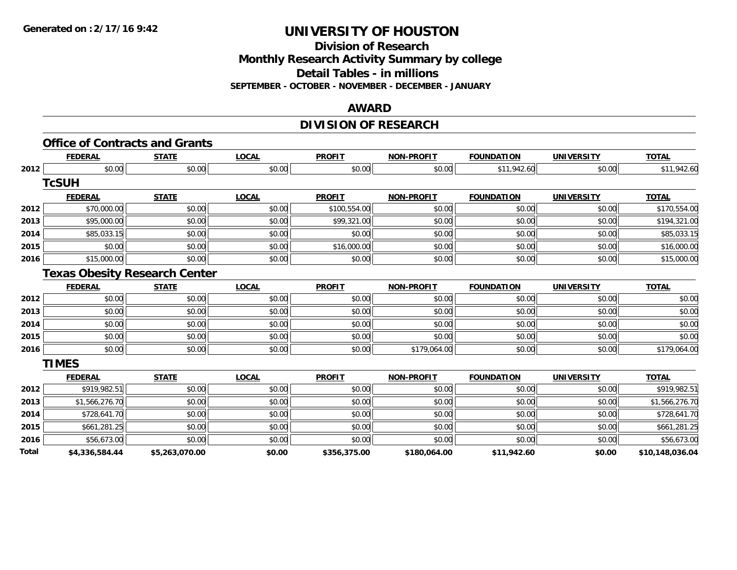**Division of Research**

**Monthly Research Activity Summary by college**

**Detail Tables - in millions**

**SEPTEMBER - OCTOBER - NOVEMBER - DECEMBER - JANUARY**

#### **AWARD**

# **DIVISION OF RESEARCH**

|       | <b>FEDERAL</b> | <b>STATE</b>                         | <b>LOCAL</b> | <b>PROFIT</b> | <b>NON-PROFIT</b> | <b>FOUNDATION</b> | <b>UNIVERSITY</b> | <b>TOTAL</b>    |
|-------|----------------|--------------------------------------|--------------|---------------|-------------------|-------------------|-------------------|-----------------|
| 2012  | \$0.00         | \$0.00                               | \$0.00       | \$0.00        | \$0.00            | \$11,942.60       | \$0.00            | \$11,942.60     |
|       | <b>TcSUH</b>   |                                      |              |               |                   |                   |                   |                 |
|       | <b>FEDERAL</b> | <b>STATE</b>                         | <b>LOCAL</b> | <b>PROFIT</b> | <b>NON-PROFIT</b> | <b>FOUNDATION</b> | <b>UNIVERSITY</b> | <b>TOTAL</b>    |
| 2012  | \$70,000.00    | \$0.00                               | \$0.00       | \$100,554.00  | \$0.00            | \$0.00            | \$0.00            | \$170,554.00    |
| 2013  | \$95,000.00    | \$0.00                               | \$0.00       | \$99,321.00   | \$0.00            | \$0.00            | \$0.00            | \$194,321.00    |
| 2014  | \$85,033.15    | \$0.00                               | \$0.00       | \$0.00        | \$0.00            | \$0.00            | \$0.00            | \$85,033.15     |
| 2015  | \$0.00         | \$0.00                               | \$0.00       | \$16,000.00   | \$0.00            | \$0.00            | \$0.00            | \$16,000.00     |
| 2016  | \$15,000.00    | \$0.00                               | \$0.00       | \$0.00        | \$0.00            | \$0.00            | \$0.00            | \$15,000.00     |
|       |                | <b>Texas Obesity Research Center</b> |              |               |                   |                   |                   |                 |
|       | <b>FEDERAL</b> | <b>STATE</b>                         | <b>LOCAL</b> | <b>PROFIT</b> | <b>NON-PROFIT</b> | <b>FOUNDATION</b> | <b>UNIVERSITY</b> | <b>TOTAL</b>    |
| 2012  | \$0.00         | \$0.00                               | \$0.00       | \$0.00        | \$0.00            | \$0.00            | \$0.00            | \$0.00          |
| 2013  | \$0.00         | \$0.00                               | \$0.00       | \$0.00        | \$0.00            | \$0.00            | \$0.00            | \$0.00          |
| 2014  | \$0.00         | \$0.00                               | \$0.00       | \$0.00        | \$0.00            | \$0.00            | \$0.00            | \$0.00          |
| 2015  | \$0.00         | \$0.00                               | \$0.00       | \$0.00        | \$0.00            | \$0.00            | \$0.00            | \$0.00          |
| 2016  | \$0.00         | \$0.00                               | \$0.00       | \$0.00        | \$179,064.00      | \$0.00            | \$0.00            | \$179,064.00    |
|       | <b>TIMES</b>   |                                      |              |               |                   |                   |                   |                 |
|       | <b>FEDERAL</b> | <b>STATE</b>                         | <b>LOCAL</b> | <b>PROFIT</b> | <b>NON-PROFIT</b> | <b>FOUNDATION</b> | <b>UNIVERSITY</b> | <b>TOTAL</b>    |
| 2012  | \$919,982.51   | \$0.00                               | \$0.00       | \$0.00        | \$0.00            | \$0.00            | \$0.00            | \$919,982.51    |
| 2013  | \$1,566,276.70 | \$0.00                               | \$0.00       | \$0.00        | \$0.00            | \$0.00            | \$0.00            | \$1,566,276.70  |
| 2014  | \$728,641.70   | \$0.00                               | \$0.00       | \$0.00        | \$0.00            | \$0.00            | \$0.00            | \$728,641.70    |
| 2015  | \$661,281.25   | \$0.00                               | \$0.00       | \$0.00        | \$0.00            | \$0.00            | \$0.00            | \$661,281.25    |
| 2016  | \$56,673.00    | \$0.00                               | \$0.00       | \$0.00        | \$0.00            | \$0.00            | \$0.00            | \$56,673.00     |
| Total | \$4,336,584.44 | \$5,263,070.00                       | \$0.00       | \$356,375.00  | \$180,064.00      | \$11,942.60       | \$0.00            | \$10,148,036.04 |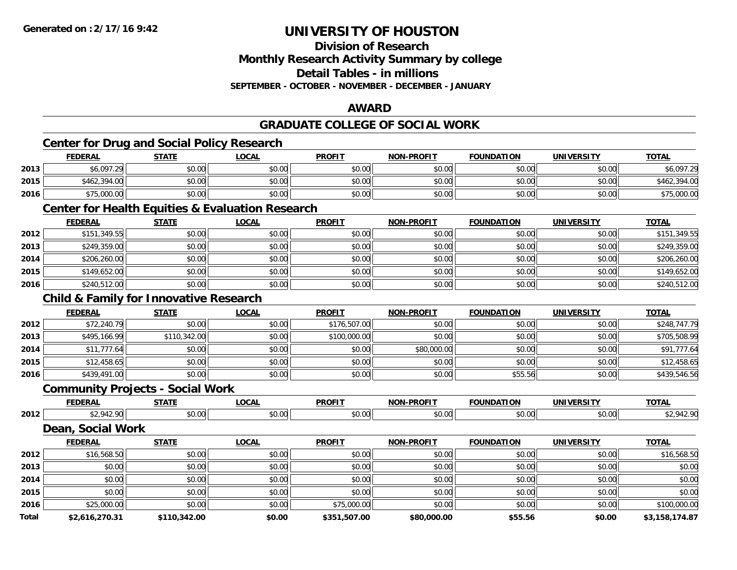**Division of Research**

**Monthly Research Activity Summary by college**

**Detail Tables - in millions**

**SEPTEMBER - OCTOBER - NOVEMBER - DECEMBER - JANUARY**

### **AWARD**

# **GRADUATE COLLEGE OF SOCIAL WORK**

# **Center for Drug and Social Policy Research**

|      | <b>FEDERAL</b> | <b>STATE</b>   | LOCAL  | <b>PROFIT</b> | <b>NON-PROFIT</b> | <b>FOUNDATION</b> | UNIVERSITY | <b>TOTAL</b> |
|------|----------------|----------------|--------|---------------|-------------------|-------------------|------------|--------------|
| 2013 | \$6.097.29     | \$0.00         | \$0.00 | \$0.00        | \$0.00            | \$0.00            | \$0.00     | \$6.097.29   |
| 2015 | \$462,394.00   | \$0.00         | \$0.00 | \$0.00        | \$0.00            | \$0.00            | \$0.00     | \$462,394.00 |
| 2016 | \$75,000.00    | AN UY<br>JU.UU | \$0.00 | \$0.00        | \$0.00            | \$0.00            | \$0.00     | 75,000.00    |

#### **Center for Health Equities & Evaluation Research**

|      | <b>FEDERAL</b> | <b>STATE</b> | <u>LOCAL</u> | <b>PROFIT</b> | <b>NON-PROFIT</b> | FOUNDATION | <b>UNIVERSITY</b> | <b>TOTAL</b> |
|------|----------------|--------------|--------------|---------------|-------------------|------------|-------------------|--------------|
| 2012 | \$151,349.55   | \$0.00       | \$0.00       | \$0.00        | \$0.00            | \$0.00     | \$0.00            | \$151,349.55 |
| 2013 | \$249,359.00   | \$0.00       | \$0.00       | \$0.00        | \$0.00            | \$0.00     | \$0.00            | \$249,359.00 |
| 2014 | \$206,260.00   | \$0.00       | \$0.00       | \$0.00        | \$0.00            | \$0.00     | \$0.00            | \$206,260.00 |
| 2015 | \$149,652.00   | \$0.00       | \$0.00       | \$0.00        | \$0.00            | \$0.00     | \$0.00            | \$149,652.00 |
| 2016 | \$240,512.00   | \$0.00       | \$0.00       | \$0.00        | \$0.00            | \$0.00     | \$0.00            | \$240,512.00 |

# **Child & Family for Innovative Research**

|      | <b>FEDERAL</b> | <b>STATE</b> | <b>LOCAL</b> | <b>PROFIT</b> | <b>NON-PROFIT</b> | <b>FOUNDATION</b> | <b>UNIVERSITY</b> | <b>TOTAL</b> |
|------|----------------|--------------|--------------|---------------|-------------------|-------------------|-------------------|--------------|
| 2012 | \$72,240.79    | \$0.00       | \$0.00       | \$176,507.00  | \$0.00            | \$0.00            | \$0.00            | \$248,747.79 |
| 2013 | \$495,166.99   | \$110,342.00 | \$0.00       | \$100,000.00  | \$0.00            | \$0.00            | \$0.00            | \$705,508.99 |
| 2014 | \$11,777.64    | \$0.00       | \$0.00       | \$0.00        | \$80,000.00       | \$0.00            | \$0.00            | \$91,777.64  |
| 2015 | \$12,458.65    | \$0.00       | \$0.00       | \$0.00        | \$0.00            | \$0.00            | \$0.00            | \$12,458.65  |
| 2016 | \$439,491.00   | \$0.00       | \$0.00       | \$0.00        | \$0.00            | \$55.56           | \$0.00            | \$439,546.56 |

#### **Community Projects - Social Work**

|      | ---- | ----   | $\sim$ $\sim$ $\sim$ | <b>DDOEIT</b> |         |               | <br>т         | $T^{\sim}$ |
|------|------|--------|----------------------|---------------|---------|---------------|---------------|------------|
| 2012 |      | $\sim$ |                      | $\sim$        | .<br>ົດ | $\sim$ $\sim$ | $\sim$ $\sim$ |            |

**Dean, Social Work**

|       | <b>FEDERAL</b> | <b>STATE</b> | LOCAL  | <b>PROFIT</b> | <b>NON-PROFIT</b> | <b>FOUNDATION</b> | <b>UNIVERSITY</b> | <b>TOTAL</b>   |
|-------|----------------|--------------|--------|---------------|-------------------|-------------------|-------------------|----------------|
| 2012  | \$16,568.50    | \$0.00       | \$0.00 | \$0.00        | \$0.00            | \$0.00            | \$0.00            | \$16,568.50    |
| 2013  | \$0.00         | \$0.00       | \$0.00 | \$0.00        | \$0.00            | \$0.00            | \$0.00            | \$0.00         |
| 2014  | \$0.00         | \$0.00       | \$0.00 | \$0.00        | \$0.00            | \$0.00            | \$0.00            | \$0.00         |
| 2015  | \$0.00         | \$0.00       | \$0.00 | \$0.00        | \$0.00            | \$0.00            | \$0.00            | \$0.00         |
| 2016  | \$25,000.00    | \$0.00       | \$0.00 | \$75,000.00   | \$0.00            | \$0.00            | \$0.00            | \$100,000.00   |
| Total | \$2,616,270.31 | \$110,342.00 | \$0.00 | \$351,507.00  | \$80,000.00       | \$55.56           | \$0.00            | \$3,158,174.87 |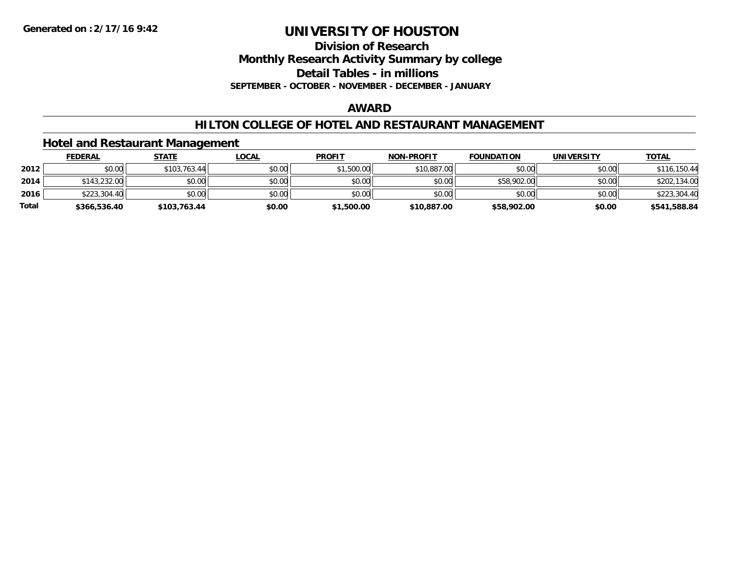**Division of Research**

**Monthly Research Activity Summary by college**

**Detail Tables - in millions**

**SEPTEMBER - OCTOBER - NOVEMBER - DECEMBER - JANUARY**

#### **AWARD**

#### **HILTON COLLEGE OF HOTEL AND RESTAURANT MANAGEMENT**

### **Hotel and Restaurant Management**

|              | <b>FEDERAL</b> | <u>STATE</u> | <u>LOCAL</u> | <b>PROFIT</b> | <b>NON-PROFIT</b> | <b>FOUNDATION</b> | UNIVERSITY | <b>TOTAL</b> |
|--------------|----------------|--------------|--------------|---------------|-------------------|-------------------|------------|--------------|
| 2012         | \$0.00         | \$103,763.44 | \$0.00       | \$1,500.00    | \$10,887.00       | \$0.00            | \$0.00     | \$116,150.44 |
| 2014         | \$143,232.00   | \$0.00       | \$0.00       | \$0.00        | \$0.00            | \$58,902.00       | \$0.00     | \$202,134.00 |
| 2016         | \$223,304.40   | \$0.00       | \$0.00       | \$0.00        | \$0.00            | \$0.00            | \$0.00     | \$223,304.40 |
| <b>Total</b> | \$366,536.40   | \$103.763.44 | \$0.00       | \$1,500.00    | \$10,887.00       | \$58,902.00       | \$0.00     | \$541,588.84 |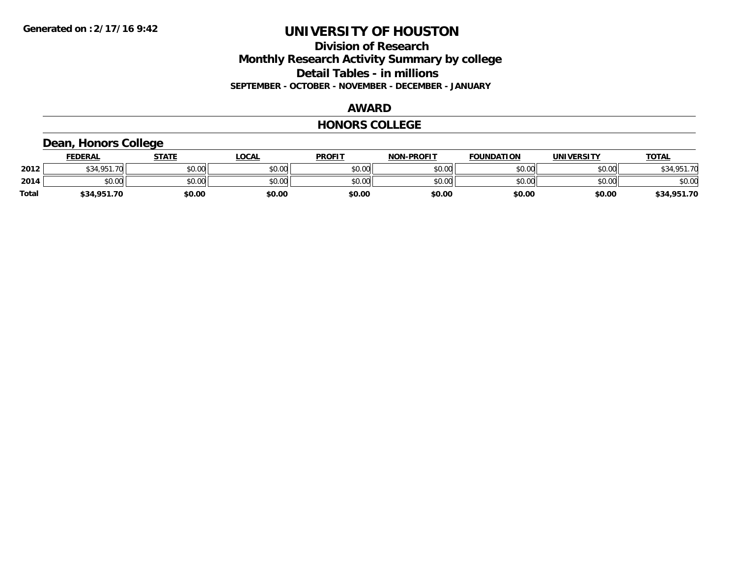### **Division of Research Monthly Research Activity Summary by college Detail Tables - in millions SEPTEMBER - OCTOBER - NOVEMBER - DECEMBER - JANUARY**

#### **AWARD**

#### **HONORS COLLEGE**

# **Dean, Honors College**

|       | <b>FEDERAL</b>                             | <b>STATE</b> | <b>_OCAL</b> | <b>PROFIT</b> | <b>NON-PROFIT</b> | <b>FOUNDATION</b> | <b>UNIVERSITY</b> | <b>TOTAL</b> |
|-------|--------------------------------------------|--------------|--------------|---------------|-------------------|-------------------|-------------------|--------------|
| 2012  | <b>¢21 Q51</b><br>$\overline{\phantom{a}}$ | \$0.00       | \$0.00       | \$0.00        | \$0.00            | \$0.00            | \$0.00            | \$34 951 70  |
| 2014  | \$0.00                                     | \$0.00       | \$0.00       | \$0.00        | \$0.00            | \$0.00            | \$0.00            | \$0.00       |
| Total | \$34,951.70                                | \$0.00       | \$0.00       | \$0.00        | \$0.00            | \$0.00            | \$0.00            | \$34,951.70  |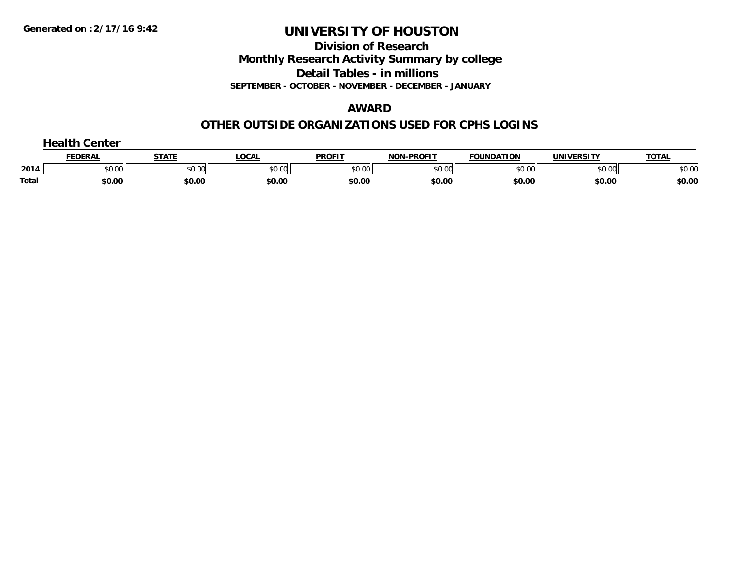**Division of Research**

**Monthly Research Activity Summary by college**

**Detail Tables - in millions**

**SEPTEMBER - OCTOBER - NOVEMBER - DECEMBER - JANUARY**

### **AWARD**

### **OTHER OUTSIDE ORGANIZATIONS USED FOR CPHS LOGINS**

|       | .<br><b>Center</b> |        |        |               |                   |                   |            |              |
|-------|--------------------|--------|--------|---------------|-------------------|-------------------|------------|--------------|
|       | FEDERAI            | STATE  | LOCAL  | <b>PROFIT</b> | <b>NON-PROFIT</b> | <b>FOUNDATION</b> | UNIVERSITY | <b>TOTAL</b> |
| 2014  | \$0.00             | \$0.00 | \$0.00 | \$0.00        | \$0.00            | \$0.00            | \$0.00     | \$0.00       |
| Total | \$0.00             | \$0.00 | \$0.00 | \$0.00        | \$0.00            | \$0.00            | \$0.00     | \$0.00       |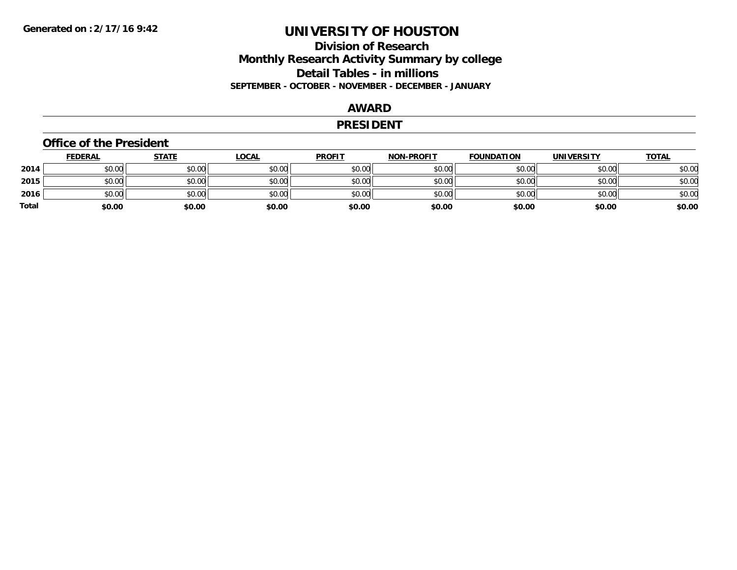### **Division of Research Monthly Research Activity Summary by college Detail Tables - in millions SEPTEMBER - OCTOBER - NOVEMBER - DECEMBER - JANUARY**

### **AWARD**

#### **PRESIDENT**

#### **Office of the President**

|       | <b>FEDERAL</b> | <b>STATE</b> | <b>LOCAL</b> | <b>PROFIT</b> | <b>NON-PROFIT</b> | <b>FOUNDATION</b> | <b>UNIVERSITY</b> | <u>TOTAL</u> |
|-------|----------------|--------------|--------------|---------------|-------------------|-------------------|-------------------|--------------|
| 2014  | \$0.00         | \$0.00       | \$0.00       | \$0.00        | \$0.00            | \$0.00            | \$0.00            | \$0.00       |
| 2015  | \$0.00         | \$0.00       | \$0.00       | \$0.00        | \$0.00            | \$0.00            | \$0.00            | \$0.00       |
| 2016  | \$0.00         | \$0.00       | \$0.00       | \$0.00        | \$0.00            | \$0.00            | \$0.00            | \$0.00       |
| Total | \$0.00         | \$0.00       | \$0.00       | \$0.00        | \$0.00            | \$0.00            | \$0.00            | \$0.00       |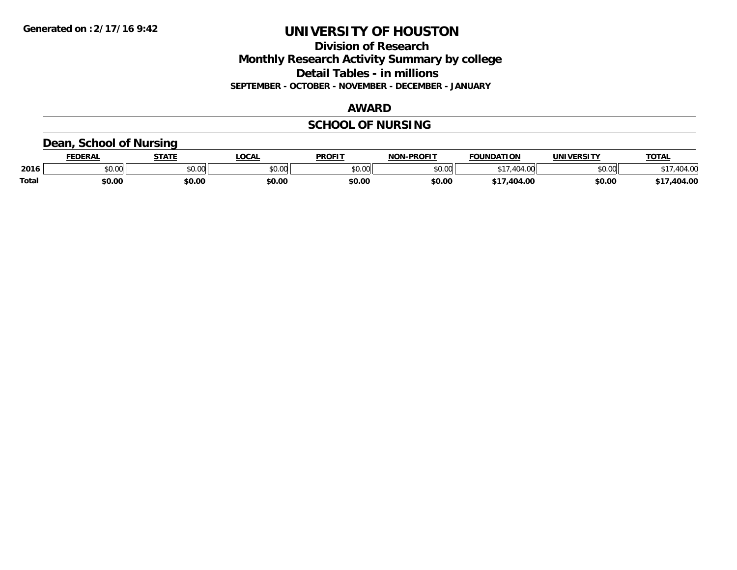**Division of Research Monthly Research Activity Summary by college Detail Tables - in millions SEPTEMBER - OCTOBER - NOVEMBER - DECEMBER - JANUARY**

#### **AWARD**

# **SCHOOL OF NURSING**

### **Dean, School of Nursing**

|              | <b>FEDERAL</b> | -----  | <b>OCAL</b>  | <b>PROFIT</b> | <b>-PROFIT</b><br>NON | <b>FOUNDATION</b> | UNIVERSITY | <b>TOTAL</b> |
|--------------|----------------|--------|--------------|---------------|-----------------------|-------------------|------------|--------------|
| 2016         | ቀስ ስስ<br>ט.טע  | \$0.00 | 0.00<br>vv.v | 0.00<br>JU.UU | 0000<br>pu.uu         | $\Lambda$         | \$0.00     | $\sim$       |
| <b>Total</b> | \$0.00         | \$0.00 | \$0.00       | \$0.00        | \$0.00                | .<br>404.00       | \$0.00     | 404.00       |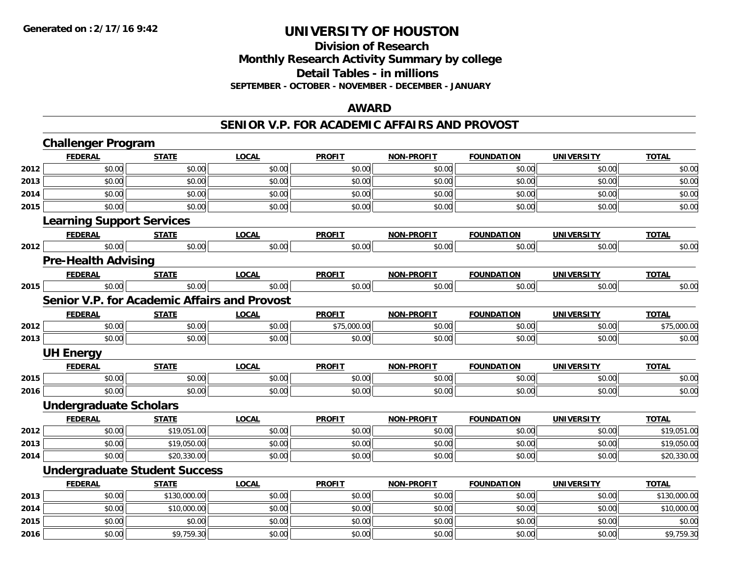**2016**

# **UNIVERSITY OF HOUSTON**

# **Division of ResearchMonthly Research Activity Summary by college Detail Tables - in millions SEPTEMBER - OCTOBER - NOVEMBER - DECEMBER - JANUARY**

#### **AWARD**

#### **SENIOR V.P. FOR ACADEMIC AFFAIRS AND PROVOST**

|      | <b>Challenger Program</b>                           |              |              |               |                   |                   |                   |              |  |  |
|------|-----------------------------------------------------|--------------|--------------|---------------|-------------------|-------------------|-------------------|--------------|--|--|
|      | <b>FEDERAL</b>                                      | <b>STATE</b> | <b>LOCAL</b> | <b>PROFIT</b> | NON-PROFIT        | <b>FOUNDATION</b> | <b>UNIVERSITY</b> | <b>TOTAL</b> |  |  |
| 2012 | \$0.00                                              | \$0.00       | \$0.00       | \$0.00        | \$0.00            | \$0.00            | \$0.00            | \$0.00       |  |  |
| 2013 | \$0.00                                              | \$0.00       | \$0.00       | \$0.00        | \$0.00            | \$0.00            | \$0.00            | \$0.00       |  |  |
| 2014 | \$0.00                                              | \$0.00       | \$0.00       | \$0.00        | \$0.00            | \$0.00            | \$0.00            | \$0.00       |  |  |
| 2015 | \$0.00                                              | \$0.00       | \$0.00       | \$0.00        | \$0.00            | \$0.00            | \$0.00            | \$0.00       |  |  |
|      | <b>Learning Support Services</b>                    |              |              |               |                   |                   |                   |              |  |  |
|      | <b>FEDERAL</b>                                      | <b>STATE</b> | <b>LOCAL</b> | <b>PROFIT</b> | <b>NON-PROFIT</b> | <b>FOUNDATION</b> | <b>UNIVERSITY</b> | <b>TOTAL</b> |  |  |
| 2012 | \$0.00                                              | \$0.00       | \$0.00       | \$0.00        | \$0.00            | \$0.00            | \$0.00            | \$0.00       |  |  |
|      | <b>Pre-Health Advising</b>                          |              |              |               |                   |                   |                   |              |  |  |
|      | <b>FEDERAL</b>                                      | <b>STATE</b> | <b>LOCAL</b> | <b>PROFIT</b> | <b>NON-PROFIT</b> | <b>FOUNDATION</b> | <b>UNIVERSITY</b> | <b>TOTAL</b> |  |  |
| 2015 | \$0.00                                              | \$0.00       | \$0.00       | \$0.00        | \$0.00            | \$0.00            | \$0.00            | \$0.00       |  |  |
|      | <b>Senior V.P. for Academic Affairs and Provost</b> |              |              |               |                   |                   |                   |              |  |  |
|      | <b>FEDERAL</b>                                      | <b>STATE</b> | <b>LOCAL</b> | <b>PROFIT</b> | <b>NON-PROFIT</b> | <b>FOUNDATION</b> | <b>UNIVERSITY</b> | <b>TOTAL</b> |  |  |
| 2012 | \$0.00                                              | \$0.00       | \$0.00       | \$75,000.00   | \$0.00            | \$0.00            | \$0.00            | \$75,000.00  |  |  |
| 2013 | \$0.00                                              | \$0.00       | \$0.00       | \$0.00        | \$0.00            | \$0.00            | \$0.00            | \$0.00       |  |  |
|      | <b>UH Energy</b>                                    |              |              |               |                   |                   |                   |              |  |  |
|      | <b>FEDERAL</b>                                      | <b>STATE</b> | <b>LOCAL</b> | <b>PROFIT</b> | <b>NON-PROFIT</b> | <b>FOUNDATION</b> | <b>UNIVERSITY</b> | <b>TOTAL</b> |  |  |
| 2015 | \$0.00                                              | \$0.00       | \$0.00       | \$0.00        | \$0.00            | \$0.00            | \$0.00            | \$0.00       |  |  |
| 2016 | \$0.00                                              | \$0.00       | \$0.00       | \$0.00        | \$0.00            | \$0.00            | \$0.00            | \$0.00       |  |  |
|      | <b>Undergraduate Scholars</b>                       |              |              |               |                   |                   |                   |              |  |  |
|      | <b>FEDERAL</b>                                      | <b>STATE</b> | <b>LOCAL</b> | <b>PROFIT</b> | <b>NON-PROFIT</b> | <b>FOUNDATION</b> | <b>UNIVERSITY</b> | <b>TOTAL</b> |  |  |
| 2012 | \$0.00                                              | \$19,051.00  | \$0.00       | \$0.00        | \$0.00            | \$0.00            | \$0.00            | \$19,051.00  |  |  |
| 2013 | \$0.00                                              | \$19,050.00  | \$0.00       | \$0.00        | \$0.00            | \$0.00            | \$0.00            | \$19,050.00  |  |  |
| 2014 | \$0.00                                              | \$20,330.00  | \$0.00       | \$0.00        | \$0.00            | \$0.00            | \$0.00            | \$20,330.00  |  |  |
|      | <b>Undergraduate Student Success</b>                |              |              |               |                   |                   |                   |              |  |  |
|      | <b>FEDERAL</b>                                      | <b>STATE</b> | <b>LOCAL</b> | <b>PROFIT</b> | <b>NON-PROFIT</b> | <b>FOUNDATION</b> | <b>UNIVERSITY</b> | <b>TOTAL</b> |  |  |
| 2013 | \$0.00                                              | \$130,000.00 | \$0.00       | \$0.00        | \$0.00            | \$0.00            | \$0.00            | \$130,000.00 |  |  |
| 2014 | \$0.00                                              | \$10,000.00  | \$0.00       | \$0.00        | \$0.00            | \$0.00            | \$0.00            | \$10,000.00  |  |  |
| 2015 | \$0.00                                              | \$0.00       | \$0.00       | \$0.00        | \$0.00            | \$0.00            | \$0.00            | \$0.00       |  |  |

6 \$0.00 \$0.00 \$9,759.30 \$0.00 \$0.00 \$0.00 \$0.00 \$0.00 \$0.00 \$0.00 \$0.00 \$0.00 \$9,759.30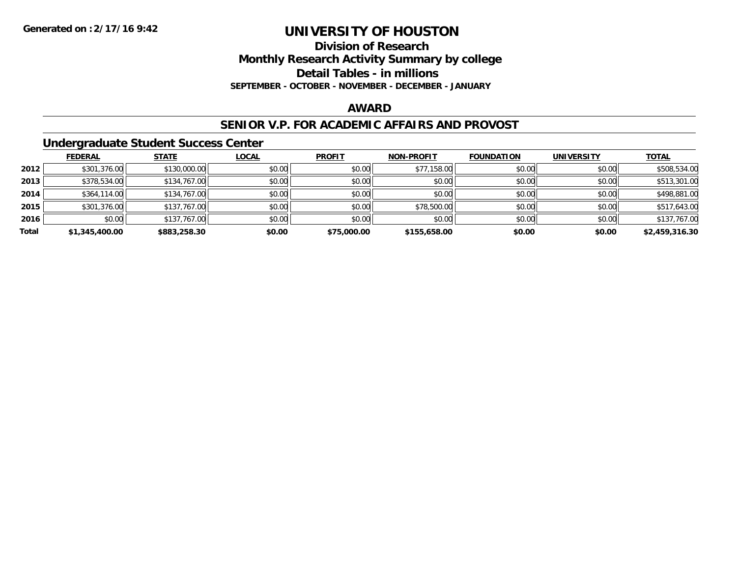**Division of Research**

**Monthly Research Activity Summary by college**

**Detail Tables - in millions**

**SEPTEMBER - OCTOBER - NOVEMBER - DECEMBER - JANUARY**

### **AWARD**

#### **SENIOR V.P. FOR ACADEMIC AFFAIRS AND PROVOST**

#### **Undergraduate Student Success Center**

|       | <b>FEDERAL</b> | <b>STATE</b> | <b>LOCAL</b> | <b>PROFIT</b> | <b>NON-PROFIT</b> | <b>FOUNDATION</b> | <b>UNIVERSITY</b> | <b>TOTAL</b>   |
|-------|----------------|--------------|--------------|---------------|-------------------|-------------------|-------------------|----------------|
| 2012  | \$301,376.00   | \$130,000.00 | \$0.00       | \$0.00        | \$77,158.00       | \$0.00            | \$0.00            | \$508,534.00   |
| 2013  | \$378,534.00   | \$134,767.00 | \$0.00       | \$0.00        | \$0.00            | \$0.00            | \$0.00            | \$513,301.00   |
| 2014  | \$364,114.00   | \$134,767.00 | \$0.00       | \$0.00        | \$0.00            | \$0.00            | \$0.00            | \$498,881,00   |
| 2015  | \$301,376.00   | \$137,767.00 | \$0.00       | \$0.00        | \$78,500.00       | \$0.00            | \$0.00            | \$517,643.00   |
| 2016  | \$0.00         | \$137,767.00 | \$0.00       | \$0.00        | \$0.00            | \$0.00            | \$0.00            | \$137,767.00   |
| Total | \$1,345,400.00 | \$883,258.30 | \$0.00       | \$75,000.00   | \$155,658.00      | \$0.00            | \$0.00            | \$2,459,316.30 |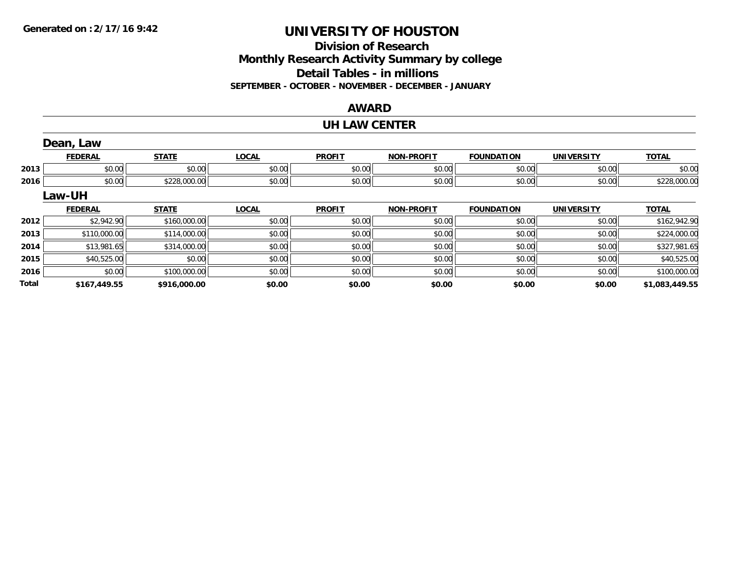# **Division of ResearchMonthly Research Activity Summary by college Detail Tables - in millions SEPTEMBER - OCTOBER - NOVEMBER - DECEMBER - JANUARY**

### **AWARD**

#### **UH LAW CENTER**

|              | Dean, Law      |              |              |               |                   |                   |                   |                |
|--------------|----------------|--------------|--------------|---------------|-------------------|-------------------|-------------------|----------------|
|              | <b>FEDERAL</b> | <b>STATE</b> | <b>LOCAL</b> | <b>PROFIT</b> | <b>NON-PROFIT</b> | <b>FOUNDATION</b> | <b>UNIVERSITY</b> | <b>TOTAL</b>   |
| 2013         | \$0.00         | \$0.00       | \$0.00       | \$0.00        | \$0.00            | \$0.00            | \$0.00            | \$0.00         |
| 2016         | \$0.00         | \$228,000.00 | \$0.00       | \$0.00        | \$0.00            | \$0.00            | \$0.00            | \$228,000.00   |
|              | Law-UH         |              |              |               |                   |                   |                   |                |
|              | <b>FEDERAL</b> | <b>STATE</b> | <b>LOCAL</b> | <b>PROFIT</b> | <b>NON-PROFIT</b> | <b>FOUNDATION</b> | <b>UNIVERSITY</b> | <b>TOTAL</b>   |
| 2012         | \$2,942.90     | \$160,000.00 | \$0.00       | \$0.00        | \$0.00            | \$0.00            | \$0.00            | \$162,942.90   |
| 2013         | \$110,000.00   | \$114,000.00 | \$0.00       | \$0.00        | \$0.00            | \$0.00            | \$0.00            | \$224,000.00   |
| 2014         | \$13,981.65    | \$314,000.00 | \$0.00       | \$0.00        | \$0.00            | \$0.00            | \$0.00            | \$327,981.65   |
| 2015         | \$40,525.00    | \$0.00       | \$0.00       | \$0.00        | \$0.00            | \$0.00            | \$0.00            | \$40,525.00    |
| 2016         | \$0.00         | \$100,000.00 | \$0.00       | \$0.00        | \$0.00            | \$0.00            | \$0.00            | \$100,000.00   |
| <b>Total</b> | \$167,449.55   | \$916,000.00 | \$0.00       | \$0.00        | \$0.00            | \$0.00            | \$0.00            | \$1,083,449.55 |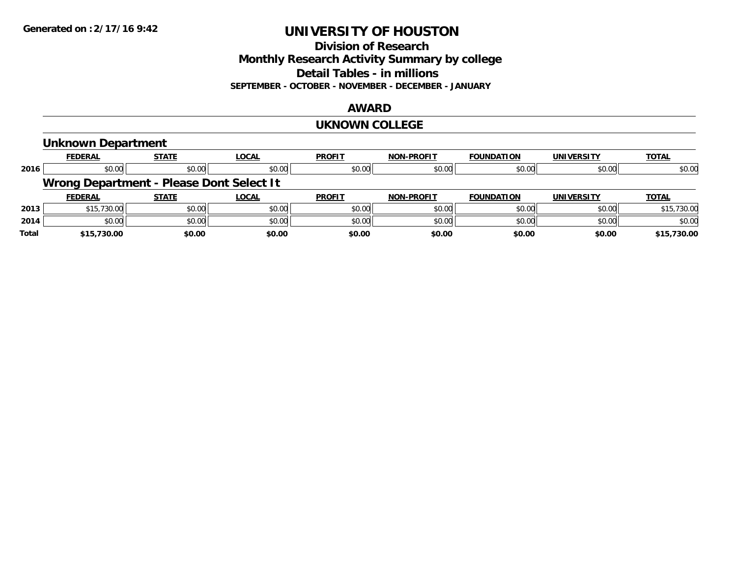#### **Division of Research Monthly Research Activity Summary by college Detail Tables - in millions SEPTEMBER - OCTOBER - NOVEMBER - DECEMBER - JANUARY**

#### **AWARD**

#### **UKNOWN COLLEGE**

# **Unknown Department**

|       | <b>FEDERAL</b>                           | <b>STATE</b> | <u>LOCAL</u> | <b>PROFIT</b> | <b>NON-PROFIT</b> | <b>FOUNDATION</b> | <b>UNIVERSITY</b> | <b>TOTAL</b> |  |  |  |
|-------|------------------------------------------|--------------|--------------|---------------|-------------------|-------------------|-------------------|--------------|--|--|--|
| 2016  | \$0.00                                   | \$0.00       | \$0.00       | \$0.00        | \$0.00            | \$0.00            | \$0.00            | \$0.00       |  |  |  |
|       | Wrong Department - Please Dont Select It |              |              |               |                   |                   |                   |              |  |  |  |
|       | <b>FEDERAL</b>                           | <b>STATE</b> | <b>LOCAL</b> | <b>PROFIT</b> | <b>NON-PROFIT</b> | <b>FOUNDATION</b> | <b>UNIVERSITY</b> | <b>TOTAL</b> |  |  |  |
| 2013  | \$15,730.00                              | \$0.00       | \$0.00       | \$0.00        | \$0.00            | \$0.00            | \$0.00            | \$15,730.00  |  |  |  |
| 2014  | \$0.00                                   | \$0.00       | \$0.00       | \$0.00        | \$0.00            | \$0.00            | \$0.00            | \$0.00       |  |  |  |
| Total | \$15,730.00                              | \$0.00       | \$0.00       | \$0.00        | \$0.00            | \$0.00            | \$0.00            | \$15,730.00  |  |  |  |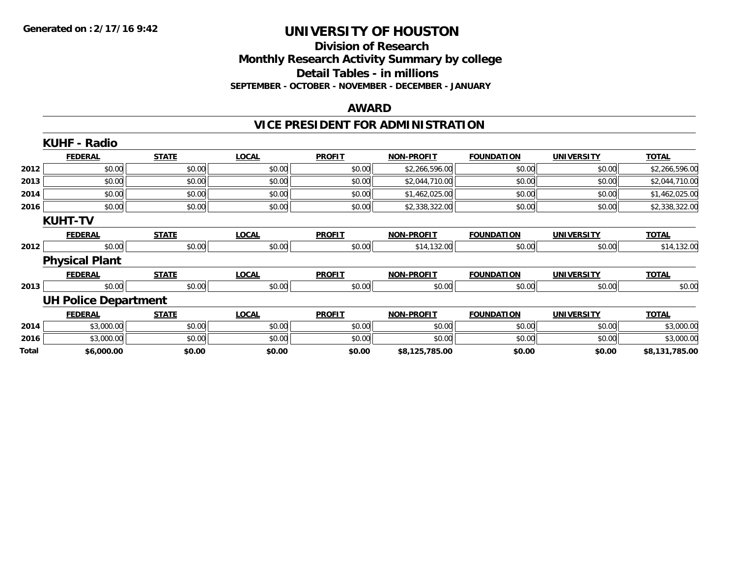#### **Division of Research Monthly Research Activity Summary by college Detail Tables - in millions SEPTEMBER - OCTOBER - NOVEMBER - DECEMBER - JANUARY**

#### **AWARD**

# **VICE PRESIDENT FOR ADMINISTRATION**

|       | <b>KUHF - Radio</b>         |              |              |               |                   |                   |                   |                |
|-------|-----------------------------|--------------|--------------|---------------|-------------------|-------------------|-------------------|----------------|
|       | <b>FEDERAL</b>              | <b>STATE</b> | <b>LOCAL</b> | <b>PROFIT</b> | <b>NON-PROFIT</b> | <b>FOUNDATION</b> | <b>UNIVERSITY</b> | <b>TOTAL</b>   |
| 2012  | \$0.00                      | \$0.00       | \$0.00       | \$0.00        | \$2,266,596.00    | \$0.00            | \$0.00            | \$2,266,596.00 |
| 2013  | \$0.00                      | \$0.00       | \$0.00       | \$0.00        | \$2,044,710.00    | \$0.00            | \$0.00            | \$2,044,710.00 |
| 2014  | \$0.00                      | \$0.00       | \$0.00       | \$0.00        | \$1,462,025.00    | \$0.00            | \$0.00            | \$1,462,025.00 |
| 2016  | \$0.00                      | \$0.00       | \$0.00       | \$0.00        | \$2,338,322.00    | \$0.00            | \$0.00            | \$2,338,322.00 |
|       | <b>KUHT-TV</b>              |              |              |               |                   |                   |                   |                |
|       | <b>FEDERAL</b>              | <b>STATE</b> | <b>LOCAL</b> | <b>PROFIT</b> | <b>NON-PROFIT</b> | FOUNDATION        | <b>UNIVERSITY</b> | <b>TOTAL</b>   |
| 2012  | \$0.00                      | \$0.00       | \$0.00       | \$0.00        | \$14,132.00       | \$0.00            | \$0.00            | \$14,132.00    |
|       | <b>Physical Plant</b>       |              |              |               |                   |                   |                   |                |
|       | <b>FEDERAL</b>              | <b>STATE</b> | <b>LOCAL</b> | <b>PROFIT</b> | <b>NON-PROFIT</b> | <b>FOUNDATION</b> | <b>UNIVERSITY</b> | <b>TOTAL</b>   |
| 2013  | \$0.00                      | \$0.00       | \$0.00       | \$0.00        | \$0.00            | \$0.00            | \$0.00            | \$0.00         |
|       | <b>UH Police Department</b> |              |              |               |                   |                   |                   |                |
|       | <b>FEDERAL</b>              | <b>STATE</b> | <b>LOCAL</b> | <b>PROFIT</b> | <b>NON-PROFIT</b> | <b>FOUNDATION</b> | <b>UNIVERSITY</b> | <b>TOTAL</b>   |
| 2014  | \$3,000.00                  | \$0.00       | \$0.00       | \$0.00        | \$0.00            | \$0.00            | \$0.00            | \$3,000.00     |
| 2016  | \$3,000.00                  | \$0.00       | \$0.00       | \$0.00        | \$0.00            | \$0.00            | \$0.00            | \$3,000.00     |
| Total | \$6,000.00                  | \$0.00       | \$0.00       | \$0.00        | \$8,125,785.00    | \$0.00            | \$0.00            | \$8,131,785.00 |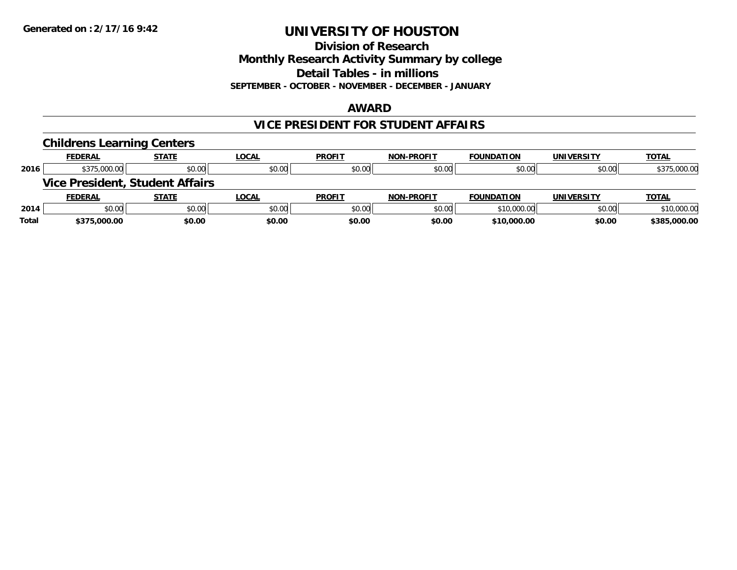#### **Division of Research Monthly Research Activity Summary by college Detail Tables - in millions SEPTEMBER - OCTOBER - NOVEMBER - DECEMBER - JANUARY**

#### **AWARD**

### **VICE PRESIDENT FOR STUDENT AFFAIRS**

|       | <b>Childrens Learning Centers</b> |                                        |              |               |                   |                   |                   |              |
|-------|-----------------------------------|----------------------------------------|--------------|---------------|-------------------|-------------------|-------------------|--------------|
|       | <b>FEDERAL</b>                    | <b>STATE</b>                           | <b>LOCAL</b> | <b>PROFIT</b> | <b>NON-PROFIT</b> | <b>FOUNDATION</b> | <b>UNIVERSITY</b> | <b>TOTAL</b> |
| 2016  | \$375,000.00                      | \$0.00                                 | \$0.00       | \$0.00        | \$0.00            | \$0.00            | \$0.00            | \$375,000.00 |
|       |                                   | <b>Vice President, Student Affairs</b> |              |               |                   |                   |                   |              |
|       | <b>FEDERAL</b>                    | <b>STATE</b>                           | <b>LOCAL</b> | <b>PROFIT</b> | <b>NON-PROFIT</b> | <b>FOUNDATION</b> | <b>UNIVERSITY</b> | <b>TOTAL</b> |
| 2014  | \$0.00                            | \$0.00                                 | \$0.00       | \$0.00        | \$0.00            | \$10,000.00       | \$0.00            | \$10,000.00  |
| Total | \$375,000.00                      | \$0.00                                 | \$0.00       | \$0.00        | \$0.00            | \$10,000.00       | \$0.00            | \$385,000.00 |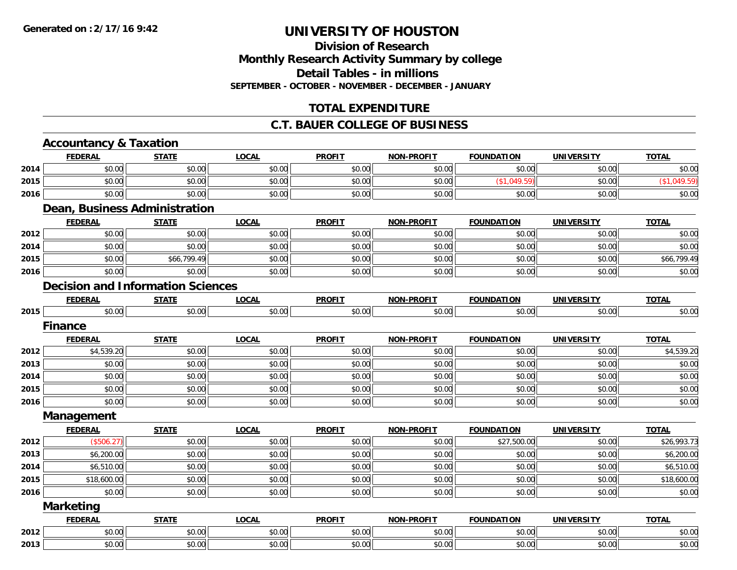# **Division of ResearchMonthly Research Activity Summary by college Detail Tables - in millions SEPTEMBER - OCTOBER - NOVEMBER - DECEMBER - JANUARY**

# **TOTAL EXPENDITURE**

#### **C.T. BAUER COLLEGE OF BUSINESS**

|      | <b>Accountancy &amp; Taxation</b>        |              |              |               |                   |                   |                   |              |
|------|------------------------------------------|--------------|--------------|---------------|-------------------|-------------------|-------------------|--------------|
|      | <b>FEDERAL</b>                           | <b>STATE</b> | <b>LOCAL</b> | <b>PROFIT</b> | <b>NON-PROFIT</b> | <b>FOUNDATION</b> | <b>UNIVERSITY</b> | <b>TOTAL</b> |
| 2014 | \$0.00                                   | \$0.00       | \$0.00       | \$0.00        | \$0.00            | \$0.00            | \$0.00            | \$0.00       |
| 2015 | \$0.00                                   | \$0.00       | \$0.00       | \$0.00        | \$0.00            | (\$1,049.59)      | \$0.00            | (\$1,049.59) |
| 2016 | \$0.00                                   | \$0.00       | \$0.00       | \$0.00        | \$0.00            | \$0.00            | \$0.00            | \$0.00       |
|      | <b>Dean, Business Administration</b>     |              |              |               |                   |                   |                   |              |
|      | <b>FEDERAL</b>                           | <b>STATE</b> | <b>LOCAL</b> | <b>PROFIT</b> | <b>NON-PROFIT</b> | <b>FOUNDATION</b> | <b>UNIVERSITY</b> | <b>TOTAL</b> |
| 2012 | \$0.00                                   | \$0.00       | \$0.00       | \$0.00        | \$0.00            | \$0.00            | \$0.00            | \$0.00       |
| 2014 | \$0.00                                   | \$0.00       | \$0.00       | \$0.00        | \$0.00            | \$0.00            | \$0.00            | \$0.00       |
| 2015 | \$0.00                                   | \$66,799.49  | \$0.00       | \$0.00        | \$0.00            | \$0.00            | \$0.00            | \$66,799.49  |
| 2016 | \$0.00                                   | \$0.00       | \$0.00       | \$0.00        | \$0.00            | \$0.00            | \$0.00            | \$0.00       |
|      | <b>Decision and Information Sciences</b> |              |              |               |                   |                   |                   |              |
|      | <b>FEDERAL</b>                           | <b>STATE</b> | <b>LOCAL</b> | <b>PROFIT</b> | <b>NON-PROFIT</b> | <b>FOUNDATION</b> | <b>UNIVERSITY</b> | <b>TOTAL</b> |
| 2015 | \$0.00                                   | \$0.00       | \$0.00       | \$0.00        | \$0.00            | \$0.00            | \$0.00            | \$0.00       |
|      | <b>Finance</b>                           |              |              |               |                   |                   |                   |              |
|      | <b>FEDERAL</b>                           | <b>STATE</b> | <b>LOCAL</b> | <b>PROFIT</b> | <b>NON-PROFIT</b> | <b>FOUNDATION</b> | <b>UNIVERSITY</b> | <b>TOTAL</b> |
| 2012 | \$4,539.20                               | \$0.00       | \$0.00       | \$0.00        | \$0.00            | \$0.00            | \$0.00            | \$4,539.20   |
| 2013 | \$0.00                                   | \$0.00       | \$0.00       | \$0.00        | \$0.00            | \$0.00            | \$0.00            | \$0.00       |
| 2014 | \$0.00                                   | \$0.00       | \$0.00       | \$0.00        | \$0.00            | \$0.00            | \$0.00            | \$0.00       |
| 2015 | \$0.00                                   | \$0.00       | \$0.00       | \$0.00        | \$0.00            | \$0.00            | \$0.00            | \$0.00       |
| 2016 | \$0.00                                   | \$0.00       | \$0.00       | \$0.00        | \$0.00            | \$0.00            | \$0.00            | \$0.00       |
|      | Management                               |              |              |               |                   |                   |                   |              |
|      | <b>FEDERAL</b>                           | <b>STATE</b> | <b>LOCAL</b> | <b>PROFIT</b> | <b>NON-PROFIT</b> | <b>FOUNDATION</b> | <b>UNIVERSITY</b> | <b>TOTAL</b> |
| 2012 | (\$506.27)                               | \$0.00       | \$0.00       | \$0.00        | \$0.00            | \$27,500.00       | \$0.00            | \$26,993.73  |
| 2013 | \$6,200.00                               | \$0.00       | \$0.00       | \$0.00        | \$0.00            | \$0.00            | \$0.00            | \$6,200.00   |
| 2014 | \$6,510.00                               | \$0.00       | \$0.00       | \$0.00        | \$0.00            | \$0.00            | \$0.00            | \$6,510.00   |
| 2015 | \$18,600.00                              | \$0.00       | \$0.00       | \$0.00        | \$0.00            | \$0.00            | \$0.00            | \$18,600.00  |
| 2016 | \$0.00                                   | \$0.00       | \$0.00       | \$0.00        | \$0.00            | \$0.00            | \$0.00            | \$0.00       |
|      | <b>Marketing</b>                         |              |              |               |                   |                   |                   |              |
|      | <b>FEDERAL</b>                           | <b>STATE</b> | <b>LOCAL</b> | <b>PROFIT</b> | <b>NON-PROFIT</b> | <b>FOUNDATION</b> | <b>UNIVERSITY</b> | <b>TOTAL</b> |
| 2012 | \$0.00                                   | \$0.00       | \$0.00       | \$0.00        | \$0.00            | \$0.00            | \$0.00            | \$0.00       |
| 2013 | \$0.00                                   | \$0.00       | \$0.00       | \$0.00        | \$0.00            | \$0.00            | \$0.00            | \$0.00       |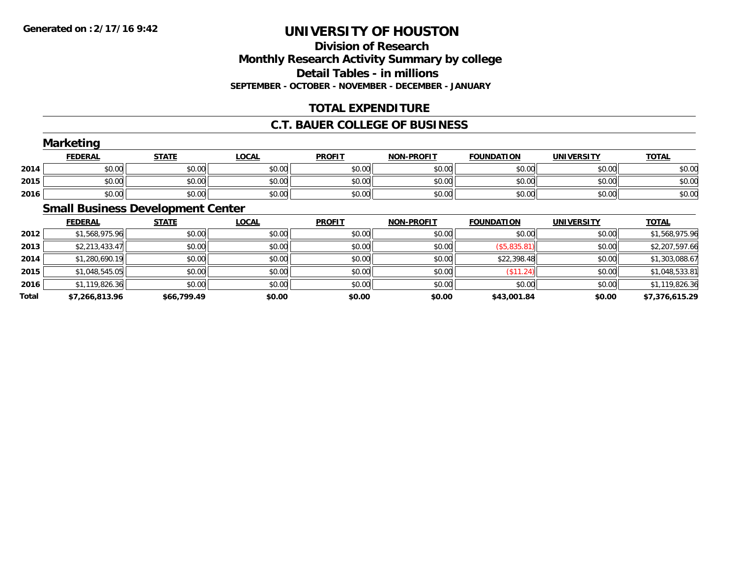# **Division of ResearchMonthly Research Activity Summary by college Detail Tables - in millions SEPTEMBER - OCTOBER - NOVEMBER - DECEMBER - JANUARY**

# **TOTAL EXPENDITURE**

#### **C.T. BAUER COLLEGE OF BUSINESS**

|      | Marketing      |              |        |               |                   |                   |                   |              |
|------|----------------|--------------|--------|---------------|-------------------|-------------------|-------------------|--------------|
|      | <b>FEDERAL</b> | <b>STATE</b> | LOCAL  | <b>PROFIT</b> | <b>NON-PROFIT</b> | <b>FOUNDATION</b> | <b>UNIVERSITY</b> | <b>TOTAL</b> |
| 2014 | \$0.00         | \$0.00       | \$0.00 | \$0.00        | \$0.00            | \$0.00            | \$0.00            | \$0.00       |
| 2015 | \$0.00         | \$0.00       | \$0.00 | \$0.00        | \$0.00            | \$0.00            | \$0.00            | \$0.00       |
| 2016 | \$0.00         | \$0.00       | \$0.00 | \$0.00        | \$0.00            | \$0.00            | \$0.00            | \$0.00       |
|      |                |              |        |               |                   |                   |                   |              |

### **Small Business Development Center**

|       | <b>FEDERAL</b> | <b>STATE</b> | <b>LOCAL</b> | <b>PROFIT</b> | <b>NON-PROFIT</b> | <b>FOUNDATION</b> | <b>UNIVERSITY</b> | <b>TOTAL</b>   |
|-------|----------------|--------------|--------------|---------------|-------------------|-------------------|-------------------|----------------|
| 2012  | \$1,568,975.96 | \$0.00       | \$0.00       | \$0.00        | \$0.00            | \$0.00            | \$0.00            | \$1,568,975.96 |
| 2013  | \$2,213,433.47 | \$0.00       | \$0.00       | \$0.00        | \$0.00            | ( \$5,835.81)     | \$0.00            | \$2,207,597.66 |
| 2014  | \$1,280,690.19 | \$0.00       | \$0.00       | \$0.00        | \$0.00            | \$22,398.48       | \$0.00            | \$1,303,088.67 |
| 2015  | \$1,048,545.05 | \$0.00       | \$0.00       | \$0.00        | \$0.00            | (\$11.24)         | \$0.00            | \$1,048,533.81 |
| 2016  | \$1,119,826.36 | \$0.00       | \$0.00       | \$0.00        | \$0.00            | \$0.00            | \$0.00            | \$1,119,826.36 |
| Total | \$7,266,813.96 | \$66,799.49  | \$0.00       | \$0.00        | \$0.00            | \$43,001.84       | \$0.00            | \$7,376,615.29 |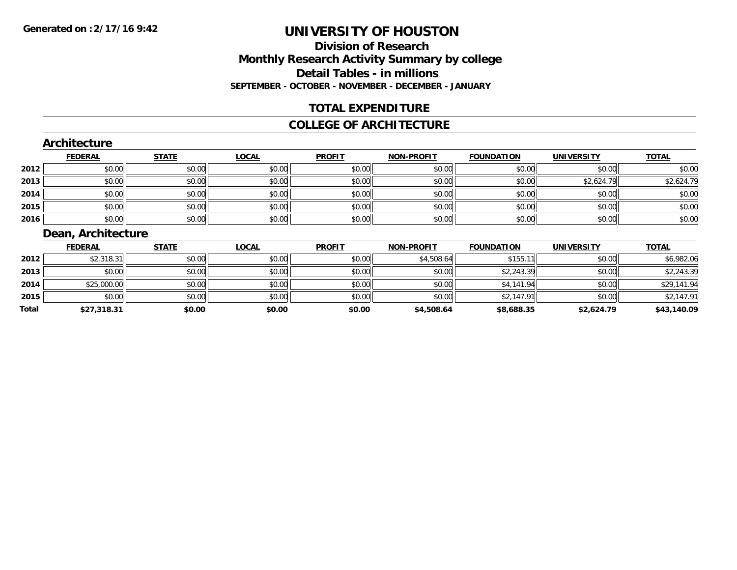# **Division of ResearchMonthly Research Activity Summary by college Detail Tables - in millions SEPTEMBER - OCTOBER - NOVEMBER - DECEMBER - JANUARY**

### **TOTAL EXPENDITURE**

#### **COLLEGE OF ARCHITECTURE**

#### **Architecture**

|      | <b>FEDERAL</b> | <b>STATE</b> | <b>LOCAL</b> | <b>PROFIT</b> | <b>NON-PROFIT</b> | <b>FOUNDATION</b> | <b>UNIVERSITY</b> | <b>TOTAL</b> |
|------|----------------|--------------|--------------|---------------|-------------------|-------------------|-------------------|--------------|
| 2012 | \$0.00         | \$0.00       | \$0.00       | \$0.00        | \$0.00            | \$0.00            | \$0.00            | \$0.00       |
| 2013 | \$0.00         | \$0.00       | \$0.00       | \$0.00        | \$0.00            | \$0.00            | \$2,624.79        | \$2,624.79   |
| 2014 | \$0.00         | \$0.00       | \$0.00       | \$0.00        | \$0.00            | \$0.00            | \$0.00            | \$0.00       |
| 2015 | \$0.00         | \$0.00       | \$0.00       | \$0.00        | \$0.00            | \$0.00            | \$0.00            | \$0.00       |
| 2016 | \$0.00         | \$0.00       | \$0.00       | \$0.00        | \$0.00            | \$0.00            | \$0.00            | \$0.00       |

# **Dean, Architecture**

|       | <b>FEDERAL</b> | <b>STATE</b> | <b>LOCAL</b> | <b>PROFIT</b> | <b>NON-PROFIT</b> | <b>FOUNDATION</b> | <b>UNIVERSITY</b> | <b>TOTAL</b> |
|-------|----------------|--------------|--------------|---------------|-------------------|-------------------|-------------------|--------------|
| 2012  | \$2,318.31     | \$0.00       | \$0.00       | \$0.00        | \$4,508.64        | \$155.11          | \$0.00            | \$6,982.06   |
| 2013  | \$0.00         | \$0.00       | \$0.00       | \$0.00        | \$0.00            | \$2,243.39        | \$0.00            | \$2,243.39   |
| 2014  | \$25,000.00    | \$0.00       | \$0.00       | \$0.00        | \$0.00            | \$4,141.94        | \$0.00            | \$29,141.94  |
| 2015  | \$0.00         | \$0.00       | \$0.00       | \$0.00        | \$0.00            | \$2,147.91        | \$0.00            | \$2,147.91   |
| Total | \$27,318.31    | \$0.00       | \$0.00       | \$0.00        | \$4,508.64        | \$8,688.35        | \$2,624.79        | \$43,140.09  |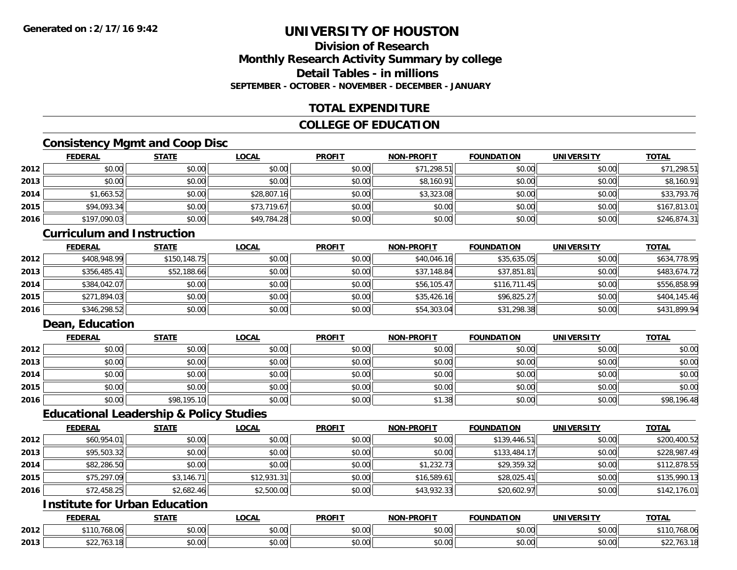### **Division of ResearchMonthly Research Activity Summary by college Detail Tables - in millionsSEPTEMBER - OCTOBER - NOVEMBER - DECEMBER - JANUARY**

# **TOTAL EXPENDITURE**

### **COLLEGE OF EDUCATION**

### **Consistency Mgmt and Coop Disc**

|      | <b>FEDERAL</b> | <b>STATE</b> | <b>LOCAL</b> | <b>PROFIT</b> | <b>NON-PROFIT</b> | <b>FOUNDATION</b> | <b>UNIVERSITY</b> | <b>TOTAL</b> |
|------|----------------|--------------|--------------|---------------|-------------------|-------------------|-------------------|--------------|
| 2012 | \$0.00         | \$0.00       | \$0.00       | \$0.00        | \$71,298.51       | \$0.00            | \$0.00            | \$71,298.51  |
| 2013 | \$0.00         | \$0.00       | \$0.00       | \$0.00        | \$8,160.91        | \$0.00            | \$0.00            | \$8,160.91   |
| 2014 | \$1,663.52     | \$0.00       | \$28,807.16  | \$0.00        | \$3,323.08        | \$0.00            | \$0.00            | \$33,793.76  |
| 2015 | \$94,093.34    | \$0.00       | \$73,719.67  | \$0.00        | \$0.00            | \$0.00            | \$0.00            | \$167,813.01 |
| 2016 | \$197,090.03   | \$0.00       | \$49,784.28  | \$0.00        | \$0.00            | \$0.00            | \$0.00            | \$246,874.31 |

#### **Curriculum and Instruction**

|      | <b>FEDERAL</b> | <b>STATE</b> | <b>LOCAL</b> | <b>PROFIT</b> | <b>NON-PROFIT</b> | <b>FOUNDATION</b> | <b>UNIVERSITY</b> | <b>TOTAL</b> |
|------|----------------|--------------|--------------|---------------|-------------------|-------------------|-------------------|--------------|
| 2012 | \$408,948.99   | \$150,148.75 | \$0.00       | \$0.00        | \$40,046.16       | \$35,635.05       | \$0.00            | \$634,778.95 |
| 2013 | \$356,485.41   | \$52,188.66  | \$0.00       | \$0.00        | \$37,148.84       | \$37,851.81       | \$0.00            | \$483,674.72 |
| 2014 | \$384,042.07   | \$0.00       | \$0.00       | \$0.00        | \$56,105.47       | \$116,711.45      | \$0.00            | \$556,858.99 |
| 2015 | \$271,894.03   | \$0.00       | \$0.00       | \$0.00        | \$35,426.16       | \$96,825.27       | \$0.00            | \$404,145.46 |
| 2016 | \$346,298.52   | \$0.00       | \$0.00       | \$0.00        | \$54,303.04       | \$31,298.38       | \$0.00            | \$431,899.94 |

### **Dean, Education**

|      | <b>FEDERAL</b> | <b>STATE</b> | <b>LOCAL</b> | <b>PROFIT</b> | <b>NON-PROFIT</b> | <b>FOUNDATION</b> | <b>UNIVERSITY</b> | <b>TOTAL</b> |
|------|----------------|--------------|--------------|---------------|-------------------|-------------------|-------------------|--------------|
| 2012 | \$0.00         | \$0.00       | \$0.00       | \$0.00        | \$0.00            | \$0.00            | \$0.00            | \$0.00       |
| 2013 | \$0.00         | \$0.00       | \$0.00       | \$0.00        | \$0.00            | \$0.00            | \$0.00            | \$0.00       |
| 2014 | \$0.00         | \$0.00       | \$0.00       | \$0.00        | \$0.00            | \$0.00            | \$0.00            | \$0.00       |
| 2015 | \$0.00         | \$0.00       | \$0.00       | \$0.00        | \$0.00            | \$0.00            | \$0.00            | \$0.00       |
| 2016 | \$0.00         | \$98,195.10  | \$0.00       | \$0.00        | \$1.38            | \$0.00            | \$0.00            | \$98,196.48  |

#### **Educational Leadership & Policy Studies**

|      | <b>FEDERAL</b> | <b>STATE</b> | <b>LOCAL</b> | <b>PROFIT</b> | <b>NON-PROFIT</b> | <b>FOUNDATION</b> | <b>UNIVERSITY</b> | <b>TOTAL</b> |
|------|----------------|--------------|--------------|---------------|-------------------|-------------------|-------------------|--------------|
| 2012 | \$60,954.01    | \$0.00       | \$0.00       | \$0.00        | \$0.00            | \$139,446.51      | \$0.00            | \$200,400.52 |
| 2013 | \$95,503.32    | \$0.00       | \$0.00       | \$0.00        | \$0.00            | \$133,484.17      | \$0.00            | \$228,987.49 |
| 2014 | \$82,286.50    | \$0.00       | \$0.00       | \$0.00        | \$1,232.73        | \$29,359.32       | \$0.00            | \$112,878.55 |
| 2015 | \$75,297.09    | \$3,146.71   | \$12,931.31  | \$0.00        | \$16,589.61       | \$28,025.41       | \$0.00            | \$135,990.13 |
| 2016 | \$72,458.25    | \$2,682.46   | \$2,500.00   | \$0.00        | \$43,932.33       | \$20,602.97       | \$0.00            | \$142,176.01 |

# **Institute for Urban Education**

|      | <b>FEDERAL</b>            | <b>CTATE</b><br>''<br>. | LOCAL  | <b>PROFIT</b>                       | <b>NON-PROFIT</b> | <b>FOUNDATION</b> | <b>UNIVERSITY</b>             | <b>TOTAL</b>    |
|------|---------------------------|-------------------------|--------|-------------------------------------|-------------------|-------------------|-------------------------------|-----------------|
| 2012 | ሐ44 ∩<br>TU.768.06        | 0000<br>JU.UU           | \$0.00 | $+ \cap$<br>JU.UU                   | 0.00<br>JU.UU     | \$0.00            | $n \cap \neg$<br><b>JU.UU</b> | 768.06<br>1 U . |
| 2013 | $\sim$<br>763.18<br>944 L | 0000<br>JU.UU           | \$0.00 | <b>↑∩</b><br>$\sim$ $\sim$<br>PU.UU | 0000<br>JU.UU     | 0000<br>JU.UU     | 0.00<br><b>JU.UU</b>          | \$22,763.1      |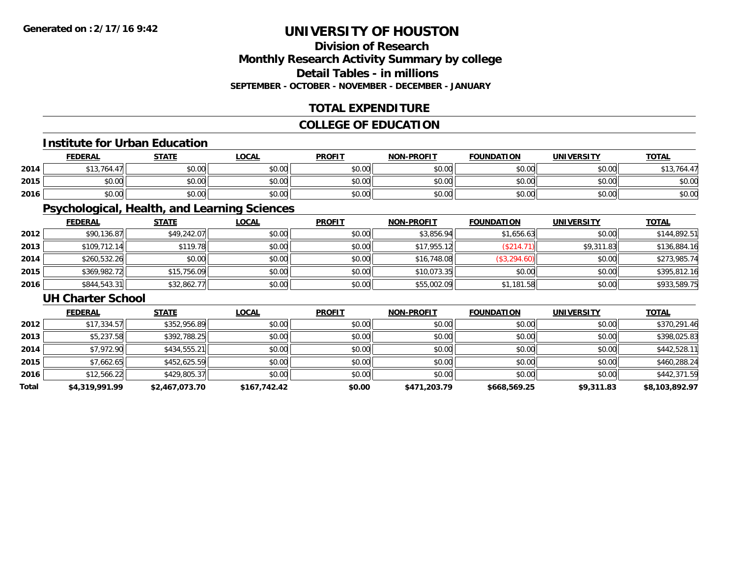# **Division of ResearchMonthly Research Activity Summary by college Detail Tables - in millionsSEPTEMBER - OCTOBER - NOVEMBER - DECEMBER - JANUARY**

# **TOTAL EXPENDITURE**

### **COLLEGE OF EDUCATION**

#### **Institute for Urban Education**

|      | <b>FEDERAL</b>                | <b>STATE</b> | <b>_OCAL</b> | <b>PROFIT</b> | <b>NON-PROFIT</b> | <b>FOUNDATION</b> | <b>UNIVERSITY</b> | <b>TOTAL</b> |
|------|-------------------------------|--------------|--------------|---------------|-------------------|-------------------|-------------------|--------------|
| 2014 | $A A \cap \exists I A$<br>164 | \$0.00       | \$0.00       | \$0.00        | \$0.00            | \$0.00            | \$0.00            | \$13,764.47  |
| 2015 | \$0.00                        | \$0.00       | \$0.00       | \$0.00        | \$0.00            | \$0.00            | \$0.00            | \$0.00       |
| 2016 | \$0.00                        | \$0.00       | \$0.00       | \$0.00        | \$0.00            | \$0.00            | \$0.00            | \$0.00       |

# **Psychological, Health, and Learning Sciences**

|      | <b>FEDERAL</b> | <b>STATE</b> | <b>LOCAL</b> | <b>PROFIT</b> | <b>NON-PROFIT</b> | <b>FOUNDATION</b> | <b>UNIVERSITY</b> | <b>TOTAL</b> |
|------|----------------|--------------|--------------|---------------|-------------------|-------------------|-------------------|--------------|
| 2012 | \$90,136.87    | \$49,242.07  | \$0.00       | \$0.00        | \$3,856.94        | \$1,656.63        | \$0.00            | \$144,892.51 |
| 2013 | \$109,712.14   | \$119.78     | \$0.00       | \$0.00        | \$17,955.12       | (\$214.71)        | \$9,311.83        | \$136,884.16 |
| 2014 | \$260,532.26   | \$0.00       | \$0.00       | \$0.00        | \$16,748.08       | \$3,294.60        | \$0.00            | \$273,985.74 |
| 2015 | \$369,982.72   | \$15,756.09  | \$0.00       | \$0.00        | \$10,073.35       | \$0.00            | \$0.00            | \$395,812.16 |
| 2016 | \$844,543.31   | \$32,862.77  | \$0.00       | \$0.00        | \$55,002.09       | \$1,181.58        | \$0.00            | \$933,589.75 |

#### **UH Charter School**

|       | <b>FEDERAL</b> | <b>STATE</b>   | <b>LOCAL</b> | <b>PROFIT</b> | <b>NON-PROFIT</b> | <b>FOUNDATION</b> | <b>UNIVERSITY</b> | <b>TOTAL</b>   |
|-------|----------------|----------------|--------------|---------------|-------------------|-------------------|-------------------|----------------|
| 2012  | \$17,334.57    | \$352,956.89   | \$0.00       | \$0.00        | \$0.00            | \$0.00            | \$0.00            | \$370,291.46   |
| 2013  | \$5,237.58     | \$392,788.25   | \$0.00       | \$0.00        | \$0.00            | \$0.00            | \$0.00            | \$398,025.83   |
| 2014  | \$7,972.90     | \$434,555.21   | \$0.00       | \$0.00        | \$0.00            | \$0.00            | \$0.00            | \$442,528.11   |
| 2015  | \$7,662.65     | \$452,625.59   | \$0.00       | \$0.00        | \$0.00            | \$0.00            | \$0.00            | \$460,288.24   |
| 2016  | \$12,566.22    | \$429,805.37   | \$0.00       | \$0.00        | \$0.00            | \$0.00            | \$0.00            | \$442,371.59   |
| Total | \$4,319,991.99 | \$2,467,073.70 | \$167,742.42 | \$0.00        | \$471,203.79      | \$668,569.25      | \$9,311.83        | \$8,103,892.97 |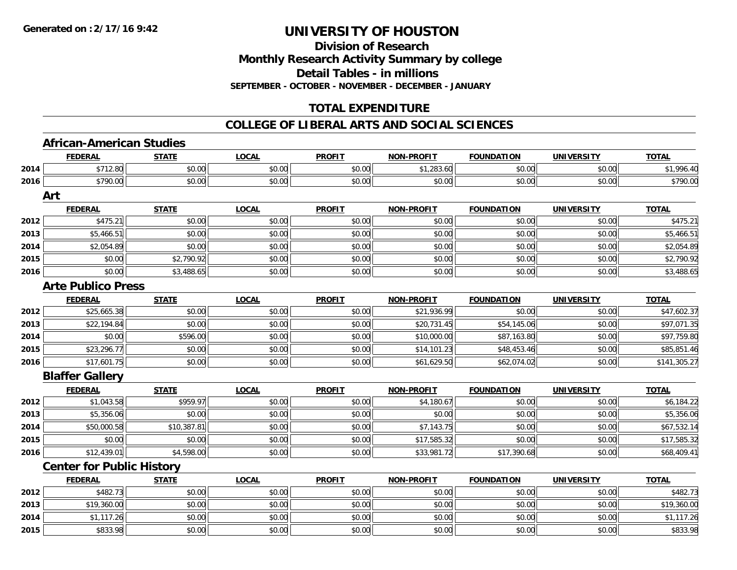**Division of ResearchMonthly Research Activity Summary by college Detail Tables - in millionsSEPTEMBER - OCTOBER - NOVEMBER - DECEMBER - JANUARY**

# **TOTAL EXPENDITURE**

#### **COLLEGE OF LIBERAL ARTS AND SOCIAL SCIENCES**

### **African-American Studies**

|      | <b>FEDERAL</b>                   | <b>STATE</b> | <b>LOCAL</b> | <b>PROFIT</b> | <u>NON-PROFIT</u> | <b>FOUNDATION</b> | <u>UNIVERSITY</u> | <u>TOTAL</u> |
|------|----------------------------------|--------------|--------------|---------------|-------------------|-------------------|-------------------|--------------|
| 2014 | \$712.80                         | \$0.00       | \$0.00       | \$0.00        | \$1,283.60        | \$0.00            | \$0.00            | \$1,996.40   |
| 2016 | \$790.00                         | \$0.00       | \$0.00       | \$0.00        | \$0.00            | \$0.00            | \$0.00            | \$790.00     |
|      | Art                              |              |              |               |                   |                   |                   |              |
|      | <b>FEDERAL</b>                   | <b>STATE</b> | <b>LOCAL</b> | <b>PROFIT</b> | <b>NON-PROFIT</b> | <b>FOUNDATION</b> | <b>UNIVERSITY</b> | <b>TOTAL</b> |
| 2012 | \$475.21                         | \$0.00       | \$0.00       | \$0.00        | \$0.00            | \$0.00            | \$0.00            | \$475.21     |
| 2013 | \$5,466.51                       | \$0.00       | \$0.00       | \$0.00        | \$0.00            | \$0.00            | \$0.00            | \$5,466.51   |
| 2014 | \$2,054.89                       | \$0.00       | \$0.00       | \$0.00        | \$0.00            | \$0.00            | \$0.00            | \$2,054.89   |
| 2015 | \$0.00                           | \$2,790.92   | \$0.00       | \$0.00        | \$0.00            | \$0.00            | \$0.00            | \$2,790.92   |
| 2016 | \$0.00                           | \$3,488.65   | \$0.00       | \$0.00        | \$0.00            | \$0.00            | \$0.00            | \$3,488.65   |
|      | <b>Arte Publico Press</b>        |              |              |               |                   |                   |                   |              |
|      | <b>FEDERAL</b>                   | <b>STATE</b> | <b>LOCAL</b> | <b>PROFIT</b> | <b>NON-PROFIT</b> | <b>FOUNDATION</b> | <b>UNIVERSITY</b> | <b>TOTAL</b> |
| 2012 | \$25,665.38                      | \$0.00       | \$0.00       | \$0.00        | \$21,936.99       | \$0.00            | \$0.00            | \$47,602.37  |
| 2013 | \$22,194.84                      | \$0.00       | \$0.00       | \$0.00        | \$20,731.45       | \$54,145.06       | \$0.00            | \$97,071.35  |
| 2014 | \$0.00                           | \$596.00     | \$0.00       | \$0.00        | \$10,000.00       | \$87,163.80       | \$0.00            | \$97,759.80  |
| 2015 | \$23,296.77                      | \$0.00       | \$0.00       | \$0.00        | \$14,101.23       | \$48,453.46       | \$0.00            | \$85,851.46  |
| 2016 | \$17,601.75                      | \$0.00       | \$0.00       | \$0.00        | \$61,629.50       | \$62,074.02       | \$0.00            | \$141,305.27 |
|      | <b>Blaffer Gallery</b>           |              |              |               |                   |                   |                   |              |
|      | <b>FEDERAL</b>                   | <b>STATE</b> | <b>LOCAL</b> | <b>PROFIT</b> | <b>NON-PROFIT</b> | <b>FOUNDATION</b> | <b>UNIVERSITY</b> | <b>TOTAL</b> |
| 2012 | \$1,043.58                       | \$959.97     | \$0.00       | \$0.00        | \$4,180.67        | \$0.00            | \$0.00            | \$6,184.22   |
| 2013 | \$5,356.06                       | \$0.00       | \$0.00       | \$0.00        | \$0.00            | \$0.00            | \$0.00            | \$5,356.06   |
| 2014 | \$50,000.58                      | \$10,387.81  | \$0.00       | \$0.00        | \$7,143.75        | \$0.00            | \$0.00            | \$67,532.14  |
| 2015 | \$0.00                           | \$0.00       | \$0.00       | \$0.00        | \$17,585.32       | \$0.00            | \$0.00            | \$17,585.32  |
| 2016 | \$12,439.01                      | \$4,598.00   | \$0.00       | \$0.00        | \$33,981.72       | \$17,390.68       | \$0.00            | \$68,409.41  |
|      | <b>Center for Public History</b> |              |              |               |                   |                   |                   |              |
|      | <b>FEDERAL</b>                   | <b>STATE</b> | <b>LOCAL</b> | <b>PROFIT</b> | <b>NON-PROFIT</b> | <b>FOUNDATION</b> | <b>UNIVERSITY</b> | <b>TOTAL</b> |
| 2012 | \$482.73                         | \$0.00       | \$0.00       | \$0.00        | \$0.00            | \$0.00            | \$0.00            | \$482.73     |
| 2013 | \$19,360.00                      | \$0.00       | \$0.00       | \$0.00        | \$0.00            | \$0.00            | \$0.00            | \$19,360.00  |
| 2014 | \$1,117.26                       | \$0.00       | \$0.00       | \$0.00        | \$0.00            | \$0.00            | \$0.00            | \$1,117.26   |
| 2015 | \$833.98                         | \$0.00       | \$0.00       | \$0.00        | \$0.00            | \$0.00            | \$0.00            | \$833.98     |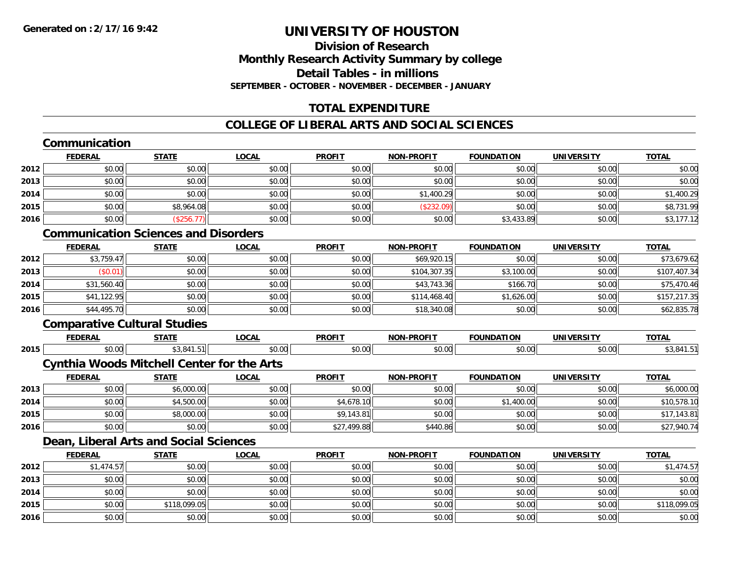# **Division of ResearchMonthly Research Activity Summary by college Detail Tables - in millionsSEPTEMBER - OCTOBER - NOVEMBER - DECEMBER - JANUARY**

# **TOTAL EXPENDITURE**

# **COLLEGE OF LIBERAL ARTS AND SOCIAL SCIENCES**

# **Communication**

|      | <b>FEDERAL</b> | <b>STATE</b> | <b>LOCAL</b> | <b>PROFIT</b> | <b>NON-PROFIT</b> | <b>FOUNDATION</b> | <b>UNIVERSITY</b> | <b>TOTAL</b> |
|------|----------------|--------------|--------------|---------------|-------------------|-------------------|-------------------|--------------|
| 2012 | \$0.00         | \$0.00       | \$0.00       | \$0.00        | \$0.00            | \$0.00            | \$0.00            | \$0.00       |
| 2013 | \$0.00         | \$0.00       | \$0.00       | \$0.00        | \$0.00            | \$0.00            | \$0.00            | \$0.00       |
| 2014 | \$0.00         | \$0.00       | \$0.00       | \$0.00        | \$1,400.29        | \$0.00            | \$0.00            | \$1,400.29   |
| 2015 | \$0.00         | \$8,964.08   | \$0.00       | \$0.00        | (\$232.09)        | \$0.00            | \$0.00            | \$8,731.99   |
| 2016 | \$0.00         | (\$256.77)   | \$0.00       | \$0.00        | \$0.00            | \$3,433.89        | \$0.00            | \$3,177.12   |

# **Communication Sciences and Disorders**

|      | <b>FEDERAL</b> | <u>STATE</u> | <b>LOCAL</b> | <b>PROFIT</b> | <b>NON-PROFIT</b> | <b>FOUNDATION</b> | <b>UNIVERSITY</b> | <b>TOTAL</b> |
|------|----------------|--------------|--------------|---------------|-------------------|-------------------|-------------------|--------------|
| 2012 | \$3,759.47     | \$0.00       | \$0.00       | \$0.00        | \$69,920.15       | \$0.00            | \$0.00            | \$73,679.62  |
| 2013 | \$0.01         | \$0.00       | \$0.00       | \$0.00        | \$104,307.35      | \$3,100.00        | \$0.00            | \$107,407.34 |
| 2014 | \$31,560.40    | \$0.00       | \$0.00       | \$0.00        | \$43,743.36       | \$166.70          | \$0.00            | \$75,470.46  |
| 2015 | \$41,122.95    | \$0.00       | \$0.00       | \$0.00        | \$114,468.40      | \$1,626.00        | \$0.00            | \$157,217.35 |
| 2016 | \$44,495.70    | \$0.00       | \$0.00       | \$0.00        | \$18,340.08       | \$0.00            | \$0.00            | \$62,835.78  |

### **Comparative Cultural Studies**

|      | <b>FEDERA</b>          | -----<br>. . | $\sim$ $\sim$ $\sim$<br>LUCAI | <b>DDOEIT</b><br>-מש | <b>DDAEIT</b><br>אמוי<br>6 J.H | .<br>™MD.<br>$\mathbf{v}$        | max1<br>JNIV    | <b>TOTAL</b> |
|------|------------------------|--------------|-------------------------------|----------------------|--------------------------------|----------------------------------|-----------------|--------------|
| 2015 | $\sim$ $\sim$<br>-v.vv | 51           | $\sim$ $\sim$<br>טט.טע        | 0.00                 | $\sim$ 00<br>ישי               | $\sim$ $\sim$ $\sim$<br>.<br>v.v | $\sim$<br>JUU.U |              |

### **Cynthia Woods Mitchell Center for the Arts**

|      | <u>FEDERAL</u> | <u>STATE</u> | <u>LOCAL</u> | <b>PROFIT</b> | <b>NON-PROFIT</b> | <b>FOUNDATION</b> | UNIVERSITY | <b>TOTAL</b> |
|------|----------------|--------------|--------------|---------------|-------------------|-------------------|------------|--------------|
| 2013 | \$0.00         | \$6,000.00   | \$0.00       | \$0.00        | \$0.00            | \$0.00            | \$0.00     | \$6,000.00   |
| 2014 | \$0.00         | \$4,500.00   | \$0.00       | \$4,678.10    | \$0.00            | \$1,400.00        | \$0.00     | \$10,578.10  |
| 2015 | \$0.00         | \$8,000.00   | \$0.00       | \$9,143.81    | \$0.00            | \$0.00            | \$0.00     | \$17,143.81  |
| 2016 | \$0.00         | \$0.00       | \$0.00       | \$27,499.88   | \$440.86          | \$0.00            | \$0.00     | \$27,940.74  |

# **Dean, Liberal Arts and Social Sciences**

|      | <b>FEDERAL</b> | <b>STATE</b> | <b>LOCAL</b> | <b>PROFIT</b> | <b>NON-PROFIT</b> | <b>FOUNDATION</b> | <b>UNIVERSITY</b> | <b>TOTAL</b> |
|------|----------------|--------------|--------------|---------------|-------------------|-------------------|-------------------|--------------|
| 2012 | \$1,474.57     | \$0.00       | \$0.00       | \$0.00        | \$0.00            | \$0.00            | \$0.00            | \$1,474.57   |
| 2013 | \$0.00         | \$0.00       | \$0.00       | \$0.00        | \$0.00            | \$0.00            | \$0.00            | \$0.00       |
| 2014 | \$0.00         | \$0.00       | \$0.00       | \$0.00        | \$0.00            | \$0.00            | \$0.00            | \$0.00       |
| 2015 | \$0.00         | \$118,099.05 | \$0.00       | \$0.00        | \$0.00            | \$0.00            | \$0.00            | \$118,099.05 |
| 2016 | \$0.00         | \$0.00       | \$0.00       | \$0.00        | \$0.00            | \$0.00            | \$0.00            | \$0.00       |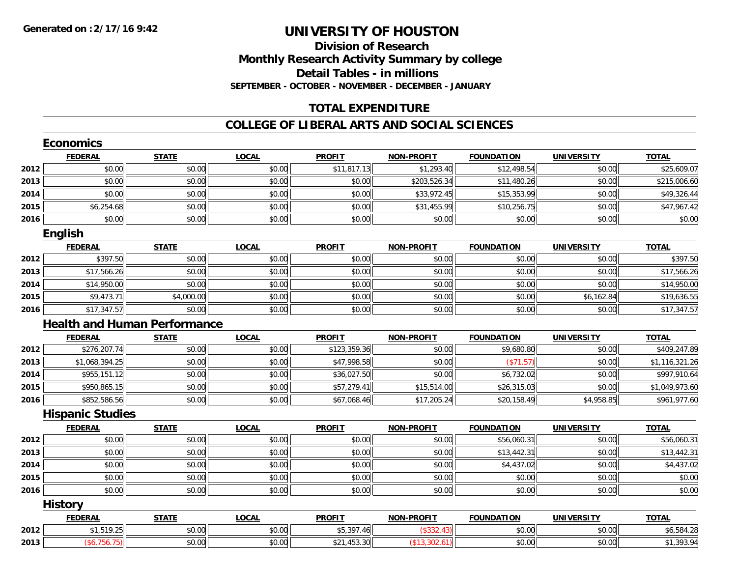### **Division of Research Monthly Research Activity Summary by college Detail Tables - in millions SEPTEMBER - OCTOBER - NOVEMBER - DECEMBER - JANUARY**

### **TOTAL EXPENDITURE**

|      | <b>Economics</b>        |                                     |              |               |                   |                   |                   |                |
|------|-------------------------|-------------------------------------|--------------|---------------|-------------------|-------------------|-------------------|----------------|
|      | <b>FEDERAL</b>          | <b>STATE</b>                        | <b>LOCAL</b> | <b>PROFIT</b> | <b>NON-PROFIT</b> | <b>FOUNDATION</b> | <b>UNIVERSITY</b> | <b>TOTAL</b>   |
| 2012 | \$0.00                  | \$0.00                              | \$0.00       | \$11,817.13   | \$1,293.40        | \$12,498.54       | \$0.00            | \$25,609.07    |
| 2013 | \$0.00                  | \$0.00                              | \$0.00       | \$0.00        | \$203,526.34      | \$11,480.26       | \$0.00            | \$215,006.60   |
| 2014 | \$0.00                  | \$0.00                              | \$0.00       | \$0.00        | \$33,972.45       | \$15,353.99       | \$0.00            | \$49,326.44    |
| 2015 | \$6,254.68              | \$0.00                              | \$0.00       | \$0.00        | \$31,455.99       | \$10,256.75       | \$0.00            | \$47,967.42    |
| 2016 | \$0.00                  | \$0.00                              | \$0.00       | \$0.00        | \$0.00            | \$0.00            | \$0.00            | \$0.00         |
|      | English                 |                                     |              |               |                   |                   |                   |                |
|      | <b>FEDERAL</b>          | <b>STATE</b>                        | <b>LOCAL</b> | <b>PROFIT</b> | <b>NON-PROFIT</b> | <b>FOUNDATION</b> | <b>UNIVERSITY</b> | <b>TOTAL</b>   |
| 2012 | \$397.50                | \$0.00                              | \$0.00       | \$0.00        | \$0.00            | \$0.00            | \$0.00            | \$397.50       |
| 2013 | \$17,566.26             | \$0.00                              | \$0.00       | \$0.00        | \$0.00            | \$0.00            | \$0.00            | \$17,566.26    |
| 2014 | \$14,950.00             | \$0.00                              | \$0.00       | \$0.00        | \$0.00            | \$0.00            | \$0.00            | \$14,950.00    |
| 2015 | \$9,473.71              | \$4,000.00                          | \$0.00       | \$0.00        | \$0.00            | \$0.00            | \$6,162.84        | \$19,636.55    |
| 2016 | \$17,347.57             | \$0.00                              | \$0.00       | \$0.00        | \$0.00            | \$0.00            | \$0.00            | \$17,347.57    |
|      |                         | <b>Health and Human Performance</b> |              |               |                   |                   |                   |                |
|      | <b>FEDERAL</b>          | <b>STATE</b>                        | <b>LOCAL</b> | <b>PROFIT</b> | <b>NON-PROFIT</b> | <b>FOUNDATION</b> | <b>UNIVERSITY</b> | <b>TOTAL</b>   |
| 2012 | \$276,207.74            | \$0.00                              | \$0.00       | \$123,359.36  | \$0.00            | \$9,680.80        | \$0.00            | \$409,247.89   |
| 2013 | \$1,068,394.25          | \$0.00                              | \$0.00       | \$47,998.58   | \$0.00            | (\$71.57)         | \$0.00            | \$1,116,321.26 |
| 2014 | \$955,151.12            | \$0.00                              | \$0.00       | \$36,027.50   | \$0.00            | \$6,732.02        | \$0.00            | \$997,910.64   |
| 2015 | \$950,865.15            | \$0.00                              | \$0.00       | \$57,279.41   | \$15,514.00       | \$26,315.03       | \$0.00            | \$1,049,973.60 |
| 2016 | \$852,586.56            | \$0.00                              | \$0.00       | \$67,068.46   | \$17,205.24       | \$20,158.49       | \$4,958.85        | \$961,977.60   |
|      | <b>Hispanic Studies</b> |                                     |              |               |                   |                   |                   |                |
|      | <b>FEDERAL</b>          | <b>STATE</b>                        | <b>LOCAL</b> | <b>PROFIT</b> | <b>NON-PROFIT</b> | <b>FOUNDATION</b> | <b>UNIVERSITY</b> | <b>TOTAL</b>   |
| 2012 | \$0.00                  | \$0.00                              | \$0.00       | \$0.00        | \$0.00            | \$56,060.31       | \$0.00            | \$56,060.31    |
| 2013 | \$0.00                  | \$0.00                              | \$0.00       | \$0.00        | \$0.00            | \$13,442.31       | \$0.00            | \$13,442.31    |
| 2014 | \$0.00                  | \$0.00                              | \$0.00       | \$0.00        | \$0.00            | \$4,437.02        | \$0.00            | \$4,437.02     |
| 2015 | \$0.00                  | \$0.00                              | \$0.00       | \$0.00        | \$0.00            | \$0.00            | \$0.00            | \$0.00         |
| 2016 | \$0.00                  | \$0.00                              | \$0.00       | \$0.00        | \$0.00            | \$0.00            | \$0.00            | \$0.00         |
|      | <b>History</b>          |                                     |              |               |                   |                   |                   |                |
|      | <b>FEDERAL</b>          | <b>STATE</b>                        | <b>LOCAL</b> | <b>PROFIT</b> | <b>NON-PROFIT</b> | <b>FOUNDATION</b> | <b>UNIVERSITY</b> | <b>TOTAL</b>   |
| 2012 | \$1,519.25              | \$0.00                              | \$0.00       | \$5,397.46    | (\$332.43)        | \$0.00            | \$0.00            | \$6,584.28     |
| 2013 | (\$6,756.75)            | \$0.00                              | \$0.00       | \$21,453.30   | (\$13,302.61)     | \$0.00            | \$0.00            | \$1,393.94     |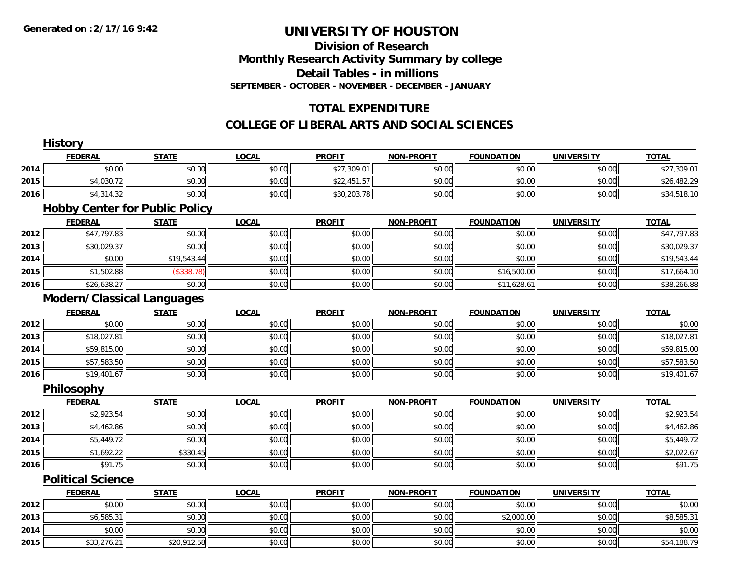# **Division of ResearchMonthly Research Activity Summary by college Detail Tables - in millions SEPTEMBER - OCTOBER - NOVEMBER - DECEMBER - JANUARY**

# **TOTAL EXPENDITURE**

|      | <b>History</b>                        |              |              |               |                   |                   |                   |              |
|------|---------------------------------------|--------------|--------------|---------------|-------------------|-------------------|-------------------|--------------|
|      | <b>FEDERAL</b>                        | <b>STATE</b> | <b>LOCAL</b> | <b>PROFIT</b> | <b>NON-PROFIT</b> | <b>FOUNDATION</b> | <b>UNIVERSITY</b> | <b>TOTAL</b> |
| 2014 | \$0.00                                | \$0.00       | \$0.00       | \$27,309.01   | \$0.00            | \$0.00            | \$0.00            | \$27,309.01  |
| 2015 | \$4,030.72                            | \$0.00       | \$0.00       | \$22,451.57   | \$0.00            | \$0.00            | \$0.00            | \$26,482.29  |
| 2016 | \$4,314.32                            | \$0.00       | \$0.00       | \$30,203.78   | \$0.00            | \$0.00            | \$0.00            | \$34,518.10  |
|      | <b>Hobby Center for Public Policy</b> |              |              |               |                   |                   |                   |              |
|      | <b>FEDERAL</b>                        | <b>STATE</b> | <b>LOCAL</b> | <b>PROFIT</b> | NON-PROFIT        | <b>FOUNDATION</b> | <b>UNIVERSITY</b> | <b>TOTAL</b> |
| 2012 | \$47,797.83                           | \$0.00       | \$0.00       | \$0.00        | \$0.00            | \$0.00            | \$0.00            | \$47,797.83  |
| 2013 | \$30,029.37                           | \$0.00       | \$0.00       | \$0.00        | \$0.00            | \$0.00            | \$0.00            | \$30,029.37  |
| 2014 | \$0.00                                | \$19,543.44  | \$0.00       | \$0.00        | \$0.00            | \$0.00            | \$0.00            | \$19,543.44  |
| 2015 | \$1,502.88                            | (\$338.78)   | \$0.00       | \$0.00        | \$0.00            | \$16,500.00       | \$0.00            | \$17,664.10  |
| 2016 | \$26,638.27                           | \$0.00       | \$0.00       | \$0.00        | \$0.00            | \$11,628.61       | \$0.00            | \$38,266.88  |
|      | <b>Modern/Classical Languages</b>     |              |              |               |                   |                   |                   |              |
|      | <b>FEDERAL</b>                        | <b>STATE</b> | <b>LOCAL</b> | <b>PROFIT</b> | <b>NON-PROFIT</b> | <b>FOUNDATION</b> | <b>UNIVERSITY</b> | <b>TOTAL</b> |
| 2012 | \$0.00                                | \$0.00       | \$0.00       | \$0.00        | \$0.00            | \$0.00            | \$0.00            | \$0.00       |
| 2013 | \$18,027.81                           | \$0.00       | \$0.00       | \$0.00        | \$0.00            | \$0.00            | \$0.00            | \$18,027.81  |
| 2014 | \$59,815.00                           | \$0.00       | \$0.00       | \$0.00        | \$0.00            | \$0.00            | \$0.00            | \$59,815.00  |
| 2015 | \$57,583.50                           | \$0.00       | \$0.00       | \$0.00        | \$0.00            | \$0.00            | \$0.00            | \$57,583.50  |
| 2016 | \$19,401.67                           | \$0.00       | \$0.00       | \$0.00        | \$0.00            | \$0.00            | \$0.00            | \$19,401.67  |
|      | Philosophy                            |              |              |               |                   |                   |                   |              |
|      | <b>FEDERAL</b>                        | <b>STATE</b> | <b>LOCAL</b> | <b>PROFIT</b> | <b>NON-PROFIT</b> | <b>FOUNDATION</b> | <b>UNIVERSITY</b> | <b>TOTAL</b> |
| 2012 | \$2,923.54                            | \$0.00       | \$0.00       | \$0.00        | \$0.00            | \$0.00            | \$0.00            | \$2,923.54   |
| 2013 | \$4,462.86                            | \$0.00       | \$0.00       | \$0.00        | \$0.00            | \$0.00            | \$0.00            | \$4,462.86   |
| 2014 | \$5,449.72                            | \$0.00       | \$0.00       | \$0.00        | \$0.00            | \$0.00            | \$0.00            | \$5,449.72   |
| 2015 | \$1,692.22                            | \$330.45     | \$0.00       | \$0.00        | \$0.00            | \$0.00            | \$0.00            | \$2,022.67   |
| 2016 | \$91.75                               | \$0.00       | \$0.00       | \$0.00        | \$0.00            | \$0.00            | \$0.00            | \$91.75      |
|      | <b>Political Science</b>              |              |              |               |                   |                   |                   |              |
|      | <b>FEDERAL</b>                        | <b>STATE</b> | <b>LOCAL</b> | <b>PROFIT</b> | <b>NON-PROFIT</b> | <b>FOUNDATION</b> | <b>UNIVERSITY</b> | <b>TOTAL</b> |
| 2012 | \$0.00                                | \$0.00       | \$0.00       | \$0.00        | \$0.00            | \$0.00            | \$0.00            | \$0.00       |
| 2013 | \$6,585.31                            | \$0.00       | \$0.00       | \$0.00        | \$0.00            | \$2,000.00        | \$0.00            | \$8,585.31   |
| 2014 | \$0.00                                | \$0.00       | \$0.00       | \$0.00        | \$0.00            | \$0.00            | \$0.00            | \$0.00       |
| 2015 | \$33,276.21                           | \$20,912.58  | \$0.00       | \$0.00        | \$0.00            | \$0.00            | \$0.00            | \$54,188.79  |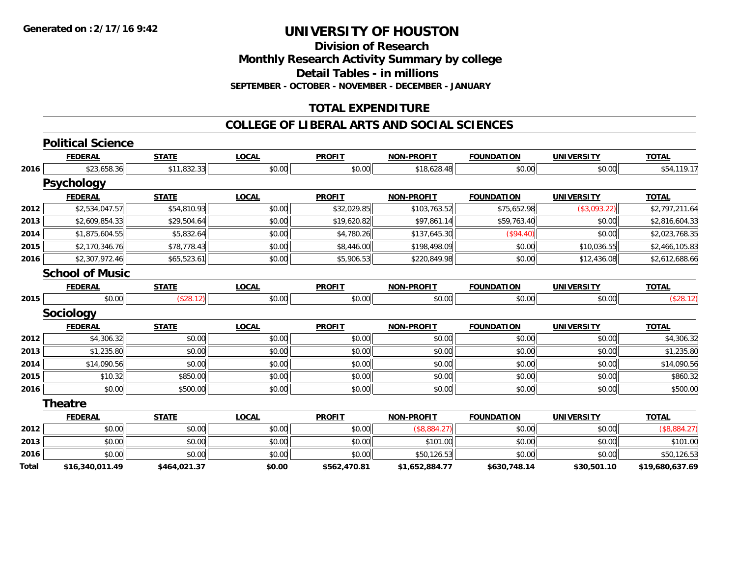**Division of Research**

**Monthly Research Activity Summary by college**

**Detail Tables - in millions**

**SEPTEMBER - OCTOBER - NOVEMBER - DECEMBER - JANUARY**

### **TOTAL EXPENDITURE**

|       | <b>Political Science</b> |              |              |               |                   |                   |                   |                 |
|-------|--------------------------|--------------|--------------|---------------|-------------------|-------------------|-------------------|-----------------|
|       | <b>FEDERAL</b>           | <b>STATE</b> | <b>LOCAL</b> | <b>PROFIT</b> | <b>NON-PROFIT</b> | <b>FOUNDATION</b> | <b>UNIVERSITY</b> | <b>TOTAL</b>    |
| 2016  | \$23,658.36              | \$11,832.33  | \$0.00       | \$0.00        | \$18,628.48       | \$0.00            | \$0.00            | \$54,119.17     |
|       | <b>Psychology</b>        |              |              |               |                   |                   |                   |                 |
|       | <b>FEDERAL</b>           | <b>STATE</b> | <b>LOCAL</b> | <b>PROFIT</b> | <b>NON-PROFIT</b> | <b>FOUNDATION</b> | <b>UNIVERSITY</b> | <b>TOTAL</b>    |
| 2012  | \$2,534,047.57           | \$54,810.93  | \$0.00       | \$32,029.85   | \$103,763.52      | \$75,652.98       | (\$3,093.22)      | \$2,797,211.64  |
| 2013  | \$2,609,854.33           | \$29,504.64  | \$0.00       | \$19,620.82   | \$97,861.14       | \$59,763.40       | \$0.00            | \$2,816,604.33  |
| 2014  | \$1,875,604.55           | \$5,832.64   | \$0.00       | \$4,780.26    | \$137,645.30      | (\$94.40)         | \$0.00            | \$2,023,768.35  |
| 2015  | \$2,170,346.76           | \$78,778.43  | \$0.00       | \$8,446.00    | \$198,498.09      | \$0.00            | \$10,036.55       | \$2,466,105.83  |
| 2016  | \$2,307,972.46           | \$65,523.61  | \$0.00       | \$5,906.53    | \$220,849.98      | \$0.00            | \$12,436.08       | \$2,612,688.66  |
|       | <b>School of Music</b>   |              |              |               |                   |                   |                   |                 |
|       | <b>FEDERAL</b>           | <b>STATE</b> | <b>LOCAL</b> | <b>PROFIT</b> | <b>NON-PROFIT</b> | <b>FOUNDATION</b> | <b>UNIVERSITY</b> | <b>TOTAL</b>    |
| 2015  | \$0.00                   | (\$28.12)    | \$0.00       | \$0.00        | \$0.00            | \$0.00            | \$0.00            | (\$28.12)       |
|       | <b>Sociology</b>         |              |              |               |                   |                   |                   |                 |
|       | <b>FEDERAL</b>           | <b>STATE</b> | <b>LOCAL</b> | <b>PROFIT</b> | <b>NON-PROFIT</b> | <b>FOUNDATION</b> | <b>UNIVERSITY</b> | <b>TOTAL</b>    |
| 2012  | \$4,306.32               | \$0.00       | \$0.00       | \$0.00        | \$0.00            | \$0.00            | \$0.00            | \$4,306.32      |
| 2013  | \$1,235.80               | \$0.00       | \$0.00       | \$0.00        | \$0.00            | \$0.00            | \$0.00            | \$1,235.80      |
| 2014  | \$14,090.56              | \$0.00       | \$0.00       | \$0.00        | \$0.00            | \$0.00            | \$0.00            | \$14,090.56     |
| 2015  | \$10.32                  | \$850.00     | \$0.00       | \$0.00        | \$0.00            | \$0.00            | \$0.00            | \$860.32        |
| 2016  | \$0.00                   | \$500.00     | \$0.00       | \$0.00        | \$0.00            | \$0.00            | \$0.00            | \$500.00        |
|       | <b>Theatre</b>           |              |              |               |                   |                   |                   |                 |
|       | <b>FEDERAL</b>           | <b>STATE</b> | <b>LOCAL</b> | <b>PROFIT</b> | <b>NON-PROFIT</b> | <b>FOUNDATION</b> | <b>UNIVERSITY</b> | <b>TOTAL</b>    |
| 2012  | \$0.00                   | \$0.00       | \$0.00       | \$0.00        | (\$8,884.27)      | \$0.00            | \$0.00            | (\$8,884.27)    |
| 2013  | \$0.00                   | \$0.00       | \$0.00       | \$0.00        | \$101.00          | \$0.00            | \$0.00            | \$101.00        |
| 2016  | \$0.00                   | \$0.00       | \$0.00       | \$0.00        | \$50,126.53       | \$0.00            | \$0.00            | \$50,126.53     |
| Total | \$16,340,011.49          | \$464,021.37 | \$0.00       | \$562,470.81  | \$1,652,884.77    | \$630,748.14      | \$30,501.10       | \$19,680,637.69 |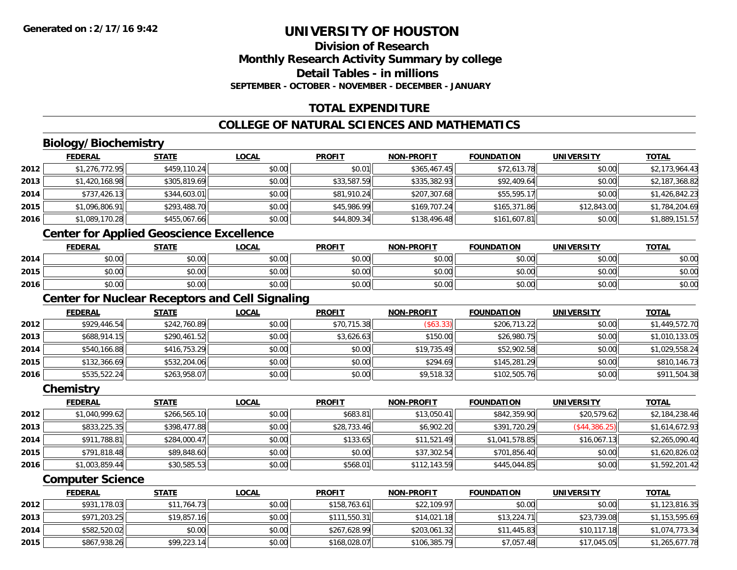## **Division of ResearchMonthly Research Activity Summary by college Detail Tables - in millions SEPTEMBER - OCTOBER - NOVEMBER - DECEMBER - JANUARY**

# **TOTAL EXPENDITURE**

# **COLLEGE OF NATURAL SCIENCES AND MATHEMATICS**

# **Biology/Biochemistry**

|      | <b>FEDERAL</b> | <u>STATE</u> | <u>LOCAL</u> | <b>PROFIT</b> | <b>NON-PROFIT</b> | <b>FOUNDATION</b> | UNIVERSITY  | <b>TOTAL</b>   |
|------|----------------|--------------|--------------|---------------|-------------------|-------------------|-------------|----------------|
| 2012 | \$1,276,772.95 | \$459,110.24 | \$0.00       | \$0.01        | \$365,467.45      | \$72,613.78       | \$0.00      | \$2,173,964.43 |
| 2013 | \$1,420,168.98 | \$305,819.69 | \$0.00       | \$33,587.59   | \$335,382.93      | \$92,409.64       | \$0.00      | \$2,187,368.82 |
| 2014 | \$737,426.13   | \$344,603.01 | \$0.00       | \$81,910.24   | \$207,307.68      | \$55,595.17       | \$0.00      | \$1,426,842.23 |
| 2015 | \$1,096,806.91 | \$293,488.70 | \$0.00       | \$45,986.99   | \$169,707.24      | \$165,371.86      | \$12,843.00 | \$1,784,204.69 |
| 2016 | \$1,089,170.28 | \$455,067.66 | \$0.00       | \$44,809.34   | \$138,496.48      | \$161,607.81      | \$0.00      | \$1,889,151.57 |

# **Center for Applied Geoscience Excellence**

|      | <b>FEDERAL</b>        | <b>STATE</b> | <b>LOCAL</b> | <b>PROFIT</b> | <b>NON-PROFIT</b> | <b>FOUNDATION</b> | UNIVERSITY | <b>TOTAL</b> |
|------|-----------------------|--------------|--------------|---------------|-------------------|-------------------|------------|--------------|
| 2014 | ÷∩<br>$\cap$<br>DU.UG | \$0.00       | \$0.00       | \$0.00        | \$0.00            | \$0.00            | \$0.00     | \$0.00       |
| 2015 | \$0.00                | \$0.00       | \$0.00       | \$0.00        | \$0.00            | \$0.00            | \$0.00     | \$0.00       |
| 2016 | \$0.00                | \$0.00       | \$0.00       | \$0.00        | \$0.00            | \$0.00            | \$0.00     | \$0.00       |

# **Center for Nuclear Receptors and Cell Signaling**

|      | <b>FEDERAL</b> | <b>STATE</b> | <b>LOCAL</b> | <b>PROFIT</b> | <b>NON-PROFIT</b> | <b>FOUNDATION</b> | <b>UNIVERSITY</b> | <b>TOTAL</b>   |
|------|----------------|--------------|--------------|---------------|-------------------|-------------------|-------------------|----------------|
| 2012 | \$929,446.54   | \$242,760.89 | \$0.00       | \$70,715.38   | $($ \$63.33) $ $  | \$206,713.22      | \$0.00            | \$1,449,572.70 |
| 2013 | \$688,914.15   | \$290,461.52 | \$0.00       | \$3,626.63    | \$150.00          | \$26,980.75       | \$0.00            | \$1,010,133.05 |
| 2014 | \$540,166.88   | \$416,753.29 | \$0.00       | \$0.00        | \$19,735.49       | \$52,902.58       | \$0.00            | \$1,029,558.24 |
| 2015 | \$132,366.69   | \$532,204.06 | \$0.00       | \$0.00        | \$294.69          | \$145,281.29      | \$0.00            | \$810,146.73   |
| 2016 | \$535,522.24   | \$263,958.07 | \$0.00       | \$0.00        | \$9,518.32        | \$102,505.76      | \$0.00            | \$911,504.38   |

#### **Chemistry**

|      | <b>FEDERAL</b> | <b>STATE</b> | <b>LOCAL</b> | <b>PROFIT</b> | <b>NON-PROFIT</b> | <b>FOUNDATION</b> | <b>UNIVERSITY</b> | <b>TOTAL</b>   |
|------|----------------|--------------|--------------|---------------|-------------------|-------------------|-------------------|----------------|
| 2012 | \$1,040,999.62 | \$266,565.10 | \$0.00       | \$683.81      | \$13,050.41       | \$842,359.90      | \$20,579.62       | \$2,184,238.46 |
| 2013 | \$833,225.35   | \$398,477.88 | \$0.00       | \$28,733.46   | \$6,902.20        | \$391,720.29      | (S44, 386.25)     | \$1,614,672.93 |
| 2014 | \$911,788.81   | \$284,000.47 | \$0.00       | \$133.65      | \$11,521.49       | \$1,041,578.85    | \$16,067.13       | \$2,265,090.40 |
| 2015 | \$791,818.48   | \$89,848.60  | \$0.00       | \$0.00        | \$37,302.54       | \$701,856.40      | \$0.00            | \$1,620,826.02 |
| 2016 | \$1,003,859.44 | \$30,585.53  | \$0.00       | \$568.01      | \$112,143.59      | \$445,044.85      | \$0.00            | \$1,592,201.42 |

### **Computer Science**

|      | <b>FEDERAL</b> | <u>STATE</u> | <b>LOCAL</b> | <b>PROFIT</b> | <b>NON-PROFIT</b> | <b>FOUNDATION</b> | UNIVERSITY  | <b>TOTAL</b>   |
|------|----------------|--------------|--------------|---------------|-------------------|-------------------|-------------|----------------|
| 2012 | \$931,178.03   | \$11,764.73  | \$0.00       | \$158.763.61  | \$22,109.97       | \$0.00            | \$0.00      | \$1,123,816.35 |
| 2013 | \$971,203.25   | \$19,857.16  | \$0.00       | \$111,550.31  | \$14,021.18       | \$13,224.71       | \$23,739.08 | \$1,153,595.69 |
| 2014 | \$582,520.02   | \$0.00       | \$0.00       | \$267,628.99  | \$203,061.32      | \$11,445.83       | \$10,117.18 | \$1,074,773.34 |
| 2015 | \$867,938.26   | \$99,223.14  | \$0.00       | \$168,028.07  | \$106,385.79      | \$7,057.48        | \$17,045.05 | \$1,265,677.78 |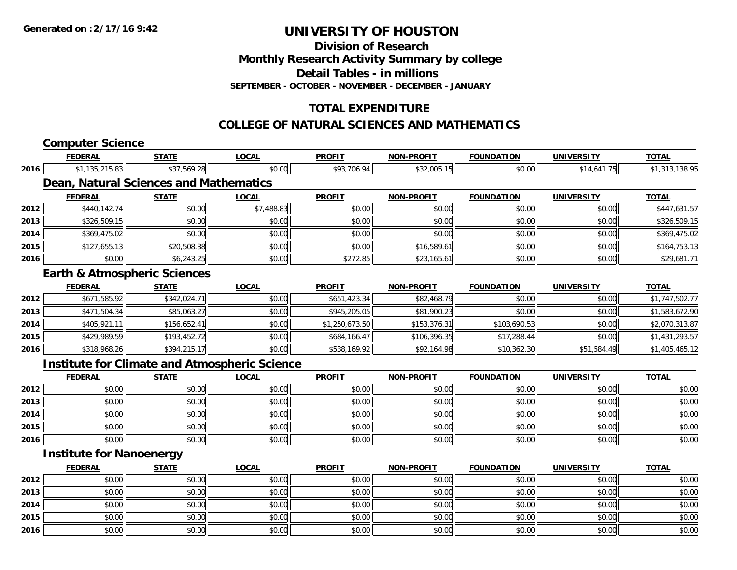**Division of Research**

**Monthly Research Activity Summary by college**

**Detail Tables - in millions**

**SEPTEMBER - OCTOBER - NOVEMBER - DECEMBER - JANUARY**

# **TOTAL EXPENDITURE**

#### **COLLEGE OF NATURAL SCIENCES AND MATHEMATICS**

# **Computer Science**

|      | <b>FEDERAL</b>                  | <b>STATE</b>                            | <b>LOCAL</b>                                         | <b>PROFIT</b>  | <b>NON-PROFIT</b> | <b>FOUNDATION</b> | <b>UNIVERSITY</b> | <b>TOTAL</b>   |
|------|---------------------------------|-----------------------------------------|------------------------------------------------------|----------------|-------------------|-------------------|-------------------|----------------|
| 2016 | \$1,135,215.83                  | \$37,569.28                             | \$0.00                                               | \$93,706.94    | \$32,005.15       | \$0.00            | \$14,641.75       | \$1,313,138.95 |
|      |                                 | Dean, Natural Sciences and Mathematics  |                                                      |                |                   |                   |                   |                |
|      | <b>FEDERAL</b>                  | <b>STATE</b>                            | <b>LOCAL</b>                                         | <b>PROFIT</b>  | <b>NON-PROFIT</b> | <b>FOUNDATION</b> | <b>UNIVERSITY</b> | <b>TOTAL</b>   |
| 2012 | \$440,142.74                    | \$0.00                                  | \$7,488.83                                           | \$0.00         | \$0.00            | \$0.00            | \$0.00            | \$447,631.57   |
| 2013 | \$326,509.15                    | \$0.00                                  | \$0.00                                               | \$0.00         | \$0.00            | \$0.00            | \$0.00            | \$326,509.15   |
| 2014 | \$369,475.02                    | \$0.00                                  | \$0.00                                               | \$0.00         | \$0.00            | \$0.00            | \$0.00            | \$369,475.02   |
| 2015 | \$127,655.13                    | \$20,508.38                             | \$0.00                                               | \$0.00         | \$16,589.61       | \$0.00            | \$0.00            | \$164,753.13   |
| 2016 | \$0.00                          | \$6,243.25                              | \$0.00                                               | \$272.85       | \$23,165.61       | \$0.00            | \$0.00            | \$29,681.71    |
|      |                                 | <b>Earth &amp; Atmospheric Sciences</b> |                                                      |                |                   |                   |                   |                |
|      | <b>FEDERAL</b>                  | <b>STATE</b>                            | <b>LOCAL</b>                                         | <b>PROFIT</b>  | <b>NON-PROFIT</b> | <b>FOUNDATION</b> | <b>UNIVERSITY</b> | <b>TOTAL</b>   |
| 2012 | \$671,585.92                    | \$342,024.71                            | \$0.00                                               | \$651,423.34   | \$82,468.79       | \$0.00            | \$0.00            | \$1,747,502.77 |
| 2013 | \$471,504.34                    | \$85,063.27                             | \$0.00                                               | \$945,205.05   | \$81,900.23       | \$0.00            | \$0.00            | \$1,583,672.90 |
| 2014 | \$405,921.11                    | \$156,652.41                            | \$0.00                                               | \$1,250,673.50 | \$153,376.31      | \$103,690.53      | \$0.00            | \$2,070,313.87 |
| 2015 | \$429,989.59                    | \$193,452.72                            | \$0.00                                               | \$684,166.47   | \$106,396.35      | \$17,288.44       | \$0.00            | \$1,431,293.57 |
| 2016 | \$318,968.26                    | \$394,215.17                            | \$0.00                                               | \$538,169.92   | \$92,164.98       | \$10,362.30       | \$51,584.49       | \$1,405,465.12 |
|      |                                 |                                         | <b>Institute for Climate and Atmospheric Science</b> |                |                   |                   |                   |                |
|      | <b>FEDERAL</b>                  | <b>STATE</b>                            | <b>LOCAL</b>                                         | <b>PROFIT</b>  | <b>NON-PROFIT</b> | <b>FOUNDATION</b> | <b>UNIVERSITY</b> | <b>TOTAL</b>   |
| 2012 | \$0.00                          | \$0.00                                  | \$0.00                                               | \$0.00         | \$0.00            | \$0.00            | \$0.00            | \$0.00         |
| 2013 | \$0.00                          | \$0.00                                  | \$0.00                                               | \$0.00         | \$0.00            | \$0.00            | \$0.00            | \$0.00         |
| 2014 | \$0.00                          | \$0.00                                  | \$0.00                                               | \$0.00         | \$0.00            | \$0.00            | \$0.00            | \$0.00         |
| 2015 | \$0.00                          | \$0.00                                  | \$0.00                                               | \$0.00         | \$0.00            | \$0.00            | \$0.00            | \$0.00         |
| 2016 | \$0.00                          | \$0.00                                  | \$0.00                                               | \$0.00         | \$0.00            | \$0.00            | \$0.00            | \$0.00         |
|      | <b>Institute for Nanoenergy</b> |                                         |                                                      |                |                   |                   |                   |                |

|      | <u>FEDERAL</u> | <b>STATE</b> | <u>LOCAL</u> | <b>PROFIT</b> | <b>NON-PROFIT</b> | <b>FOUNDATION</b> | <b>UNIVERSITY</b> | <b>TOTAL</b> |
|------|----------------|--------------|--------------|---------------|-------------------|-------------------|-------------------|--------------|
| 2012 | \$0.00         | \$0.00       | \$0.00       | \$0.00        | \$0.00            | \$0.00            | \$0.00            | \$0.00       |
| 2013 | \$0.00         | \$0.00       | \$0.00       | \$0.00        | \$0.00            | \$0.00            | \$0.00            | \$0.00       |
| 2014 | \$0.00         | \$0.00       | \$0.00       | \$0.00        | \$0.00            | \$0.00            | \$0.00            | \$0.00       |
| 2015 | \$0.00         | \$0.00       | \$0.00       | \$0.00        | \$0.00            | \$0.00            | \$0.00            | \$0.00       |
| 2016 | \$0.00         | \$0.00       | \$0.00       | \$0.00        | \$0.00            | \$0.00            | \$0.00            | \$0.00       |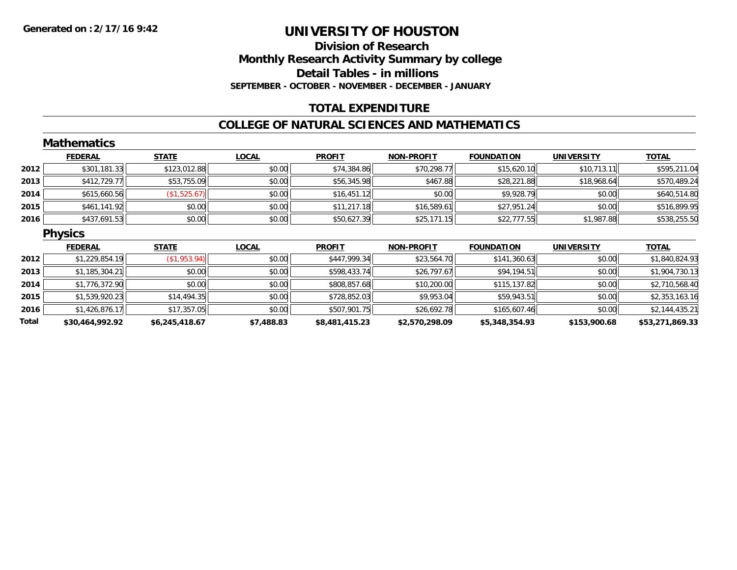# **Division of ResearchMonthly Research Activity Summary by college Detail Tables - in millions SEPTEMBER - OCTOBER - NOVEMBER - DECEMBER - JANUARY**

### **TOTAL EXPENDITURE**

#### **COLLEGE OF NATURAL SCIENCES AND MATHEMATICS**

|       | <b>Mathematics</b> |                |              |                |                   |                   |                   |                 |
|-------|--------------------|----------------|--------------|----------------|-------------------|-------------------|-------------------|-----------------|
|       | <b>FEDERAL</b>     | <b>STATE</b>   | <b>LOCAL</b> | <b>PROFIT</b>  | <b>NON-PROFIT</b> | <b>FOUNDATION</b> | <b>UNIVERSITY</b> | <b>TOTAL</b>    |
| 2012  | \$301,181.33       | \$123,012.88   | \$0.00       | \$74,384.86    | \$70,298.77       | \$15,620.10       | \$10,713.11       | \$595,211.04    |
| 2013  | \$412,729.77       | \$53,755.09    | \$0.00       | \$56,345.98    | \$467.88          | \$28,221.88       | \$18,968.64       | \$570,489.24    |
| 2014  | \$615,660.56       | (\$1,525.67)   | \$0.00       | \$16,451.12    | \$0.00            | \$9,928.79        | \$0.00            | \$640,514.80    |
| 2015  | \$461,141.92       | \$0.00         | \$0.00       | \$11,217.18    | \$16,589.61       | \$27,951.24       | \$0.00            | \$516,899.95    |
| 2016  | \$437,691.53       | \$0.00         | \$0.00       | \$50,627.39    | \$25,171.15       | \$22,777.55       | \$1,987.88        | \$538,255.50    |
|       | <b>Physics</b>     |                |              |                |                   |                   |                   |                 |
|       | <b>FEDERAL</b>     | <b>STATE</b>   | <b>LOCAL</b> | <b>PROFIT</b>  | <b>NON-PROFIT</b> | <b>FOUNDATION</b> | <b>UNIVERSITY</b> | <b>TOTAL</b>    |
| 2012  | \$1,229,854.19     | (\$1,953.94)   | \$0.00       | \$447,999.34   | \$23,564.70       | \$141,360.63      | \$0.00            | \$1,840,824.93  |
| 2013  | \$1,185,304.21     | \$0.00         | \$0.00       | \$598,433.74   | \$26,797.67       | \$94,194.51       | \$0.00            | \$1,904,730.13  |
| 2014  | \$1,776,372.90     | \$0.00         | \$0.00       | \$808,857.68   | \$10,200.00       | \$115,137.82      | \$0.00            | \$2,710,568.40  |
| 2015  | \$1,539,920.23     | \$14,494.35    | \$0.00       | \$728,852.03   | \$9,953.04        | \$59,943.51       | \$0.00            | \$2,353,163.16  |
| 2016  | \$1,426,876.17     | \$17,357.05    | \$0.00       | \$507,901.75   | \$26,692.78       | \$165,607.46      | \$0.00            | \$2,144,435.21  |
| Total | \$30,464,992.92    | \$6,245,418.67 | \$7,488.83   | \$8,481,415.23 | \$2,570,298.09    | \$5,348,354.93    | \$153,900.68      | \$53,271,869.33 |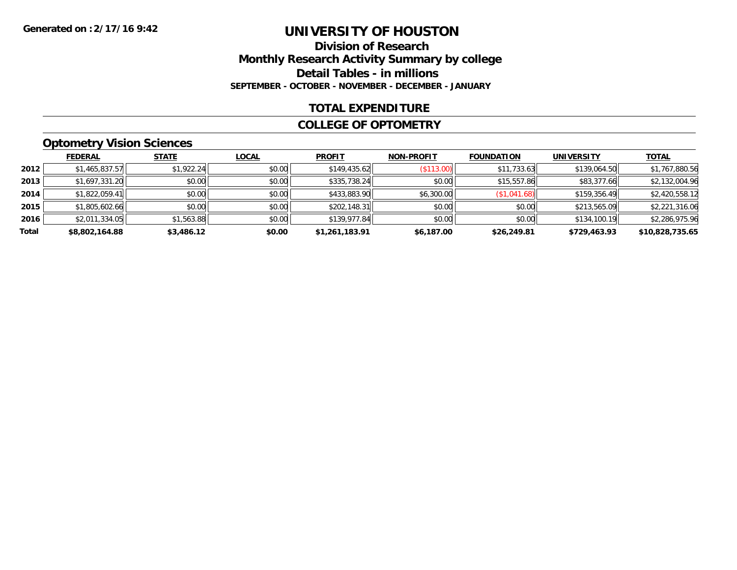#### **Division of Research Monthly Research Activity Summary by college Detail Tables - in millions SEPTEMBER - OCTOBER - NOVEMBER - DECEMBER - JANUARY**

#### **TOTAL EXPENDITURE**

#### **COLLEGE OF OPTOMETRY**

# **Optometry Vision Sciences**

|       | <b>FEDERAL</b> | <b>STATE</b> | <b>LOCAL</b> | <b>PROFIT</b>  | <b>NON-PROFIT</b> | <b>FOUNDATION</b> | <b>UNIVERSITY</b> | <b>TOTAL</b>    |
|-------|----------------|--------------|--------------|----------------|-------------------|-------------------|-------------------|-----------------|
| 2012  | \$1,465,837.57 | \$1,922.24   | \$0.00       | \$149,435.62   | (\$113.00)        | \$11,733.63       | \$139,064.50      | \$1,767,880.56  |
| 2013  | \$1,697,331.20 | \$0.00       | \$0.00       | \$335,738.24   | \$0.00            | \$15,557.86       | \$83,377.66       | \$2,132,004.96  |
| 2014  | \$1,822,059.41 | \$0.00       | \$0.00       | \$433,883.90   | \$6,300.00        | (\$1,041.68)      | \$159,356.49      | \$2,420,558.12  |
| 2015  | \$1,805,602.66 | \$0.00       | \$0.00       | \$202,148.31   | \$0.00            | \$0.00            | \$213,565.09      | \$2,221,316.06  |
| 2016  | \$2,011,334.05 | \$1,563.88   | \$0.00       | \$139,977.84   | \$0.00            | \$0.00            | \$134,100.19      | \$2,286,975.96  |
| Total | \$8,802,164.88 | \$3,486.12   | \$0.00       | \$1,261,183.91 | \$6,187.00        | \$26,249.81       | \$729,463.93      | \$10,828,735.65 |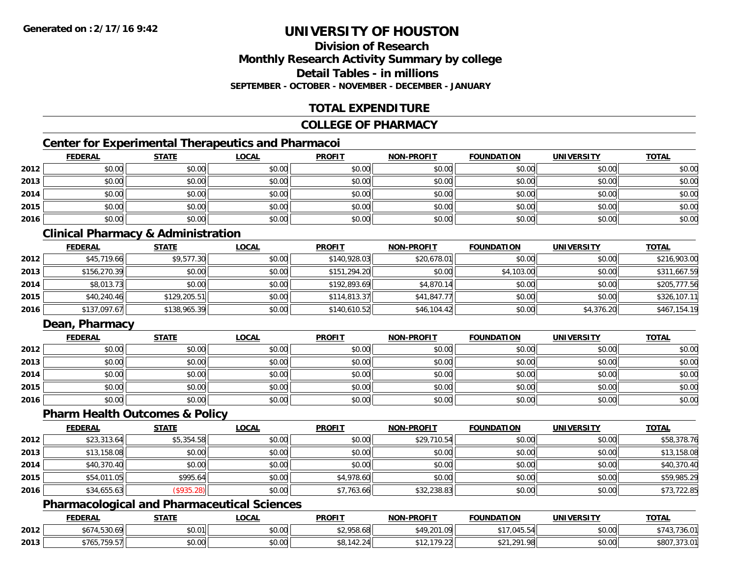### **Division of ResearchMonthly Research Activity Summary by college Detail Tables - in millionsSEPTEMBER - OCTOBER - NOVEMBER - DECEMBER - JANUARY**

# **TOTAL EXPENDITURE**

### **COLLEGE OF PHARMACY**

# **Center for Experimental Therapeutics and Pharmacoi**

|      | <b>FEDERAL</b> | <b>STATE</b> | <u>LOCAL</u> | <b>PROFIT</b> | <b>NON-PROFIT</b> | <b>FOUNDATION</b> | <b>UNIVERSITY</b> | <b>TOTAL</b> |
|------|----------------|--------------|--------------|---------------|-------------------|-------------------|-------------------|--------------|
| 2012 | \$0.00         | \$0.00       | \$0.00       | \$0.00        | \$0.00            | \$0.00            | \$0.00            | \$0.00       |
| 2013 | \$0.00         | \$0.00       | \$0.00       | \$0.00        | \$0.00            | \$0.00            | \$0.00            | \$0.00       |
| 2014 | \$0.00         | \$0.00       | \$0.00       | \$0.00        | \$0.00            | \$0.00            | \$0.00            | \$0.00       |
| 2015 | \$0.00         | \$0.00       | \$0.00       | \$0.00        | \$0.00            | \$0.00            | \$0.00            | \$0.00       |
| 2016 | \$0.00         | \$0.00       | \$0.00       | \$0.00        | \$0.00            | \$0.00            | \$0.00            | \$0.00       |

# **Clinical Pharmacy & Administration**

|      | <b>FEDERAL</b> | <b>STATE</b> | <u>LOCAL</u> | <b>PROFIT</b> | <b>NON-PROFIT</b> | <b>FOUNDATION</b> | <b>UNIVERSITY</b> | <b>TOTAL</b> |
|------|----------------|--------------|--------------|---------------|-------------------|-------------------|-------------------|--------------|
| 2012 | \$45,719.66    | \$9,577.30   | \$0.00       | \$140,928.03  | \$20,678.01       | \$0.00            | \$0.00            | \$216,903.00 |
| 2013 | \$156,270.39   | \$0.00       | \$0.00       | \$151,294.20  | \$0.00            | \$4,103.00        | \$0.00            | \$311,667.59 |
| 2014 | \$8,013.73     | \$0.00       | \$0.00       | \$192,893.69  | \$4,870.14        | \$0.00            | \$0.00            | \$205,777.56 |
| 2015 | \$40,240.46    | \$129,205.51 | \$0.00       | \$114,813.37  | \$41,847.77       | \$0.00            | \$0.00            | \$326,107.11 |
| 2016 | \$137,097.67   | \$138,965.39 | \$0.00       | \$140,610.52  | \$46,104.42       | \$0.00            | \$4,376.20        | \$467,154.19 |

# **Dean, Pharmacy**

|      | <b>FEDERAL</b> | <b>STATE</b> | <u>LOCAL</u> | <b>PROFIT</b> | <b>NON-PROFIT</b> | <b>FOUNDATION</b> | <b>UNIVERSITY</b> | <b>TOTAL</b> |
|------|----------------|--------------|--------------|---------------|-------------------|-------------------|-------------------|--------------|
| 2012 | \$0.00         | \$0.00       | \$0.00       | \$0.00        | \$0.00            | \$0.00            | \$0.00            | \$0.00       |
| 2013 | \$0.00         | \$0.00       | \$0.00       | \$0.00        | \$0.00            | \$0.00            | \$0.00            | \$0.00       |
| 2014 | \$0.00         | \$0.00       | \$0.00       | \$0.00        | \$0.00            | \$0.00            | \$0.00            | \$0.00       |
| 2015 | \$0.00         | \$0.00       | \$0.00       | \$0.00        | \$0.00            | \$0.00            | \$0.00            | \$0.00       |
| 2016 | \$0.00         | \$0.00       | \$0.00       | \$0.00        | \$0.00            | \$0.00            | \$0.00            | \$0.00       |

#### **Pharm Health Outcomes & Policy**

|      | <b>FEDERAL</b> | <u>STATE</u>  | <b>LOCAL</b> | <b>PROFIT</b> | <b>NON-PROFIT</b> | <b>FOUNDATION</b> | <b>UNIVERSITY</b> | <b>TOTAL</b> |
|------|----------------|---------------|--------------|---------------|-------------------|-------------------|-------------------|--------------|
| 2012 | \$23,313.64    | \$5,354.58    | \$0.00       | \$0.00        | \$29,710.54       | \$0.00            | \$0.00            | \$58,378.76  |
| 2013 | \$13,158.08    | \$0.00        | \$0.00       | \$0.00        | \$0.00            | \$0.00            | \$0.00            | \$13,158.08  |
| 2014 | \$40,370.40    | \$0.00        | \$0.00       | \$0.00        | \$0.00            | \$0.00            | \$0.00            | \$40,370.40  |
| 2015 | \$54,011.05    | \$995.64      | \$0.00       | \$4,978.60    | \$0.00            | \$0.00            | \$0.00            | \$59,985.29  |
| 2016 | \$34,655.63    | $($ \$935.28) | \$0.00       | \$7,763.66    | \$32,238.83       | \$0.00            | \$0.00            | \$73,722.85  |

### **Pharmacological and Pharmaceutical Sciences**

|      | <b>FEDERAL</b>                              | STATE         | _OCAI               | <b>PROFIT</b>                | <b>NON-PROFIT</b> | <b>FOUNDATION</b>        | UNIVERSITY | <b>TOTAL</b>           |
|------|---------------------------------------------|---------------|---------------------|------------------------------|-------------------|--------------------------|------------|------------------------|
| 2012 | $+ -$<br>4.530.69                           | \$0.01        | $\sim$ 00<br>DU.UU  | <b>ሮገ በ</b> 50<br>\$2,958.68 | 201.49غ<br>I.V.   | $'$ .045.54              | \$0.00     | $\overline{a}$<br>30.U |
| 2013 | 750E<br>\$765.<br>. . <i>. .</i> J <i>.</i> | 0000<br>JU.UU | $\sim$ 0.0<br>DU.UG | 0.112<br>ΟДΙ<br>30. I 42. Z  |                   | ാറ1<br>OQ<br>ሐ ጣ ብ<br>70 | \$0.00     | \$807<br>,J / J.U      |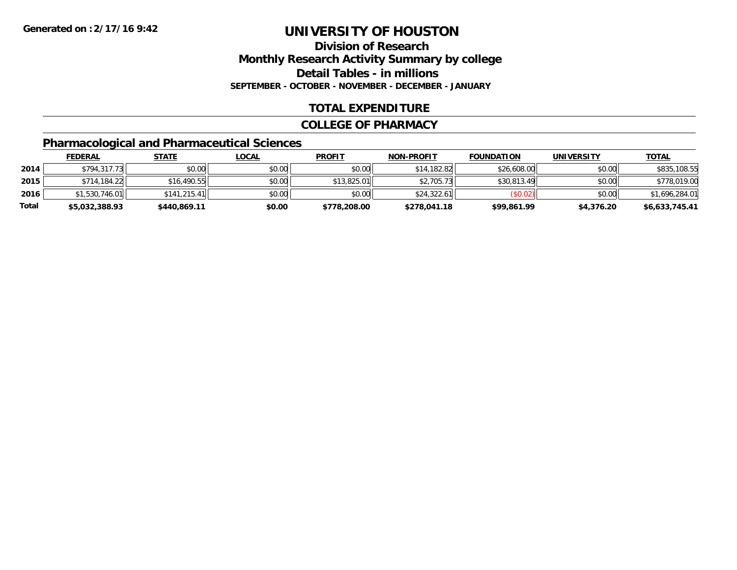# **Division of ResearchMonthly Research Activity Summary by college Detail Tables - in millions SEPTEMBER - OCTOBER - NOVEMBER - DECEMBER - JANUARY**

### **TOTAL EXPENDITURE**

#### **COLLEGE OF PHARMACY**

# **Pharmacological and Pharmaceutical Sciences**

|       | <b>FEDERAL</b> | <u>STATE</u> | <u>LOCAL</u> | <b>PROFIT</b> | <b>NON-PROFIT</b> | <b>FOUNDATION</b> | <b>UNIVERSITY</b> | <b>TOTAL</b>   |
|-------|----------------|--------------|--------------|---------------|-------------------|-------------------|-------------------|----------------|
| 2014  | \$794,317.73   | \$0.00       | \$0.00       | \$0.00        | \$14,182.82       | \$26,608.00       | \$0.00            | \$835,108.55   |
| 2015  | \$714,184.22   | \$16,490.55  | \$0.00       | \$13,825.01   | \$2,705.73        | \$30,813.49       | \$0.00            | \$778,019.00   |
| 2016  | \$1,530,746.01 | \$141.215.41 | \$0.00       | \$0.00        | \$24.322.61       | (S0.02)           | \$0.00            | \$1,696,284.01 |
| Total | \$5,032,388.93 | \$440,869.11 | \$0.00       | \$778,208.00  | \$278,041.18      | \$99,861.99       | \$4,376.20        | \$6,633,745.41 |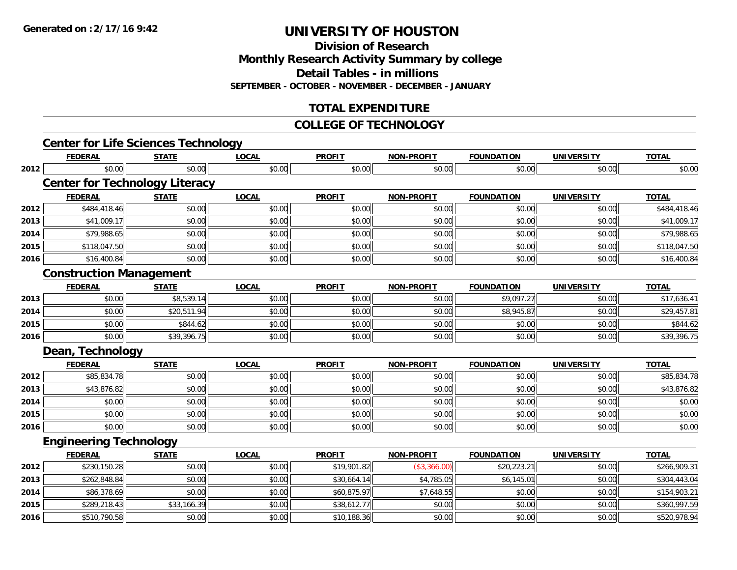**Division of ResearchMonthly Research Activity Summary by college**

**Detail Tables - in millions**

**SEPTEMBER - OCTOBER - NOVEMBER - DECEMBER - JANUARY**

# **TOTAL EXPENDITURE**

#### **COLLEGE OF TECHNOLOGY**

|      | <b>Center for Life Sciences Technology</b> |              |              |               |                   |                   |                   |              |
|------|--------------------------------------------|--------------|--------------|---------------|-------------------|-------------------|-------------------|--------------|
|      | <b>FEDERAL</b>                             | <b>STATE</b> | <b>LOCAL</b> | <b>PROFIT</b> | <b>NON-PROFIT</b> | <b>FOUNDATION</b> | <b>UNIVERSITY</b> | <b>TOTAL</b> |
| 2012 | \$0.00                                     | \$0.00       | \$0.00       | \$0.00        | \$0.00            | \$0.00            | \$0.00            | \$0.00       |
|      | <b>Center for Technology Literacy</b>      |              |              |               |                   |                   |                   |              |
|      | <b>FEDERAL</b>                             | <b>STATE</b> | <b>LOCAL</b> | <b>PROFIT</b> | <b>NON-PROFIT</b> | <b>FOUNDATION</b> | <b>UNIVERSITY</b> | <b>TOTAL</b> |
| 2012 | \$484,418.46                               | \$0.00       | \$0.00       | \$0.00        | \$0.00            | \$0.00            | \$0.00            | \$484,418.46 |
| 2013 | \$41,009.17                                | \$0.00       | \$0.00       | \$0.00        | \$0.00            | \$0.00            | \$0.00            | \$41,009.17  |
| 2014 | \$79,988.65                                | \$0.00       | \$0.00       | \$0.00        | \$0.00            | \$0.00            | \$0.00            | \$79,988.65  |
| 2015 | \$118,047.50                               | \$0.00       | \$0.00       | \$0.00        | \$0.00            | \$0.00            | \$0.00            | \$118,047.50 |
| 2016 | \$16,400.84                                | \$0.00       | \$0.00       | \$0.00        | \$0.00            | \$0.00            | \$0.00            | \$16,400.84  |
|      | <b>Construction Management</b>             |              |              |               |                   |                   |                   |              |
|      | <b>FEDERAL</b>                             | <b>STATE</b> | <b>LOCAL</b> | <b>PROFIT</b> | NON-PROFIT        | <b>FOUNDATION</b> | <b>UNIVERSITY</b> | <b>TOTAL</b> |
| 2013 | \$0.00                                     | \$8,539.14   | \$0.00       | \$0.00        | \$0.00            | \$9,097.27        | \$0.00            | \$17,636.41  |
| 2014 | \$0.00                                     | \$20,511.94  | \$0.00       | \$0.00        | \$0.00            | \$8,945.87        | \$0.00            | \$29,457.81  |
| 2015 | \$0.00                                     | \$844.62     | \$0.00       | \$0.00        | \$0.00            | \$0.00            | \$0.00            | \$844.62     |
| 2016 | \$0.00                                     | \$39,396.75  | \$0.00       | \$0.00        | \$0.00            | \$0.00            | \$0.00            | \$39,396.75  |
|      | Dean, Technology                           |              |              |               |                   |                   |                   |              |
|      | <b>FEDERAL</b>                             | <b>STATE</b> | <b>LOCAL</b> | <b>PROFIT</b> | <b>NON-PROFIT</b> | <b>FOUNDATION</b> | <b>UNIVERSITY</b> | <b>TOTAL</b> |
| 2012 | \$85,834.78                                | \$0.00       | \$0.00       | \$0.00        | \$0.00            | \$0.00            | \$0.00            | \$85,834.78  |
| 2013 | \$43,876.82                                | \$0.00       | \$0.00       | \$0.00        | \$0.00            | \$0.00            | \$0.00            | \$43,876.82  |
| 2014 | \$0.00                                     | \$0.00       | \$0.00       | \$0.00        | \$0.00            | \$0.00            | \$0.00            | \$0.00       |
| 2015 | \$0.00                                     | \$0.00       | \$0.00       | \$0.00        | \$0.00            | \$0.00            | \$0.00            | \$0.00       |
| 2016 | \$0.00                                     | \$0.00       | \$0.00       | \$0.00        | \$0.00            | \$0.00            | \$0.00            | \$0.00       |
|      | <b>Engineering Technology</b>              |              |              |               |                   |                   |                   |              |
|      | <b>FEDERAL</b>                             | <b>STATE</b> | <b>LOCAL</b> | <b>PROFIT</b> | <b>NON-PROFIT</b> | <b>FOUNDATION</b> | <b>UNIVERSITY</b> | <b>TOTAL</b> |
| 2012 | \$230,150.28                               | \$0.00       | \$0.00       | \$19,901.82   | (\$3,366.00)      | \$20,223.21       | \$0.00            | \$266,909.31 |
| 2013 | \$262,848.84                               | \$0.00       | \$0.00       | \$30,664.14   | \$4,785.05        | \$6,145.01        | \$0.00            | \$304,443.04 |
| 2014 | \$86,378.69                                | \$0.00       | \$0.00       | \$60,875.97   | \$7,648.55        | \$0.00            | \$0.00            | \$154,903.21 |
| 2015 | \$289,218.43                               | \$33,166.39  | \$0.00       | \$38,612.77   | \$0.00            | \$0.00            | \$0.00            | \$360,997.59 |
| 2016 | \$510,790.58                               | \$0.00       | \$0.00       | \$10,188.36   | \$0.00            | \$0.00            | \$0.00            | \$520,978.94 |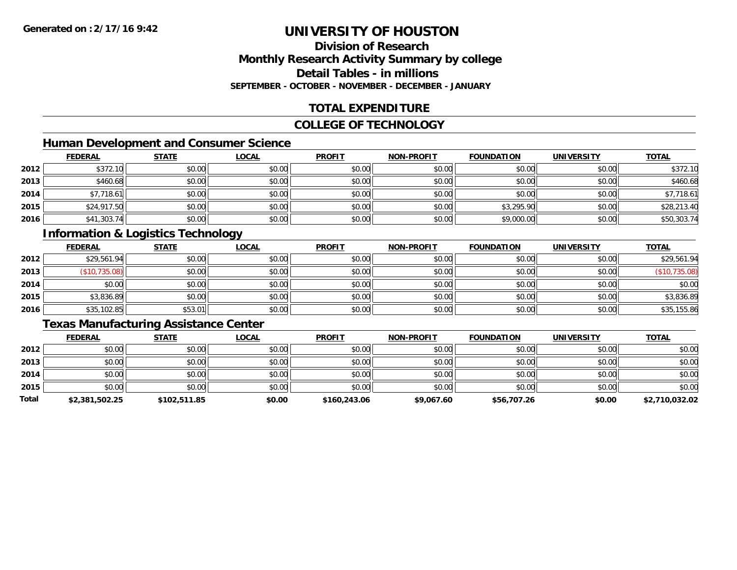### **Division of ResearchMonthly Research Activity Summary by college Detail Tables - in millionsSEPTEMBER - OCTOBER - NOVEMBER - DECEMBER - JANUARY**

# **TOTAL EXPENDITURE**

#### **COLLEGE OF TECHNOLOGY**

# **Human Development and Consumer Science**

|      | <b>FEDERAL</b> | <b>STATE</b> | <b>LOCAL</b> | <b>PROFIT</b> | <b>NON-PROFIT</b> | <b>FOUNDATION</b> | <b>UNIVERSITY</b> | <b>TOTAL</b> |
|------|----------------|--------------|--------------|---------------|-------------------|-------------------|-------------------|--------------|
| 2012 | \$372.10       | \$0.00       | \$0.00       | \$0.00        | \$0.00            | \$0.00            | \$0.00            | \$372.10     |
| 2013 | \$460.68       | \$0.00       | \$0.00       | \$0.00        | \$0.00            | \$0.00            | \$0.00            | \$460.68     |
| 2014 | \$7,718.61     | \$0.00       | \$0.00       | \$0.00        | \$0.00            | \$0.00            | \$0.00            | \$7,718.61   |
| 2015 | \$24,917.50    | \$0.00       | \$0.00       | \$0.00        | \$0.00            | \$3,295.90        | \$0.00            | \$28,213.40  |
| 2016 | \$41,303.74    | \$0.00       | \$0.00       | \$0.00        | \$0.00            | \$9,000.00        | \$0.00            | \$50,303.74  |

# **Information & Logistics Technology**

|      | <b>FEDERAL</b> | <b>STATE</b> | <u>LOCAL</u> | <b>PROFIT</b> | <b>NON-PROFIT</b> | <b>FOUNDATION</b> | <b>UNIVERSITY</b> | <b>TOTAL</b>  |
|------|----------------|--------------|--------------|---------------|-------------------|-------------------|-------------------|---------------|
| 2012 | \$29,561.94    | \$0.00       | \$0.00       | \$0.00        | \$0.00            | \$0.00            | \$0.00            | \$29,561.94   |
| 2013 | (\$10,735.08)  | \$0.00       | \$0.00       | \$0.00        | \$0.00            | \$0.00            | \$0.00            | (\$10,735.08) |
| 2014 | \$0.00         | \$0.00       | \$0.00       | \$0.00        | \$0.00            | \$0.00            | \$0.00            | \$0.00        |
| 2015 | \$3,836.89     | \$0.00       | \$0.00       | \$0.00        | \$0.00            | \$0.00            | \$0.00            | \$3,836.89    |
| 2016 | \$35,102.85    | \$53.01      | \$0.00       | \$0.00        | \$0.00            | \$0.00            | \$0.00            | \$35,155.86   |

### **Texas Manufacturing Assistance Center**

|       | <b>FEDERAL</b> | <b>STATE</b> | <b>LOCAL</b> | <b>PROFIT</b> | <b>NON-PROFIT</b> | <b>FOUNDATION</b> | <b>UNIVERSITY</b> | <b>TOTAL</b>   |
|-------|----------------|--------------|--------------|---------------|-------------------|-------------------|-------------------|----------------|
| 2012  | \$0.00         | \$0.00       | \$0.00       | \$0.00        | \$0.00            | \$0.00            | \$0.00            | \$0.00         |
| 2013  | \$0.00         | \$0.00       | \$0.00       | \$0.00        | \$0.00            | \$0.00            | \$0.00            | \$0.00         |
| 2014  | \$0.00         | \$0.00       | \$0.00       | \$0.00        | \$0.00            | \$0.00            | \$0.00            | \$0.00         |
| 2015  | \$0.00         | \$0.00       | \$0.00       | \$0.00        | \$0.00            | \$0.00            | \$0.00            | \$0.00         |
| Total | \$2,381,502.25 | \$102,511.85 | \$0.00       | \$160,243.06  | \$9,067.60        | \$56,707.26       | \$0.00            | \$2,710,032.02 |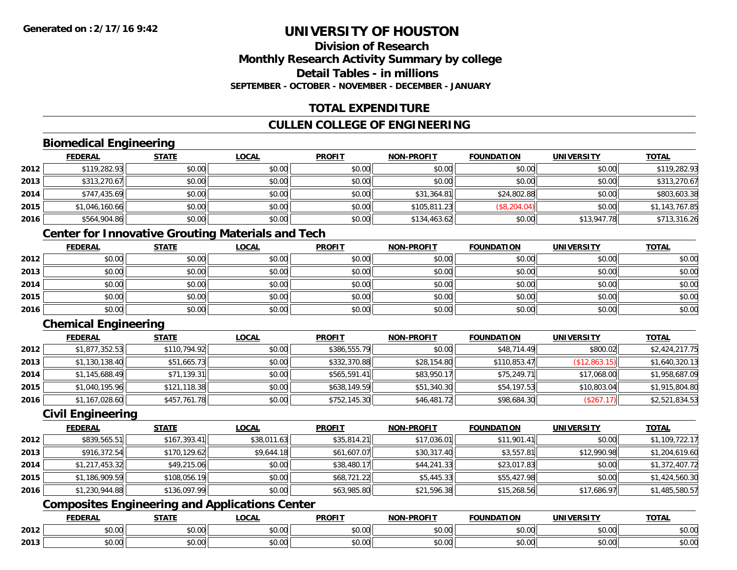### **Division of ResearchMonthly Research Activity Summary by college Detail Tables - in millionsSEPTEMBER - OCTOBER - NOVEMBER - DECEMBER - JANUARY**

# **TOTAL EXPENDITURE**

# **CULLEN COLLEGE OF ENGINEERING**

# **Biomedical Engineering**

|      | <u>FEDERAL</u> | <b>STATE</b> | <u>LOCAL</u> | <b>PROFIT</b> | <b>NON-PROFIT</b> | <b>FOUNDATION</b> | <b>UNIVERSITY</b> | <u>TOTAL</u>   |
|------|----------------|--------------|--------------|---------------|-------------------|-------------------|-------------------|----------------|
| 2012 | \$119,282.93   | \$0.00       | \$0.00       | \$0.00        | \$0.00            | \$0.00            | \$0.00            | \$119,282.93   |
| 2013 | \$313,270.67   | \$0.00       | \$0.00       | \$0.00        | \$0.00            | \$0.00            | \$0.00            | \$313,270.67   |
| 2014 | \$747,435.69   | \$0.00       | \$0.00       | \$0.00        | \$31,364.81       | \$24,802.88       | \$0.00            | \$803,603.38   |
| 2015 | \$1,046,160.66 | \$0.00       | \$0.00       | \$0.00        | \$105,811.23      | (\$8, 204.04)     | \$0.00            | \$1,143,767.85 |
| 2016 | \$564,904.86   | \$0.00       | \$0.00       | \$0.00        | \$134,463.62      | \$0.00            | \$13,947.78       | \$713,316.26   |

# **Center for Innovative Grouting Materials and Tech**

|      | <u>FEDERAL</u> | <b>STATE</b> | <u>LOCAL</u> | <b>PROFIT</b> | <b>NON-PROFIT</b> | <b>FOUNDATION</b> | <b>UNIVERSITY</b> | <b>TOTAL</b> |
|------|----------------|--------------|--------------|---------------|-------------------|-------------------|-------------------|--------------|
| 2012 | \$0.00         | \$0.00       | \$0.00       | \$0.00        | \$0.00            | \$0.00            | \$0.00            | \$0.00       |
| 2013 | \$0.00         | \$0.00       | \$0.00       | \$0.00        | \$0.00            | \$0.00            | \$0.00            | \$0.00       |
| 2014 | \$0.00         | \$0.00       | \$0.00       | \$0.00        | \$0.00            | \$0.00            | \$0.00            | \$0.00       |
| 2015 | \$0.00         | \$0.00       | \$0.00       | \$0.00        | \$0.00            | \$0.00            | \$0.00            | \$0.00       |
| 2016 | \$0.00         | \$0.00       | \$0.00       | \$0.00        | \$0.00            | \$0.00            | \$0.00            | \$0.00       |

# **Chemical Engineering**

|      | <b>FEDERAL</b> | <b>STATE</b> | <u>LOCAL</u> | <b>PROFIT</b> | <b>NON-PROFIT</b> | <b>FOUNDATION</b> | <b>UNIVERSITY</b> | <b>TOTAL</b>   |
|------|----------------|--------------|--------------|---------------|-------------------|-------------------|-------------------|----------------|
| 2012 | \$1,877,352.53 | \$110,794.92 | \$0.00       | \$386,555.79  | \$0.00            | \$48,714.49       | \$800.02          | \$2,424,217.75 |
| 2013 | \$1,130,138.40 | \$51,665.73  | \$0.00       | \$332,370.88  | \$28,154.80       | \$110,853.47      | (\$12,863.15)     | \$1,640,320.13 |
| 2014 | \$1,145,688.49 | \$71,139.31  | \$0.00       | \$565,591.41  | \$83,950.17       | \$75,249.71       | \$17,068.00       | \$1,958,687.09 |
| 2015 | \$1,040,195.96 | \$121,118.38 | \$0.00       | \$638,149.59  | \$51,340.30       | \$54,197.53       | \$10,803.04       | \$1,915,804.80 |
| 2016 | \$1,167,028.60 | \$457,761.78 | \$0.00       | \$752,145.30  | \$46,481.72       | \$98,684.30       | (\$267.17)        | \$2,521,834.53 |

### **Civil Engineering**

|      | <b>FEDERAL</b> | <b>STATE</b> | <u>LOCAL</u> | <b>PROFIT</b> | <b>NON-PROFIT</b> | <b>FOUNDATION</b> | <b>UNIVERSITY</b> | <b>TOTAL</b>   |
|------|----------------|--------------|--------------|---------------|-------------------|-------------------|-------------------|----------------|
| 2012 | \$839,565.51   | \$167,393.41 | \$38,011.63  | \$35,814.21   | \$17,036.01       | \$11,901.41       | \$0.00            | \$1,109,722.17 |
| 2013 | \$916,372.54   | \$170,129.62 | \$9,644.18   | \$61,607.07   | \$30,317.40       | \$3,557.81        | \$12,990.98       | \$1,204,619.60 |
| 2014 | \$1,217,453.32 | \$49,215.06  | \$0.00       | \$38,480.17   | \$44,241.33       | \$23,017.83       | \$0.00            | \$1,372,407.72 |
| 2015 | \$1,186,909.59 | \$108,056.19 | \$0.00       | \$68,721.22   | \$5,445.33        | \$55,427.98       | \$0.00            | \$1,424,560.30 |
| 2016 | \$1,230,944.88 | \$136,097.99 | \$0.00       | \$63,985.80   | \$21,596.38       | \$15,268.56       | \$17,686.97       | \$1,485,580.57 |

# **Composites Engineering and Applications Center**

|      | <b>FEDERAL</b>          | <b>STATE</b>  | LOCAL                                  | <b>PROFIT</b> | <b>NON-PROFIT</b> | <b>FOUNDATION</b>                                 | <b>UNIVERSITY</b>        | <b>TOTAL</b> |
|------|-------------------------|---------------|----------------------------------------|---------------|-------------------|---------------------------------------------------|--------------------------|--------------|
| 2012 | 0000<br>DU.UU           | 0.00<br>JU.UU | ሐሴ ሰሰ<br>JU.UU                         | 0000<br>JU.UU | 0.00<br>PO.OO     | 0.00<br>JU.UU                                     | 0.001<br>JU.UU.          | \$0.00       |
| 2013 | 0 <sub>n</sub><br>JU.UU | \$0.00        | $\uparrow$ $\cap$ .<br>$\sim$<br>JU.UU | 0000<br>JU.UU | 0.00<br>JU.UU     | $\mathsf{A}\cap\mathsf{A}\cap\mathsf{A}$<br>JU.UU | $n \cap \Omega$<br>PO.OO | \$0.00       |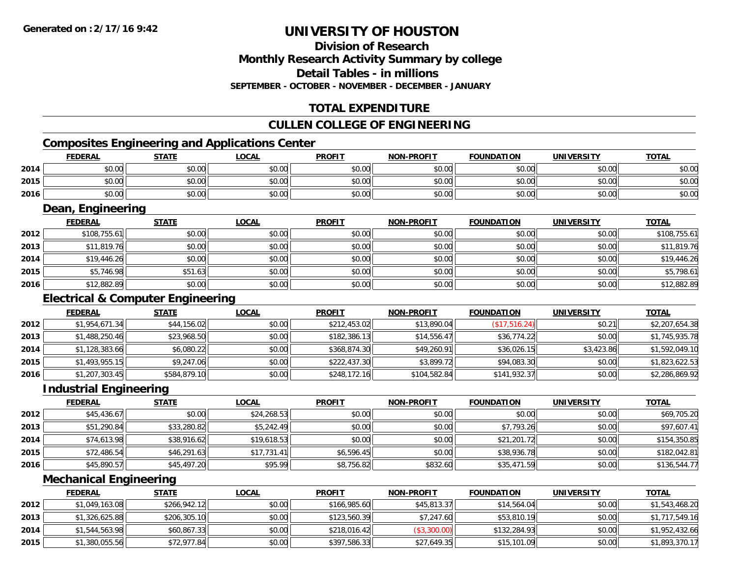### **Division of ResearchMonthly Research Activity Summary by college Detail Tables - in millionsSEPTEMBER - OCTOBER - NOVEMBER - DECEMBER - JANUARY**

# **TOTAL EXPENDITURE**

### **CULLEN COLLEGE OF ENGINEERING**

# **Composites Engineering and Applications Center**

|      | <b>FEDERAL</b> | <b>STATE</b> | LOCAL  | <b>PROFIT</b> | <b>NON-PROFIT</b> | <b>FOUNDATION</b> | <b>UNIVERSITY</b> | <u>TOTAL</u> |
|------|----------------|--------------|--------|---------------|-------------------|-------------------|-------------------|--------------|
| 2014 | 0000<br>JU.UU  | \$0.00       | \$0.00 | \$0.00        | \$0.00            | \$0.00<br>JU.UU   | \$0.00            | \$0.00       |
| 2015 | ሶስ ሰስ<br>JU.UU | \$0.00       | \$0.00 | \$0.00        | \$0.00            | \$0.00            | \$0.00            | \$0.00       |
| 2016 | ሶስ ሰስ<br>DU.UU | \$0.00       | \$0.00 | \$0.00        | \$0.00            | \$0.00            | \$0.00            | \$0.00       |

### **Dean, Engineering**

|      | <b>FEDERAL</b> | <b>STATE</b> | <b>LOCAL</b> | <b>PROFIT</b> | <b>NON-PROFIT</b> | <b>FOUNDATION</b> | <b>UNIVERSITY</b> | <b>TOTAL</b> |
|------|----------------|--------------|--------------|---------------|-------------------|-------------------|-------------------|--------------|
| 2012 | \$108,755.61   | \$0.00       | \$0.00       | \$0.00        | \$0.00            | \$0.00            | \$0.00            | \$108,755.61 |
| 2013 | \$11,819.76    | \$0.00       | \$0.00       | \$0.00        | \$0.00            | \$0.00            | \$0.00            | \$11,819.76  |
| 2014 | \$19,446.26    | \$0.00       | \$0.00       | \$0.00        | \$0.00            | \$0.00            | \$0.00            | \$19,446.26  |
| 2015 | \$5,746.98     | \$51.63      | \$0.00       | \$0.00        | \$0.00            | \$0.00            | \$0.00            | \$5,798.61   |
| 2016 | \$12,882.89    | \$0.00       | \$0.00       | \$0.00        | \$0.00            | \$0.00            | \$0.00            | \$12,882.89  |

# **Electrical & Computer Engineering**

|      | <b>FEDERAL</b> | <b>STATE</b> | <b>LOCAL</b> | <b>PROFIT</b> | <b>NON-PROFIT</b> | <b>FOUNDATION</b> | UNIVERSITY | <b>TOTAL</b>   |
|------|----------------|--------------|--------------|---------------|-------------------|-------------------|------------|----------------|
| 2012 | \$1,954,671.34 | \$44,156.02  | \$0.00       | \$212,453.02  | \$13,890.04       | (\$17,516.24)     | \$0.21     | \$2,207,654.38 |
| 2013 | \$1,488,250.46 | \$23,968.50  | \$0.00       | \$182,386.13  | \$14,556.47       | \$36,774.22       | \$0.00     | \$1,745,935.78 |
| 2014 | \$1,128,383.66 | \$6,080.22   | \$0.00       | \$368,874.30  | \$49,260.91       | \$36,026.15       | \$3,423.86 | \$1,592,049.10 |
| 2015 | \$1,493,955.15 | \$9,247.06   | \$0.00       | \$222,437.30  | \$3,899.72        | \$94,083.30       | \$0.00     | \$1,823,622.53 |
| 2016 | \$1,207,303.45 | \$584,879.10 | \$0.00       | \$248,172.16  | \$104,582.84      | \$141,932.37      | \$0.00     | \$2,286,869.92 |

#### **Industrial Engineering**

|      | <b>FEDERAL</b> | <b>STATE</b> | <b>LOCAL</b> | <b>PROFIT</b> | <b>NON-PROFIT</b> | <b>FOUNDATION</b> | <b>UNIVERSITY</b> | <b>TOTAL</b> |
|------|----------------|--------------|--------------|---------------|-------------------|-------------------|-------------------|--------------|
| 2012 | \$45,436.67    | \$0.00       | \$24,268.53  | \$0.00        | \$0.00            | \$0.00            | \$0.00            | \$69,705.20  |
| 2013 | \$51,290.84    | \$33,280.82  | \$5,242.49   | \$0.00        | \$0.00            | \$7,793.26        | \$0.00            | \$97,607.41  |
| 2014 | \$74,613.98    | \$38,916.62  | \$19,618.53  | \$0.00        | \$0.00            | \$21,201.72       | \$0.00            | \$154,350.85 |
| 2015 | \$72,486.54    | \$46,291.63  | \$17,731.41  | \$6,596.45    | \$0.00            | \$38,936.78       | \$0.00            | \$182,042.81 |
| 2016 | \$45,890.57    | \$45,497.20  | \$95.99      | \$8,756.82    | \$832.60          | \$35,471.59       | \$0.00            | \$136,544.77 |

#### **Mechanical Engineering**

|      | <b>FEDERAL</b> | <u>STATE</u> | <u>LOCAL</u> | <b>PROFIT</b> | <b>NON-PROFIT</b> | <b>FOUNDATION</b> | UNIVERSITY | <b>TOTAL</b>   |
|------|----------------|--------------|--------------|---------------|-------------------|-------------------|------------|----------------|
| 2012 | \$1,049,163.08 | \$266,942.12 | \$0.00       | \$166,985.60  | \$45,813.37       | \$14,564.04       | \$0.00     | \$1,543,468.20 |
| 2013 | \$1,326,625.88 | \$206,305.10 | \$0.00       | \$123,560.39  | \$7,247.60        | \$53,810.19       | \$0.00     | \$1,717,549.16 |
| 2014 | \$1,544,563.98 | \$60,867.33  | \$0.00       | \$218,016.42  | (\$3,300.00)      | \$132,284.93      | \$0.00     | \$1,952,432.66 |
| 2015 | \$1,380,055.56 | \$72,977.84  | \$0.00       | \$397,586.33  | \$27,649.35       | \$15,101.09       | \$0.00     | \$1,893,370.17 |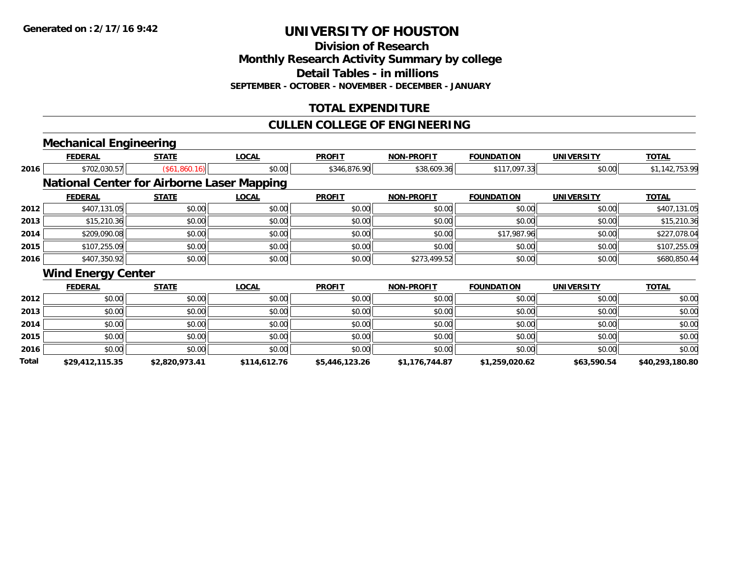**Division of Research**

**Monthly Research Activity Summary by college**

**Detail Tables - in millions**

**SEPTEMBER - OCTOBER - NOVEMBER - DECEMBER - JANUARY**

# **TOTAL EXPENDITURE**

### **CULLEN COLLEGE OF ENGINEERING**

# **Mechanical Engineering**

|              | <b>FEDERAL</b>                                    | <b>STATE</b>   | <b>LOCAL</b> | <b>PROFIT</b>  | <b>NON-PROFIT</b> | <b>FOUNDATION</b> | <b>UNIVERSITY</b> | <u>TOTAL</u>    |
|--------------|---------------------------------------------------|----------------|--------------|----------------|-------------------|-------------------|-------------------|-----------------|
| 2016         | \$702,030.57                                      | (\$61,860.16)  | \$0.00       | \$346,876.90   | \$38,609.36       | \$117,097.33      | \$0.00            | \$1,142,753.99  |
|              | <b>National Center for Airborne Laser Mapping</b> |                |              |                |                   |                   |                   |                 |
|              | <b>FEDERAL</b>                                    | <b>STATE</b>   | <b>LOCAL</b> | <b>PROFIT</b>  | <b>NON-PROFIT</b> | <b>FOUNDATION</b> | <b>UNIVERSITY</b> | <b>TOTAL</b>    |
| 2012         | \$407,131.05                                      | \$0.00         | \$0.00       | \$0.00         | \$0.00            | \$0.00            | \$0.00            | \$407,131.05    |
| 2013         | \$15,210.36                                       | \$0.00         | \$0.00       | \$0.00         | \$0.00            | \$0.00            | \$0.00            | \$15,210.36     |
| 2014         | \$209,090.08                                      | \$0.00         | \$0.00       | \$0.00         | \$0.00            | \$17,987.96       | \$0.00            | \$227,078.04    |
| 2015         | \$107,255.09                                      | \$0.00         | \$0.00       | \$0.00         | \$0.00            | \$0.00            | \$0.00            | \$107,255.09    |
| 2016         | \$407,350.92                                      | \$0.00         | \$0.00       | \$0.00         | \$273,499.52      | \$0.00            | \$0.00            | \$680,850.44    |
|              | <b>Wind Energy Center</b>                         |                |              |                |                   |                   |                   |                 |
|              | <b>FEDERAL</b>                                    | <b>STATE</b>   | <b>LOCAL</b> | <b>PROFIT</b>  | <b>NON-PROFIT</b> | <b>FOUNDATION</b> | <b>UNIVERSITY</b> | <b>TOTAL</b>    |
| 2012         | \$0.00                                            | \$0.00         | \$0.00       | \$0.00         | \$0.00            | \$0.00            | \$0.00            | \$0.00          |
| 2013         | \$0.00                                            | \$0.00         | \$0.00       | \$0.00         | \$0.00            | \$0.00            | \$0.00            | \$0.00          |
| 2014         | \$0.00                                            | \$0.00         | \$0.00       | \$0.00         | \$0.00            | \$0.00            | \$0.00            | \$0.00          |
| 2015         | \$0.00                                            | \$0.00         | \$0.00       | \$0.00         | \$0.00            | \$0.00            | \$0.00            | \$0.00          |
| 2016         | \$0.00                                            | \$0.00         | \$0.00       | \$0.00         | \$0.00            | \$0.00            | \$0.00            | \$0.00          |
| <b>Total</b> | \$29,412,115.35                                   | \$2,820,973.41 | \$114,612.76 | \$5,446,123.26 | \$1,176,744.87    | \$1,259,020.62    | \$63,590.54       | \$40,293,180.80 |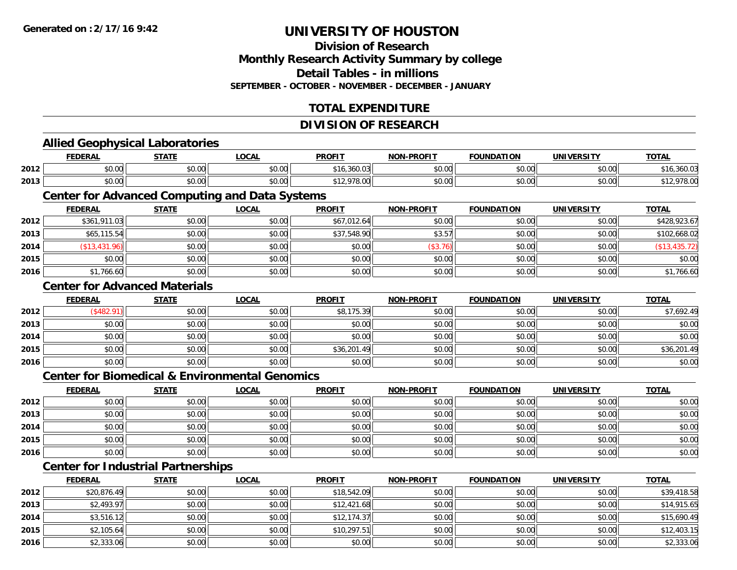### **Division of ResearchMonthly Research Activity Summary by college Detail Tables - in millionsSEPTEMBER - OCTOBER - NOVEMBER - DECEMBER - JANUARY**

# **TOTAL EXPENDITURE**

#### **DIVISION OF RESEARCH**

#### **Allied Geophysical Laboratories FEDERAL STATE LOCAL PROFIT NON-PROFIT FOUNDATION UNIVERSITY TOTALTOTAL 2012** $\bm{2} \parallel 30.00 \parallel 40.00 \parallel 50.00 \parallel 50.00 \parallel 50.00 \parallel 50.00 \parallel 50.00 \parallel 50.00 \parallel 50.00 \parallel 50.00 \parallel 50.00 \parallel 50.00 \parallel 50.00 \parallel 50.00 \parallel 50.00 \parallel 50.00 \parallel 50.00 \parallel 50.00 \parallel 50.00 \parallel 50.00 \parallel 50.00 \parallel 50.00 \parallel 50.00 \parallel 50.00 \parallel 50.00 \parallel 50.00 \parallel 50.0$ **2013**3 | \$0.00 \$0.00 \$0.00 \$0.00 \$0.00 \$0.00 \$12,978.00 \$12,978.00 \$0.00 \$0.00 \$0.00 \$0.00 \$0.00 \$12,978.00 \$12,978 **Center for Advanced Computing and Data Systems FEDERAL STATE LOCAL PROFIT NON-PROFIT FOUNDATION UNIVERSITY TOTALTOTAL 2012**2 | \$361,911.03|| \$0.00| \$0.00| \$0.00|| \$67,012.64|| \$0.00|| \$0.00|| \$0.00|| \$0.00|| \$428,923.67 **2013** $\textbf{3} \quad \textbf{\textcolor{blue}{85.57}} \quad \textbf{\textcolor{blue}{58.57}} \quad \textbf{\textcolor{blue}{58.57}} \quad \textbf{\textcolor{blue}{58.57}} \quad \textbf{\textcolor{blue}{58.57}} \quad \textbf{\textcolor{blue}{58.57}} \quad \textbf{\textcolor{blue}{58.57}} \quad \textbf{\textcolor{blue}{58.57}} \quad \textbf{\textcolor{blue}{58.57}} \quad \textbf{\textcolor{blue}{58.57}} \quad \textbf{\textcolor{blue}{58.57}} \quad \textbf{\textcolor{blue}{58.57}} \quad \textbf{\textcolor{blue$ **2014** (\$13,431.96) \$0.00 \$0.00 \$0.00 (\$3.76) \$0.00 \$0.00 (\$13,435.72) **2015** \$0.00 \$0.00 \$0.00 \$0.00 \$0.00 \$0.00 \$0.00 \$0.00 **2016**6 \$1,766.60 \$0.00 \$0.00 \$0.00 \$0.00 \$0.00 \$0.00 \$0.00 \$0.00 \$0.00 \$0.00 \$0.00 \$1,766.60 **Center for Advanced MaterialsFEDERAL STATE LOCAL PROFIT NON-PROFIT FOUNDATION UNIVERSITY TOTAL2012**2 | (\$482.91)|| \$0.00|| \$0.00|| \$8,175.39|| \$0.00|| \$0.00|| \$7,692.49| **2013** \$0.00 \$0.00 \$0.00 \$0.00 \$0.00 \$0.00 \$0.00 \$0.00 **2014**4 \$0.00 \$0.00 \$0.00 \$0.00 \$0.00 \$0.00 \$0.00 \$0.00 \$0.00 \$0.00 \$0.00 \$0.00 \$0.00 \$0.00 \$0.00 \$0.00 \$0.00 **2015** \$0.00 \$0.00 \$0.00 \$36,201.49 \$0.00 \$0.00 \$0.00 \$36,201.49 **2016** \$0.00 \$0.00 \$0.00 \$0.00 \$0.00 \$0.00 \$0.00 \$0.00 **Center for Biomedical & Environmental GenomicsFEDERAL STATE LOCAL PROFIT NON-PROFIT FOUNDATION UNIVERSITY TOTALTOTAL 2012**2 | \$0.00 \$0.00 \$0.00 \$0.00 \$0.00 \$0.00 \$0.00 \$0.00 \$0.00 \$0.00 \$0.00 \$0.00 \$0.00 \$0.00 \$0.00 \$0.00 \$0.00 **2013** \$0.00 \$0.00 \$0.00 \$0.00 \$0.00 \$0.00 \$0.00 \$0.00 **2014**4 \$0.00 \$0.00 \$0.00 \$0.00 \$0.00 \$0.00 \$0.00 \$0.00 \$0.00 \$0.00 \$0.00 \$0.00 \$0.00 \$0.00 \$0.00 \$0.00 \$0.00 **2015** \$0.00 \$0.00 \$0.00 \$0.00 \$0.00 \$0.00 \$0.00 \$0.00 **2016** \$0.00 \$0.00 \$0.00 \$0.00 \$0.00 \$0.00 \$0.00 \$0.00 **Center for Industrial Partnerships FEDERAL STATE LOCAL PROFIT NON-PROFIT FOUNDATION UNIVERSITY TOTAL**

|      |             | ______ | $- - - - - -$ | _______     |        | ------------- | _________ | _____       |
|------|-------------|--------|---------------|-------------|--------|---------------|-----------|-------------|
| 2012 | \$20,876.49 | \$0.00 | \$0.00        | \$18,542.09 | \$0.00 | \$0.00        | \$0.00    | \$39,418.58 |
| 2013 | \$2,493.97  | \$0.00 | \$0.00        | \$12,421.68 | \$0.00 | \$0.00        | \$0.00    | \$14,915.65 |
| 2014 | \$3,516.12  | \$0.00 | \$0.00        | \$12,174.37 | \$0.00 | \$0.00        | \$0.00    | \$15,690.49 |
| 2015 | \$2,105.64  | \$0.00 | \$0.00        | \$10,297.51 | \$0.00 | \$0.00        | \$0.00    | \$12,403.15 |
| 2016 | \$2,333.06  | \$0.00 | \$0.00        | \$0.00      | \$0.00 | \$0.00        | \$0.00    | \$2,333.06  |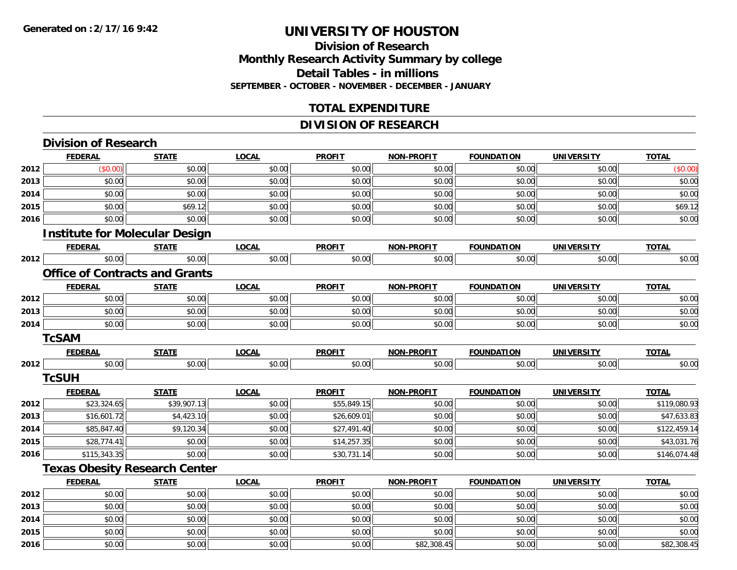**2014**

**2015**

**2016**

# **UNIVERSITY OF HOUSTON**

# **Division of ResearchMonthly Research Activity Summary by college Detail Tables - in millions SEPTEMBER - OCTOBER - NOVEMBER - DECEMBER - JANUARY**

# **TOTAL EXPENDITURE**

# **DIVISION OF RESEARCH**

|      | <b>Division of Research</b>           |              |              |               |                   |                   |                   |              |
|------|---------------------------------------|--------------|--------------|---------------|-------------------|-------------------|-------------------|--------------|
|      | <b>FEDERAL</b>                        | <b>STATE</b> | <b>LOCAL</b> | <b>PROFIT</b> | <b>NON-PROFIT</b> | <b>FOUNDATION</b> | <b>UNIVERSITY</b> | <b>TOTAL</b> |
| 2012 | (\$0.00)                              | \$0.00       | \$0.00       | \$0.00        | \$0.00            | \$0.00            | \$0.00            | (\$0.00)     |
| 2013 | \$0.00                                | \$0.00       | \$0.00       | \$0.00        | \$0.00            | \$0.00            | \$0.00            | \$0.00       |
| 2014 | \$0.00                                | \$0.00       | \$0.00       | \$0.00        | \$0.00            | \$0.00            | \$0.00            | \$0.00       |
| 2015 | \$0.00                                | \$69.12      | \$0.00       | \$0.00        | \$0.00            | \$0.00            | \$0.00            | \$69.12      |
| 2016 | \$0.00                                | \$0.00       | \$0.00       | \$0.00        | \$0.00            | \$0.00            | \$0.00            | \$0.00       |
|      | <b>Institute for Molecular Design</b> |              |              |               |                   |                   |                   |              |
|      | <b>FEDERAL</b>                        | <b>STATE</b> | <b>LOCAL</b> | <b>PROFIT</b> | <b>NON-PROFIT</b> | <b>FOUNDATION</b> | <b>UNIVERSITY</b> | <b>TOTAL</b> |
| 2012 | \$0.00                                | \$0.00       | \$0.00       | \$0.00        | \$0.00            | \$0.00            | \$0.00            | \$0.00       |
|      | <b>Office of Contracts and Grants</b> |              |              |               |                   |                   |                   |              |
|      | <b>FEDERAL</b>                        | <b>STATE</b> | <b>LOCAL</b> | <b>PROFIT</b> | <b>NON-PROFIT</b> | <b>FOUNDATION</b> | <b>UNIVERSITY</b> | <b>TOTAL</b> |
| 2012 | \$0.00                                | \$0.00       | \$0.00       | \$0.00        | \$0.00            | \$0.00            | \$0.00            | \$0.00       |
| 2013 | \$0.00                                | \$0.00       | \$0.00       | \$0.00        | \$0.00            | \$0.00            | \$0.00            | \$0.00       |
| 2014 | \$0.00                                | \$0.00       | \$0.00       | \$0.00        | \$0.00            | \$0.00            | \$0.00            | \$0.00       |
|      | <b>TcSAM</b>                          |              |              |               |                   |                   |                   |              |
|      | <b>FEDERAL</b>                        | <b>STATE</b> | <b>LOCAL</b> | <b>PROFIT</b> | <b>NON-PROFIT</b> | <b>FOUNDATION</b> | <b>UNIVERSITY</b> | <b>TOTAL</b> |
| 2012 | \$0.00                                | \$0.00       | \$0.00       | \$0.00        | \$0.00            | \$0.00            | \$0.00            | \$0.00       |
|      | <b>TcSUH</b>                          |              |              |               |                   |                   |                   |              |
|      | <b>FEDERAL</b>                        | <b>STATE</b> | <b>LOCAL</b> | <b>PROFIT</b> | <b>NON-PROFIT</b> | <b>FOUNDATION</b> | <b>UNIVERSITY</b> | <b>TOTAL</b> |
| 2012 | \$23,324.65                           | \$39,907.13  | \$0.00       | \$55,849.15   | \$0.00            | \$0.00            | \$0.00            | \$119,080.93 |
| 2013 | \$16,601.72                           | \$4,423.10   | \$0.00       | \$26,609.01   | \$0.00            | \$0.00            | \$0.00            | \$47,633.83  |
| 2014 | \$85,847.40                           | \$9,120.34   | \$0.00       | \$27,491.40   | \$0.00            | \$0.00            | \$0.00            | \$122,459.14 |
| 2015 | \$28,774.41                           | \$0.00       | \$0.00       | \$14,257.35   | \$0.00            | \$0.00            | \$0.00            | \$43,031.76  |
| 2016 | \$115,343.35                          | \$0.00       | \$0.00       | \$30,731.14   | \$0.00            | \$0.00            | \$0.00            | \$146,074.48 |
|      | <b>Texas Obesity Research Center</b>  |              |              |               |                   |                   |                   |              |
|      | <b>FEDERAL</b>                        | <b>STATE</b> | <b>LOCAL</b> | <b>PROFIT</b> | <b>NON-PROFIT</b> | <b>FOUNDATION</b> | <b>UNIVERSITY</b> | <b>TOTAL</b> |
| 2012 | \$0.00                                | \$0.00       | \$0.00       | \$0.00        | \$0.00            | \$0.00            | \$0.00            | \$0.00       |
| 2013 | \$0.00                                | \$0.00       | \$0.00       | \$0.00        | \$0.00            | \$0.00            | \$0.00            | \$0.00       |

4 \$0.00 \$0.00 \$0.00 \$0.00 \$0.00 \$0.00 \$0.00 \$0.00 \$0.00 \$0.00 \$0.00 \$0.00 \$0.00 \$0.00 \$0.00 \$0.00 \$0.00

\$0.00 \$0.00 \$0.00 \$0.00 \$0.00 \$0.00 \$0.00 \$0.00

6 \$0.00 \$0.00 \$0.00 \$0.00 \$0.00 \$0.00 \$0.00 \$0.00 \$0.00 \$0.00 \$82,308.45 \$0.00 \$0.00 \$0.00 \$82,308.45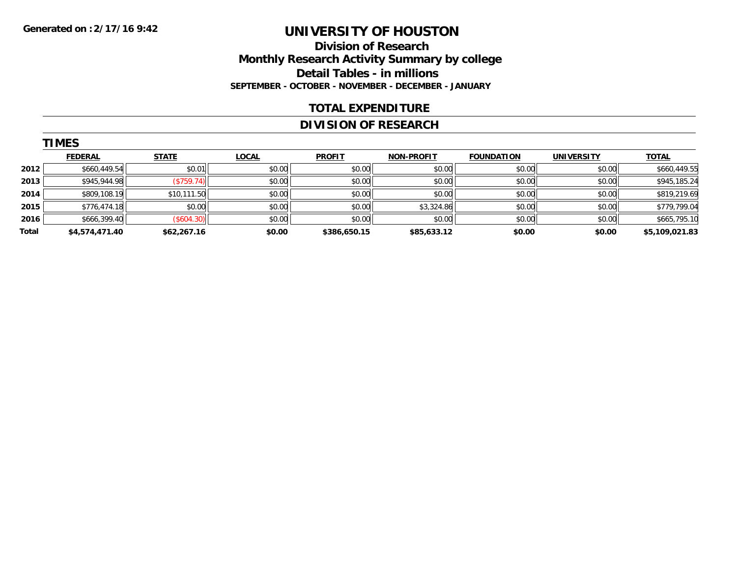### **Division of Research Monthly Research Activity Summary by college Detail Tables - in millions SEPTEMBER - OCTOBER - NOVEMBER - DECEMBER - JANUARY**

#### **TOTAL EXPENDITURE**

### **DIVISION OF RESEARCH**

|       | <b>TIMES</b>   |              |              |               |                   |                   |                   |                |  |  |  |  |
|-------|----------------|--------------|--------------|---------------|-------------------|-------------------|-------------------|----------------|--|--|--|--|
|       | <b>FEDERAL</b> | <b>STATE</b> | <b>LOCAL</b> | <b>PROFIT</b> | <b>NON-PROFIT</b> | <b>FOUNDATION</b> | <b>UNIVERSITY</b> | <u>TOTAL</u>   |  |  |  |  |
| 2012  | \$660,449.54   | \$0.01       | \$0.00       | \$0.00        | \$0.00            | \$0.00            | \$0.00            | \$660,449.55   |  |  |  |  |
| 2013  | \$945,944.98   | (S759.74)    | \$0.00       | \$0.00        | \$0.00            | \$0.00            | \$0.00            | \$945,185.24   |  |  |  |  |
| 2014  | \$809,108.19   | \$10,111.50  | \$0.00       | \$0.00        | \$0.00            | \$0.00            | \$0.00            | \$819,219.69   |  |  |  |  |
| 2015  | \$776,474.18   | \$0.00       | \$0.00       | \$0.00        | \$3,324.86        | \$0.00            | \$0.00            | \$779,799.04   |  |  |  |  |
| 2016  | \$666,399.40   | (\$604.30)   | \$0.00       | \$0.00        | \$0.00            | \$0.00            | \$0.00            | \$665,795.10   |  |  |  |  |
| Total | \$4,574,471.40 | \$62,267.16  | \$0.00       | \$386,650.15  | \$85,633.12       | \$0.00            | \$0.00            | \$5,109,021.83 |  |  |  |  |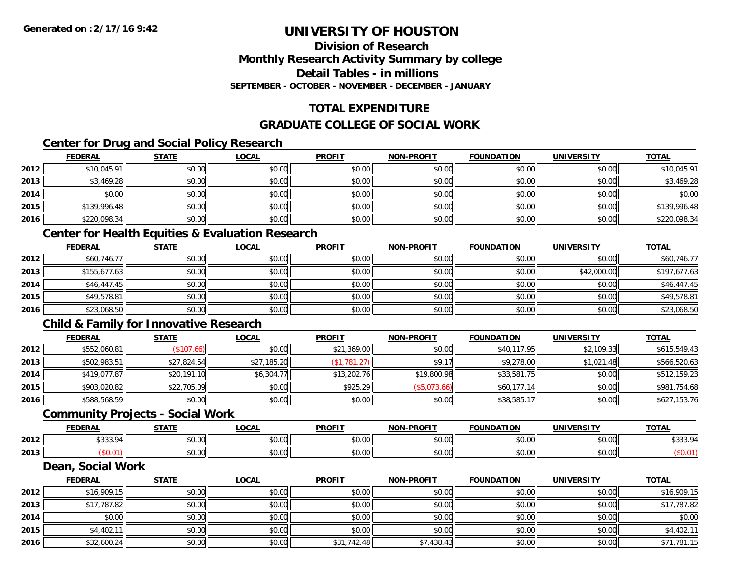### **Division of ResearchMonthly Research Activity Summary by college Detail Tables - in millions SEPTEMBER - OCTOBER - NOVEMBER - DECEMBER - JANUARY**

# **TOTAL EXPENDITURE**

# **GRADUATE COLLEGE OF SOCIAL WORK**

# **Center for Drug and Social Policy Research**

|      | <b>FEDERAL</b> | <b>STATE</b> | <b>LOCAL</b> | <b>PROFIT</b> | <b>NON-PROFIT</b> | <b>FOUNDATION</b> | <b>UNIVERSITY</b> | <b>TOTAL</b> |
|------|----------------|--------------|--------------|---------------|-------------------|-------------------|-------------------|--------------|
| 2012 | \$10,045.91    | \$0.00       | \$0.00       | \$0.00        | \$0.00            | \$0.00            | \$0.00            | \$10,045.91  |
| 2013 | \$3,469.28     | \$0.00       | \$0.00       | \$0.00        | \$0.00            | \$0.00            | \$0.00            | \$3,469.28   |
| 2014 | \$0.00         | \$0.00       | \$0.00       | \$0.00        | \$0.00            | \$0.00            | \$0.00            | \$0.00       |
| 2015 | \$139,996.48   | \$0.00       | \$0.00       | \$0.00        | \$0.00            | \$0.00            | \$0.00            | \$139,996.48 |
| 2016 | \$220,098.34   | \$0.00       | \$0.00       | \$0.00        | \$0.00            | \$0.00            | \$0.00            | \$220,098.34 |

### **Center for Health Equities & Evaluation Research**

|      | <b>FEDERAL</b> | <b>STATE</b> | <b>LOCAL</b> | <b>PROFIT</b> | <b>NON-PROFIT</b> | <b>FOUNDATION</b> | <b>UNIVERSITY</b> | <b>TOTAL</b> |
|------|----------------|--------------|--------------|---------------|-------------------|-------------------|-------------------|--------------|
| 2012 | \$60,746.77    | \$0.00       | \$0.00       | \$0.00        | \$0.00            | \$0.00            | \$0.00            | \$60,746.77  |
| 2013 | \$155,677.63   | \$0.00       | \$0.00       | \$0.00        | \$0.00            | \$0.00            | \$42,000.00       | \$197,677.63 |
| 2014 | \$46,447.45    | \$0.00       | \$0.00       | \$0.00        | \$0.00            | \$0.00            | \$0.00            | \$46,447.45  |
| 2015 | \$49,578.81    | \$0.00       | \$0.00       | \$0.00        | \$0.00            | \$0.00            | \$0.00            | \$49,578.81  |
| 2016 | \$23,068.50    | \$0.00       | \$0.00       | \$0.00        | \$0.00            | \$0.00            | \$0.00            | \$23,068.50  |

# **Child & Family for Innovative Research**

|      | <b>FEDERAL</b> | <u>STATE</u>  | <b>LOCAL</b> | <b>PROFIT</b> | <b>NON-PROFIT</b> | <b>FOUNDATION</b> | <b>UNIVERSITY</b> | <b>TOTAL</b> |
|------|----------------|---------------|--------------|---------------|-------------------|-------------------|-------------------|--------------|
| 2012 | \$552,060.81   | $($ \$107.66) | \$0.00       | \$21,369.00   | \$0.00            | \$40,117.95       | \$2,109.33        | \$615,549.43 |
| 2013 | \$502,983.51   | \$27,824.54   | \$27,185.20  | (\$1,781.27)  | \$9.17            | \$9,278.00        | \$1,021.48        | \$566,520.63 |
| 2014 | \$419,077.87   | \$20,191.10   | \$6,304.77   | \$13,202.76   | \$19,800.98       | \$33,581.75       | \$0.00            | \$512,159.23 |
| 2015 | \$903,020.82   | \$22,705.09   | \$0.00       | \$925.29      | (\$5,073.66)      | \$60,177.14       | \$0.00            | \$981,754.68 |
| 2016 | \$588,568.59   | \$0.00        | \$0.00       | \$0.00        | \$0.00            | \$38,585.17       | \$0.00            | \$627,153.76 |

#### **Community Projects - Social Work**

|      | <b>FEDERAL</b>  | 27.77              | 00 <sub>n</sub><br>UUA | <b>PROFIT</b>                                     | <b>NON-PROFIT</b> | <b>FOUNDATION</b> | <b>UNIVERSITY</b> | <b>TOTAL</b>                  |
|------|-----------------|--------------------|------------------------|---------------------------------------------------|-------------------|-------------------|-------------------|-------------------------------|
| 2012 | $\cdots$<br>JJJ | $\sim$ 00<br>טט.טע | 0.00<br>JU.UU          | $\mathsf{A}\cap\mathsf{A}\cap\mathsf{A}$<br>JU.UU | 0000<br>JU.UU     | \$0.00            | \$0.00            | $\cdots$<br>$\Omega$<br>JJJJ. |
| 2013 |                 | ሶስ ስስ<br>JU.UU     | 0.00<br>pu.uu          | $\sim$ $\sim$<br>JU.UU                            | 0000<br>\$U.UU    | \$0.00            | \$0.00            |                               |

#### **Dean, Social Work**

|      | <b>FEDERAL</b> | <b>STATE</b> | <u>LOCAL</u> | <b>PROFIT</b> | <b>NON-PROFIT</b> | <b>FOUNDATION</b> | <b>UNIVERSITY</b> | <b>TOTAL</b> |
|------|----------------|--------------|--------------|---------------|-------------------|-------------------|-------------------|--------------|
| 2012 | \$16,909.15    | \$0.00       | \$0.00       | \$0.00        | \$0.00            | \$0.00            | \$0.00            | \$16,909.15  |
| 2013 | \$17,787.82    | \$0.00       | \$0.00       | \$0.00        | \$0.00            | \$0.00            | \$0.00            | \$17,787.82  |
| 2014 | \$0.00         | \$0.00       | \$0.00       | \$0.00        | \$0.00            | \$0.00            | \$0.00            | \$0.00       |
| 2015 | \$4,402.11     | \$0.00       | \$0.00       | \$0.00        | \$0.00            | \$0.00            | \$0.00            | \$4,402.11   |
| 2016 | \$32,600.24    | \$0.00       | \$0.00       | \$31,742.48   | \$7,438.43        | \$0.00            | \$0.00            | \$71,781.15  |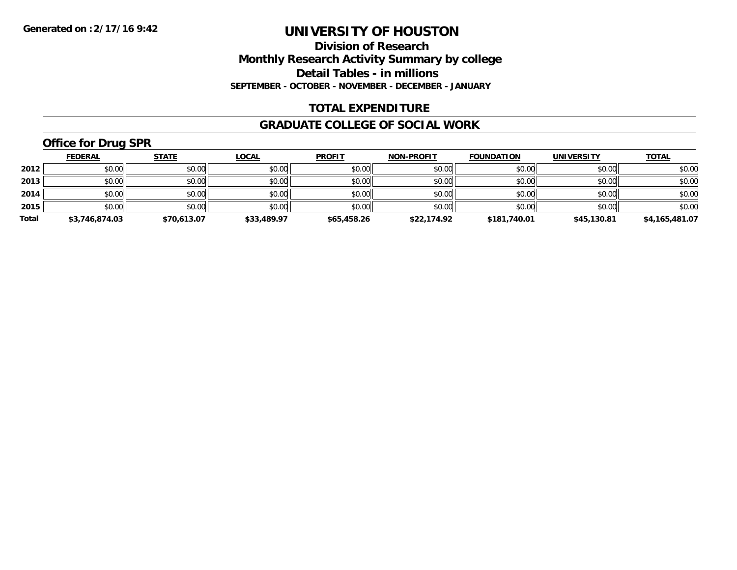**Division of Research Monthly Research Activity Summary by college Detail Tables - in millions SEPTEMBER - OCTOBER - NOVEMBER - DECEMBER - JANUARY**

#### **TOTAL EXPENDITURE**

#### **GRADUATE COLLEGE OF SOCIAL WORK**

# **Office for Drug SPR**

|       | <b>FEDERAL</b> | <b>STATE</b> | <b>LOCAL</b> | <b>PROFIT</b> | <b>NON-PROFIT</b> | <b>FOUNDATION</b> | <b>UNIVERSITY</b> | <b>TOTAL</b>   |
|-------|----------------|--------------|--------------|---------------|-------------------|-------------------|-------------------|----------------|
| 2012  | \$0.00         | \$0.00       | \$0.00       | \$0.00        | \$0.00            | \$0.00            | \$0.00            | \$0.00         |
| 2013  | \$0.00         | \$0.00       | \$0.00       | \$0.00        | \$0.00            | \$0.00            | \$0.00            | \$0.00         |
| 2014  | \$0.00         | \$0.00       | \$0.00       | \$0.00        | \$0.00            | \$0.00            | \$0.00            | \$0.00         |
| 2015  | \$0.00         | \$0.00       | \$0.00       | \$0.00        | \$0.00            | \$0.00            | \$0.00            | \$0.00         |
| Total | \$3,746,874.03 | \$70,613.07  | \$33,489.97  | \$65,458.26   | \$22,174.92       | \$181,740.01      | \$45,130.81       | \$4,165,481.07 |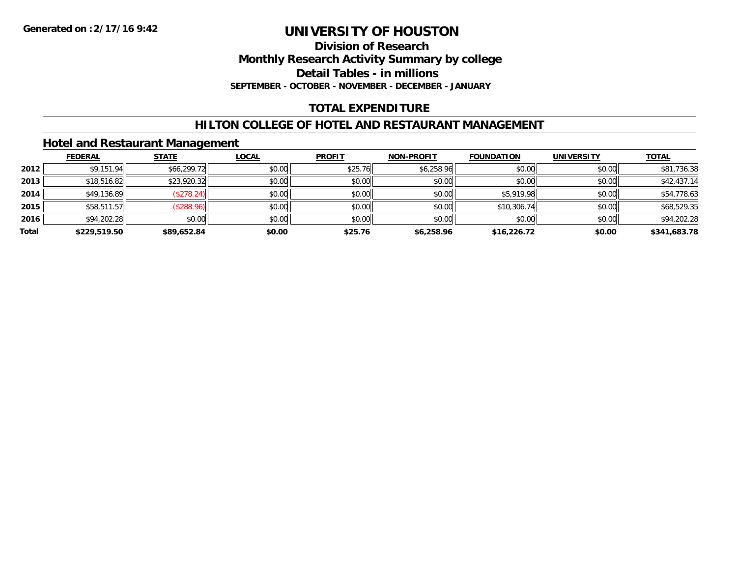**Division of Research Monthly Research Activity Summary by college Detail Tables - in millions SEPTEMBER - OCTOBER - NOVEMBER - DECEMBER - JANUARY**

# **TOTAL EXPENDITURE**

### **HILTON COLLEGE OF HOTEL AND RESTAURANT MANAGEMENT**

### **Hotel and Restaurant Management**

|       | <b>FEDERAL</b> | <b>STATE</b> | <b>LOCAL</b> | <b>PROFIT</b> | <b>NON-PROFIT</b> | <b>FOUNDATION</b> | <b>UNIVERSITY</b> | <b>TOTAL</b> |
|-------|----------------|--------------|--------------|---------------|-------------------|-------------------|-------------------|--------------|
| 2012  | \$9,151.94     | \$66,299.72  | \$0.00       | \$25.76       | \$6,258.96        | \$0.00            | \$0.00            | \$81,736.38  |
| 2013  | \$18,516.82    | \$23,920.32  | \$0.00       | \$0.00        | \$0.00            | \$0.00            | \$0.00            | \$42,437.14  |
| 2014  | \$49,136.89    | (\$278.24)   | \$0.00       | \$0.00        | \$0.00            | \$5,919.98        | \$0.00            | \$54,778.63  |
| 2015  | \$58,511.57    | (\$288.96)   | \$0.00       | \$0.00        | \$0.00            | \$10,306.74       | \$0.00            | \$68,529.35  |
| 2016  | \$94,202.28    | \$0.00       | \$0.00       | \$0.00        | \$0.00            | \$0.00            | \$0.00            | \$94,202.28  |
| Total | \$229,519.50   | \$89,652.84  | \$0.00       | \$25.76       | \$6,258.96        | \$16,226.72       | \$0.00            | \$341,683.78 |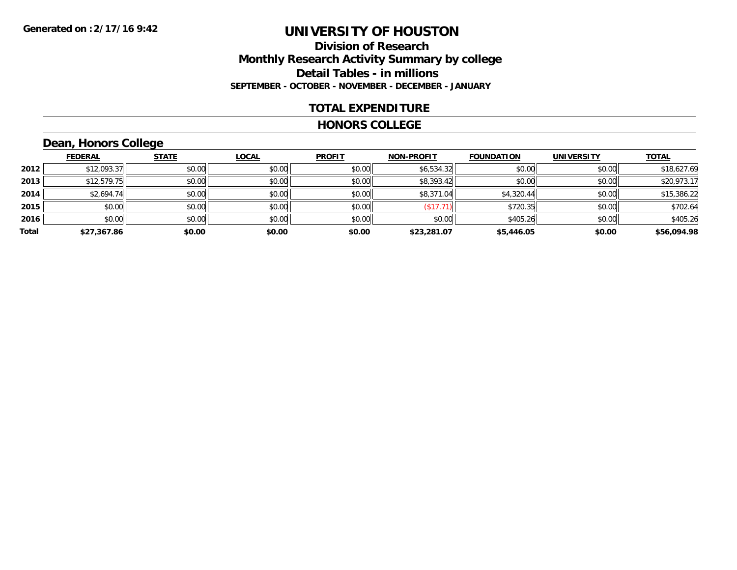### **Division of Research Monthly Research Activity Summary by college Detail Tables - in millions SEPTEMBER - OCTOBER - NOVEMBER - DECEMBER - JANUARY**

#### **TOTAL EXPENDITURE**

#### **HONORS COLLEGE**

# **Dean, Honors College**

|       |                | __           |              |               |                   |                   |                   |              |
|-------|----------------|--------------|--------------|---------------|-------------------|-------------------|-------------------|--------------|
|       | <b>FEDERAL</b> | <b>STATE</b> | <b>LOCAL</b> | <b>PROFIT</b> | <b>NON-PROFIT</b> | <b>FOUNDATION</b> | <b>UNIVERSITY</b> | <b>TOTAL</b> |
| 2012  | \$12,093.37    | \$0.00       | \$0.00       | \$0.00        | \$6,534.32        | \$0.00            | \$0.00            | \$18,627.69  |
| 2013  | \$12,579.75    | \$0.00       | \$0.00       | \$0.00        | \$8,393.42        | \$0.00            | \$0.00            | \$20,973.17  |
| 2014  | \$2,694.74     | \$0.00       | \$0.00       | \$0.00        | \$8,371.04        | \$4,320.44        | \$0.00            | \$15,386.22  |
| 2015  | \$0.00         | \$0.00       | \$0.00       | \$0.00        | (\$17.71          | \$720.35          | \$0.00            | \$702.64     |
| 2016  | \$0.00         | \$0.00       | \$0.00       | \$0.00        | \$0.00            | \$405.26          | \$0.00            | \$405.26     |
| Total | \$27,367.86    | \$0.00       | \$0.00       | \$0.00        | \$23,281.07       | \$5,446.05        | \$0.00            | \$56,094.98  |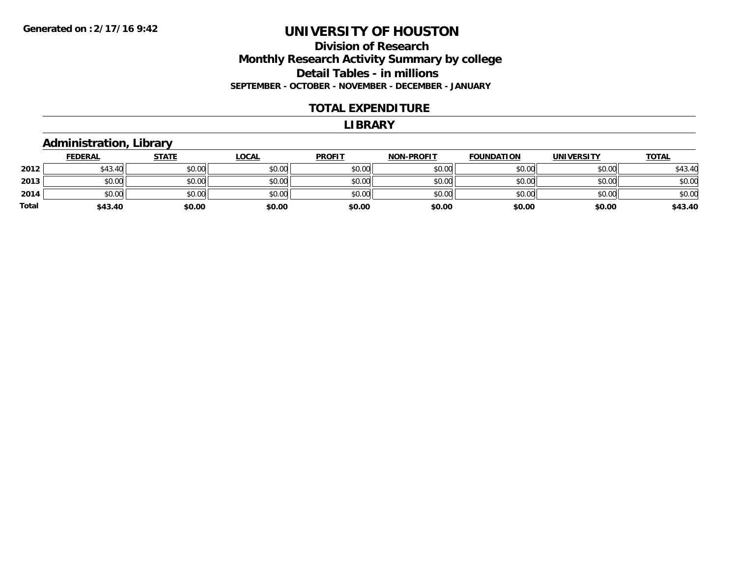### **Division of Research Monthly Research Activity Summary by college Detail Tables - in millions SEPTEMBER - OCTOBER - NOVEMBER - DECEMBER - JANUARY**

#### **TOTAL EXPENDITURE**

#### **LIBRARY**

### **Administration, Library**

|       | <b>FEDERAL</b> | <b>STATE</b> | <b>LOCAL</b> | <b>PROFIT</b> | <b>NON-PROFIT</b> | <b>FOUNDATION</b> | <b>UNIVERSITY</b> | <b>TOTAL</b> |
|-------|----------------|--------------|--------------|---------------|-------------------|-------------------|-------------------|--------------|
| 2012  | \$43.40        | \$0.00       | \$0.00       | \$0.00        | \$0.00            | \$0.00            | \$0.00            | \$43.40      |
| 2013  | \$0.00         | \$0.00       | \$0.00       | \$0.00        | \$0.00            | \$0.00            | \$0.00            | \$0.00       |
| 2014  | \$0.00         | \$0.00       | \$0.00       | \$0.00        | \$0.00            | \$0.00            | \$0.00            | \$0.00       |
| Total | \$43.40        | \$0.00       | \$0.00       | \$0.00        | \$0.00            | \$0.00            | \$0.00            | \$43.40      |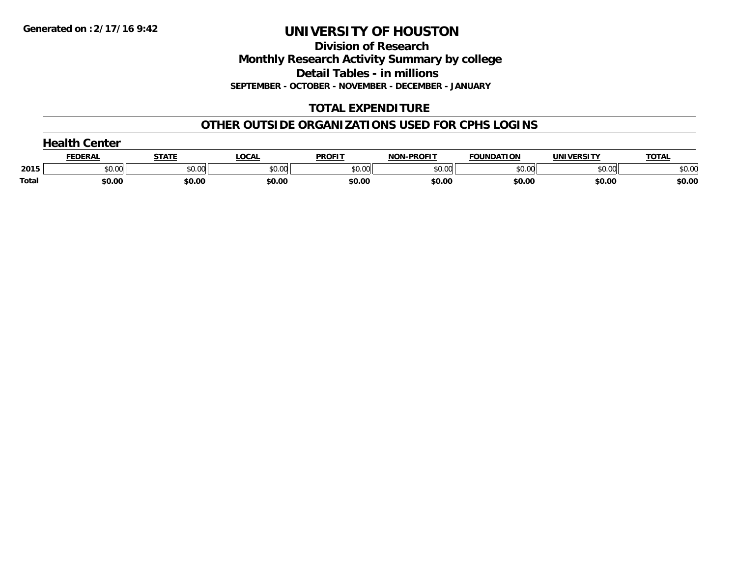**Division of Research Monthly Research Activity Summary by college Detail Tables - in millions**

**SEPTEMBER - OCTOBER - NOVEMBER - DECEMBER - JANUARY**

# **TOTAL EXPENDITURE**

### **OTHER OUTSIDE ORGANIZATIONS USED FOR CPHS LOGINS**

|       | $\overline{\phantom{a}}$ nalth $\overline{\phantom{a}}$<br>Center |              |        |               |                   |                   |            |              |  |  |  |
|-------|-------------------------------------------------------------------|--------------|--------|---------------|-------------------|-------------------|------------|--------------|--|--|--|
|       | <u>FEDERAI</u>                                                    | <u>STATI</u> | '.OCAL | <b>PROFIT</b> | <b>NON-PROFIT</b> | <b>FOUNDATION</b> | UNIVERSITY | <b>TOTAL</b> |  |  |  |
| 2015  | \$0.00                                                            | \$0.00       | \$0.00 | \$0.00        | \$0.00            | \$0.00            | \$0.00     | \$0.00       |  |  |  |
| Total | \$0.00                                                            | \$0.00       | \$0.00 | \$0.00        | \$0.00            | \$0.00            | \$0.00     | \$0.00       |  |  |  |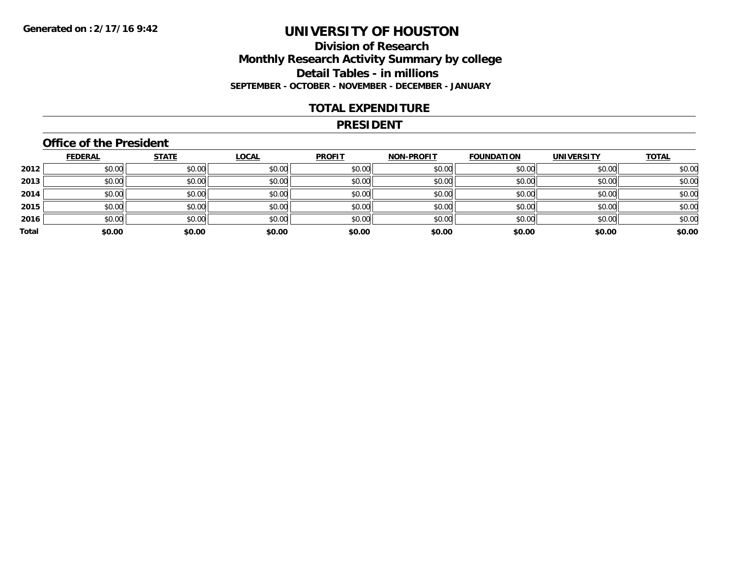### **Division of Research Monthly Research Activity Summary by college Detail Tables - in millions SEPTEMBER - OCTOBER - NOVEMBER - DECEMBER - JANUARY**

#### **TOTAL EXPENDITURE**

#### **PRESIDENT**

### **Office of the President**

|       | <b>FEDERAL</b> | <b>STATE</b> | <b>LOCAL</b> | <b>PROFIT</b> | <b>NON-PROFIT</b> | <b>FOUNDATION</b> | <b>UNIVERSITY</b> | <b>TOTAL</b> |
|-------|----------------|--------------|--------------|---------------|-------------------|-------------------|-------------------|--------------|
| 2012  | \$0.00         | \$0.00       | \$0.00       | \$0.00        | \$0.00            | \$0.00            | \$0.00            | \$0.00       |
| 2013  | \$0.00         | \$0.00       | \$0.00       | \$0.00        | \$0.00            | \$0.00            | \$0.00            | \$0.00       |
| 2014  | \$0.00         | \$0.00       | \$0.00       | \$0.00        | \$0.00            | \$0.00            | \$0.00            | \$0.00       |
| 2015  | \$0.00         | \$0.00       | \$0.00       | \$0.00        | \$0.00            | \$0.00            | \$0.00            | \$0.00       |
| 2016  | \$0.00         | \$0.00       | \$0.00       | \$0.00        | \$0.00            | \$0.00            | \$0.00            | \$0.00       |
| Total | \$0.00         | \$0.00       | \$0.00       | \$0.00        | \$0.00            | \$0.00            | \$0.00            | \$0.00       |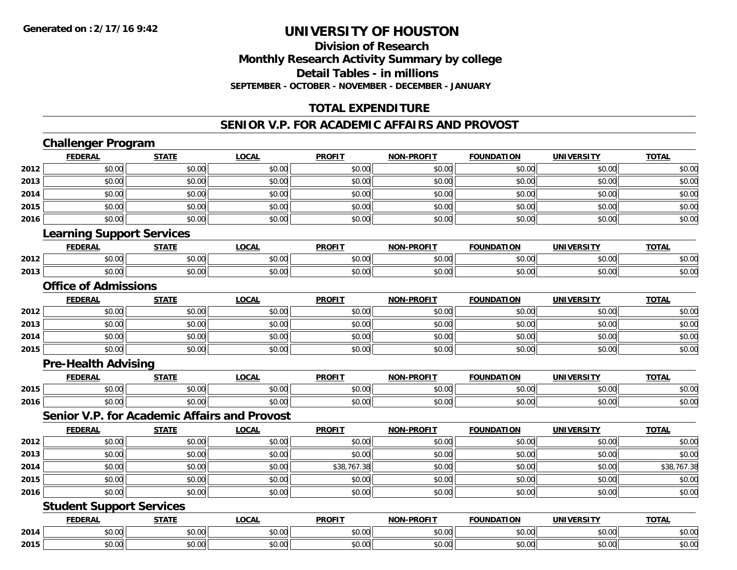# **Division of ResearchMonthly Research Activity Summary by college Detail Tables - in millionsSEPTEMBER - OCTOBER - NOVEMBER - DECEMBER - JANUARY**

# **TOTAL EXPENDITURE**

#### **SENIOR V.P. FOR ACADEMIC AFFAIRS AND PROVOST**

# **Challenger Program**

|      | <b>FEDERAL</b>                   | <b>STATE</b>                                 | <b>LOCAL</b> | <b>PROFIT</b> | <b>NON-PROFIT</b> | <b>FOUNDATION</b> | <b>UNIVERSITY</b> | <b>TOTAL</b> |
|------|----------------------------------|----------------------------------------------|--------------|---------------|-------------------|-------------------|-------------------|--------------|
| 2012 | \$0.00                           | \$0.00                                       | \$0.00       | \$0.00        | \$0.00            | \$0.00            | \$0.00            | \$0.00       |
| 2013 | \$0.00                           | \$0.00                                       | \$0.00       | \$0.00        | \$0.00            | \$0.00            | \$0.00            | \$0.00       |
| 2014 | \$0.00                           | \$0.00                                       | \$0.00       | \$0.00        | \$0.00            | \$0.00            | \$0.00            | \$0.00       |
| 2015 | \$0.00                           | \$0.00                                       | \$0.00       | \$0.00        | \$0.00            | \$0.00            | \$0.00            | \$0.00       |
| 2016 | \$0.00                           | \$0.00                                       | \$0.00       | \$0.00        | \$0.00            | \$0.00            | \$0.00            | \$0.00       |
|      | <b>Learning Support Services</b> |                                              |              |               |                   |                   |                   |              |
|      | <b>FEDERAL</b>                   | <b>STATE</b>                                 | <b>LOCAL</b> | <b>PROFIT</b> | <b>NON-PROFIT</b> | <b>FOUNDATION</b> | <b>UNIVERSITY</b> | <b>TOTAL</b> |
| 2012 | \$0.00                           | \$0.00                                       | \$0.00       | \$0.00        | \$0.00            | \$0.00            | \$0.00            | \$0.00       |
| 2013 | \$0.00                           | \$0.00                                       | \$0.00       | \$0.00        | \$0.00            | \$0.00            | \$0.00            | \$0.00       |
|      | <b>Office of Admissions</b>      |                                              |              |               |                   |                   |                   |              |
|      | <b>FEDERAL</b>                   | <b>STATE</b>                                 | <b>LOCAL</b> | <b>PROFIT</b> | <b>NON-PROFIT</b> | <b>FOUNDATION</b> | <b>UNIVERSITY</b> | <b>TOTAL</b> |
| 2012 | \$0.00                           | \$0.00                                       | \$0.00       | \$0.00        | \$0.00            | \$0.00            | \$0.00            | \$0.00       |
| 2013 | \$0.00                           | \$0.00                                       | \$0.00       | \$0.00        | \$0.00            | \$0.00            | \$0.00            | \$0.00       |
| 2014 | \$0.00                           | \$0.00                                       | \$0.00       | \$0.00        | \$0.00            | \$0.00            | \$0.00            | \$0.00       |
| 2015 | \$0.00                           | \$0.00                                       | \$0.00       | \$0.00        | \$0.00            | \$0.00            | \$0.00            | \$0.00       |
|      | <b>Pre-Health Advising</b>       |                                              |              |               |                   |                   |                   |              |
|      | <b>FEDERAL</b>                   | <b>STATE</b>                                 | <b>LOCAL</b> | <b>PROFIT</b> | <b>NON-PROFIT</b> | <b>FOUNDATION</b> | <b>UNIVERSITY</b> | <b>TOTAL</b> |
| 2015 | \$0.00                           | \$0.00                                       | \$0.00       | \$0.00        | \$0.00            | \$0.00            | \$0.00            | \$0.00       |
| 2016 | \$0.00                           | \$0.00                                       | \$0.00       | \$0.00        | \$0.00            | \$0.00            | \$0.00            | \$0.00       |
|      |                                  | Senior V.P. for Academic Affairs and Provost |              |               |                   |                   |                   |              |
|      | <b>FEDERAL</b>                   | <b>STATE</b>                                 | <b>LOCAL</b> | <b>PROFIT</b> | <b>NON-PROFIT</b> | <b>FOUNDATION</b> | <b>UNIVERSITY</b> | <b>TOTAL</b> |
| 2012 | \$0.00                           | \$0.00                                       | \$0.00       | \$0.00        | \$0.00            | \$0.00            | \$0.00            | \$0.00       |
| 2013 | \$0.00                           | \$0.00                                       | \$0.00       | \$0.00        | \$0.00            | \$0.00            | \$0.00            | \$0.00       |
| 2014 | \$0.00                           | \$0.00                                       | \$0.00       | \$38,767.38   | \$0.00            | \$0.00            | \$0.00            | \$38,767.38  |
| 2015 | \$0.00                           | \$0.00                                       | \$0.00       | \$0.00        | \$0.00            | \$0.00            | \$0.00            | \$0.00       |
| 2016 | \$0.00                           | \$0.00                                       | \$0.00       | \$0.00        | \$0.00            | \$0.00            | \$0.00            | \$0.00       |
|      | <b>Student Support Services</b>  |                                              |              |               |                   |                   |                   |              |
|      | <b>FEDERAL</b>                   | <b>STATE</b>                                 | <b>LOCAL</b> | <b>PROFIT</b> | <b>NON-PROFIT</b> | <b>FOUNDATION</b> | <b>UNIVERSITY</b> | <b>TOTAL</b> |
| 2014 | \$0.00                           | \$0.00                                       | \$0.00       | \$0.00        | \$0.00            | \$0.00            | \$0.00            | \$0.00       |
| 2015 | \$0.00                           | \$0.00                                       | \$0.00       | \$0.00        | \$0.00            | \$0.00            | \$0.00            | \$0.00       |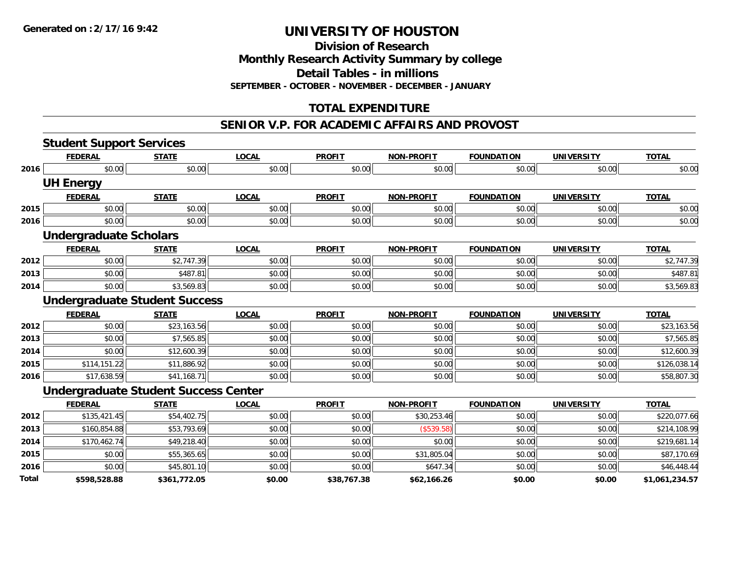**Division of Research**

**Monthly Research Activity Summary by college**

**Detail Tables - in millions**

**SEPTEMBER - OCTOBER - NOVEMBER - DECEMBER - JANUARY**

# **TOTAL EXPENDITURE**

#### **SENIOR V.P. FOR ACADEMIC AFFAIRS AND PROVOST**

|       | <b>Student Support Services</b>             |                         |              |               |                   |                   |                   |                |
|-------|---------------------------------------------|-------------------------|--------------|---------------|-------------------|-------------------|-------------------|----------------|
|       | <b>FEDERAL</b>                              | <b>STATE</b>            | <b>LOCAL</b> | <b>PROFIT</b> | <b>NON-PROFIT</b> | <b>FOUNDATION</b> | <b>UNIVERSITY</b> | <b>TOTAL</b>   |
| 2016  | \$0.00                                      | \$0.00                  | \$0.00       | \$0.00        | \$0.00            | \$0.00            | \$0.00            | \$0.00         |
|       | <b>UH Energy</b>                            |                         |              |               |                   |                   |                   |                |
|       | <b>FEDERAL</b>                              | <b>STATE</b>            | <b>LOCAL</b> | <b>PROFIT</b> | <b>NON-PROFIT</b> | <b>FOUNDATION</b> | <b>UNIVERSITY</b> | <b>TOTAL</b>   |
| 2015  | \$0.00                                      | \$0.00                  | \$0.00       | \$0.00        | \$0.00            | \$0.00            | \$0.00            | \$0.00         |
| 2016  | \$0.00                                      | \$0.00                  | \$0.00       | \$0.00        | \$0.00            | \$0.00            | \$0.00            | \$0.00         |
|       | <b>Undergraduate Scholars</b>               |                         |              |               |                   |                   |                   |                |
|       | <b>FEDERAL</b>                              | <b>STATE</b>            | <b>LOCAL</b> | <b>PROFIT</b> | <b>NON-PROFIT</b> | <b>FOUNDATION</b> | <b>UNIVERSITY</b> | <b>TOTAL</b>   |
| 2012  | \$0.00                                      | \$2,747.39              | \$0.00       | \$0.00        | \$0.00            | \$0.00            | \$0.00            | \$2,747.39     |
| 2013  | \$0.00                                      | \$487.81                | \$0.00       | \$0.00        | \$0.00            | \$0.00            | \$0.00            | \$487.81       |
| 2014  | \$0.00                                      | \$3,569.83              | \$0.00       | \$0.00        | \$0.00            | \$0.00            | \$0.00            | \$3,569.83     |
|       | <b>Undergraduate Student Success</b>        |                         |              |               |                   |                   |                   |                |
|       | <b>FEDERAL</b>                              | <b>STATE</b>            | <b>LOCAL</b> | <b>PROFIT</b> | <b>NON-PROFIT</b> | <b>FOUNDATION</b> | <b>UNIVERSITY</b> | <b>TOTAL</b>   |
| 2012  | \$0.00                                      | \$23,163.56             | \$0.00       | \$0.00        | \$0.00            | \$0.00            | \$0.00            | \$23,163.56    |
| 2013  | \$0.00                                      | \$7,565.85              | \$0.00       | \$0.00        | \$0.00            | \$0.00            | \$0.00            | \$7,565.85     |
| 2014  | \$0.00                                      | \$12,600.39             | \$0.00       | \$0.00        | \$0.00            | \$0.00            | \$0.00            | \$12,600.39    |
| 2015  | \$114,151.22                                | \$11,886.92             | \$0.00       | \$0.00        | \$0.00            | \$0.00            | \$0.00            | \$126,038.14   |
| 2016  | \$17,638.59                                 | \$41,168.71             | \$0.00       | \$0.00        | \$0.00            | \$0.00            | \$0.00            | \$58,807.30    |
|       | <b>Undergraduate Student Success Center</b> |                         |              |               |                   |                   |                   |                |
|       | <b>FEDERAL</b>                              | <b>STATE</b>            | <b>LOCAL</b> | <b>PROFIT</b> | <b>NON-PROFIT</b> | <b>FOUNDATION</b> | <b>UNIVERSITY</b> | <b>TOTAL</b>   |
| 2012  | \$135,421.45                                | $$54,402.\overline{75}$ | \$0.00       | \$0.00        | \$30,253.46       | \$0.00            | \$0.00            | \$220,077.66   |
| 2013  | \$160,854.88                                | \$53,793.69             | \$0.00       | \$0.00        | (\$539.58)        | \$0.00            | \$0.00            | \$214,108.99   |
| 2014  | \$170,462.74                                | \$49,218.40             | \$0.00       | \$0.00        | \$0.00            | \$0.00            | \$0.00            | \$219,681.14   |
| 2015  | \$0.00                                      | \$55,365.65             | \$0.00       | \$0.00        | \$31,805.04       | \$0.00            | \$0.00            | \$87,170.69    |
| 2016  | \$0.00                                      | \$45,801.10             | \$0.00       | \$0.00        | \$647.34          | \$0.00            | \$0.00            | \$46,448.44    |
| Total | \$598,528.88                                | \$361,772.05            | \$0.00       | \$38,767.38   | \$62,166.26       | \$0.00            | \$0.00            | \$1,061,234.57 |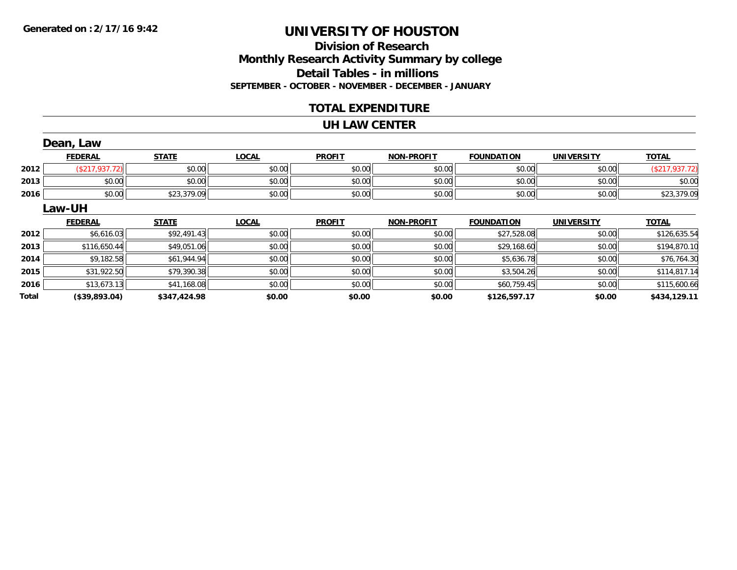# **Division of ResearchMonthly Research Activity Summary by college Detail Tables - in millions SEPTEMBER - OCTOBER - NOVEMBER - DECEMBER - JANUARY**

#### **TOTAL EXPENDITURE**

#### **UH LAW CENTER**

|       | Dean, Law      |              |              |               |                   |                   |                   |                |
|-------|----------------|--------------|--------------|---------------|-------------------|-------------------|-------------------|----------------|
|       | <b>FEDERAL</b> | <b>STATE</b> | <b>LOCAL</b> | <b>PROFIT</b> | <b>NON-PROFIT</b> | <b>FOUNDATION</b> | <b>UNIVERSITY</b> | <b>TOTAL</b>   |
| 2012  | (\$217,937.72) | \$0.00       | \$0.00       | \$0.00        | \$0.00            | \$0.00            | \$0.00            | (\$217,937.72) |
| 2013  | \$0.00         | \$0.00       | \$0.00       | \$0.00        | \$0.00            | \$0.00            | \$0.00            | \$0.00         |
| 2016  | \$0.00         | \$23,379.09  | \$0.00       | \$0.00        | \$0.00            | \$0.00            | \$0.00            | \$23,379.09    |
|       | Law-UH         |              |              |               |                   |                   |                   |                |
|       | <b>FEDERAL</b> | <b>STATE</b> | <b>LOCAL</b> | <b>PROFIT</b> | <b>NON-PROFIT</b> | <b>FOUNDATION</b> | <b>UNIVERSITY</b> | <b>TOTAL</b>   |
| 2012  | \$6,616.03     | \$92,491.43  | \$0.00       | \$0.00        | \$0.00            | \$27,528.08       | \$0.00            | \$126,635.54   |
| 2013  | \$116,650.44   | \$49,051.06  | \$0.00       | \$0.00        | \$0.00            | \$29,168.60       | \$0.00            | \$194,870.10   |
| 2014  | \$9,182.58     | \$61,944.94  | \$0.00       | \$0.00        | \$0.00            | \$5,636.78        | \$0.00            | \$76,764.30    |
| 2015  | \$31,922.50    | \$79,390.38  | \$0.00       | \$0.00        | \$0.00            | \$3,504.26        | \$0.00            | \$114,817.14   |
| 2016  | \$13,673.13    | \$41,168.08  | \$0.00       | \$0.00        | \$0.00            | \$60,759.45       | \$0.00            | \$115,600.66   |
| Total | (\$39,893.04)  | \$347,424.98 | \$0.00       | \$0.00        | \$0.00            | \$126,597.17      | \$0.00            | \$434,129.11   |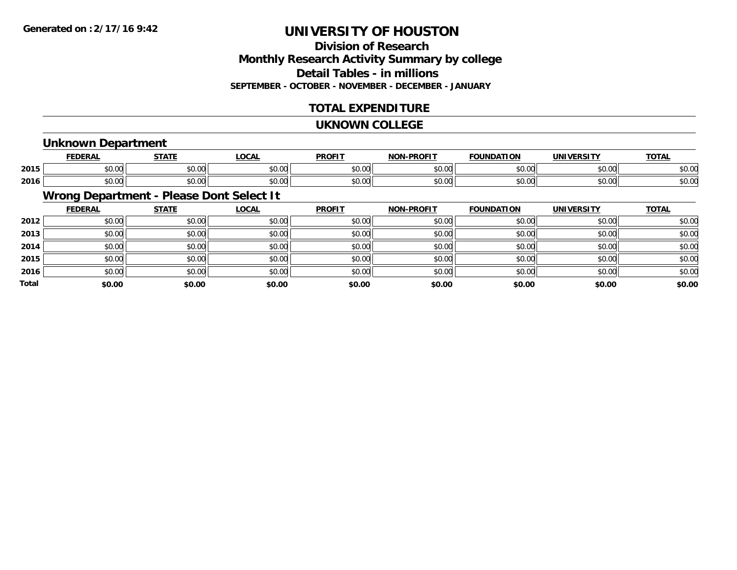# **Division of ResearchMonthly Research Activity Summary by college Detail Tables - in millions SEPTEMBER - OCTOBER - NOVEMBER - DECEMBER - JANUARY**

### **TOTAL EXPENDITURE**

#### **UKNOWN COLLEGE**

### **Unknown Department**

|      | <b>FFBFBA</b>                  | $- - - -$                                             | 001<br>้บนค            | <b>DDOEI</b>           | <b>DDAFIT</b><br>ורו | חחו           | IN    | <b>TOTA</b><br>. . |
|------|--------------------------------|-------------------------------------------------------|------------------------|------------------------|----------------------|---------------|-------|--------------------|
| 2015 | $\sim$<br>ט.ט                  | $\sim$ $\sim$<br>JU.UU                                | 0000<br>PU.UU          | 0 <sub>n</sub><br>JU.U | ტი იი<br>vu.ou       | $\sim$ $\sim$ | 60.00 | $\sim$ 00<br>DU.UU |
| 2016 | $\mathbf{A} \mathbf{A}$<br>ט.ט | $\mathsf{A} \cap \mathsf{A} \cap \mathsf{A}$<br>vv.vv | $n \cap \neg$<br>JU.UU | 0 <sub>n</sub><br>JU.U | 0000<br>vv.vv        | $\sim$ $\sim$ | 40.00 | ሶስ ሰሰ<br>DU.UU     |

# **Wrong Department - Please Dont Select It**

|       | <b>FEDERAL</b> | <b>STATE</b> | <u>LOCAL</u> | <b>PROFIT</b> | <b>NON-PROFIT</b> | <b>FOUNDATION</b> | <b>UNIVERSITY</b> | <b>TOTAL</b> |
|-------|----------------|--------------|--------------|---------------|-------------------|-------------------|-------------------|--------------|
| 2012  | \$0.00         | \$0.00       | \$0.00       | \$0.00        | \$0.00            | \$0.00            | \$0.00            | \$0.00       |
| 2013  | \$0.00         | \$0.00       | \$0.00       | \$0.00        | \$0.00            | \$0.00            | \$0.00            | \$0.00       |
| 2014  | \$0.00         | \$0.00       | \$0.00       | \$0.00        | \$0.00            | \$0.00            | \$0.00            | \$0.00       |
| 2015  | \$0.00         | \$0.00       | \$0.00       | \$0.00        | \$0.00            | \$0.00            | \$0.00            | \$0.00       |
| 2016  | \$0.00         | \$0.00       | \$0.00       | \$0.00        | \$0.00            | \$0.00            | \$0.00            | \$0.00       |
| Total | \$0.00         | \$0.00       | \$0.00       | \$0.00        | \$0.00            | \$0.00            | \$0.00            | \$0.00       |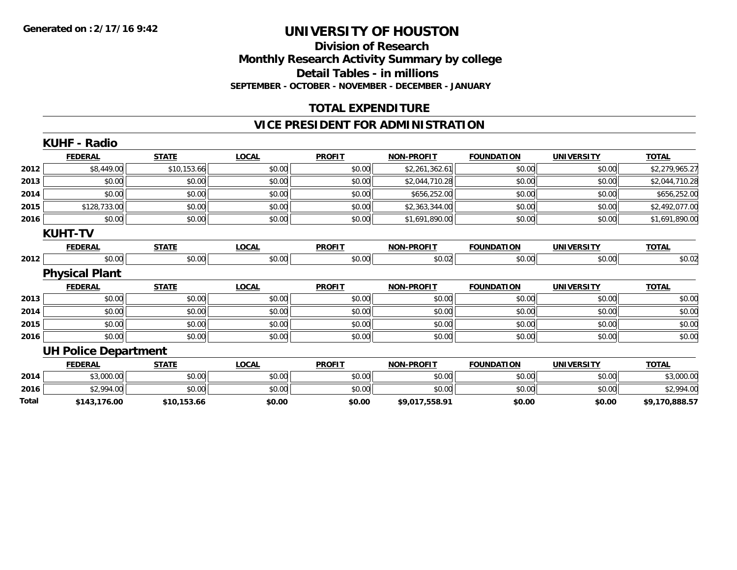#### **Division of Research Monthly Research Activity Summary by college Detail Tables - in millions SEPTEMBER - OCTOBER - NOVEMBER - DECEMBER - JANUARY**

### **TOTAL EXPENDITURE**

### **VICE PRESIDENT FOR ADMINISTRATION**

| <b>STATE</b><br><b>LOCAL</b><br><b>PROFIT</b><br><b>NON-PROFIT</b><br><b>FOUNDATION</b><br><b>FEDERAL</b><br>\$10,153.66<br>\$8,449.00<br>\$2,261,362.61<br>\$0.00<br>\$0.00<br>\$0.00<br>\$0.00<br>\$0.00<br>\$0.00<br>\$0.00<br>\$0.00<br>\$2,044,710.28<br>\$0.00<br>\$0.00<br>\$656,252.00<br>\$0.00<br>\$0.00<br>\$0.00<br>\$128,733.00<br>\$0.00<br>\$0.00<br>\$0.00<br>\$0.00<br>\$2,363,344.00<br>\$0.00<br>\$0.00<br>\$0.00<br>\$0.00<br>\$0.00<br>\$1,691,890.00<br><b>KUHT-TV</b><br><b>STATE</b><br><b>LOCAL</b><br><b>PROFIT</b><br><b>FEDERAL</b><br><b>NON-PROFIT</b><br><b>FOUNDATION</b><br>\$0.00<br>\$0.00<br>\$0.00<br>\$0.00<br>\$0.02<br>\$0.00<br><b>Physical Plant</b><br><b>STATE</b><br><b>LOCAL</b><br><b>PROFIT</b><br><b>FEDERAL</b><br><b>NON-PROFIT</b><br><b>FOUNDATION</b><br>\$0.00<br>\$0.00<br>\$0.00<br>\$0.00<br>\$0.00<br>\$0.00<br>\$0.00<br>\$0.00<br>\$0.00<br>\$0.00<br>\$0.00<br>\$0.00<br>\$0.00<br>\$0.00<br>\$0.00<br>\$0.00<br>\$0.00<br>\$0.00<br>\$0.00<br>\$0.00<br>\$0.00<br>\$0.00<br>\$0.00<br>\$0.00<br><b>UH Police Department</b><br><b>FEDERAL</b><br><b>STATE</b><br><b>LOCAL</b><br><b>PROFIT</b><br><b>FOUNDATION</b><br><b>NON-PROFIT</b><br>\$3,000.00<br>\$0.00<br>\$0.00<br>\$0.00<br>\$0.00<br>\$0.00<br>\$2,994.00<br>\$0.00<br>\$0.00<br>\$0.00<br>\$0.00<br>\$0.00<br>\$0.00<br>\$0.00<br>\$143,176.00<br>\$10,153.66<br>\$0.00<br>\$9,017,558.91 |      | <b>KUHF - Radio</b> |  |  |                   |                |
|------------------------------------------------------------------------------------------------------------------------------------------------------------------------------------------------------------------------------------------------------------------------------------------------------------------------------------------------------------------------------------------------------------------------------------------------------------------------------------------------------------------------------------------------------------------------------------------------------------------------------------------------------------------------------------------------------------------------------------------------------------------------------------------------------------------------------------------------------------------------------------------------------------------------------------------------------------------------------------------------------------------------------------------------------------------------------------------------------------------------------------------------------------------------------------------------------------------------------------------------------------------------------------------------------------------------------------------------------------------------------------------------------------------------|------|---------------------|--|--|-------------------|----------------|
|                                                                                                                                                                                                                                                                                                                                                                                                                                                                                                                                                                                                                                                                                                                                                                                                                                                                                                                                                                                                                                                                                                                                                                                                                                                                                                                                                                                                                        |      |                     |  |  | <b>UNIVERSITY</b> | <b>TOTAL</b>   |
| 2013<br>2014<br>2015<br>2016<br>2012<br>2013<br>2014<br>2015<br>2016                                                                                                                                                                                                                                                                                                                                                                                                                                                                                                                                                                                                                                                                                                                                                                                                                                                                                                                                                                                                                                                                                                                                                                                                                                                                                                                                                   | 2012 |                     |  |  | \$0.00            | \$2,279,965.27 |
|                                                                                                                                                                                                                                                                                                                                                                                                                                                                                                                                                                                                                                                                                                                                                                                                                                                                                                                                                                                                                                                                                                                                                                                                                                                                                                                                                                                                                        |      |                     |  |  | \$0.00            | \$2,044,710.28 |
|                                                                                                                                                                                                                                                                                                                                                                                                                                                                                                                                                                                                                                                                                                                                                                                                                                                                                                                                                                                                                                                                                                                                                                                                                                                                                                                                                                                                                        |      |                     |  |  | \$0.00            | \$656,252.00   |
|                                                                                                                                                                                                                                                                                                                                                                                                                                                                                                                                                                                                                                                                                                                                                                                                                                                                                                                                                                                                                                                                                                                                                                                                                                                                                                                                                                                                                        |      |                     |  |  | \$0.00            | \$2,492,077.00 |
|                                                                                                                                                                                                                                                                                                                                                                                                                                                                                                                                                                                                                                                                                                                                                                                                                                                                                                                                                                                                                                                                                                                                                                                                                                                                                                                                                                                                                        |      |                     |  |  | \$0.00            | \$1,691,890.00 |
|                                                                                                                                                                                                                                                                                                                                                                                                                                                                                                                                                                                                                                                                                                                                                                                                                                                                                                                                                                                                                                                                                                                                                                                                                                                                                                                                                                                                                        |      |                     |  |  |                   |                |
|                                                                                                                                                                                                                                                                                                                                                                                                                                                                                                                                                                                                                                                                                                                                                                                                                                                                                                                                                                                                                                                                                                                                                                                                                                                                                                                                                                                                                        |      |                     |  |  | <b>UNIVERSITY</b> | <b>TOTAL</b>   |
|                                                                                                                                                                                                                                                                                                                                                                                                                                                                                                                                                                                                                                                                                                                                                                                                                                                                                                                                                                                                                                                                                                                                                                                                                                                                                                                                                                                                                        |      |                     |  |  | \$0.00            | \$0.02         |
|                                                                                                                                                                                                                                                                                                                                                                                                                                                                                                                                                                                                                                                                                                                                                                                                                                                                                                                                                                                                                                                                                                                                                                                                                                                                                                                                                                                                                        |      |                     |  |  |                   |                |
|                                                                                                                                                                                                                                                                                                                                                                                                                                                                                                                                                                                                                                                                                                                                                                                                                                                                                                                                                                                                                                                                                                                                                                                                                                                                                                                                                                                                                        |      |                     |  |  | <b>UNIVERSITY</b> | <b>TOTAL</b>   |
|                                                                                                                                                                                                                                                                                                                                                                                                                                                                                                                                                                                                                                                                                                                                                                                                                                                                                                                                                                                                                                                                                                                                                                                                                                                                                                                                                                                                                        |      |                     |  |  | \$0.00            | \$0.00         |
|                                                                                                                                                                                                                                                                                                                                                                                                                                                                                                                                                                                                                                                                                                                                                                                                                                                                                                                                                                                                                                                                                                                                                                                                                                                                                                                                                                                                                        |      |                     |  |  | \$0.00            | \$0.00         |
|                                                                                                                                                                                                                                                                                                                                                                                                                                                                                                                                                                                                                                                                                                                                                                                                                                                                                                                                                                                                                                                                                                                                                                                                                                                                                                                                                                                                                        |      |                     |  |  | \$0.00            | \$0.00         |
|                                                                                                                                                                                                                                                                                                                                                                                                                                                                                                                                                                                                                                                                                                                                                                                                                                                                                                                                                                                                                                                                                                                                                                                                                                                                                                                                                                                                                        |      |                     |  |  | \$0.00            | \$0.00         |
|                                                                                                                                                                                                                                                                                                                                                                                                                                                                                                                                                                                                                                                                                                                                                                                                                                                                                                                                                                                                                                                                                                                                                                                                                                                                                                                                                                                                                        |      |                     |  |  |                   |                |
| 2014<br>2016<br>Total                                                                                                                                                                                                                                                                                                                                                                                                                                                                                                                                                                                                                                                                                                                                                                                                                                                                                                                                                                                                                                                                                                                                                                                                                                                                                                                                                                                                  |      |                     |  |  | <b>UNIVERSITY</b> | <b>TOTAL</b>   |
|                                                                                                                                                                                                                                                                                                                                                                                                                                                                                                                                                                                                                                                                                                                                                                                                                                                                                                                                                                                                                                                                                                                                                                                                                                                                                                                                                                                                                        |      |                     |  |  | \$0.00            | \$3,000.00     |
|                                                                                                                                                                                                                                                                                                                                                                                                                                                                                                                                                                                                                                                                                                                                                                                                                                                                                                                                                                                                                                                                                                                                                                                                                                                                                                                                                                                                                        |      |                     |  |  | \$0.00            | \$2,994.00     |
|                                                                                                                                                                                                                                                                                                                                                                                                                                                                                                                                                                                                                                                                                                                                                                                                                                                                                                                                                                                                                                                                                                                                                                                                                                                                                                                                                                                                                        |      |                     |  |  | \$0.00            | \$9,170,888.57 |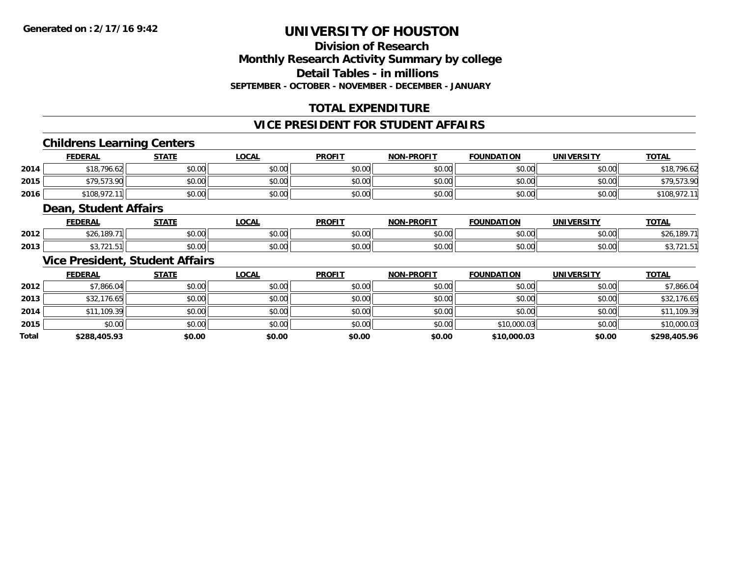### **Division of ResearchMonthly Research Activity Summary by college Detail Tables - in millionsSEPTEMBER - OCTOBER - NOVEMBER - DECEMBER - JANUARY**

# **TOTAL EXPENDITURE**

#### **VICE PRESIDENT FOR STUDENT AFFAIRS**

### **Childrens Learning Centers**

|      | <b>FEDERAL</b> | <b>STATE</b>   | <u>LOCAL</u>                                | <b>PROFIT</b> | <b>NON-PROFIT</b> | <b>FOUNDATION</b> | <b>UNIVERSITY</b> | <u>TOTAL</u> |
|------|----------------|----------------|---------------------------------------------|---------------|-------------------|-------------------|-------------------|--------------|
| 2014 | \$18,796.62    | 40.00<br>JU.UU | \$0.00                                      | \$0.00        | \$0.00            | \$0.00            | \$0.00            | \$18,796.62  |
| 2015 | \$79,573.90    | ⊄∩ ∩∩<br>DU.UU | $\mathfrak{c}\cap\mathfrak{a}\cap$<br>DU.U¢ | \$0.00        | \$0.00            | \$0.00            | \$0.00            | \$79,573.90  |
| 2016 | \$108,972.     | \$0.00         | \$0.00                                      | \$0.00        | \$0.00            | \$0.00            | \$0.00            | DIUO.        |

#### **Dean, Student Affairs**

|      | <b>EENEDA</b> | <b>CTATE</b>  | 001<br>uuni          | <b>PROFIT</b> | <b>-PROFIT</b><br>NON | ΓΙΩΝ<br><b>EOLINI</b> | <b>IINIVERSITY</b> | $T^{\prime}$ |
|------|---------------|---------------|----------------------|---------------|-----------------------|-----------------------|--------------------|--------------|
| 2012 | 189.71        | 0000<br>PU.UU | 0000<br><b>JU.UU</b> | 0000<br>vu.u  | 0000<br>vv.vv         | 0000<br>vu.uu         | 0.00<br>JU.UU      |              |
| 2013 | .<br>721.51   | 0000<br>JU.UU | 0000<br><b>JU.UU</b> | 0000<br>JU.U  | $\sim$ 00<br>JU.UU    | 0000<br>ಾ∪.∪⊍         | $\sim$ 00<br>JU.UU |              |

### **Vice President, Student Affairs**

|              | <b>FEDERAL</b> | <b>STATE</b> | <u>LOCAL</u> | <b>PROFIT</b> | <b>NON-PROFIT</b> | <b>FOUNDATION</b> | <b>UNIVERSITY</b> | <b>TOTAL</b> |
|--------------|----------------|--------------|--------------|---------------|-------------------|-------------------|-------------------|--------------|
| 2012         | \$7,866.04     | \$0.00       | \$0.00       | \$0.00        | \$0.00            | \$0.00            | \$0.00            | \$7,866.04   |
| 2013         | \$32,176.65    | \$0.00       | \$0.00       | \$0.00        | \$0.00            | \$0.00            | \$0.00            | \$32,176.65  |
| 2014         | \$11,109.39    | \$0.00       | \$0.00       | \$0.00        | \$0.00            | \$0.00            | \$0.00            | \$11,109.39  |
| 2015         | \$0.00         | \$0.00       | \$0.00       | \$0.00        | \$0.00            | \$10,000.03       | \$0.00            | \$10,000.03  |
| <b>Total</b> | \$288,405.93   | \$0.00       | \$0.00       | \$0.00        | \$0.00            | \$10,000.03       | \$0.00            | \$298,405.96 |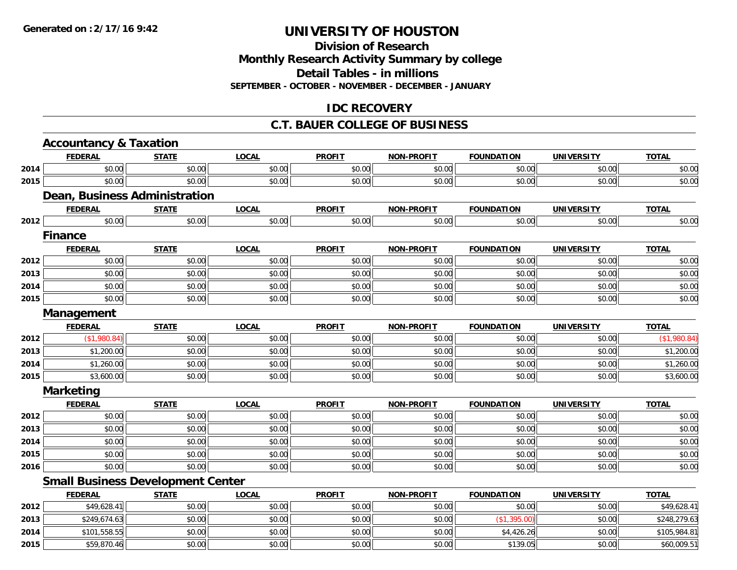# **Division of ResearchMonthly Research Activity Summary by college Detail Tables - in millions SEPTEMBER - OCTOBER - NOVEMBER - DECEMBER - JANUARY**

# **IDC RECOVERY**

#### **C.T. BAUER COLLEGE OF BUSINESS**

|      | <b>Accountancy &amp; Taxation</b>        |              |              |               |                   |                   |                   |              |
|------|------------------------------------------|--------------|--------------|---------------|-------------------|-------------------|-------------------|--------------|
|      | <b>FEDERAL</b>                           | <b>STATE</b> | <b>LOCAL</b> | <b>PROFIT</b> | <b>NON-PROFIT</b> | <b>FOUNDATION</b> | <b>UNIVERSITY</b> | <b>TOTAL</b> |
| 2014 | \$0.00                                   | \$0.00       | \$0.00       | \$0.00        | \$0.00            | \$0.00            | \$0.00            | \$0.00       |
| 2015 | \$0.00                                   | \$0.00       | \$0.00       | \$0.00        | \$0.00            | \$0.00            | \$0.00            | \$0.00       |
|      | Dean, Business Administration            |              |              |               |                   |                   |                   |              |
|      | <b>FEDERAL</b>                           | <b>STATE</b> | <b>LOCAL</b> | <b>PROFIT</b> | <b>NON-PROFIT</b> | <b>FOUNDATION</b> | <b>UNIVERSITY</b> | <b>TOTAL</b> |
| 2012 | \$0.00                                   | \$0.00       | \$0.00       | \$0.00        | \$0.00            | \$0.00            | \$0.00            | \$0.00       |
|      | <b>Finance</b>                           |              |              |               |                   |                   |                   |              |
|      | <b>FEDERAL</b>                           | <b>STATE</b> | <b>LOCAL</b> | <b>PROFIT</b> | <b>NON-PROFIT</b> | <b>FOUNDATION</b> | <b>UNIVERSITY</b> | <b>TOTAL</b> |
| 2012 | \$0.00                                   | \$0.00       | \$0.00       | \$0.00        | \$0.00            | \$0.00            | \$0.00            | \$0.00       |
| 2013 | \$0.00                                   | \$0.00       | \$0.00       | \$0.00        | \$0.00            | \$0.00            | \$0.00            | \$0.00       |
| 2014 | \$0.00                                   | \$0.00       | \$0.00       | \$0.00        | \$0.00            | \$0.00            | \$0.00            | \$0.00       |
| 2015 | \$0.00                                   | \$0.00       | \$0.00       | \$0.00        | \$0.00            | \$0.00            | \$0.00            | \$0.00       |
|      | Management                               |              |              |               |                   |                   |                   |              |
|      | <b>FEDERAL</b>                           | <b>STATE</b> | <b>LOCAL</b> | <b>PROFIT</b> | <b>NON-PROFIT</b> | <b>FOUNDATION</b> | <b>UNIVERSITY</b> | <b>TOTAL</b> |
| 2012 | (\$1,980.84)                             | \$0.00       | \$0.00       | \$0.00        | \$0.00            | \$0.00            | \$0.00            | (\$1,980.84) |
| 2013 | \$1,200.00                               | \$0.00       | \$0.00       | \$0.00        | \$0.00            | \$0.00            | \$0.00            | \$1,200.00   |
| 2014 | \$1,260.00                               | \$0.00       | \$0.00       | \$0.00        | \$0.00            | \$0.00            | \$0.00            | \$1,260.00   |
| 2015 | \$3,600.00                               | \$0.00       | \$0.00       | \$0.00        | \$0.00            | \$0.00            | \$0.00            | \$3,600.00   |
|      | <b>Marketing</b>                         |              |              |               |                   |                   |                   |              |
|      | <b>FEDERAL</b>                           | <b>STATE</b> | <b>LOCAL</b> | <b>PROFIT</b> | <b>NON-PROFIT</b> | <b>FOUNDATION</b> | <b>UNIVERSITY</b> | <b>TOTAL</b> |
| 2012 | \$0.00                                   | \$0.00       | \$0.00       | \$0.00        | \$0.00            | \$0.00            | \$0.00            | \$0.00       |
| 2013 | \$0.00                                   | \$0.00       | \$0.00       | \$0.00        | \$0.00            | \$0.00            | \$0.00            | \$0.00       |
| 2014 | \$0.00                                   | \$0.00       | \$0.00       | \$0.00        | \$0.00            | \$0.00            | \$0.00            | \$0.00       |
| 2015 | \$0.00                                   | \$0.00       | \$0.00       | \$0.00        | \$0.00            | \$0.00            | \$0.00            | \$0.00       |
| 2016 | \$0.00                                   | \$0.00       | \$0.00       | \$0.00        | \$0.00            | \$0.00            | \$0.00            | \$0.00       |
|      | <b>Small Business Development Center</b> |              |              |               |                   |                   |                   |              |
|      | <b>FEDERAL</b>                           | <b>STATE</b> | <b>LOCAL</b> | <b>PROFIT</b> | <b>NON-PROFIT</b> | <b>FOUNDATION</b> | <b>UNIVERSITY</b> | <b>TOTAL</b> |
| 2012 | \$49,628.41                              | \$0.00       | \$0.00       | \$0.00        | \$0.00            | \$0.00            | \$0.00            | \$49,628.41  |
| 2013 | \$249,674.63                             | \$0.00       | \$0.00       | \$0.00        | \$0.00            | (\$1,395.00)      | \$0.00            | \$248,279.63 |
| 2014 | \$101,558.55                             | \$0.00       | \$0.00       | \$0.00        | \$0.00            | \$4,426.26        | \$0.00            | \$105,984.81 |
| 2015 | \$59,870.46                              | \$0.00       | \$0.00       | \$0.00        | \$0.00            | \$139.05          | \$0.00            | \$60,009.51  |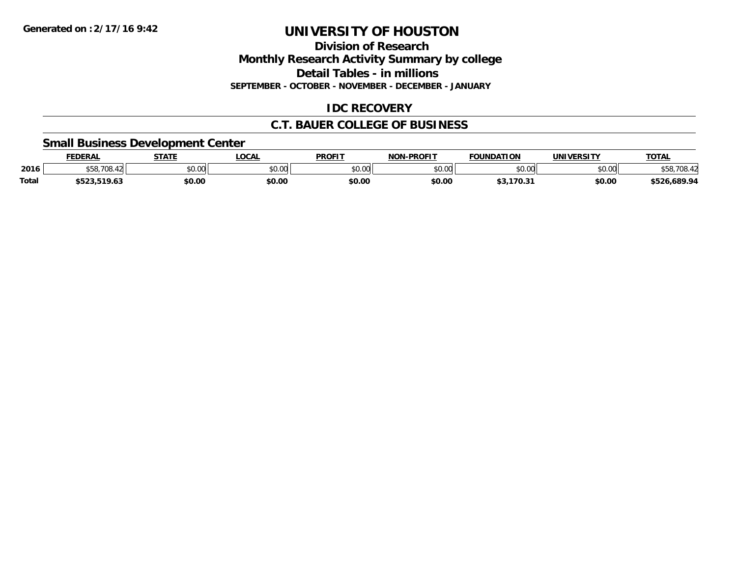**Division of Research**

**Monthly Research Activity Summary by college**

**Detail Tables - in millions**

**SEPTEMBER - OCTOBER - NOVEMBER - DECEMBER - JANUARY**

# **IDC RECOVERY**

### **C.T. BAUER COLLEGE OF BUSINESS**

### **Small Business Development Center**

|       | <b>FEDERAL</b>                      | <b>STATE</b>  | <b>.OCAL</b> | <b>PROFIT</b> | -PROFIT<br>810 B   | <b>FOUNDATION</b> | UNIVERSITY | <b>TOTAL</b>                     |
|-------|-------------------------------------|---------------|--------------|---------------|--------------------|-------------------|------------|----------------------------------|
| 2016  | \$58,708.                           | 0000<br>JU.UU | \$0.00       | \$0.00        | $\sim$ 00<br>DU.UU | \$0.00            | \$0.00     | 708.5                            |
| Total | 510.63<br>$-0.2$<br>19.03<br>,,,,,, | \$0.00        | \$0.00       | \$0.00        | \$0.00             | \$3,170.31        | \$0.00     | 89.94.626, 526,<br>こうしょうしん こうしょう |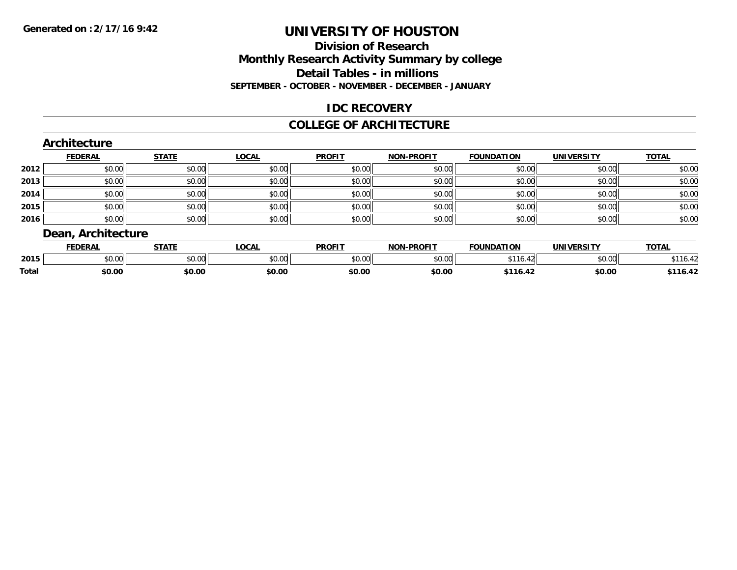### **Division of Research Monthly Research Activity Summary by college Detail Tables - in millions SEPTEMBER - OCTOBER - NOVEMBER - DECEMBER - JANUARY**

### **IDC RECOVERY**

#### **COLLEGE OF ARCHITECTURE**

|      | <b>FEDERAL</b> | <b>STATE</b> | <b>LOCAL</b> | <b>PROFIT</b> | <b>NON-PROFIT</b> | <b>FOUNDATION</b> | <b>UNIVERSITY</b> | <b>TOTAL</b> |
|------|----------------|--------------|--------------|---------------|-------------------|-------------------|-------------------|--------------|
| 2012 | \$0.00         | \$0.00       | \$0.00       | \$0.00        | \$0.00            | \$0.00            | \$0.00            | \$0.00       |
| 2013 | \$0.00         | \$0.00       | \$0.00       | \$0.00        | \$0.00            | \$0.00            | \$0.00            | \$0.00       |
| 2014 | \$0.00         | \$0.00       | \$0.00       | \$0.00        | \$0.00            | \$0.00            | \$0.00            | \$0.00       |
| 2015 | \$0.00         | \$0.00       | \$0.00       | \$0.00        | \$0.00            | \$0.00            | \$0.00            | \$0.00       |
| 2016 | \$0.00         | \$0.00       | \$0.00       | \$0.00        | \$0.00            | \$0.00            | \$0.00            | \$0.00       |

|       | <b>FEDERAI</b> | <b>STATE</b>  | 00N<br>UUNI | <b>PROFIT</b> | <b>DDOEIT</b><br><b>MON</b> | <b>FOUNDATION</b>  | UNIVERSITY<br>:R.31 I | <b>TOTAL</b>             |
|-------|----------------|---------------|-------------|---------------|-----------------------------|--------------------|-----------------------|--------------------------|
| 2015  | ሶስ ሰሰ<br>DU.UU | 0.00<br>DU.UU | JU.UU       | 0000<br>JU.UU | $\sim$ 00<br>DU.UU          | 0.11<br>$\sqrt{2}$ | \$0.00                | ***<br>$\sim$<br>. 10.44 |
| Total | \$0.00         | \$0.00        | \$0.00      | \$0.00        | \$0.00                      |                    | \$0.00                | 10.4.                    |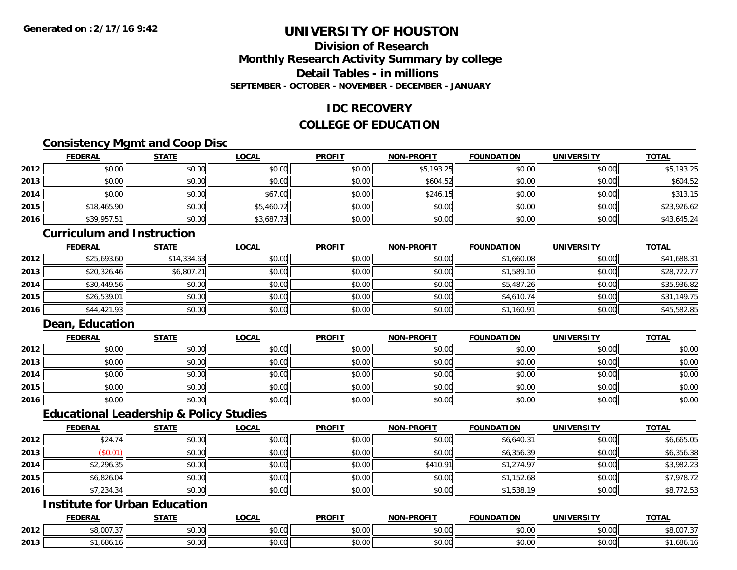### **Division of ResearchMonthly Research Activity Summary by college Detail Tables - in millionsSEPTEMBER - OCTOBER - NOVEMBER - DECEMBER - JANUARY**

### **IDC RECOVERY**

# **COLLEGE OF EDUCATION**

# **Consistency Mgmt and Coop Disc**

|      | <u>FEDERAL</u> | <b>STATE</b> | <u>LOCAL</u> | <b>PROFIT</b> | <b>NON-PROFIT</b> | <b>FOUNDATION</b> | <b>UNIVERSITY</b> | <b>TOTAL</b> |
|------|----------------|--------------|--------------|---------------|-------------------|-------------------|-------------------|--------------|
| 2012 | \$0.00         | \$0.00       | \$0.00       | \$0.00        | \$5,193.25        | \$0.00            | \$0.00            | \$5,193.25   |
| 2013 | \$0.00         | \$0.00       | \$0.00       | \$0.00        | \$604.52          | \$0.00            | \$0.00            | \$604.52     |
| 2014 | \$0.00         | \$0.00       | \$67.00      | \$0.00        | \$246.15          | \$0.00            | \$0.00            | \$313.15     |
| 2015 | \$18,465.90    | \$0.00       | \$5,460.72   | \$0.00        | \$0.00            | \$0.00            | \$0.00            | \$23,926.62  |
| 2016 | \$39,957.51    | \$0.00       | \$3,687.73   | \$0.00        | \$0.00            | \$0.00            | \$0.00            | \$43,645.24  |

#### **Curriculum and Instruction**

|      | <u>FEDERAL</u> | <b>STATE</b> | <b>LOCAL</b> | <b>PROFIT</b> | <b>NON-PROFIT</b> | <b>FOUNDATION</b> | <b>UNIVERSITY</b> | <b>TOTAL</b> |
|------|----------------|--------------|--------------|---------------|-------------------|-------------------|-------------------|--------------|
| 2012 | \$25,693.60    | \$14,334.63  | \$0.00       | \$0.00        | \$0.00            | \$1,660.08        | \$0.00            | \$41,688.31  |
| 2013 | \$20,326.46    | \$6,807.21   | \$0.00       | \$0.00        | \$0.00            | \$1,589.10        | \$0.00            | \$28,722.77  |
| 2014 | \$30,449.56    | \$0.00       | \$0.00       | \$0.00        | \$0.00            | \$5,487.26        | \$0.00            | \$35,936.82  |
| 2015 | \$26,539.01    | \$0.00       | \$0.00       | \$0.00        | \$0.00            | \$4,610.74        | \$0.00            | \$31,149.75  |
| 2016 | \$44,421.93    | \$0.00       | \$0.00       | \$0.00        | \$0.00            | \$1,160.91        | \$0.00            | \$45,582.85  |

### **Dean, Education**

|      | <b>FEDERAL</b> | <b>STATE</b> | <u>LOCAL</u> | <b>PROFIT</b> | <b>NON-PROFIT</b> | <b>FOUNDATION</b> | <b>UNIVERSITY</b> | <b>TOTAL</b> |
|------|----------------|--------------|--------------|---------------|-------------------|-------------------|-------------------|--------------|
| 2012 | \$0.00         | \$0.00       | \$0.00       | \$0.00        | \$0.00            | \$0.00            | \$0.00            | \$0.00       |
| 2013 | \$0.00         | \$0.00       | \$0.00       | \$0.00        | \$0.00            | \$0.00            | \$0.00            | \$0.00       |
| 2014 | \$0.00         | \$0.00       | \$0.00       | \$0.00        | \$0.00            | \$0.00            | \$0.00            | \$0.00       |
| 2015 | \$0.00         | \$0.00       | \$0.00       | \$0.00        | \$0.00            | \$0.00            | \$0.00            | \$0.00       |
| 2016 | \$0.00         | \$0.00       | \$0.00       | \$0.00        | \$0.00            | \$0.00            | \$0.00            | \$0.00       |

#### **Educational Leadership & Policy Studies**

|      | <b>FEDERAL</b> | <b>STATE</b> | <u>LOCAL</u> | <b>PROFIT</b> | <b>NON-PROFIT</b> | <b>FOUNDATION</b> | <b>UNIVERSITY</b> | <b>TOTAL</b> |
|------|----------------|--------------|--------------|---------------|-------------------|-------------------|-------------------|--------------|
| 2012 | \$24.74        | \$0.00       | \$0.00       | \$0.00        | \$0.00            | \$6,640.31        | \$0.00            | \$6,665.05   |
| 2013 | \$0.01         | \$0.00       | \$0.00       | \$0.00        | \$0.00            | \$6,356.39        | \$0.00            | \$6,356.38   |
| 2014 | \$2,296.35     | \$0.00       | \$0.00       | \$0.00        | \$410.91          | \$1,274.97        | \$0.00            | \$3,982.23   |
| 2015 | \$6,826.04     | \$0.00       | \$0.00       | \$0.00        | \$0.00            | \$1,152.68        | \$0.00            | \$7,978.72   |
| 2016 | \$7,234.34     | \$0.00       | \$0.00       | \$0.00        | \$0.00            | \$1,538.19        | \$0.00            | \$8,772.53   |

# **Institute for Urban Education**

|      | <b>FEDERAL</b>                               | <b>STATE</b>  | <b>LOCAL</b>  | <b>PROFIT</b> | <b>J-PROFIT</b><br><b>AION'</b> | <b>FOUNDATION</b> | <b>UNIVERSITY</b>     | <b>TOTAL</b>         |
|------|----------------------------------------------|---------------|---------------|---------------|---------------------------------|-------------------|-----------------------|----------------------|
| 2012 | $\sim$ $\sim$ $\sim$ $\sim$<br>، ن<br>ַ טט ש | 0000<br>DU.UU | 0.00<br>vv.vv | 0000<br>JU.UU | 0.00<br>vv.vv                   | \$0.00            | \$0.00                | 0.00727<br>\$6,UU7.3 |
| 2013 | 404<br>.000                                  | 0000<br>DU.UU | 0.00<br>vu.vu | 0000<br>งบ.บบ | 0.00<br>PO.OO                   | \$0.00            | 0.001<br><b>JU.UU</b> | , 1,686. To          |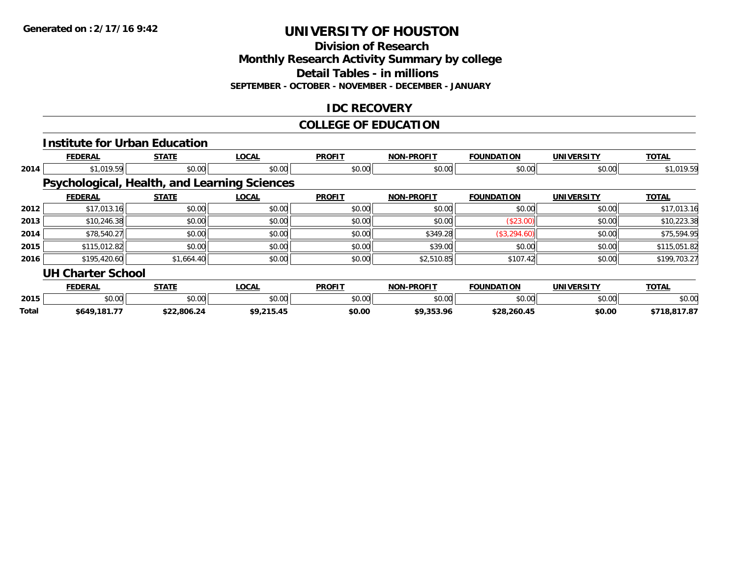**Division of Research**

**Monthly Research Activity Summary by college**

**Detail Tables - in millions**

**SEPTEMBER - OCTOBER - NOVEMBER - DECEMBER - JANUARY**

### **IDC RECOVERY**

#### **COLLEGE OF EDUCATION**

|       |                          | <b>Institute for Urban Education</b>                |              |               |                   |                   |                   |              |
|-------|--------------------------|-----------------------------------------------------|--------------|---------------|-------------------|-------------------|-------------------|--------------|
|       | <b>FEDERAL</b>           | <b>STATE</b>                                        | <b>LOCAL</b> | <b>PROFIT</b> | <b>NON-PROFIT</b> | <b>FOUNDATION</b> | <b>UNIVERSITY</b> | <b>TOTAL</b> |
| 2014  | \$1,019.59               | \$0.00                                              | \$0.00       | \$0.00        | \$0.00            | \$0.00            | \$0.00            | \$1,019.59   |
|       |                          | <b>Psychological, Health, and Learning Sciences</b> |              |               |                   |                   |                   |              |
|       | <b>FEDERAL</b>           | <b>STATE</b>                                        | <b>LOCAL</b> | <b>PROFIT</b> | <b>NON-PROFIT</b> | <b>FOUNDATION</b> | <b>UNIVERSITY</b> | <b>TOTAL</b> |
| 2012  | \$17,013.16              | \$0.00                                              | \$0.00       | \$0.00        | \$0.00            | \$0.00            | \$0.00            | \$17,013.16  |
| 2013  | \$10,246.38              | \$0.00                                              | \$0.00       | \$0.00        | \$0.00            | (\$23.00)         | \$0.00            | \$10,223.38  |
| 2014  | \$78,540.27              | \$0.00                                              | \$0.00       | \$0.00        | \$349.28          | (\$3,294.60)      | \$0.00            | \$75,594.95  |
| 2015  | \$115,012.82             | \$0.00                                              | \$0.00       | \$0.00        | \$39.00           | \$0.00            | \$0.00            | \$115,051.82 |
| 2016  | \$195,420.60             | \$1,664.40                                          | \$0.00       | \$0.00        | \$2,510.85        | \$107.42          | \$0.00            | \$199,703.27 |
|       | <b>UH Charter School</b> |                                                     |              |               |                   |                   |                   |              |
|       | <b>FEDERAL</b>           | <b>STATE</b>                                        | <b>LOCAL</b> | <b>PROFIT</b> | <b>NON-PROFIT</b> | <b>FOUNDATION</b> | <b>UNIVERSITY</b> | <b>TOTAL</b> |
| 2015  | \$0.00                   | \$0.00                                              | \$0.00       | \$0.00        | \$0.00            | \$0.00            | \$0.00            | \$0.00       |
| Total | \$649,181.77             | \$22,806.24                                         | \$9,215.45   | \$0.00        | \$9,353.96        | \$28,260.45       | \$0.00            | \$718,817.87 |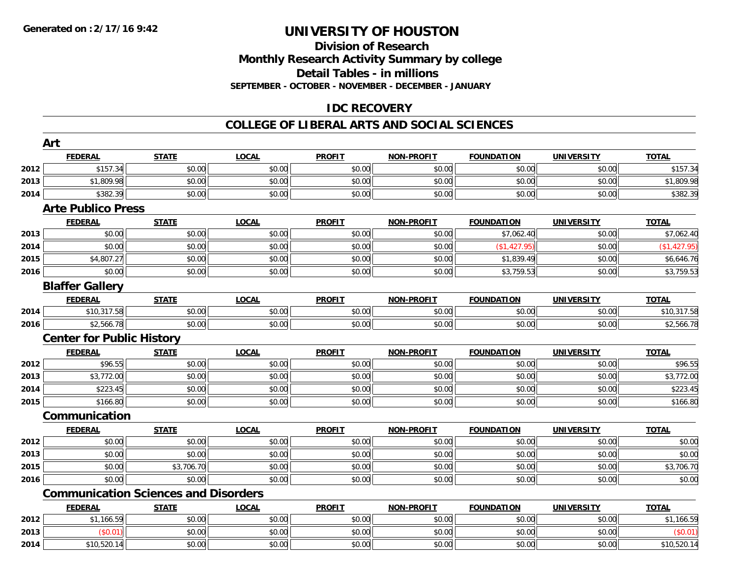#### **Division of Research Monthly Research Activity Summary by college Detail Tables - in millions SEPTEMBER - OCTOBER - NOVEMBER - DECEMBER - JANUARY**

# **IDC RECOVERY**

#### **COLLEGE OF LIBERAL ARTS AND SOCIAL SCIENCES**

|      | Art                              |                                             |              |               |                   |                   |                   |              |
|------|----------------------------------|---------------------------------------------|--------------|---------------|-------------------|-------------------|-------------------|--------------|
|      | <b>FEDERAL</b>                   | <b>STATE</b>                                | <b>LOCAL</b> | <b>PROFIT</b> | <b>NON-PROFIT</b> | <b>FOUNDATION</b> | <b>UNIVERSITY</b> | <b>TOTAL</b> |
| 2012 | \$157.34                         | \$0.00                                      | \$0.00       | \$0.00        | \$0.00            | \$0.00            | \$0.00            | \$157.34     |
| 2013 | \$1,809.98                       | \$0.00                                      | \$0.00       | \$0.00        | \$0.00            | \$0.00            | \$0.00            | \$1,809.98   |
| 2014 | \$382.39                         | \$0.00                                      | \$0.00       | \$0.00        | \$0.00            | \$0.00            | \$0.00            | \$382.39     |
|      | <b>Arte Publico Press</b>        |                                             |              |               |                   |                   |                   |              |
|      | <b>FEDERAL</b>                   | <b>STATE</b>                                | <b>LOCAL</b> | <b>PROFIT</b> | <b>NON-PROFIT</b> | <b>FOUNDATION</b> | <b>UNIVERSITY</b> | <b>TOTAL</b> |
| 2013 | \$0.00                           | \$0.00                                      | \$0.00       | \$0.00        | \$0.00            | \$7,062.40        | \$0.00            | \$7,062.40   |
| 2014 | \$0.00                           | \$0.00                                      | \$0.00       | \$0.00        | \$0.00            | (\$1,427.95)      | \$0.00            | (\$1,427.95) |
| 2015 | \$4,807.27                       | \$0.00                                      | \$0.00       | \$0.00        | \$0.00            | \$1,839.49        | \$0.00            | \$6,646.76   |
| 2016 | \$0.00                           | \$0.00                                      | \$0.00       | \$0.00        | \$0.00            | \$3,759.53        | \$0.00            | \$3,759.53   |
|      | <b>Blaffer Gallery</b>           |                                             |              |               |                   |                   |                   |              |
|      | <b>FEDERAL</b>                   | <b>STATE</b>                                | <b>LOCAL</b> | <b>PROFIT</b> | <b>NON-PROFIT</b> | <b>FOUNDATION</b> | <b>UNIVERSITY</b> | <b>TOTAL</b> |
| 2014 | \$10,317.58                      | \$0.00                                      | \$0.00       | \$0.00        | \$0.00            | \$0.00            | \$0.00            | \$10,317.58  |
| 2016 | \$2,566.78                       | \$0.00                                      | \$0.00       | \$0.00        | \$0.00            | \$0.00            | \$0.00            | \$2,566.78   |
|      | <b>Center for Public History</b> |                                             |              |               |                   |                   |                   |              |
|      | <b>FEDERAL</b>                   | <b>STATE</b>                                | <b>LOCAL</b> | <b>PROFIT</b> | <b>NON-PROFIT</b> | <b>FOUNDATION</b> | <b>UNIVERSITY</b> | <b>TOTAL</b> |
| 2012 | \$96.55                          | \$0.00                                      | \$0.00       | \$0.00        | \$0.00            | \$0.00            | \$0.00            | \$96.55      |
| 2013 | \$3,772.00                       | \$0.00                                      | \$0.00       | \$0.00        | \$0.00            | \$0.00            | \$0.00            | \$3,772.00   |
| 2014 | \$223.45                         | \$0.00                                      | \$0.00       | \$0.00        | \$0.00            | \$0.00            | \$0.00            | \$223.45     |
| 2015 | \$166.80                         | \$0.00                                      | \$0.00       | \$0.00        | \$0.00            | \$0.00            | \$0.00            | \$166.80     |
|      | Communication                    |                                             |              |               |                   |                   |                   |              |
|      | <b>FEDERAL</b>                   | <b>STATE</b>                                | <b>LOCAL</b> | <b>PROFIT</b> | <b>NON-PROFIT</b> | <b>FOUNDATION</b> | <b>UNIVERSITY</b> | <b>TOTAL</b> |
| 2012 | \$0.00                           | \$0.00                                      | \$0.00       | \$0.00        | \$0.00            | \$0.00            | \$0.00            | \$0.00       |
| 2013 | \$0.00                           | \$0.00                                      | \$0.00       | \$0.00        | \$0.00            | \$0.00            | \$0.00            | \$0.00       |
| 2015 | \$0.00                           | \$3,706.70                                  | \$0.00       | \$0.00        | \$0.00            | \$0.00            | \$0.00            | \$3,706.70   |
| 2016 | \$0.00                           | \$0.00                                      | \$0.00       | \$0.00        | \$0.00            | \$0.00            | \$0.00            | \$0.00       |
|      |                                  | <b>Communication Sciences and Disorders</b> |              |               |                   |                   |                   |              |
|      | <b>FEDERAL</b>                   | <b>STATE</b>                                | <b>LOCAL</b> | <b>PROFIT</b> | <b>NON-PROFIT</b> | <b>FOUNDATION</b> | <b>UNIVERSITY</b> | <b>TOTAL</b> |
| 2012 | \$1,166.59                       | \$0.00                                      | \$0.00       | \$0.00        | \$0.00            | \$0.00            | \$0.00            | \$1,166.59   |
| 2013 | (\$0.01)                         | \$0.00                                      | \$0.00       | \$0.00        | \$0.00            | \$0.00            | \$0.00            | (\$0.01)     |
| 2014 | \$10,520.14                      | \$0.00                                      | \$0.00       | \$0.00        | \$0.00            | \$0.00            | \$0.00            | \$10,520.14  |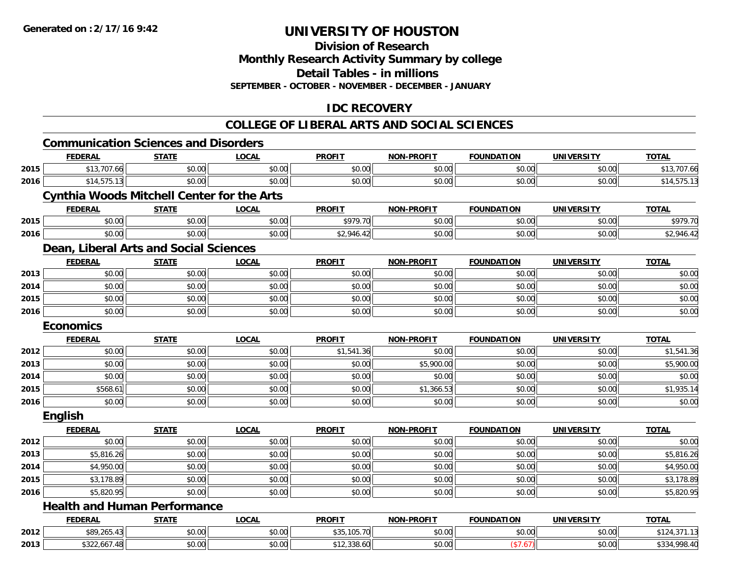**Division of Research**

**Monthly Research Activity Summary by college**

**Detail Tables - in millions**

**SEPTEMBER - OCTOBER - NOVEMBER - DECEMBER - JANUARY**

# **IDC RECOVERY**

# **COLLEGE OF LIBERAL ARTS AND SOCIAL SCIENCES**

|      |                                                   |              |              |               | <u>COLLEGE OF LIBERAL ARTS AND SOCIAL SCIENCES</u> |                   |                   |              |
|------|---------------------------------------------------|--------------|--------------|---------------|----------------------------------------------------|-------------------|-------------------|--------------|
|      | <b>Communication Sciences and Disorders</b>       |              |              |               |                                                    |                   |                   |              |
|      | <b>FEDERAL</b>                                    | <b>STATE</b> | <b>LOCAL</b> | <b>PROFIT</b> | <b>NON-PROFIT</b>                                  | <b>FOUNDATION</b> | <b>UNIVERSITY</b> | <b>TOTAL</b> |
| 2015 | \$13,707.66                                       | \$0.00       | \$0.00       | \$0.00        | \$0.00                                             | \$0.00            | \$0.00            | \$13,707.66  |
| 2016 | \$14,575.13                                       | \$0.00       | \$0.00       | \$0.00        | \$0.00                                             | \$0.00            | \$0.00            | \$14,575.13  |
|      | <b>Cynthia Woods Mitchell Center for the Arts</b> |              |              |               |                                                    |                   |                   |              |
|      | <b>FEDERAL</b>                                    | <b>STATE</b> | <b>LOCAL</b> | <b>PROFIT</b> | <b>NON-PROFIT</b>                                  | <b>FOUNDATION</b> | <b>UNIVERSITY</b> | <b>TOTAL</b> |
| 2015 | \$0.00                                            | \$0.00       | \$0.00       | \$979.70      | \$0.00                                             | \$0.00            | \$0.00            | \$979.70     |
| 2016 | \$0.00                                            | \$0.00       | \$0.00       | \$2,946.42    | \$0.00                                             | \$0.00            | \$0.00            | \$2,946.42   |
|      | Dean, Liberal Arts and Social Sciences            |              |              |               |                                                    |                   |                   |              |
|      | <b>FEDERAL</b>                                    | <b>STATE</b> | <b>LOCAL</b> | <b>PROFIT</b> | <b>NON-PROFIT</b>                                  | <b>FOUNDATION</b> | <b>UNIVERSITY</b> | <b>TOTAL</b> |
| 2013 | \$0.00                                            | \$0.00       | \$0.00       | \$0.00        | \$0.00                                             | \$0.00            | \$0.00            | \$0.00       |
| 2014 | \$0.00                                            | \$0.00       | \$0.00       | \$0.00        | \$0.00                                             | \$0.00            | \$0.00            | \$0.00       |
| 2015 | \$0.00                                            | \$0.00       | \$0.00       | \$0.00        | \$0.00                                             | \$0.00            | \$0.00            | \$0.00       |
| 2016 | \$0.00                                            | \$0.00       | \$0.00       | \$0.00        | \$0.00                                             | \$0.00            | \$0.00            | \$0.00       |
|      | <b>Economics</b>                                  |              |              |               |                                                    |                   |                   |              |
|      | <b>FEDERAL</b>                                    | <b>STATE</b> | <b>LOCAL</b> | <b>PROFIT</b> | <b>NON-PROFIT</b>                                  | <b>FOUNDATION</b> | <b>UNIVERSITY</b> | <b>TOTAL</b> |
| 2012 | \$0.00                                            | \$0.00       | \$0.00       | \$1,541.36    | \$0.00                                             | \$0.00            | \$0.00            | \$1,541.36   |
| 2013 | \$0.00                                            | \$0.00       | \$0.00       | \$0.00        | \$5,900.00                                         | \$0.00            | \$0.00            | \$5,900.00   |
| 2014 | \$0.00                                            | \$0.00       | \$0.00       | \$0.00        | \$0.00                                             | \$0.00            | \$0.00            | \$0.00       |
| 2015 | \$568.61                                          | \$0.00       | \$0.00       | \$0.00        | \$1,366.53                                         | \$0.00            | \$0.00            | \$1,935.14   |
| 2016 | \$0.00                                            | \$0.00       | \$0.00       | \$0.00        | \$0.00                                             | \$0.00            | \$0.00            | \$0.00       |
|      | <b>English</b>                                    |              |              |               |                                                    |                   |                   |              |
|      | <b>FEDERAL</b>                                    | <b>STATE</b> | <b>LOCAL</b> | <b>PROFIT</b> | <b>NON-PROFIT</b>                                  | <b>FOUNDATION</b> | <b>UNIVERSITY</b> | <b>TOTAL</b> |
| 2012 | \$0.00                                            | \$0.00       | \$0.00       | \$0.00        | \$0.00                                             | \$0.00            | \$0.00            | \$0.00       |
| 2013 | \$5,816.26                                        | \$0.00       | \$0.00       | \$0.00        | \$0.00                                             | \$0.00            | \$0.00            | \$5,816.26   |
| 2014 | \$4,950.00                                        | \$0.00       | \$0.00       | \$0.00        | \$0.00                                             | \$0.00            | \$0.00            | \$4,950.00   |
| 2015 | \$3,178.89                                        | \$0.00       | \$0.00       | \$0.00        | \$0.00                                             | \$0.00            | \$0.00            | \$3,178.89   |
| 2016 | \$5,820.95                                        | \$0.00       | \$0.00       | \$0.00        | \$0.00                                             | \$0.00            | \$0.00            | \$5,820.95   |
|      | <b>Health and Human Performance</b>               |              |              |               |                                                    |                   |                   |              |
|      | <b>FEDERAL</b>                                    | <b>STATE</b> | <b>LOCAL</b> | <b>PROFIT</b> | <b>NON-PROFIT</b>                                  | <b>FOUNDATION</b> | <b>UNIVERSITY</b> | <b>TOTAL</b> |
| 2012 | \$89,265.43                                       | \$0.00       | \$0.00       | \$35,105.70   | \$0.00                                             | \$0.00            | \$0.00            | \$124,371.13 |
| 2013 | \$322,667.48                                      | \$0.00       | \$0.00       | \$12,338.60   | \$0.00                                             | (\$7.67)          | \$0.00            | \$334,998.40 |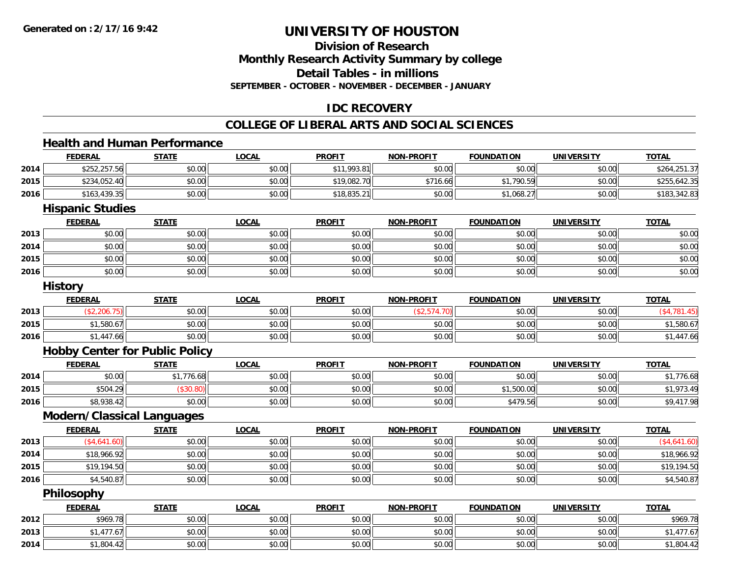# **Division of ResearchMonthly Research Activity Summary by college Detail Tables - in millions SEPTEMBER - OCTOBER - NOVEMBER - DECEMBER - JANUARY**

# **IDC RECOVERY**

#### **COLLEGE OF LIBERAL ARTS AND SOCIAL SCIENCES**

#### **Health and Human Performance**

|      | <b>FEDERAL</b>                        | <b>STATE</b> | <b>LOCAL</b> | <b>PROFIT</b> | <b>NON-PROFIT</b> | <b>FOUNDATION</b> | <b>UNIVERSITY</b> | <b>TOTAL</b>  |
|------|---------------------------------------|--------------|--------------|---------------|-------------------|-------------------|-------------------|---------------|
| 2014 | \$252,257.56                          | \$0.00       | \$0.00       | \$11,993.81   | \$0.00            | \$0.00            | \$0.00            | \$264,251.37  |
| 2015 | \$234,052.40                          | \$0.00       | \$0.00       | \$19,082.70   | \$716.66          | \$1,790.59        | \$0.00            | \$255,642.35  |
| 2016 | \$163,439.35                          | \$0.00       | \$0.00       | \$18,835.21   | \$0.00            | \$1,068.27        | \$0.00            | \$183,342.83  |
|      | <b>Hispanic Studies</b>               |              |              |               |                   |                   |                   |               |
|      | <b>FEDERAL</b>                        | <b>STATE</b> | <b>LOCAL</b> | <b>PROFIT</b> | <b>NON-PROFIT</b> | <b>FOUNDATION</b> | <b>UNIVERSITY</b> | <b>TOTAL</b>  |
| 2013 | \$0.00                                | \$0.00       | \$0.00       | \$0.00        | \$0.00            | \$0.00            | \$0.00            | \$0.00        |
| 2014 | \$0.00                                | \$0.00       | \$0.00       | \$0.00        | \$0.00            | \$0.00            | \$0.00            | \$0.00        |
| 2015 | \$0.00                                | \$0.00       | \$0.00       | \$0.00        | \$0.00            | \$0.00            | \$0.00            | \$0.00        |
| 2016 | \$0.00                                | \$0.00       | \$0.00       | \$0.00        | \$0.00            | \$0.00            | \$0.00            | \$0.00        |
|      | <b>History</b>                        |              |              |               |                   |                   |                   |               |
|      | <b>FEDERAL</b>                        | <b>STATE</b> | <b>LOCAL</b> | <b>PROFIT</b> | <b>NON-PROFIT</b> | <b>FOUNDATION</b> | <b>UNIVERSITY</b> | <b>TOTAL</b>  |
| 2013 | (\$2,206.75)                          | \$0.00       | \$0.00       | \$0.00        | (\$2,574.70)      | \$0.00            | \$0.00            | ( \$4,781.45) |
| 2015 | \$1,580.67                            | \$0.00       | \$0.00       | \$0.00        | \$0.00            | \$0.00            | \$0.00            | \$1,580.67    |
| 2016 | \$1,447.66                            | \$0.00       | \$0.00       | \$0.00        | \$0.00            | \$0.00            | \$0.00            | \$1,447.66    |
|      | <b>Hobby Center for Public Policy</b> |              |              |               |                   |                   |                   |               |
|      | <b>FEDERAL</b>                        | <b>STATE</b> | <b>LOCAL</b> | <b>PROFIT</b> | <b>NON-PROFIT</b> | <b>FOUNDATION</b> | <b>UNIVERSITY</b> | <b>TOTAL</b>  |
| 2014 | \$0.00                                | \$1,776.68   | \$0.00       | \$0.00        | \$0.00            | \$0.00            | \$0.00            | \$1,776.68    |
| 2015 | \$504.29                              | (\$30.80)    | \$0.00       | \$0.00        | \$0.00            | \$1,500.00        | \$0.00            | \$1,973.49    |
| 2016 | \$8,938.42                            | \$0.00       | \$0.00       | \$0.00        | \$0.00            | \$479.56          | \$0.00            | \$9,417.98    |
|      | <b>Modern/Classical Languages</b>     |              |              |               |                   |                   |                   |               |
|      | <b>FEDERAL</b>                        | <b>STATE</b> | <b>LOCAL</b> | <b>PROFIT</b> | <b>NON-PROFIT</b> | <b>FOUNDATION</b> | <b>UNIVERSITY</b> | <b>TOTAL</b>  |
| 2013 | (\$4,641.60)                          | \$0.00       | \$0.00       | \$0.00        | \$0.00            | \$0.00            | \$0.00            | (\$4,641.60)  |
| 2014 | \$18,966.92                           | \$0.00       | \$0.00       | \$0.00        | \$0.00            | \$0.00            | \$0.00            | \$18,966.92   |
| 2015 | \$19,194.50                           | \$0.00       | \$0.00       | \$0.00        | \$0.00            | \$0.00            | \$0.00            | \$19,194.50   |
| 2016 | \$4,540.87                            | \$0.00       | \$0.00       | \$0.00        | \$0.00            | \$0.00            | \$0.00            | \$4,540.87    |
|      | Philosophy                            |              |              |               |                   |                   |                   |               |
|      | <b>FEDERAL</b>                        | <b>STATE</b> | <b>LOCAL</b> | <b>PROFIT</b> | <b>NON-PROFIT</b> | <b>FOUNDATION</b> | <b>UNIVERSITY</b> | <b>TOTAL</b>  |
| 2012 | \$969.78                              | \$0.00       | \$0.00       | \$0.00        | \$0.00            | \$0.00            | \$0.00            | \$969.78      |
| 2013 | \$1,477.67                            | \$0.00       | \$0.00       | \$0.00        | \$0.00            | \$0.00            | \$0.00            | \$1,477.67    |
| 2014 | \$1,804.42                            | \$0.00       | \$0.00       | \$0.00        | \$0.00            | \$0.00            | \$0.00            | \$1,804.42    |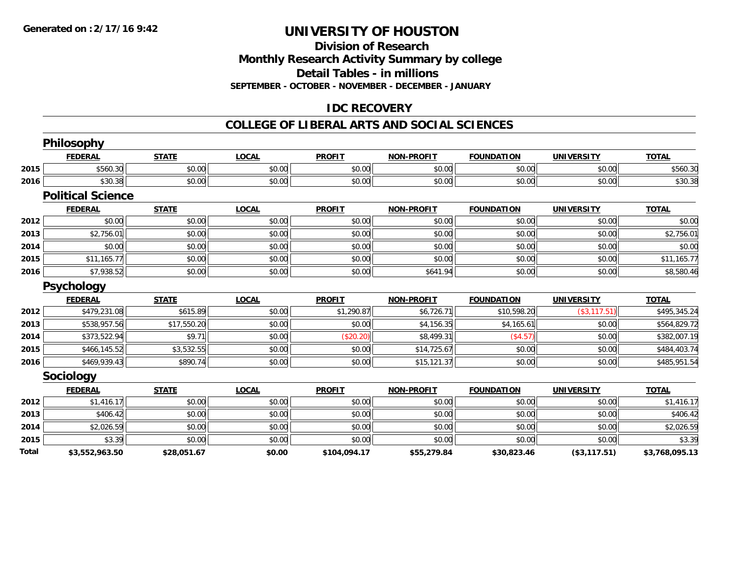#### **Division of Research Monthly Research Activity Summary by college Detail Tables - in millions SEPTEMBER - OCTOBER - NOVEMBER - DECEMBER - JANUARY**

# **IDC RECOVERY**

#### **COLLEGE OF LIBERAL ARTS AND SOCIAL SCIENCES**

|       | Philosophy               |              |              |               |                   |                   |                   |                |
|-------|--------------------------|--------------|--------------|---------------|-------------------|-------------------|-------------------|----------------|
|       | <b>FEDERAL</b>           | <b>STATE</b> | <b>LOCAL</b> | <b>PROFIT</b> | <b>NON-PROFIT</b> | <b>FOUNDATION</b> | <b>UNIVERSITY</b> | <b>TOTAL</b>   |
| 2015  | \$560.30                 | \$0.00       | \$0.00       | \$0.00        | \$0.00            | \$0.00            | \$0.00            | \$560.30       |
| 2016  | \$30.38                  | \$0.00       | \$0.00       | \$0.00        | \$0.00            | \$0.00            | \$0.00            | \$30.38        |
|       | <b>Political Science</b> |              |              |               |                   |                   |                   |                |
|       | <b>FEDERAL</b>           | <b>STATE</b> | <b>LOCAL</b> | <b>PROFIT</b> | <b>NON-PROFIT</b> | <b>FOUNDATION</b> | <b>UNIVERSITY</b> | <b>TOTAL</b>   |
| 2012  | \$0.00                   | \$0.00       | \$0.00       | \$0.00        | \$0.00            | \$0.00            | \$0.00            | \$0.00         |
| 2013  | \$2,756.01               | \$0.00       | \$0.00       | \$0.00        | \$0.00            | \$0.00            | \$0.00            | \$2,756.01     |
| 2014  | \$0.00                   | \$0.00       | \$0.00       | \$0.00        | \$0.00            | \$0.00            | \$0.00            | \$0.00         |
| 2015  | \$11,165.77              | \$0.00       | \$0.00       | \$0.00        | \$0.00            | \$0.00            | \$0.00            | \$11,165.77    |
| 2016  | \$7,938.52               | \$0.00       | \$0.00       | \$0.00        | \$641.94          | \$0.00            | \$0.00            | \$8,580.46     |
|       | <b>Psychology</b>        |              |              |               |                   |                   |                   |                |
|       | <b>FEDERAL</b>           | <b>STATE</b> | <b>LOCAL</b> | <b>PROFIT</b> | <b>NON-PROFIT</b> | <b>FOUNDATION</b> | <b>UNIVERSITY</b> | <b>TOTAL</b>   |
| 2012  | \$479,231.08             | \$615.89     | \$0.00       | \$1,290.87    | \$6,726.71        | \$10,598.20       | (\$3,117.51)      | \$495,345.24   |
| 2013  | \$538,957.56             | \$17,550.20  | \$0.00       | \$0.00        | \$4,156.35        | \$4,165.61        | \$0.00            | \$564,829.72   |
| 2014  | \$373,522.94             | \$9.71       | \$0.00       | (\$20.20)     | \$8,499.31        | (\$4.57)          | \$0.00            | \$382,007.19   |
| 2015  | \$466,145.52             | \$3,532.55   | \$0.00       | \$0.00        | \$14,725.67       | \$0.00            | \$0.00            | \$484,403.74   |
| 2016  | \$469,939.43             | \$890.74     | \$0.00       | \$0.00        | \$15,121.37       | \$0.00            | \$0.00            | \$485,951.54   |
|       | <b>Sociology</b>         |              |              |               |                   |                   |                   |                |
|       | <b>FEDERAL</b>           | <b>STATE</b> | <b>LOCAL</b> | <b>PROFIT</b> | <b>NON-PROFIT</b> | <b>FOUNDATION</b> | <b>UNIVERSITY</b> | <b>TOTAL</b>   |
| 2012  | \$1,416.17               | \$0.00       | \$0.00       | \$0.00        | \$0.00            | \$0.00            | \$0.00            | \$1,416.17     |
| 2013  | \$406.42                 | \$0.00       | \$0.00       | \$0.00        | \$0.00            | \$0.00            | \$0.00            | \$406.42       |
| 2014  | \$2,026.59               | \$0.00       | \$0.00       | \$0.00        | \$0.00            | \$0.00            | \$0.00            | \$2,026.59     |
| 2015  | \$3.39                   | \$0.00       | \$0.00       | \$0.00        | \$0.00            | \$0.00            | \$0.00            | \$3.39         |
| Total | \$3,552,963.50           | \$28,051.67  | \$0.00       | \$104,094.17  | \$55,279.84       | \$30,823.46       | (\$3,117.51)      | \$3,768,095.13 |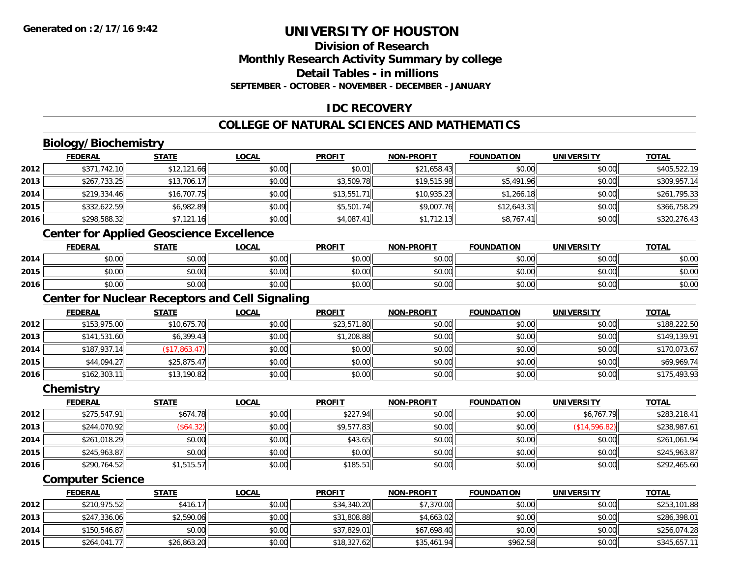### **Division of ResearchMonthly Research Activity Summary by college Detail Tables - in millions SEPTEMBER - OCTOBER - NOVEMBER - DECEMBER - JANUARY**

# **IDC RECOVERY**

# **COLLEGE OF NATURAL SCIENCES AND MATHEMATICS**

# **Biology/Biochemistry**

|      | <b>FEDERAL</b> | <b>STATE</b> | <u>LOCAL</u> | <b>PROFIT</b> | <b>NON-PROFIT</b> | <b>FOUNDATION</b> | <b>UNIVERSITY</b> | <b>TOTAL</b> |
|------|----------------|--------------|--------------|---------------|-------------------|-------------------|-------------------|--------------|
| 2012 | \$371,742.10   | \$12,121.66  | \$0.00       | \$0.01        | \$21,658.43       | \$0.00            | \$0.00            | \$405,522.19 |
| 2013 | \$267,733.25   | \$13,706.17  | \$0.00       | \$3,509.78    | \$19,515.98       | \$5,491.96        | \$0.00            | \$309,957.14 |
| 2014 | \$219,334.46   | \$16,707.75  | \$0.00       | \$13,551.71   | \$10,935.23       | \$1,266.18        | \$0.00            | \$261,795.33 |
| 2015 | \$332,622.59   | \$6,982.89   | \$0.00       | \$5,501.74    | \$9,007.76        | \$12,643.31       | \$0.00            | \$366,758.29 |
| 2016 | \$298,588.32   | \$7,121.16   | \$0.00       | \$4,087.41    | \$1,712.13        | \$8,767.41        | \$0.00            | \$320,276.43 |

# **Center for Applied Geoscience Excellence**

|      | <b>FEDERAL</b>               | <b>STATE</b> | <u>LOCAL</u>         | <b>PROFIT</b> | <b>NON-PROFIT</b> | <b>FOUNDATION</b> | UNIVERSITY | <b>TOTAL</b> |
|------|------------------------------|--------------|----------------------|---------------|-------------------|-------------------|------------|--------------|
| 2014 | $*$ $\cap$ $\cap$<br>JU.UU   | \$0.00       | 0000<br><b>DU.UG</b> | \$0.00        | \$0.00            | \$0.00            | \$0.00     | \$0.00       |
| 2015 | $\sim$ $\sim$<br>DU.UU       | \$0.00       | \$0.00               | \$0.00        | \$0.00            | \$0.00            | \$0.00     | \$0.00       |
| 2016 | <b>00</b><br>$\sim$<br>DU.UG | \$0.00       | \$0.00               | \$0.00        | \$0.00            | \$0.00            | \$0.00     | \$0.00       |

# **Center for Nuclear Receptors and Cell Signaling**

|      | <b>FEDERAL</b> | <u>STATE</u>         | <u>LOCAL</u> | <b>PROFIT</b> | <b>NON-PROFIT</b> | <b>FOUNDATION</b> | <b>UNIVERSITY</b> | <b>TOTAL</b> |
|------|----------------|----------------------|--------------|---------------|-------------------|-------------------|-------------------|--------------|
| 2012 | \$153,975.00   | \$10,675.70          | \$0.00       | \$23,571.80   | \$0.00            | \$0.00            | \$0.00            | \$188,222.50 |
| 2013 | \$141,531.60   | \$6,399.43           | \$0.00       | \$1,208.88    | \$0.00            | \$0.00            | \$0.00            | \$149,139.91 |
| 2014 | \$187,937.14   | $($ \$17,863.47) $ $ | \$0.00       | \$0.00        | \$0.00            | \$0.00            | \$0.00            | \$170,073.67 |
| 2015 | \$44,094.27    | \$25,875.47          | \$0.00       | \$0.00        | \$0.00            | \$0.00            | \$0.00            | \$69,969.74  |
| 2016 | \$162,303.11   | \$13,190.82          | \$0.00       | \$0.00        | \$0.00            | \$0.00            | \$0.00            | \$175,493.93 |

#### **Chemistry**

|      | <b>FEDERAL</b> | <b>STATE</b> | <u>LOCAL</u> | <b>PROFIT</b> | <b>NON-PROFIT</b> | <b>FOUNDATION</b> | <b>UNIVERSITY</b> | <b>TOTAL</b> |
|------|----------------|--------------|--------------|---------------|-------------------|-------------------|-------------------|--------------|
| 2012 | \$275,547.91   | \$674.78     | \$0.00       | \$227.94      | \$0.00            | \$0.00            | \$6,767.79        | \$283,218.41 |
| 2013 | \$244,070.92   | (\$64.32)    | \$0.00       | \$9,577.83    | \$0.00            | \$0.00            | (\$14,596.82)     | \$238,987.61 |
| 2014 | \$261,018.29   | \$0.00       | \$0.00       | \$43.65       | \$0.00            | \$0.00            | \$0.00            | \$261,061.94 |
| 2015 | \$245,963.87   | \$0.00       | \$0.00       | \$0.00        | \$0.00            | \$0.00            | \$0.00            | \$245,963.87 |
| 2016 | \$290,764.52   | \$1,515.57   | \$0.00       | \$185.51      | \$0.00            | \$0.00            | \$0.00            | \$292,465.60 |

#### **Computer Science**

|      | <b>FEDERAL</b> | <u>STATE</u> | <u>LOCAL</u> | <b>PROFIT</b> | <b>NON-PROFIT</b> | <b>FOUNDATION</b> | <b>UNIVERSITY</b> | <b>TOTAL</b> |
|------|----------------|--------------|--------------|---------------|-------------------|-------------------|-------------------|--------------|
| 2012 | \$210,975.52   | \$416.17     | \$0.00       | \$34,340.20   | \$7,370.00        | \$0.00            | \$0.00            | \$253,101.88 |
| 2013 | \$247,336.06   | \$2,590.06   | \$0.00       | \$31,808.88   | \$4,663.02        | \$0.00            | \$0.00            | \$286,398.01 |
| 2014 | \$150,546.87   | \$0.00       | \$0.00       | \$37,829.01   | \$67,698.40       | \$0.00            | \$0.00            | \$256,074.28 |
| 2015 | \$264,041.77   | \$26,863.20  | \$0.00       | \$18,327.62   | \$35,461.94       | \$962.58          | \$0.00            | \$345,657.11 |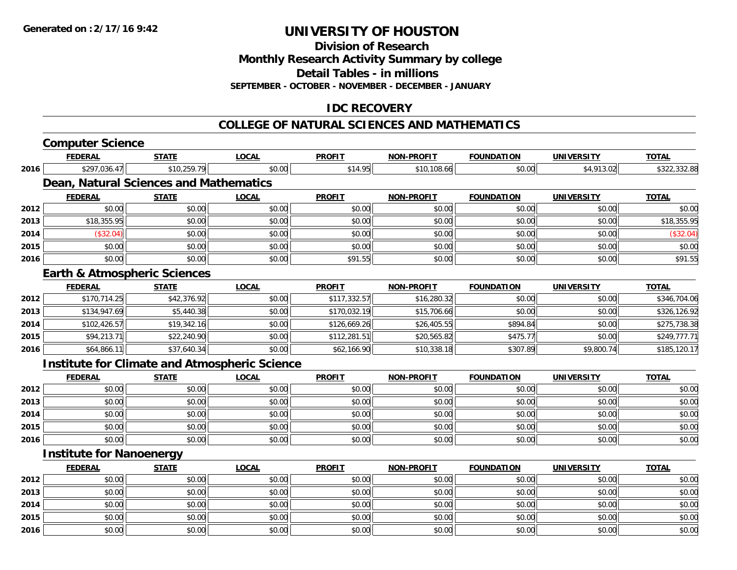**2015**

**2016**

# **UNIVERSITY OF HOUSTON**

**Division of Research**

**Monthly Research Activity Summary by college**

**Detail Tables - in millions**

**SEPTEMBER - OCTOBER - NOVEMBER - DECEMBER - JANUARY**

### **IDC RECOVERY**

#### **COLLEGE OF NATURAL SCIENCES AND MATHEMATICS**

|      | <b>Computer Science</b>                              |              |              |               |                   |                   |                   |              |
|------|------------------------------------------------------|--------------|--------------|---------------|-------------------|-------------------|-------------------|--------------|
|      | <b>FEDERAL</b>                                       | <b>STATE</b> | <b>LOCAL</b> | <b>PROFIT</b> | <b>NON-PROFIT</b> | <b>FOUNDATION</b> | <b>UNIVERSITY</b> | <b>TOTAL</b> |
| 2016 | \$297,036.47                                         | \$10,259.79  | \$0.00       | \$14.95       | \$10,108.66       | \$0.00            | \$4,913.02        | \$322,332.88 |
|      | Dean, Natural Sciences and Mathematics               |              |              |               |                   |                   |                   |              |
|      | <b>FEDERAL</b>                                       | <b>STATE</b> | <b>LOCAL</b> | <b>PROFIT</b> | <b>NON-PROFIT</b> | <b>FOUNDATION</b> | <b>UNIVERSITY</b> | <b>TOTAL</b> |
| 2012 | \$0.00                                               | \$0.00       | \$0.00       | \$0.00        | \$0.00            | \$0.00            | \$0.00            | \$0.00       |
| 2013 | \$18,355.95                                          | \$0.00       | \$0.00       | \$0.00        | \$0.00            | \$0.00            | \$0.00            | \$18,355.95  |
| 2014 | (\$32.04)                                            | \$0.00       | \$0.00       | \$0.00        | \$0.00            | \$0.00            | \$0.00            | (\$32.04)    |
| 2015 | \$0.00                                               | \$0.00       | \$0.00       | \$0.00        | \$0.00            | \$0.00            | \$0.00            | \$0.00       |
| 2016 | \$0.00                                               | \$0.00       | \$0.00       | \$91.55       | \$0.00            | \$0.00            | \$0.00            | \$91.55      |
|      | <b>Earth &amp; Atmospheric Sciences</b>              |              |              |               |                   |                   |                   |              |
|      | <b>FEDERAL</b>                                       | <b>STATE</b> | <b>LOCAL</b> | <b>PROFIT</b> | <b>NON-PROFIT</b> | <b>FOUNDATION</b> | <b>UNIVERSITY</b> | <b>TOTAL</b> |
| 2012 | \$170,714.25                                         | \$42,376.92  | \$0.00       | \$117,332.57  | \$16,280.32       | \$0.00            | \$0.00            | \$346,704.06 |
| 2013 | \$134,947.69                                         | \$5,440.38   | \$0.00       | \$170,032.19  | \$15,706.66       | \$0.00            | \$0.00            | \$326,126.92 |
| 2014 | \$102,426.57                                         | \$19,342.16  | \$0.00       | \$126,669.26  | \$26,405.55       | \$894.84          | \$0.00            | \$275,738.38 |
| 2015 | \$94,213.71                                          | \$22,240.90  | \$0.00       | \$112,281.51  | \$20,565.82       | \$475.77          | \$0.00            | \$249,777.71 |
| 2016 | \$64,866.11                                          | \$37,640.34  | \$0.00       | \$62,166.90   | \$10,338.18       | \$307.89          | \$9,800.74        | \$185,120.17 |
|      | <b>Institute for Climate and Atmospheric Science</b> |              |              |               |                   |                   |                   |              |
|      | <b>FEDERAL</b>                                       | <b>STATE</b> | <b>LOCAL</b> | <b>PROFIT</b> | <b>NON-PROFIT</b> | <b>FOUNDATION</b> | <b>UNIVERSITY</b> | <b>TOTAL</b> |
| 2012 | \$0.00                                               | \$0.00       | \$0.00       | \$0.00        | \$0.00            | \$0.00            | \$0.00            | \$0.00       |
| 2013 | \$0.00                                               | \$0.00       | \$0.00       | \$0.00        | \$0.00            | \$0.00            | \$0.00            | \$0.00       |
| 2014 | \$0.00                                               | \$0.00       | \$0.00       | \$0.00        | \$0.00            | \$0.00            | \$0.00            | \$0.00       |
| 2015 | \$0.00                                               | \$0.00       | \$0.00       | \$0.00        | \$0.00            | \$0.00            | \$0.00            | \$0.00       |
| 2016 | \$0.00                                               | \$0.00       | \$0.00       | \$0.00        | \$0.00            | \$0.00            | \$0.00            | \$0.00       |
|      | <b>Institute for Nanoenergy</b>                      |              |              |               |                   |                   |                   |              |
|      | <b>FEDERAL</b>                                       | <b>STATE</b> | <b>LOCAL</b> | <b>PROFIT</b> | <b>NON-PROFIT</b> | <b>FOUNDATION</b> | <b>UNIVERSITY</b> | <b>TOTAL</b> |
| 2012 | \$0.00                                               | \$0.00       | \$0.00       | \$0.00        | \$0.00            | \$0.00            | \$0.00            | \$0.00       |
| 2013 | \$0.00                                               | \$0.00       | \$0.00       | \$0.00        | \$0.00            | \$0.00            | \$0.00            | \$0.00       |
| 2014 | \$0.00                                               | \$0.00       | \$0.00       | \$0.00        | \$0.00            | \$0.00            | \$0.00            | \$0.00       |

\$0.00 \$0.00 \$0.00 \$0.00 \$0.00 \$0.00 \$0.00 \$0.00

6 \$0.00 \$0.00 \$0.00 \$0.00 \$0.00 \$0.00 \$0.00 \$0.00 \$0.00 \$0.00 \$0.00 \$0.00 \$0.00 \$0.00 \$0.00 \$0.00 \$0.00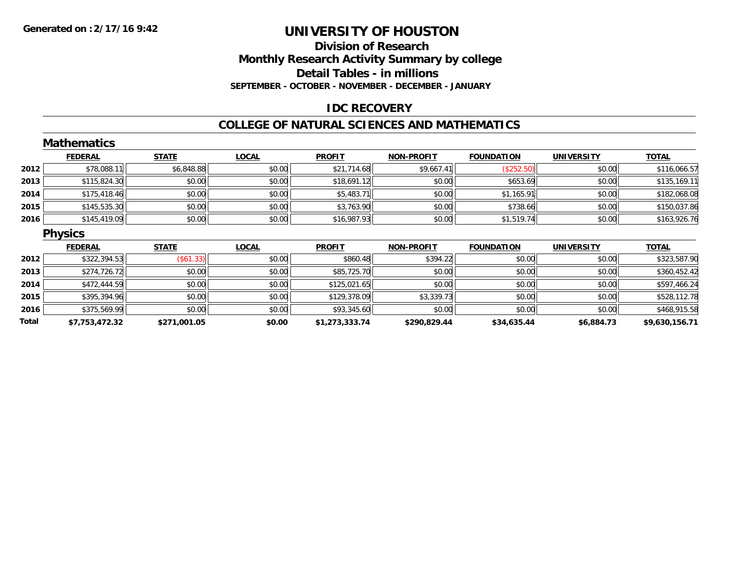#### **Division of Research Monthly Research Activity Summary by college Detail Tables - in millions SEPTEMBER - OCTOBER - NOVEMBER - DECEMBER - JANUARY**

#### **IDC RECOVERY**

#### **COLLEGE OF NATURAL SCIENCES AND MATHEMATICS**

|       | <b>Mathematics</b> |              |              |                |                   |                   |                   |                |
|-------|--------------------|--------------|--------------|----------------|-------------------|-------------------|-------------------|----------------|
|       | <b>FEDERAL</b>     | <b>STATE</b> | <b>LOCAL</b> | <b>PROFIT</b>  | <b>NON-PROFIT</b> | <b>FOUNDATION</b> | <b>UNIVERSITY</b> | <b>TOTAL</b>   |
| 2012  | \$78,088.11        | \$6,848.88   | \$0.00       | \$21,714.68    | \$9,667.41        | (\$252.50)        | \$0.00            | \$116,066.57   |
| 2013  | \$115,824.30       | \$0.00       | \$0.00       | \$18,691.12    | \$0.00            | \$653.69          | \$0.00            | \$135,169.11   |
| 2014  | \$175,418.46       | \$0.00       | \$0.00       | \$5,483.71     | \$0.00            | \$1,165.91        | \$0.00            | \$182,068.08   |
| 2015  | \$145,535.30       | \$0.00       | \$0.00       | \$3,763.90     | \$0.00            | \$738.66          | \$0.00            | \$150,037.86   |
| 2016  | \$145,419.09       | \$0.00       | \$0.00       | \$16,987.93    | \$0.00            | \$1,519.74        | \$0.00            | \$163,926.76   |
|       | <b>Physics</b>     |              |              |                |                   |                   |                   |                |
|       | <b>FEDERAL</b>     | <b>STATE</b> | <b>LOCAL</b> | <b>PROFIT</b>  | <b>NON-PROFIT</b> | <b>FOUNDATION</b> | <b>UNIVERSITY</b> | <b>TOTAL</b>   |
| 2012  | \$322,394.53       | (\$61.33)    | \$0.00       | \$860.48       | \$394.22          | \$0.00            | \$0.00            | \$323,587.90   |
| 2013  | \$274,726.72       | \$0.00       | \$0.00       | \$85,725.70    | \$0.00            | \$0.00            | \$0.00            | \$360,452.42   |
| 2014  | \$472,444.59       | \$0.00       | \$0.00       | \$125,021.65   | \$0.00            | \$0.00            | \$0.00            | \$597,466.24   |
| 2015  | \$395,394.96       | \$0.00       | \$0.00       | \$129,378.09   | \$3,339.73        | \$0.00            | \$0.00            | \$528,112.78   |
| 2016  | \$375,569.99       | \$0.00       | \$0.00       | \$93,345.60    | \$0.00            | \$0.00            | \$0.00            | \$468,915.58   |
| Total | \$7,753,472.32     | \$271,001.05 | \$0.00       | \$1,273,333.74 | \$290,829.44      | \$34,635.44       | \$6,884.73        | \$9,630,156.71 |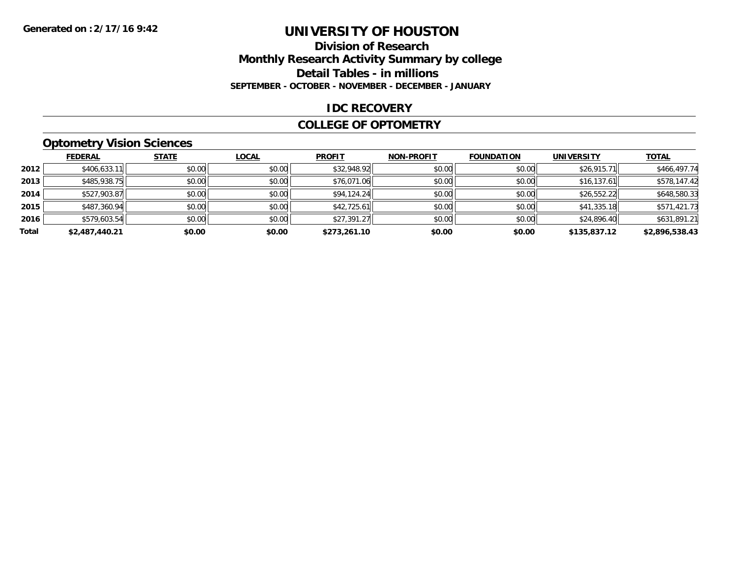#### **Division of Research Monthly Research Activity Summary by college Detail Tables - in millions SEPTEMBER - OCTOBER - NOVEMBER - DECEMBER - JANUARY**

#### **IDC RECOVERY**

#### **COLLEGE OF OPTOMETRY**

### **Optometry Vision Sciences**

|       | <b>FEDERAL</b> | <b>STATE</b> | <b>LOCAL</b> | <b>PROFIT</b> | <b>NON-PROFIT</b> | <b>FOUNDATION</b> | <b>UNIVERSITY</b> | <b>TOTAL</b>   |
|-------|----------------|--------------|--------------|---------------|-------------------|-------------------|-------------------|----------------|
| 2012  | \$406,633.11   | \$0.00       | \$0.00       | \$32,948.92   | \$0.00            | \$0.00            | \$26,915.71       | \$466,497.74   |
| 2013  | \$485,938.75   | \$0.00       | \$0.00       | \$76,071.06   | \$0.00            | \$0.00            | \$16,137.61       | \$578,147.42   |
| 2014  | \$527,903.87   | \$0.00       | \$0.00       | \$94,124.24   | \$0.00            | \$0.00            | \$26,552.22       | \$648,580.33   |
| 2015  | \$487,360.94   | \$0.00       | \$0.00       | \$42,725.61   | \$0.00            | \$0.00            | \$41,335.18       | \$571,421.73   |
| 2016  | \$579,603.54   | \$0.00       | \$0.00       | \$27,391.27   | \$0.00            | \$0.00            | \$24,896.40       | \$631,891.21   |
| Total | \$2,487,440.21 | \$0.00       | \$0.00       | \$273,261.10  | \$0.00            | \$0.00            | \$135,837.12      | \$2,896,538.43 |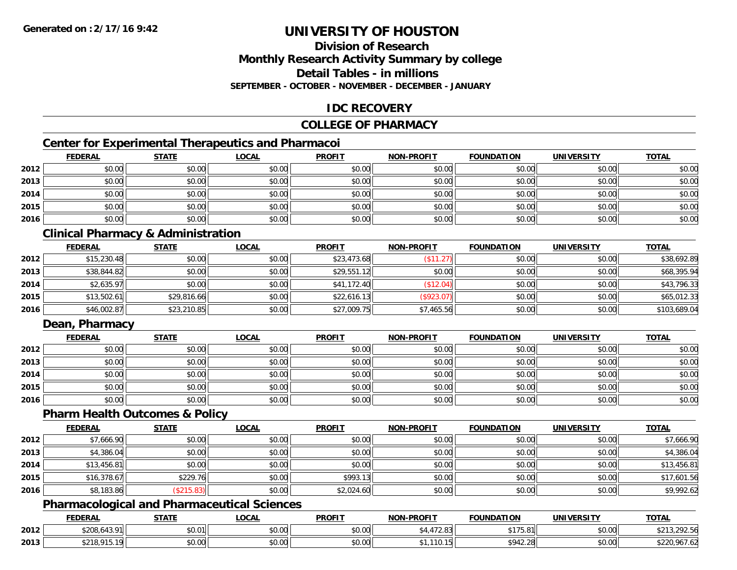### **Division of ResearchMonthly Research Activity Summary by college Detail Tables - in millionsSEPTEMBER - OCTOBER - NOVEMBER - DECEMBER - JANUARY**

### **IDC RECOVERY**

### **COLLEGE OF PHARMACY**

# **Center for Experimental Therapeutics and Pharmacoi**

|      | <b>FEDERAL</b> | <b>STATE</b> | <u>LOCAL</u> | <b>PROFIT</b> | <b>NON-PROFIT</b> | <b>FOUNDATION</b> | <b>UNIVERSITY</b> | <b>TOTAL</b> |
|------|----------------|--------------|--------------|---------------|-------------------|-------------------|-------------------|--------------|
| 2012 | \$0.00         | \$0.00       | \$0.00       | \$0.00        | \$0.00            | \$0.00            | \$0.00            | \$0.00       |
| 2013 | \$0.00         | \$0.00       | \$0.00       | \$0.00        | \$0.00            | \$0.00            | \$0.00            | \$0.00       |
| 2014 | \$0.00         | \$0.00       | \$0.00       | \$0.00        | \$0.00            | \$0.00            | \$0.00            | \$0.00       |
| 2015 | \$0.00         | \$0.00       | \$0.00       | \$0.00        | \$0.00            | \$0.00            | \$0.00            | \$0.00       |
| 2016 | \$0.00         | \$0.00       | \$0.00       | \$0.00        | \$0.00            | \$0.00            | \$0.00            | \$0.00       |

### **Clinical Pharmacy & Administration**

|      | <b>FEDERAL</b> | <b>STATE</b> | <u>LOCAL</u> | <b>PROFIT</b> | <b>NON-PROFIT</b> | <b>FOUNDATION</b> | <b>UNIVERSITY</b> | <b>TOTAL</b> |
|------|----------------|--------------|--------------|---------------|-------------------|-------------------|-------------------|--------------|
| 2012 | \$15,230.48    | \$0.00       | \$0.00       | \$23,473.68   | \$11.27           | \$0.00            | \$0.00            | \$38,692.89  |
| 2013 | \$38,844.82    | \$0.00       | \$0.00       | \$29,551.12   | \$0.00            | \$0.00            | \$0.00            | \$68,395.94  |
| 2014 | \$2,635.97     | \$0.00       | \$0.00       | \$41,172.40   | \$12.04)          | \$0.00            | \$0.00            | \$43,796.33  |
| 2015 | \$13,502.61    | \$29,816.66  | \$0.00       | \$22,616.13   | (\$923.07)        | \$0.00            | \$0.00            | \$65,012.33  |
| 2016 | \$46,002.87    | \$23,210.85  | \$0.00       | \$27,009.75   | \$7,465.56        | \$0.00            | \$0.00            | \$103,689.04 |

### **Dean, Pharmacy**

|      | <b>FEDERAL</b> | <b>STATE</b> | <u>LOCAL</u> | <b>PROFIT</b> | <b>NON-PROFIT</b> | <b>FOUNDATION</b> | <b>UNIVERSITY</b> | <b>TOTAL</b> |
|------|----------------|--------------|--------------|---------------|-------------------|-------------------|-------------------|--------------|
| 2012 | \$0.00         | \$0.00       | \$0.00       | \$0.00        | \$0.00            | \$0.00            | \$0.00            | \$0.00       |
| 2013 | \$0.00         | \$0.00       | \$0.00       | \$0.00        | \$0.00            | \$0.00            | \$0.00            | \$0.00       |
| 2014 | \$0.00         | \$0.00       | \$0.00       | \$0.00        | \$0.00            | \$0.00            | \$0.00            | \$0.00       |
| 2015 | \$0.00         | \$0.00       | \$0.00       | \$0.00        | \$0.00            | \$0.00            | \$0.00            | \$0.00       |
| 2016 | \$0.00         | \$0.00       | \$0.00       | \$0.00        | \$0.00            | \$0.00            | \$0.00            | \$0.00       |

#### **Pharm Health Outcomes & Policy**

|      | <b>FEDERAL</b> | <b>STATE</b> | <b>LOCAL</b> | <b>PROFIT</b> | <b>NON-PROFIT</b> | <b>FOUNDATION</b> | <b>UNIVERSITY</b> | <b>TOTAL</b> |
|------|----------------|--------------|--------------|---------------|-------------------|-------------------|-------------------|--------------|
| 2012 | \$7,666.90     | \$0.00       | \$0.00       | \$0.00        | \$0.00            | \$0.00            | \$0.00            | \$7,666.90   |
| 2013 | \$4,386.04     | \$0.00       | \$0.00       | \$0.00        | \$0.00            | \$0.00            | \$0.00            | \$4,386.04   |
| 2014 | \$13,456.81    | \$0.00       | \$0.00       | \$0.00        | \$0.00            | \$0.00            | \$0.00            | \$13,456.81  |
| 2015 | \$16,378.67    | \$229.76     | \$0.00       | \$993.13      | \$0.00            | \$0.00            | \$0.00            | \$17,601.56  |
| 2016 | \$8,183.86     | \$215.83]    | \$0.00       | \$2,024.60    | \$0.00            | \$0.00            | \$0.00            | \$9,992.62   |

### **Pharmacological and Pharmaceutical Sciences**

|      | <b>FEDERAL</b>                                                       | STATI              | _OCAL                               | <b>PROFIT</b>      | <b>J-PROFIT</b><br><b>MANI</b> | <b>FOUNDATION</b>   | UNIVERSITY | <b>TOTA</b>                   |
|------|----------------------------------------------------------------------|--------------------|-------------------------------------|--------------------|--------------------------------|---------------------|------------|-------------------------------|
| 2012 | <b>conc</b><br>$\overline{\phantom{a}}$<br>. റ<br><u>າ∠ບ8.643. .</u> | \$0.01             | $\uparrow$ $\land$ $\land$<br>vu.vu | 0000<br>JU.UU      | $\sim$ .                       | $A - T - A$<br>70.0 | \$0.00     | $\sim$ $\sim$ $\sim$<br>72.JU |
| 2013 | $$210.01$ $$$                                                        | $\sim$ 00<br>JU.UU | $\sim$<br>$\sim$<br>vv.vv           | $\sim$ 00<br>JU.UU |                                | \$942.2<br>ററ       | \$0.00     | '،22U<br>70 I .OZ             |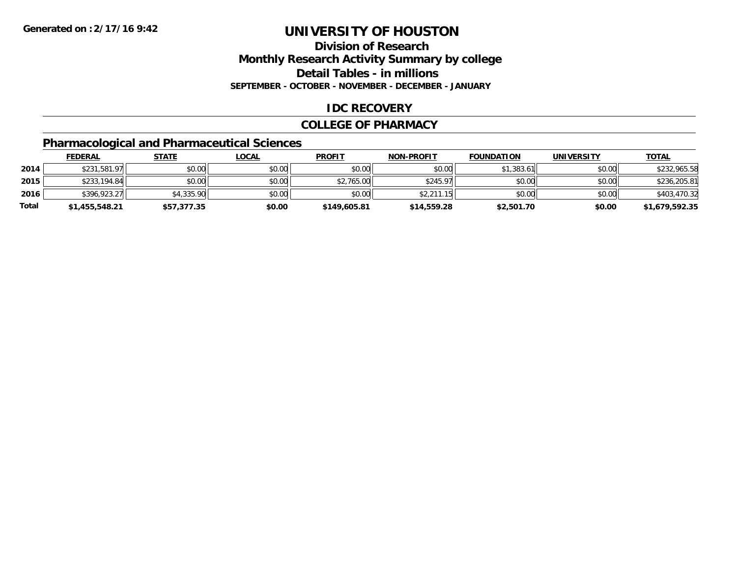### **Division of ResearchMonthly Research Activity Summary by college Detail Tables - in millions SEPTEMBER - OCTOBER - NOVEMBER - DECEMBER - JANUARY**

#### **IDC RECOVERY**

#### **COLLEGE OF PHARMACY**

# **Pharmacological and Pharmaceutical Sciences**

|       | <u>FEDERAL</u> | <u>STATE</u> | <u>LOCAL</u> | <b>PROFIT</b> | <b>NON-PROFIT</b> | <b>FOUNDATION</b> | <b>UNIVERSITY</b> | <b>TOTAL</b>   |
|-------|----------------|--------------|--------------|---------------|-------------------|-------------------|-------------------|----------------|
| 2014  | \$231,581.97   | \$0.00       | \$0.00       | \$0.00        | \$0.00            | \$1,383.61        | \$0.00            | \$232,965.58   |
| 2015  | \$233,194.84   | \$0.00       | \$0.00       | \$2,765.00    | \$245.97          | \$0.00            | \$0.00            | \$236,205.81   |
| 2016  | \$396,923.27   | \$4,335.90   | \$0.00       | \$0.00        | \$2.211.15        | \$0.00            | \$0.00            | \$403,470.32   |
| Total | \$1,455,548.21 | \$57,377.35  | \$0.00       | \$149,605.81  | \$14,559.28       | \$2,501.70        | \$0.00            | \$1,679,592.35 |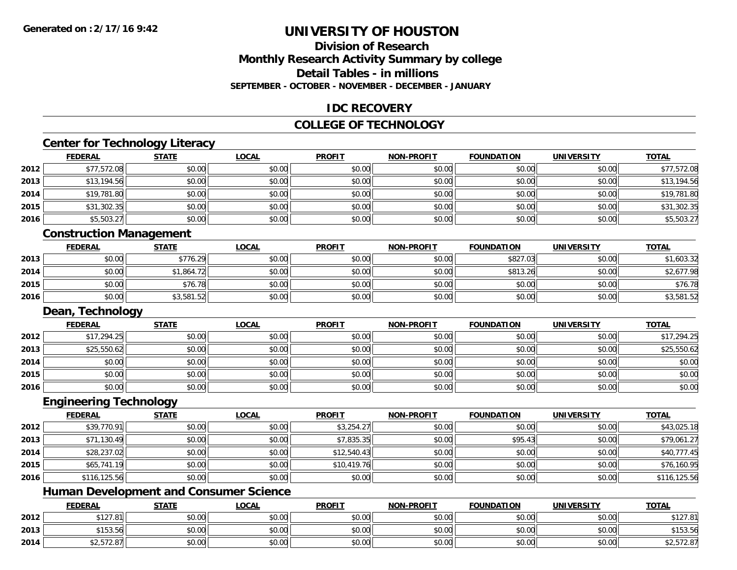### **Division of ResearchMonthly Research Activity Summary by college Detail Tables - in millions SEPTEMBER - OCTOBER - NOVEMBER - DECEMBER - JANUARY**

#### **IDC RECOVERY**

#### **COLLEGE OF TECHNOLOGY**

# **Center for Technology Literacy**

|      | <b>FEDERAL</b>                 | <b>STATE</b> | <b>LOCAL</b> | <b>PROFIT</b> | <b>NON-PROFIT</b> | <b>FOUNDATION</b> | <b>UNIVERSITY</b> | <b>TOTAL</b> |
|------|--------------------------------|--------------|--------------|---------------|-------------------|-------------------|-------------------|--------------|
| 2012 | \$77,572.08                    | \$0.00       | \$0.00       | \$0.00        | \$0.00            | \$0.00            | \$0.00            | \$77,572.08  |
| 2013 | \$13,194.56                    | \$0.00       | \$0.00       | \$0.00        | \$0.00            | \$0.00            | \$0.00            | \$13,194.56  |
| 2014 | \$19,781.80                    | \$0.00       | \$0.00       | \$0.00        | \$0.00            | \$0.00            | \$0.00            | \$19,781.80  |
| 2015 | \$31,302.35                    | \$0.00       | \$0.00       | \$0.00        | \$0.00            | \$0.00            | \$0.00            | \$31,302.35  |
| 2016 | \$5,503.27                     | \$0.00       | \$0.00       | \$0.00        | \$0.00            | \$0.00            | \$0.00            | \$5,503.27   |
|      | <b>Construction Management</b> |              |              |               |                   |                   |                   |              |
|      | <b>FEDERAL</b>                 | <b>STATE</b> | <b>LOCAL</b> | <b>PROFIT</b> | <b>NON-PROFIT</b> | <b>FOUNDATION</b> | <b>UNIVERSITY</b> | <b>TOTAL</b> |
| 2013 | \$0.00                         | \$776.29     | \$0.00       | \$0.00        | \$0.00            | \$827.03          | \$0.00            | \$1,603.32   |
| 2014 | \$0.00                         | \$1,864.72   | \$0.00       | \$0.00        | \$0.00            | \$813.26          | \$0.00            | \$2,677.98   |
| 2015 | \$0.00                         | \$76.78      | \$0.00       | \$0.00        | \$0.00            | \$0.00            | \$0.00            | \$76.78      |
| 2016 | \$0.00                         | \$3,581.52   | \$0.00       | \$0.00        | \$0.00            | \$0.00            | \$0.00            | \$3,581.52   |
|      | Dean, Technology               |              |              |               |                   |                   |                   |              |
|      | <b>FEDERAL</b>                 | <b>STATE</b> | <b>LOCAL</b> | <b>PROFIT</b> | <b>NON-PROFIT</b> | <b>FOUNDATION</b> | <b>UNIVERSITY</b> | <b>TOTAL</b> |
| 2012 | \$17,294.25                    | \$0.00       | \$0.00       | \$0.00        | \$0.00            | \$0.00            | \$0.00            | \$17,294.25  |
| 2013 | \$25,550.62                    | \$0.00       | \$0.00       | \$0.00        | \$0.00            | \$0.00            | \$0.00            | \$25,550.62  |
| 2014 | \$0.00                         | \$0.00       | \$0.00       | \$0.00        | \$0.00            | \$0.00            | \$0.00            | \$0.00       |
| 2015 | \$0.00                         | \$0.00       | \$0.00       | \$0.00        | \$0.00            | \$0.00            | \$0.00            | \$0.00       |
| 2016 | \$0.00                         | \$0.00       | \$0.00       | \$0.00        | \$0.00            | \$0.00            | \$0.00            | \$0.00       |
|      | <b>Engineering Technology</b>  |              |              |               |                   |                   |                   |              |
|      | <b>FEDERAL</b>                 | <b>STATE</b> | <b>LOCAL</b> | <b>PROFIT</b> | <b>NON-PROFIT</b> | <b>FOUNDATION</b> | <b>UNIVERSITY</b> | <b>TOTAL</b> |
| 2012 | \$39,770.91                    | \$0.00       | \$0.00       | \$3,254.27    | \$0.00            | \$0.00            | \$0.00            | \$43,025.18  |
| 2013 | \$71,130.49                    | \$0.00       | \$0.00       | \$7,835.35    | \$0.00            | \$95.43           | \$0.00            | \$79,061.27  |
| 2014 | \$28,237.02                    | \$0.00       | \$0.00       | \$12,540.43   | \$0.00            | \$0.00            | \$0.00            | \$40,777.45  |
| 2015 | \$65,741.19                    | \$0.00       | \$0.00       | \$10,419.76   | \$0.00            | \$0.00            | \$0.00            | \$76,160.95  |
| 2016 | \$116,125.56                   | \$0.00       | \$0.00       | \$0.00        | \$0.00            | \$0.00            | \$0.00            | \$116,125.56 |

# **Human Development and Consumer Science**

|      | <b>FEDERAL</b> | <b>STATE</b> | <u>LOCAL</u> | <b>PROFIT</b> | <b>NON-PROFIT</b> | <b>FOUNDATION</b> | UNIVERSITY | <b>TOTAL</b>       |
|------|----------------|--------------|--------------|---------------|-------------------|-------------------|------------|--------------------|
| 2012 | A 1 2 7<br>.81 | \$0.00       | \$0.00       | \$0.00        | \$0.00            | \$0.00            | \$0.00     | 012701<br>JIZI.0   |
| 2013 | \$153.56       | \$0.00       | \$0.00       | \$0.00        | \$0.00            | \$0.00            | \$0.00     | \$153.56           |
| 2014 | \$2.572.87     | \$0.00       | \$0.00       | \$0.00        | \$0.00            | \$0.00            | \$0.00     | 0.570<br>92,312.01 |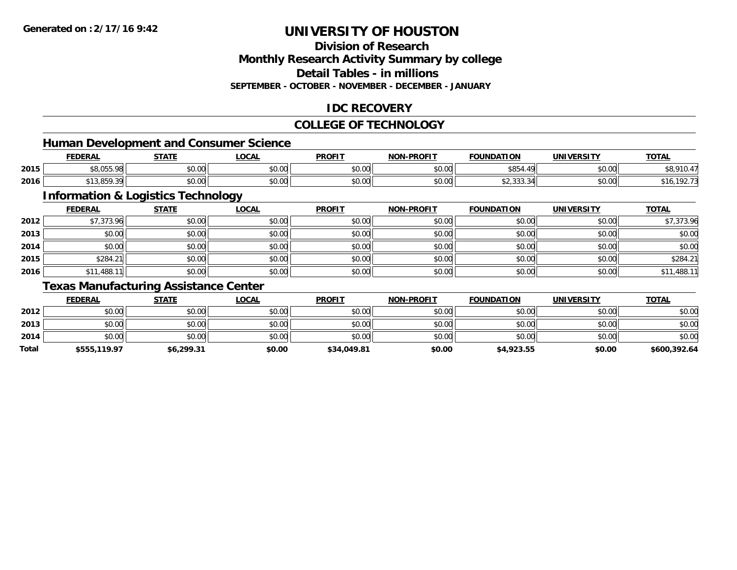# **Division of Research**

**Monthly Research Activity Summary by college**

**Detail Tables - in millions**

**SEPTEMBER - OCTOBER - NOVEMBER - DECEMBER - JANUARY**

### **IDC RECOVERY**

#### **COLLEGE OF TECHNOLOGY**

<u> 1980 - Johann Barbara, martxa alemaniar argametra (h. 1980).</u>

### **Human Development and Consumer Science**

|      | <b>FEDERAI</b>                                               | <b>CTATE</b>               | .OCAL         | <b>PROFIT</b>                  | <b>-PROFIT</b><br>NON | <b>FOUNDATION</b> | <b>UNIVERSITY</b> | <b>TOTAL</b> |
|------|--------------------------------------------------------------|----------------------------|---------------|--------------------------------|-----------------------|-------------------|-------------------|--------------|
| 2015 | $\uparrow$ $\uparrow$ $\uparrow$ $\uparrow$<br>ົດດ<br>טט, טי | nn nn<br>JU.UU             | 0000<br>JU.UU | 0 <sub>n</sub><br><b>JU.UU</b> | $\sim$ 00<br>pu.uu    | \$854<br>$\sim$   | 0000<br>JU.UU     |              |
| 2016 | , , , , , , , , , , ,                                        | $\sim$ 0.0 $\sim$<br>JU.UU | 0000<br>JU.UU | 0000<br>JU.UU                  | nn nn<br>pu.uu        | . ٽل ٿي ت         | 0000<br>JU.UU     |              |

# **Information & Logistics Technology**

|      | <b>FEDERAL</b> | <u>STATE</u> | <b>LOCAL</b> | <b>PROFIT</b> | <b>NON-PROFIT</b> | <b>FOUNDATION</b> | <b>UNIVERSITY</b> | <b>TOTAL</b> |
|------|----------------|--------------|--------------|---------------|-------------------|-------------------|-------------------|--------------|
| 2012 | \$7,373.96     | \$0.00       | \$0.00       | \$0.00        | \$0.00            | \$0.00            | \$0.00            | \$7,373.96   |
| 2013 | \$0.00         | \$0.00       | \$0.00       | \$0.00        | \$0.00            | \$0.00            | \$0.00            | \$0.00       |
| 2014 | \$0.00         | \$0.00       | \$0.00       | \$0.00        | \$0.00            | \$0.00            | \$0.00            | \$0.00       |
| 2015 | \$284.21       | \$0.00       | \$0.00       | \$0.00        | \$0.00            | \$0.00            | \$0.00            | \$284.21     |
| 2016 | \$11,488.11    | \$0.00       | \$0.00       | \$0.00        | \$0.00            | \$0.00            | \$0.00            | \$11,488.11  |

### **Texas Manufacturing Assistance Center**

|       | <b>FEDERAL</b> | <b>STATE</b> | <u>LOCAL</u> | <b>PROFIT</b> | <b>NON-PROFIT</b> | <b>FOUNDATION</b> | <b>UNIVERSITY</b> | <b>TOTAL</b> |
|-------|----------------|--------------|--------------|---------------|-------------------|-------------------|-------------------|--------------|
| 2012  | \$0.00         | \$0.00       | \$0.00       | \$0.00        | \$0.00            | \$0.00            | \$0.00            | \$0.00       |
| 2013  | \$0.00         | \$0.00       | \$0.00       | \$0.00        | \$0.00            | \$0.00            | \$0.00            | \$0.00       |
| 2014  | \$0.00         | \$0.00       | \$0.00       | \$0.00        | \$0.00            | \$0.00            | \$0.00            | \$0.00       |
| Total | \$555,119.97   | \$6,299.31   | \$0.00       | \$34,049.81   | \$0.00            | \$4,923.55        | \$0.00            | \$600,392.64 |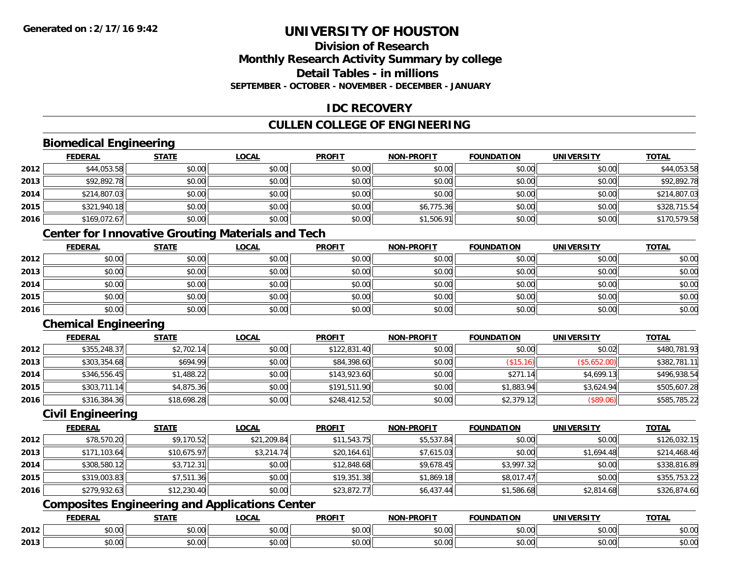### **Division of ResearchMonthly Research Activity Summary by college Detail Tables - in millionsSEPTEMBER - OCTOBER - NOVEMBER - DECEMBER - JANUARY**

### **IDC RECOVERY**

# **CULLEN COLLEGE OF ENGINEERING**

### **Biomedical Engineering**

|      | <b>FEDERAL</b> | <b>STATE</b> | <b>LOCAL</b> | <b>PROFIT</b> | <b>NON-PROFIT</b> | <b>FOUNDATION</b> | <b>UNIVERSITY</b> | <b>TOTAL</b> |
|------|----------------|--------------|--------------|---------------|-------------------|-------------------|-------------------|--------------|
| 2012 | \$44,053.58    | \$0.00       | \$0.00       | \$0.00        | \$0.00            | \$0.00            | \$0.00            | \$44,053.58  |
| 2013 | \$92,892.78    | \$0.00       | \$0.00       | \$0.00        | \$0.00            | \$0.00            | \$0.00            | \$92,892.78  |
| 2014 | \$214,807.03   | \$0.00       | \$0.00       | \$0.00        | \$0.00            | \$0.00            | \$0.00            | \$214,807.03 |
| 2015 | \$321,940.18   | \$0.00       | \$0.00       | \$0.00        | \$6,775.36        | \$0.00            | \$0.00            | \$328,715.54 |
| 2016 | \$169,072.67   | \$0.00       | \$0.00       | \$0.00        | \$1,506.91        | \$0.00            | \$0.00            | \$170,579.58 |

# **Center for Innovative Grouting Materials and Tech**

|      | <b>FEDERAL</b> | <b>STATE</b> | <u>LOCAL</u> | <b>PROFIT</b> | <b>NON-PROFIT</b> | <b>FOUNDATION</b> | <b>UNIVERSITY</b> | <b>TOTAL</b> |
|------|----------------|--------------|--------------|---------------|-------------------|-------------------|-------------------|--------------|
| 2012 | \$0.00         | \$0.00       | \$0.00       | \$0.00        | \$0.00            | \$0.00            | \$0.00            | \$0.00       |
| 2013 | \$0.00         | \$0.00       | \$0.00       | \$0.00        | \$0.00            | \$0.00            | \$0.00            | \$0.00       |
| 2014 | \$0.00         | \$0.00       | \$0.00       | \$0.00        | \$0.00            | \$0.00            | \$0.00            | \$0.00       |
| 2015 | \$0.00         | \$0.00       | \$0.00       | \$0.00        | \$0.00            | \$0.00            | \$0.00            | \$0.00       |
| 2016 | \$0.00         | \$0.00       | \$0.00       | \$0.00        | \$0.00            | \$0.00            | \$0.00            | \$0.00       |

### **Chemical Engineering**

|      | <b>FEDERAL</b> | <b>STATE</b> | <b>LOCAL</b> | <b>PROFIT</b> | <b>NON-PROFIT</b> | <b>FOUNDATION</b> | <b>UNIVERSITY</b> | <b>TOTAL</b> |
|------|----------------|--------------|--------------|---------------|-------------------|-------------------|-------------------|--------------|
| 2012 | \$355,248.37   | \$2,702.14   | \$0.00       | \$122,831.40  | \$0.00            | \$0.00            | \$0.02            | \$480,781.93 |
| 2013 | \$303,354.68   | \$694.99     | \$0.00       | \$84,398.60   | \$0.00            | \$15.16           | (\$5,652.00)      | \$382,781.11 |
| 2014 | \$346,556.45   | \$1,488.22   | \$0.00       | \$143,923.60  | \$0.00            | \$271.14          | \$4,699.13        | \$496,938.54 |
| 2015 | \$303,711.14   | \$4,875.36   | \$0.00       | \$191,511.90  | \$0.00            | \$1,883.94        | \$3,624.94        | \$505,607.28 |
| 2016 | \$316,384.36   | \$18,698.28  | \$0.00       | \$248,412.52  | \$0.00            | \$2,379.12        | (\$89.06)         | \$585,785.22 |

#### **Civil Engineering**

|      | <b>FEDERAL</b> | <b>STATE</b> | <u>LOCAL</u> | <b>PROFIT</b> | <b>NON-PROFIT</b> | <b>FOUNDATION</b> | <b>UNIVERSITY</b> | <b>TOTAL</b> |
|------|----------------|--------------|--------------|---------------|-------------------|-------------------|-------------------|--------------|
| 2012 | \$78,570.20    | \$9,170.52   | \$21,209.84  | \$11,543.75   | \$5,537.84        | \$0.00            | \$0.00            | \$126,032.15 |
| 2013 | \$171,103.64   | \$10,675.97  | \$3,214.74   | \$20,164.61   | \$7,615.03        | \$0.00            | \$1,694.48        | \$214,468.46 |
| 2014 | \$308,580.12   | \$3,712.31   | \$0.00       | \$12,848.68   | \$9,678.45        | \$3,997.32        | \$0.00            | \$338,816.89 |
| 2015 | \$319,003.83   | \$7,511.36   | \$0.00       | \$19,351.38   | \$1,869.18        | \$8,017.47        | \$0.00            | \$355,753.22 |
| 2016 | \$279,932.63   | \$12,230.40  | \$0.00       | \$23,872.77   | \$6,437.44        | \$1,586.68        | \$2,814.68        | \$326,874.60 |

# **Composites Engineering and Applications Center**

|      | <b>DERAL</b>                     | <b>CTATI</b>          | $\bigcap$<br>.OCAI     | <b>PROFIT</b>                               | <b>DDAEIT</b><br><b>NION</b> | .<br>ב נוחו<br>LION | - R.J.         | <b>TOTAL</b>   |
|------|----------------------------------|-----------------------|------------------------|---------------------------------------------|------------------------------|---------------------|----------------|----------------|
| 2012 | $\sim$<br>$. \cup . \cup \cup$   | $\overline{ }$<br>ט.ט | $\sim$ 00<br>pu.uu     | $\sim$ 00<br>ັ⊎ບ.ບບ,                        | 0.00<br>PO.OO                | vv.vv               | 0.001<br>vv.vv | 0000<br>\$U.UU |
| 2013 | $\sim$ $\sim$<br>$\sim$<br>,u.uu | しいい                   | $\sim$ $\sim$<br>vu.uu | $\sim$ 00<br>$\vee$ . Use the set of $\vee$ | 0.00<br>PO.OO                | JU.UU               | 0.00<br>PO.OO  | ስ ለሰ<br>JU.UU  |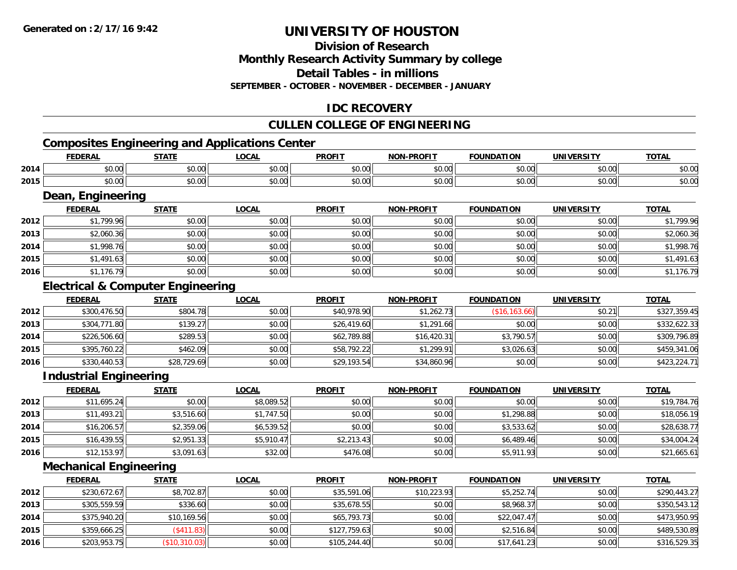# **Division of Research**

**Monthly Research Activity Summary by college**

**Detail Tables - in millions**

**SEPTEMBER - OCTOBER - NOVEMBER - DECEMBER - JANUARY**

# **IDC RECOVERY**

### **CULLEN COLLEGE OF ENGINEERING**

### **Composites Engineering and Applications Center**

|      | Composites Engineering and Applications Center |              |              |               |                   |                   |            |              |  |  |
|------|------------------------------------------------|--------------|--------------|---------------|-------------------|-------------------|------------|--------------|--|--|
|      | <b>FEDERAL</b>                                 | <u>STATE</u> | <u>LOCAL</u> | <b>PROFIT</b> | <b>NON-PROFIT</b> | <b>FOUNDATION</b> | UNIVERSITY | <b>TOTAL</b> |  |  |
| 2014 | \$0.00                                         | \$0.00       | \$0.00       | \$0.00        | \$0.00            | \$0.00            | \$0.00     | \$0.00       |  |  |
| 2015 | \$0.00                                         | \$0.00       | \$0.00       | \$0.00        | \$0.00            | \$0.00            | \$0.00     | \$0.00       |  |  |
|      |                                                |              |              |               |                   |                   |            |              |  |  |

<u> 1989 - Johann Stoff, deutscher Stoff, der Stoff, der Stoff, der Stoff, der Stoff, der Stoff, der Stoff, der S</u>

#### **Dean, Engineering**

|      | <u>FEDERAL</u> | <b>STATE</b> | <b>LOCAL</b> | <b>PROFIT</b> | <b>NON-PROFIT</b> | <b>FOUNDATION</b> | <b>UNIVERSITY</b> | <b>TOTAL</b> |
|------|----------------|--------------|--------------|---------------|-------------------|-------------------|-------------------|--------------|
| 2012 | \$1,799.96     | \$0.00       | \$0.00       | \$0.00        | \$0.00            | \$0.00            | \$0.00            | \$1,799.96   |
| 2013 | \$2,060.36     | \$0.00       | \$0.00       | \$0.00        | \$0.00            | \$0.00            | \$0.00            | \$2,060.36   |
| 2014 | \$1,998.76     | \$0.00       | \$0.00       | \$0.00        | \$0.00            | \$0.00            | \$0.00            | \$1,998.76   |
| 2015 | \$1,491.63     | \$0.00       | \$0.00       | \$0.00        | \$0.00            | \$0.00            | \$0.00            | \$1,491.63   |
| 2016 | \$1,176.79     | \$0.00       | \$0.00       | \$0.00        | \$0.00            | \$0.00            | \$0.00            | \$1,176.79   |

### **Electrical & Computer Engineering**

|      | <b>FEDERAL</b> | <b>STATE</b> | <b>LOCAL</b> | <b>PROFIT</b> | <b>NON-PROFIT</b> | <b>FOUNDATION</b> | <b>UNIVERSITY</b> | <b>TOTAL</b> |
|------|----------------|--------------|--------------|---------------|-------------------|-------------------|-------------------|--------------|
| 2012 | \$300,476.50   | \$804.78     | \$0.00       | \$40,978.90   | \$1,262.73        | (\$16, 163.66)    | \$0.21            | \$327,359.45 |
| 2013 | \$304,771.80   | \$139.27     | \$0.00       | \$26,419.60   | \$1,291.66        | \$0.00            | \$0.00            | \$332,622.33 |
| 2014 | \$226,506.60   | \$289.53     | \$0.00       | \$62,789.88   | \$16,420.31       | \$3,790.57        | \$0.00            | \$309,796.89 |
| 2015 | \$395,760.22   | \$462.09     | \$0.00       | \$58,792.22   | \$1,299.91        | \$3,026.63        | \$0.00            | \$459,341.06 |
| 2016 | \$330,440.53   | \$28,729.69  | \$0.00       | \$29,193.54   | \$34,860.96       | \$0.00            | \$0.00            | \$423,224.71 |

#### **Industrial Engineering**

|      | <u>FEDERAL</u> | <b>STATE</b> | <u>LOCAL</u> | <b>PROFIT</b> | <b>NON-PROFIT</b> | <b>FOUNDATION</b> | <b>UNIVERSITY</b> | <b>TOTAL</b> |
|------|----------------|--------------|--------------|---------------|-------------------|-------------------|-------------------|--------------|
| 2012 | \$11,695.24    | \$0.00       | \$8,089.52   | \$0.00        | \$0.00            | \$0.00            | \$0.00            | \$19,784.76  |
| 2013 | \$11,493.21    | \$3,516.60   | \$1,747.50   | \$0.00        | \$0.00            | \$1,298.88        | \$0.00            | \$18,056.19  |
| 2014 | \$16,206.57    | \$2,359.06   | \$6,539.52   | \$0.00        | \$0.00            | \$3,533.62        | \$0.00            | \$28,638.77  |
| 2015 | \$16,439.55    | \$2,951.33   | \$5,910.47   | \$2,213.43    | \$0.00            | \$6,489.46        | \$0.00            | \$34,004.24  |
| 2016 | \$12,153.97    | \$3,091.63   | \$32.00      | \$476.08      | \$0.00            | \$5,911.93        | \$0.00            | \$21,665.61  |

### **Mechanical Engineering**

|      | <b>FEDERAL</b> | <u>STATE</u>      | <b>LOCAL</b> | <b>PROFIT</b> | <b>NON-PROFIT</b> | <b>FOUNDATION</b> | <b>UNIVERSITY</b> | <u>TOTAL</u> |
|------|----------------|-------------------|--------------|---------------|-------------------|-------------------|-------------------|--------------|
| 2012 | \$230.672.67   | \$8,702.87        | \$0.00       | \$35,591.06   | \$10,223.93       | \$5,252.74        | \$0.00            | \$290,443.27 |
| 2013 | \$305,559.59   | \$336.60          | \$0.00       | \$35,678.55   | \$0.00            | \$8,968.37        | \$0.00            | \$350,543.12 |
| 2014 | \$375,940.20   | \$10,169.56       | \$0.00       | \$65,793.73   | \$0.00            | \$22,047.47       | \$0.00            | \$473,950.95 |
| 2015 | \$359,666.25   | $($ \$411.83) $ $ | \$0.00       | \$127,759.63  | \$0.00            | \$2,516.84        | \$0.00            | \$489,530.89 |
| 2016 | \$203,953.75   | (\$10,310.03)     | \$0.00       | \$105,244.40  | \$0.00            | \$17,641.23       | \$0.00            | \$316,529.35 |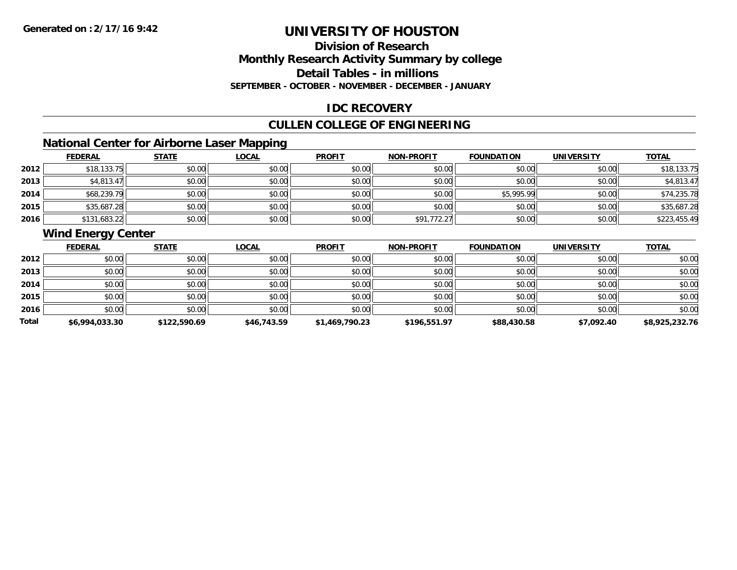### **Division of ResearchMonthly Research Activity Summary by college Detail Tables - in millions SEPTEMBER - OCTOBER - NOVEMBER - DECEMBER - JANUARY**

#### **IDC RECOVERY**

### **CULLEN COLLEGE OF ENGINEERING**

# **National Center for Airborne Laser Mapping**

|      | <b>FEDERAL</b> | <b>STATE</b> | <b>LOCAL</b> | <b>PROFIT</b> | <b>NON-PROFIT</b> | <b>FOUNDATION</b> | <b>UNIVERSITY</b> | <b>TOTAL</b> |
|------|----------------|--------------|--------------|---------------|-------------------|-------------------|-------------------|--------------|
| 2012 | \$18,133.75    | \$0.00       | \$0.00       | \$0.00        | \$0.00            | \$0.00            | \$0.00            | \$18,133.75  |
| 2013 | \$4,813.47     | \$0.00       | \$0.00       | \$0.00        | \$0.00            | \$0.00            | \$0.00            | \$4,813.47   |
| 2014 | \$68,239.79    | \$0.00       | \$0.00       | \$0.00        | \$0.00            | \$5,995.99        | \$0.00            | \$74,235.78  |
| 2015 | \$35,687.28    | \$0.00       | \$0.00       | \$0.00        | \$0.00            | \$0.00            | \$0.00            | \$35,687.28  |
| 2016 | \$131,683.22   | \$0.00       | \$0.00       | \$0.00        | \$91,772.27       | \$0.00            | \$0.00            | \$223,455.49 |

# **Wind Energy Center**

|       | <b>FEDERAL</b> | <b>STATE</b> | <b>LOCAL</b> | <b>PROFIT</b>  | <b>NON-PROFIT</b> | <b>FOUNDATION</b> | <b>UNIVERSITY</b> | <b>TOTAL</b>   |
|-------|----------------|--------------|--------------|----------------|-------------------|-------------------|-------------------|----------------|
| 2012  | \$0.00         | \$0.00       | \$0.00       | \$0.00         | \$0.00            | \$0.00            | \$0.00            | \$0.00         |
| 2013  | \$0.00         | \$0.00       | \$0.00       | \$0.00         | \$0.00            | \$0.00            | \$0.00            | \$0.00         |
| 2014  | \$0.00         | \$0.00       | \$0.00       | \$0.00         | \$0.00            | \$0.00            | \$0.00            | \$0.00         |
| 2015  | \$0.00         | \$0.00       | \$0.00       | \$0.00         | \$0.00            | \$0.00            | \$0.00            | \$0.00         |
| 2016  | \$0.00         | \$0.00       | \$0.00       | \$0.00         | \$0.00            | \$0.00            | \$0.00            | \$0.00         |
| Total | \$6,994,033.30 | \$122,590.69 | \$46,743.59  | \$1,469,790.23 | \$196,551.97      | \$88,430.58       | \$7,092.40        | \$8,925,232.76 |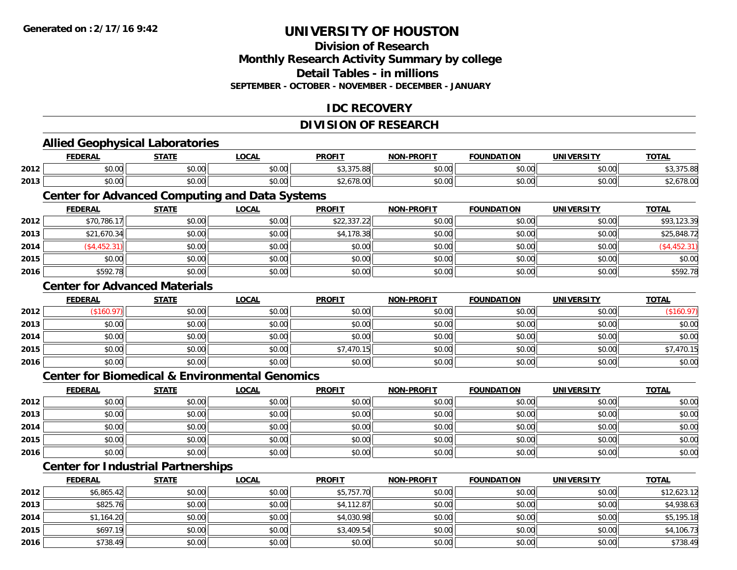**2016**

# **UNIVERSITY OF HOUSTON**

### **Division of ResearchMonthly Research Activity Summary by college Detail Tables - in millions SEPTEMBER - OCTOBER - NOVEMBER - DECEMBER - JANUARY**

#### **IDC RECOVERY**

### **DIVISION OF RESEARCH**

|      | <b>Allied Geophysical Laboratories</b>                    |              |              |               |                   |                   |                   |              |
|------|-----------------------------------------------------------|--------------|--------------|---------------|-------------------|-------------------|-------------------|--------------|
|      | <b>FEDERAL</b>                                            | <b>STATE</b> | <b>LOCAL</b> | <b>PROFIT</b> | <b>NON-PROFIT</b> | <b>FOUNDATION</b> | <b>UNIVERSITY</b> | <b>TOTAL</b> |
| 2012 | \$0.00                                                    | \$0.00       | \$0.00       | \$3,375.88    | \$0.00            | \$0.00            | \$0.00            | \$3,375.88   |
| 2013 | \$0.00                                                    | \$0.00       | \$0.00       | \$2,678.00    | \$0.00            | \$0.00            | \$0.00            | \$2,678.00   |
|      | <b>Center for Advanced Computing and Data Systems</b>     |              |              |               |                   |                   |                   |              |
|      | <b>FEDERAL</b>                                            | <b>STATE</b> | <b>LOCAL</b> | <b>PROFIT</b> | <b>NON-PROFIT</b> | <b>FOUNDATION</b> | <b>UNIVERSITY</b> | <b>TOTAL</b> |
| 2012 | \$70,786.17                                               | \$0.00       | \$0.00       | \$22,337.22   | \$0.00            | \$0.00            | \$0.00            | \$93,123.39  |
| 2013 | \$21,670.34                                               | \$0.00       | \$0.00       | \$4,178.38    | \$0.00            | \$0.00            | \$0.00            | \$25,848.72  |
| 2014 | ( \$4,452.31)                                             | \$0.00       | \$0.00       | \$0.00        | \$0.00            | \$0.00            | \$0.00            | (\$4,452.31) |
| 2015 | \$0.00                                                    | \$0.00       | \$0.00       | \$0.00        | \$0.00            | \$0.00            | \$0.00            | \$0.00       |
| 2016 | \$592.78                                                  | \$0.00       | \$0.00       | \$0.00        | \$0.00            | \$0.00            | \$0.00            | \$592.78     |
|      | <b>Center for Advanced Materials</b>                      |              |              |               |                   |                   |                   |              |
|      | <b>FEDERAL</b>                                            | <b>STATE</b> | <b>LOCAL</b> | <b>PROFIT</b> | <b>NON-PROFIT</b> | <b>FOUNDATION</b> | <b>UNIVERSITY</b> | <b>TOTAL</b> |
| 2012 | (\$160.97)                                                | \$0.00       | \$0.00       | \$0.00        | \$0.00            | \$0.00            | \$0.00            | (\$160.97)   |
| 2013 | \$0.00                                                    | \$0.00       | \$0.00       | \$0.00        | \$0.00            | \$0.00            | \$0.00            | \$0.00       |
| 2014 | \$0.00                                                    | \$0.00       | \$0.00       | \$0.00        | \$0.00            | \$0.00            | \$0.00            | \$0.00       |
| 2015 | \$0.00                                                    | \$0.00       | \$0.00       | \$7,470.15    | \$0.00            | \$0.00            | \$0.00            | \$7,470.15   |
| 2016 | \$0.00                                                    | \$0.00       | \$0.00       | \$0.00        | \$0.00            | \$0.00            | \$0.00            | \$0.00       |
|      | <b>Center for Biomedical &amp; Environmental Genomics</b> |              |              |               |                   |                   |                   |              |
|      | <b>FEDERAL</b>                                            | <b>STATE</b> | <b>LOCAL</b> | <b>PROFIT</b> | <b>NON-PROFIT</b> | <b>FOUNDATION</b> | <b>UNIVERSITY</b> | <b>TOTAL</b> |
| 2012 | \$0.00                                                    | \$0.00       | \$0.00       | \$0.00        | \$0.00            | \$0.00            | \$0.00            | \$0.00       |
| 2013 | \$0.00                                                    | \$0.00       | \$0.00       | \$0.00        | \$0.00            | \$0.00            | \$0.00            | \$0.00       |
| 2014 | \$0.00                                                    | \$0.00       | \$0.00       | \$0.00        | \$0.00            | \$0.00            | \$0.00            | \$0.00       |
| 2015 | \$0.00                                                    | \$0.00       | \$0.00       | \$0.00        | \$0.00            | \$0.00            | \$0.00            | \$0.00       |
| 2016 | \$0.00                                                    | \$0.00       | \$0.00       | \$0.00        | \$0.00            | \$0.00            | \$0.00            | \$0.00       |
|      | <b>Center for Industrial Partnerships</b>                 |              |              |               |                   |                   |                   |              |
|      | <b>FEDERAL</b>                                            | <b>STATE</b> | <b>LOCAL</b> | <b>PROFIT</b> | <b>NON-PROFIT</b> | <b>FOUNDATION</b> | <b>UNIVERSITY</b> | <b>TOTAL</b> |
| 2012 | \$6,865.42                                                | \$0.00       | \$0.00       | \$5,757.70    | \$0.00            | \$0.00            | \$0.00            | \$12,623.12  |
| 2013 | \$825.76                                                  | \$0.00       | \$0.00       | \$4,112.87    | \$0.00            | \$0.00            | \$0.00            | \$4,938.63   |
| 2014 | \$1,164.20                                                | \$0.00       | \$0.00       | \$4,030.98    | \$0.00            | \$0.00            | \$0.00            | \$5,195.18   |
| 2015 | \$697.19                                                  | \$0.00       | \$0.00       | \$3,409.54    | \$0.00            | \$0.00            | \$0.00            | \$4,106.73   |

\$738.49 \$0.00 \$0.00 \$0.00 \$0.00 \$0.00 \$0.00 \$738.49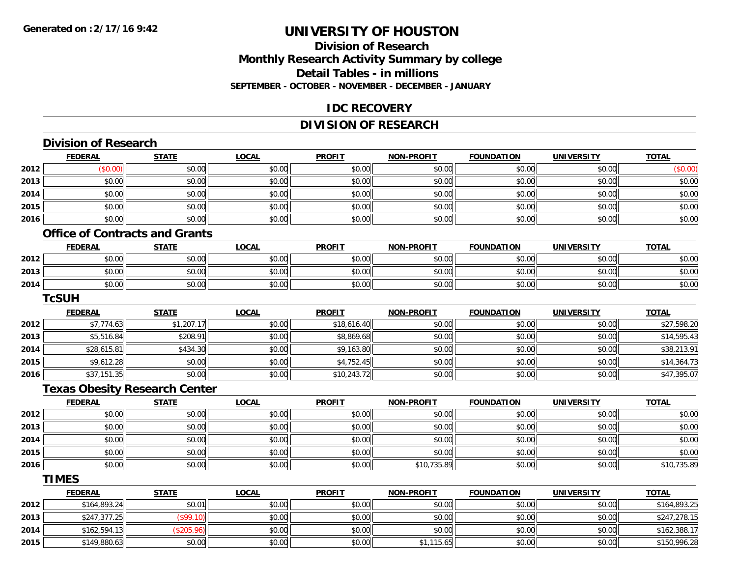### **Division of ResearchMonthly Research Activity Summary by college Detail Tables - in millions SEPTEMBER - OCTOBER - NOVEMBER - DECEMBER - JANUARY**

#### **IDC RECOVERY**

### **DIVISION OF RESEARCH**

|      | <b>Division of Research</b>           |              |              |               |                   |                   |                   |              |
|------|---------------------------------------|--------------|--------------|---------------|-------------------|-------------------|-------------------|--------------|
|      | <b>FEDERAL</b>                        | <b>STATE</b> | <b>LOCAL</b> | <b>PROFIT</b> | <b>NON-PROFIT</b> | <b>FOUNDATION</b> | <b>UNIVERSITY</b> | <b>TOTAL</b> |
| 2012 | (\$0.00)                              | \$0.00       | \$0.00       | \$0.00        | \$0.00            | \$0.00            | \$0.00            | (\$0.00)     |
| 2013 | \$0.00                                | \$0.00       | \$0.00       | \$0.00        | \$0.00            | \$0.00            | \$0.00            | \$0.00       |
| 2014 | \$0.00                                | \$0.00       | \$0.00       | \$0.00        | \$0.00            | \$0.00            | \$0.00            | \$0.00       |
| 2015 | \$0.00                                | \$0.00       | \$0.00       | \$0.00        | \$0.00            | \$0.00            | \$0.00            | \$0.00       |
| 2016 | \$0.00                                | \$0.00       | \$0.00       | \$0.00        | \$0.00            | \$0.00            | \$0.00            | \$0.00       |
|      | <b>Office of Contracts and Grants</b> |              |              |               |                   |                   |                   |              |
|      | <b>FEDERAL</b>                        | <b>STATE</b> | <b>LOCAL</b> | <b>PROFIT</b> | <b>NON-PROFIT</b> | <b>FOUNDATION</b> | <b>UNIVERSITY</b> | <b>TOTAL</b> |
| 2012 | \$0.00                                | \$0.00       | \$0.00       | \$0.00        | \$0.00            | \$0.00            | \$0.00            | \$0.00       |
| 2013 | \$0.00                                | \$0.00       | \$0.00       | \$0.00        | \$0.00            | \$0.00            | \$0.00            | \$0.00       |
| 2014 | \$0.00                                | \$0.00       | \$0.00       | \$0.00        | \$0.00            | \$0.00            | \$0.00            | \$0.00       |
|      | <b>TcSUH</b>                          |              |              |               |                   |                   |                   |              |
|      | <b>FEDERAL</b>                        | <b>STATE</b> | <b>LOCAL</b> | <b>PROFIT</b> | <b>NON-PROFIT</b> | <b>FOUNDATION</b> | <b>UNIVERSITY</b> | <b>TOTAL</b> |
| 2012 | \$7,774.63                            | \$1,207.17   | \$0.00       | \$18,616.40   | \$0.00            | \$0.00            | \$0.00            | \$27,598.20  |
| 2013 | \$5,516.84                            | \$208.91     | \$0.00       | \$8,869.68    | \$0.00            | \$0.00            | \$0.00            | \$14,595.43  |
| 2014 | \$28,615.81                           | \$434.30     | \$0.00       | \$9,163.80    | \$0.00            | \$0.00            | \$0.00            | \$38,213.91  |
| 2015 | \$9,612.28                            | \$0.00       | \$0.00       | \$4,752.45    | \$0.00            | \$0.00            | \$0.00            | \$14,364.73  |
| 2016 | \$37,151.35                           | \$0.00       | \$0.00       | \$10,243.72   | \$0.00            | \$0.00            | \$0.00            | \$47,395.07  |
|      | <b>Texas Obesity Research Center</b>  |              |              |               |                   |                   |                   |              |
|      | <b>FEDERAL</b>                        | <b>STATE</b> | <b>LOCAL</b> | <b>PROFIT</b> | <b>NON-PROFIT</b> | <b>FOUNDATION</b> | <b>UNIVERSITY</b> | <b>TOTAL</b> |
| 2012 | \$0.00                                | \$0.00       | \$0.00       | \$0.00        | \$0.00            | \$0.00            | \$0.00            | \$0.00       |
| 2013 | \$0.00                                | \$0.00       | \$0.00       | \$0.00        | \$0.00            | \$0.00            | \$0.00            | \$0.00       |
| 2014 | \$0.00                                | \$0.00       | \$0.00       | \$0.00        | \$0.00            | \$0.00            | \$0.00            | \$0.00       |
| 2015 | \$0.00                                | \$0.00       | \$0.00       | \$0.00        | \$0.00            | \$0.00            | \$0.00            | \$0.00       |
| 2016 | \$0.00                                | \$0.00       | \$0.00       | \$0.00        | \$10,735.89       | \$0.00            | \$0.00            | \$10,735.89  |
|      | <b>TIMES</b>                          |              |              |               |                   |                   |                   |              |
|      | <b>FEDERAL</b>                        | <b>STATE</b> | <b>LOCAL</b> | <b>PROFIT</b> | <b>NON-PROFIT</b> | <b>FOUNDATION</b> | <b>UNIVERSITY</b> | <b>TOTAL</b> |
| 2012 | \$164,893.24                          | \$0.01       | \$0.00       | \$0.00        | \$0.00            | \$0.00            | \$0.00            | \$164,893.25 |
| 2013 | \$247,377.25                          | (\$99.10)    | \$0.00       | \$0.00        | \$0.00            | \$0.00            | \$0.00            | \$247,278.15 |
| 2014 | \$162,594.13                          | (\$205.96)   | \$0.00       | \$0.00        | \$0.00            | \$0.00            | \$0.00            | \$162,388.17 |
| 2015 | \$149,880.63                          | \$0.00       | \$0.00       | \$0.00        | \$1,115.65        | \$0.00            | \$0.00            | \$150,996.28 |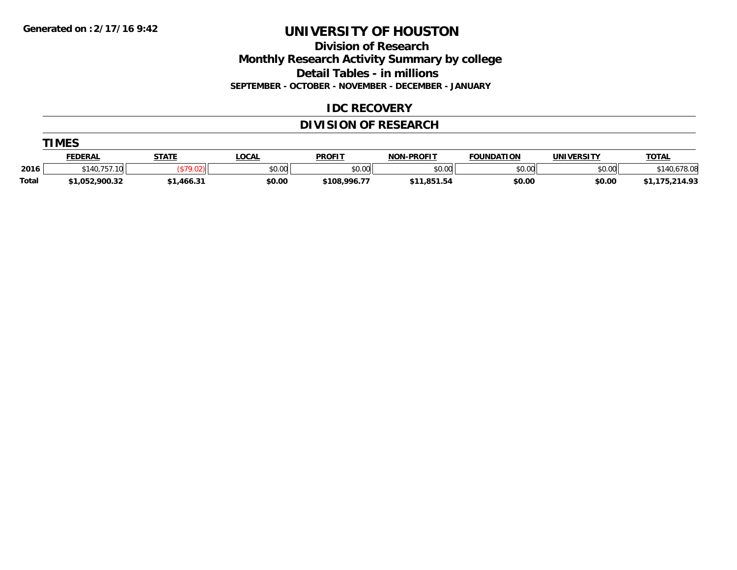**Division of Research Monthly Research Activity Summary by college Detail Tables - in millions**

**SEPTEMBER - OCTOBER - NOVEMBER - DECEMBER - JANUARY**

#### **IDC RECOVERY**

### **DIVISION OF RESEARCH**

|              | <b>TIMES</b>     |              |        |               |                   |                   |                   |                |  |  |  |  |
|--------------|------------------|--------------|--------|---------------|-------------------|-------------------|-------------------|----------------|--|--|--|--|
|              | <b>FEDERAL</b>   | <b>STATE</b> | LOCAL  | <b>PROFIT</b> | <b>NON-PROFIT</b> | <b>FOUNDATION</b> | <b>UNIVERSITY</b> | <u>TOTAL</u>   |  |  |  |  |
| 2016         | \$140.757<br>10. |              | \$0.00 | \$0.00        | \$0.00            | \$0.00            | \$0.00            | 140.678.08     |  |  |  |  |
| <b>Total</b> | \$1,052,900.32   | \$1,466.31   | \$0.00 | \$108,996.77  | \$11,851.54       | \$0.00            | \$0.00            | \$1,175,214.93 |  |  |  |  |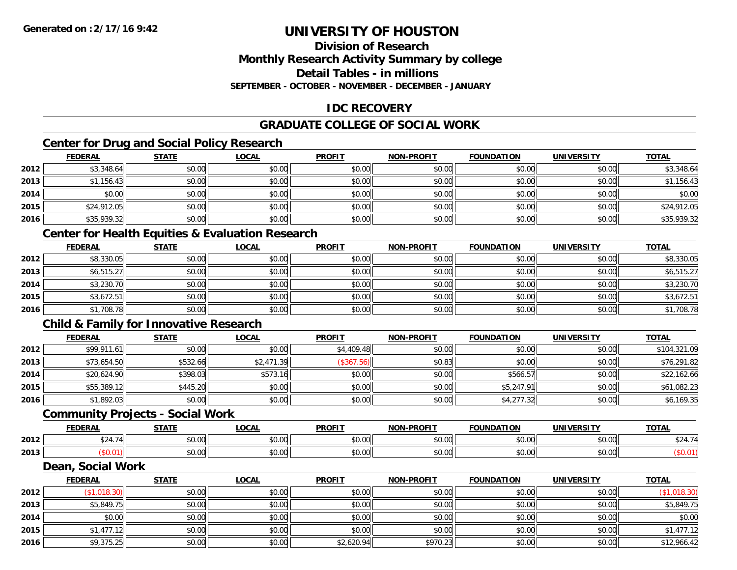#### **Division of ResearchMonthly Research Activity Summary by college Detail Tables - in millions SEPTEMBER - OCTOBER - NOVEMBER - DECEMBER - JANUARY**

### **IDC RECOVERY**

### **GRADUATE COLLEGE OF SOCIAL WORK**

# **Center for Drug and Social Policy Research**

|      | <b>FEDERAL</b> | <b>STATE</b> | <b>LOCAL</b> | <b>PROFIT</b> | <b>NON-PROFIT</b> | <b>FOUNDATION</b> | <b>UNIVERSITY</b> | <b>TOTAL</b> |
|------|----------------|--------------|--------------|---------------|-------------------|-------------------|-------------------|--------------|
| 2012 | \$3,348.64     | \$0.00       | \$0.00       | \$0.00        | \$0.00            | \$0.00            | \$0.00            | \$3,348.64   |
| 2013 | \$1,156.43     | \$0.00       | \$0.00       | \$0.00        | \$0.00            | \$0.00            | \$0.00            | \$1,156.43   |
| 2014 | \$0.00         | \$0.00       | \$0.00       | \$0.00        | \$0.00            | \$0.00            | \$0.00            | \$0.00       |
| 2015 | \$24,912.05    | \$0.00       | \$0.00       | \$0.00        | \$0.00            | \$0.00            | \$0.00            | \$24,912.05  |
| 2016 | \$35,939.32    | \$0.00       | \$0.00       | \$0.00        | \$0.00            | \$0.00            | \$0.00            | \$35,939.32  |

# **Center for Health Equities & Evaluation Research**

|      | <u>FEDERAL</u> | <b>STATE</b> | <b>LOCAL</b> | <b>PROFIT</b> | <b>NON-PROFIT</b> | <b>FOUNDATION</b> | <b>UNIVERSITY</b> | <b>TOTAL</b> |
|------|----------------|--------------|--------------|---------------|-------------------|-------------------|-------------------|--------------|
| 2012 | \$8,330.05     | \$0.00       | \$0.00       | \$0.00        | \$0.00            | \$0.00            | \$0.00            | \$8,330.05   |
| 2013 | \$6,515.27     | \$0.00       | \$0.00       | \$0.00        | \$0.00            | \$0.00            | \$0.00            | \$6,515.27   |
| 2014 | \$3,230.70     | \$0.00       | \$0.00       | \$0.00        | \$0.00            | \$0.00            | \$0.00            | \$3,230.70   |
| 2015 | \$3,672.51     | \$0.00       | \$0.00       | \$0.00        | \$0.00            | \$0.00            | \$0.00            | \$3,672.51   |
| 2016 | \$1,708.78     | \$0.00       | \$0.00       | \$0.00        | \$0.00            | \$0.00            | \$0.00            | \$1,708.78   |

### **Child & Family for Innovative Research**

|      | <b>FEDERAL</b> | <b>STATE</b> | <u>LOCAL</u> | <b>PROFIT</b> | <b>NON-PROFIT</b> | <b>FOUNDATION</b> | <b>UNIVERSITY</b> | <b>TOTAL</b> |
|------|----------------|--------------|--------------|---------------|-------------------|-------------------|-------------------|--------------|
| 2012 | \$99,911.61    | \$0.00       | \$0.00       | \$4,409.48    | \$0.00            | \$0.00            | \$0.00            | \$104,321.09 |
| 2013 | \$73,654.50    | \$532.66     | \$2,471.39   | (\$367.56)    | \$0.83            | \$0.00            | \$0.00            | \$76,291.82  |
| 2014 | \$20,624.90    | \$398.03     | \$573.16     | \$0.00        | \$0.00            | \$566.57          | \$0.00            | \$22,162.66  |
| 2015 | \$55,389.12    | \$445.20     | \$0.00       | \$0.00        | \$0.00            | \$5,247.91        | \$0.00            | \$61,082.23  |
| 2016 | \$1,892.03     | \$0.00       | \$0.00       | \$0.00        | \$0.00            | \$4,277.32        | \$0.00            | \$6,169.35   |

#### **Community Projects - Social Work**

|      | EENEDA<br>. | C T A T T              | <b>OCAL</b>   | <b>PROFIT</b>         | <b>-PROFIT</b><br>NON. | <b>FOUNDATION</b>      | UNIVERSITY                   | <b>TOTAL</b> |
|------|-------------|------------------------|---------------|-----------------------|------------------------|------------------------|------------------------------|--------------|
| 2012 | $$2A$ $7A$  | $\sim$ $\sim$<br>DU.UU | 0.00<br>vv.vv | $\sim$ $\sim$<br>υυ., | 0000<br>vv.vv          | 0 <sub>n</sub><br>u.uu | $\uparrow$ $\wedge$ $\wedge$ | .            |
| 2013 |             | $\sim$ 00<br>JU.UU     | 0.00<br>JU.UU | JU.                   | 0000<br>JU.UU          | 0000<br>u.uu           | 0000<br>JU.UU                |              |

#### **Dean, Social Work**

|      | <u>FEDERAL</u> | <b>STATE</b> | <b>LOCAL</b> | <b>PROFIT</b> | <b>NON-PROFIT</b> | <b>FOUNDATION</b> | <b>UNIVERSITY</b> | <b>TOTAL</b>        |
|------|----------------|--------------|--------------|---------------|-------------------|-------------------|-------------------|---------------------|
| 2012 | \$1,018.30     | \$0.00       | \$0.00       | \$0.00        | \$0.00            | \$0.00            | \$0.00            | $($ \$1,018.30) $ $ |
| 2013 | \$5,849.75     | \$0.00       | \$0.00       | \$0.00        | \$0.00            | \$0.00            | \$0.00            | \$5,849.75          |
| 2014 | \$0.00         | \$0.00       | \$0.00       | \$0.00        | \$0.00            | \$0.00            | \$0.00            | \$0.00              |
| 2015 | \$1,477.12     | \$0.00       | \$0.00       | \$0.00        | \$0.00            | \$0.00            | \$0.00            | \$1,477.12          |
| 2016 | \$9,375.25     | \$0.00       | \$0.00       | \$2,620.94    | \$970.23          | \$0.00            | \$0.00            | \$12,966.42         |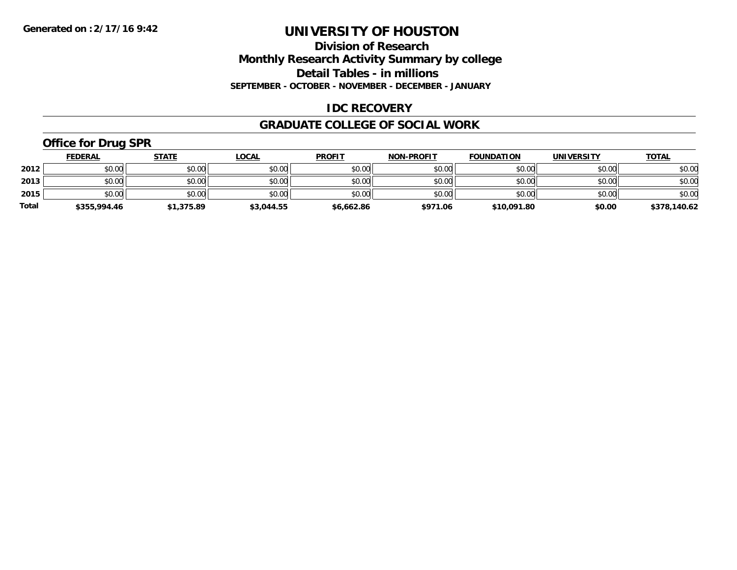#### **Division of Research Monthly Research Activity Summary by college Detail Tables - in millions SEPTEMBER - OCTOBER - NOVEMBER - DECEMBER - JANUARY**

#### **IDC RECOVERY**

#### **GRADUATE COLLEGE OF SOCIAL WORK**

# **Office for Drug SPR**

|              | <b>FEDERAL</b> | <b>STATE</b> | <u>LOCAL</u> | <b>PROFIT</b> | <b>NON-PROFIT</b> | <b>FOUNDATION</b> | <b>UNIVERSITY</b> | <b>TOTAL</b> |
|--------------|----------------|--------------|--------------|---------------|-------------------|-------------------|-------------------|--------------|
| 2012         | \$0.00         | \$0.00       | \$0.00       | \$0.00        | \$0.00            | \$0.00            | \$0.00            | \$0.00       |
| 2013         | \$0.00         | \$0.00       | \$0.00       | \$0.00        | \$0.00            | \$0.00            | \$0.00            | \$0.00       |
| 2015         | \$0.00         | \$0.00       | \$0.00       | \$0.00        | \$0.00            | \$0.00            | \$0.00            | \$0.00       |
| <b>Total</b> | \$355,994.46   | \$1,375.89   | \$3,044.55   | \$6,662.86    | \$971.06          | \$10,091.80       | \$0.00            | \$378,140.62 |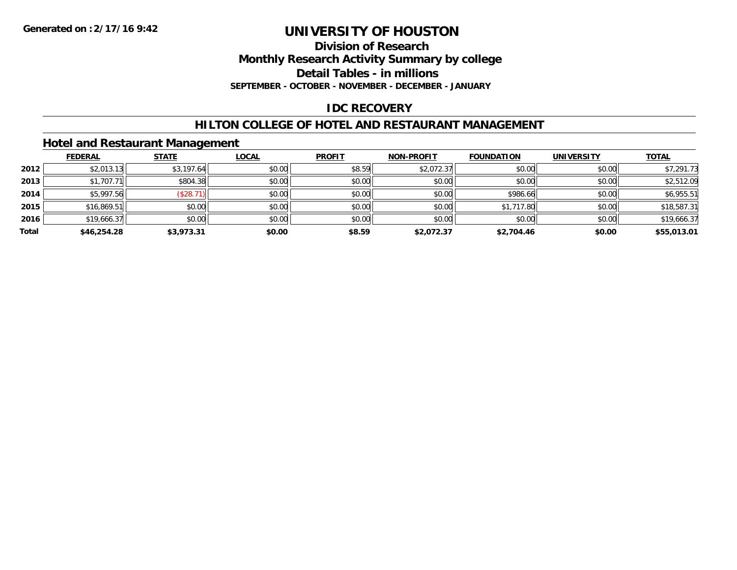**Division of Research**

**Monthly Research Activity Summary by college**

**Detail Tables - in millions**

**SEPTEMBER - OCTOBER - NOVEMBER - DECEMBER - JANUARY**

# **IDC RECOVERY**

#### **HILTON COLLEGE OF HOTEL AND RESTAURANT MANAGEMENT**

#### **Hotel and Restaurant Management**

|       | <b>FEDERAL</b> | <b>STATE</b> | <b>LOCAL</b> | <b>PROFIT</b> | <b>NON-PROFIT</b> | <b>FOUNDATION</b> | <b>UNIVERSITY</b> | <b>TOTAL</b> |
|-------|----------------|--------------|--------------|---------------|-------------------|-------------------|-------------------|--------------|
| 2012  | \$2,013.13     | \$3,197.64   | \$0.00       | \$8.59        | \$2,072.37        | \$0.00            | \$0.00            | \$7,291.73   |
| 2013  | \$1,707.71     | \$804.38     | \$0.00       | \$0.00        | \$0.00            | \$0.00            | \$0.00            | \$2,512.09   |
| 2014  | \$5,997.56     | \$28.7       | \$0.00       | \$0.00        | \$0.00            | \$986.66          | \$0.00            | \$6,955.51   |
| 2015  | \$16,869.51    | \$0.00       | \$0.00       | \$0.00        | \$0.00            | \$1,717.80        | \$0.00            | \$18,587.31  |
| 2016  | \$19,666.37    | \$0.00       | \$0.00       | \$0.00        | \$0.00            | \$0.00            | \$0.00            | \$19,666.37  |
| Total | \$46,254.28    | \$3,973.31   | \$0.00       | \$8.59        | \$2,072.37        | \$2,704.46        | \$0.00            | \$55,013.01  |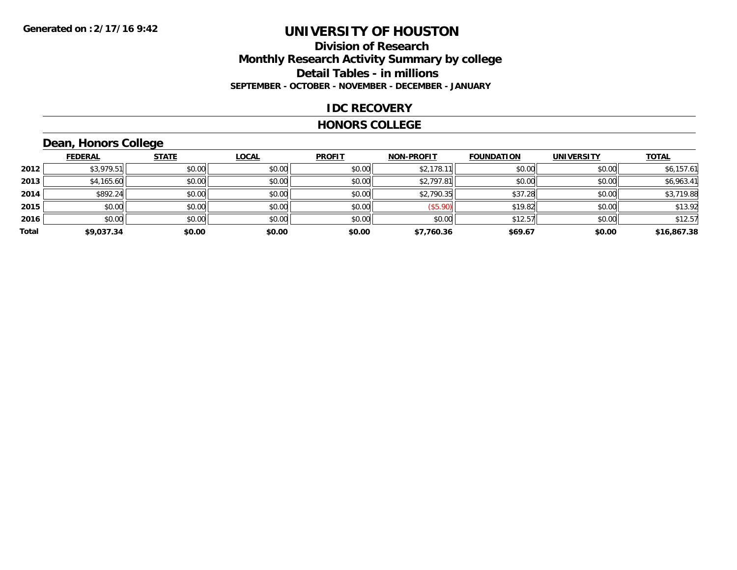#### **Division of Research Monthly Research Activity Summary by college Detail Tables - in millions SEPTEMBER - OCTOBER - NOVEMBER - DECEMBER - JANUARY**

#### **IDC RECOVERY**

#### **HONORS COLLEGE**

# **Dean, Honors College**

|       |                | $\sim$       |              |               |                   |                   |                   |              |
|-------|----------------|--------------|--------------|---------------|-------------------|-------------------|-------------------|--------------|
|       | <b>FEDERAL</b> | <b>STATE</b> | <b>LOCAL</b> | <b>PROFIT</b> | <b>NON-PROFIT</b> | <b>FOUNDATION</b> | <b>UNIVERSITY</b> | <b>TOTAL</b> |
| 2012  | \$3,979.51     | \$0.00       | \$0.00       | \$0.00        | \$2,178.1         | \$0.00            | \$0.00            | \$6,157.61   |
| 2013  | \$4,165.60     | \$0.00       | \$0.00       | \$0.00        | \$2,797.81        | \$0.00            | \$0.00            | \$6,963.41   |
| 2014  | \$892.24       | \$0.00       | \$0.00       | \$0.00        | \$2,790.35        | \$37.28           | \$0.00            | \$3,719.88   |
| 2015  | \$0.00         | \$0.00       | \$0.00       | \$0.00        | (\$5.90)          | \$19.82           | \$0.00            | \$13.92      |
| 2016  | \$0.00         | \$0.00       | \$0.00       | \$0.00        | \$0.00            | \$12.57           | \$0.00            | \$12.57      |
| Total | \$9,037.34     | \$0.00       | \$0.00       | \$0.00        | \$7,760.36        | \$69.67           | \$0.00            | \$16,867.38  |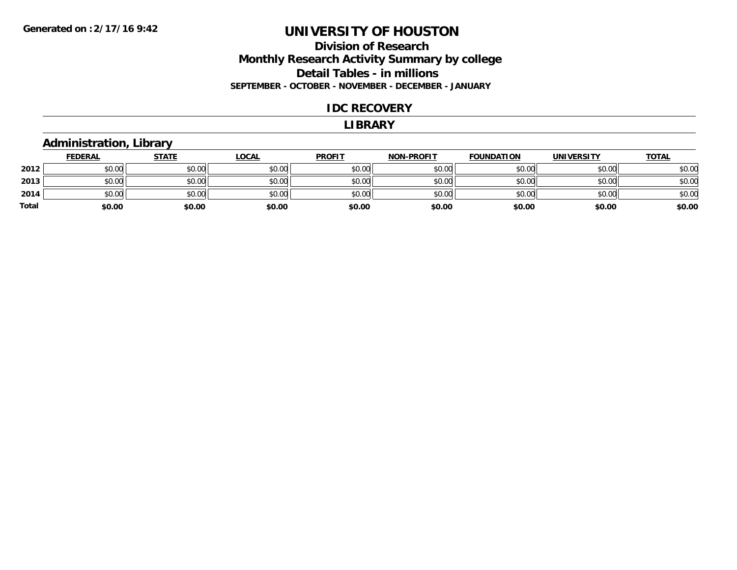#### **Division of Research Monthly Research Activity Summary by college Detail Tables - in millions SEPTEMBER - OCTOBER - NOVEMBER - DECEMBER - JANUARY**

#### **IDC RECOVERY**

#### **LIBRARY**

#### **Administration, Library**

|       | <b>FEDERAL</b> | <b>STATE</b> | <u>LOCAL</u> | <b>PROFIT</b> | <b>NON-PROFIT</b> | <b>FOUNDATION</b> | <b>UNIVERSITY</b> | <b>TOTAL</b> |
|-------|----------------|--------------|--------------|---------------|-------------------|-------------------|-------------------|--------------|
| 2012  | \$0.00         | \$0.00       | \$0.00       | \$0.00        | \$0.00            | \$0.00            | \$0.00            | \$0.00       |
| 2013  | \$0.00         | \$0.00       | \$0.00       | \$0.00        | \$0.00            | \$0.00            | \$0.00            | \$0.00       |
| 2014  | \$0.00         | \$0.00       | \$0.00       | \$0.00        | \$0.00            | \$0.00            | \$0.00            | \$0.00       |
| Total | \$0.00         | \$0.00       | \$0.00       | \$0.00        | \$0.00            | \$0.00            | \$0.00            | \$0.00       |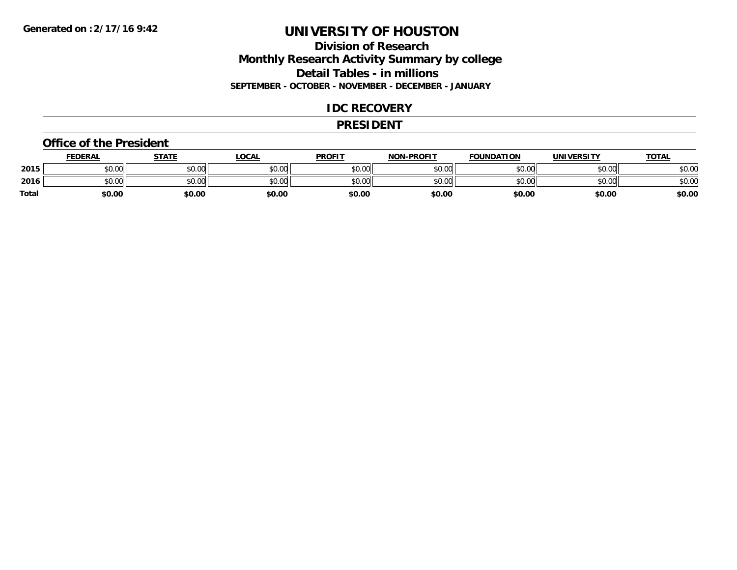#### **Division of Research Monthly Research Activity Summary by college Detail Tables - in millions SEPTEMBER - OCTOBER - NOVEMBER - DECEMBER - JANUARY**

#### **IDC RECOVERY**

#### **PRESIDENT**

#### **Office of the President**

|              | <b>FEDERAL</b> | STATE  | <u>LOCAL</u> | <b>PROFIT</b> | <b>NON-PROFIT</b> | <b>FOUNDATION</b> | <b>UNIVERSITY</b> | <b>TOTAL</b> |
|--------------|----------------|--------|--------------|---------------|-------------------|-------------------|-------------------|--------------|
| 2015         | \$0.00         | \$0.00 | \$0.00       | \$0.00        | \$0.00            | \$0.00            | \$0.00            | \$0.00       |
| 2016         | \$0.00         | \$0.00 | \$0.00       | \$0.00        | \$0.00            | \$0.00            | \$0.00            | \$0.00       |
| <b>Total</b> | \$0.00         | \$0.00 | \$0.00       | \$0.00        | \$0.00            | \$0.00            | \$0.00            | \$0.00       |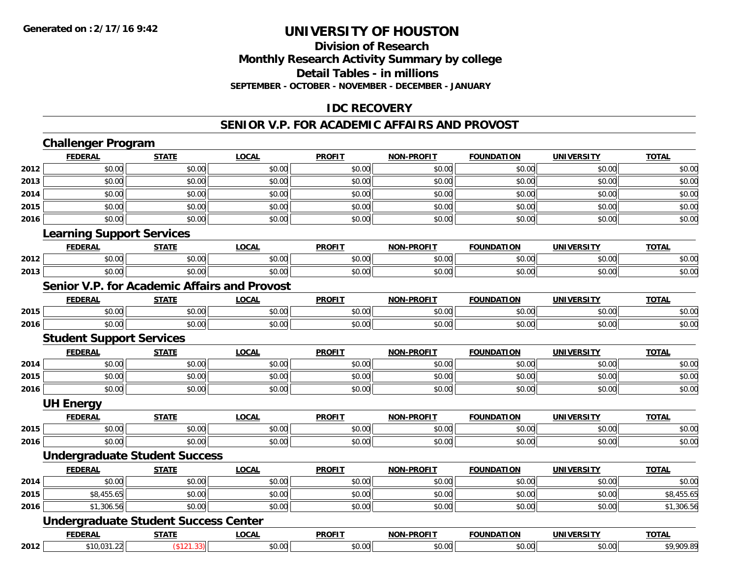#### **Division of Research Monthly Research Activity Summary by college Detail Tables - in millions SEPTEMBER - OCTOBER - NOVEMBER - DECEMBER - JANUARY**

#### **IDC RECOVERY**

#### **SENIOR V.P. FOR ACADEMIC AFFAIRS AND PROVOST**

|      | <b>Challenger Program</b>                           |              |              |               |                   |                   |                   |              |
|------|-----------------------------------------------------|--------------|--------------|---------------|-------------------|-------------------|-------------------|--------------|
|      | <b>FEDERAL</b>                                      | <b>STATE</b> | <b>LOCAL</b> | <b>PROFIT</b> | <b>NON-PROFIT</b> | <b>FOUNDATION</b> | <b>UNIVERSITY</b> | <b>TOTAL</b> |
| 2012 | \$0.00                                              | \$0.00       | \$0.00       | \$0.00        | \$0.00            | \$0.00            | \$0.00            | \$0.00       |
| 2013 | \$0.00                                              | \$0.00       | \$0.00       | \$0.00        | \$0.00            | \$0.00            | \$0.00            | \$0.00       |
| 2014 | \$0.00                                              | \$0.00       | \$0.00       | \$0.00        | \$0.00            | \$0.00            | \$0.00            | \$0.00       |
| 2015 | \$0.00                                              | \$0.00       | \$0.00       | \$0.00        | \$0.00            | \$0.00            | \$0.00            | \$0.00       |
| 2016 | \$0.00                                              | \$0.00       | \$0.00       | \$0.00        | \$0.00            | \$0.00            | \$0.00            | \$0.00       |
|      | <b>Learning Support Services</b>                    |              |              |               |                   |                   |                   |              |
|      | <b>FEDERAL</b>                                      | <b>STATE</b> | <b>LOCAL</b> | <b>PROFIT</b> | <b>NON-PROFIT</b> | <b>FOUNDATION</b> | <b>UNIVERSITY</b> | <b>TOTAL</b> |
| 2012 | \$0.00                                              | \$0.00       | \$0.00       | \$0.00        | \$0.00            | \$0.00            | \$0.00            | \$0.00       |
| 2013 | \$0.00                                              | \$0.00       | \$0.00       | \$0.00        | \$0.00            | \$0.00            | \$0.00            | \$0.00       |
|      | <b>Senior V.P. for Academic Affairs and Provost</b> |              |              |               |                   |                   |                   |              |
|      | <b>FEDERAL</b>                                      | <b>STATE</b> | <b>LOCAL</b> | <b>PROFIT</b> | <b>NON-PROFIT</b> | <b>FOUNDATION</b> | <b>UNIVERSITY</b> | <b>TOTAL</b> |
| 2015 | \$0.00                                              | \$0.00       | \$0.00       | \$0.00        | \$0.00            | \$0.00            | \$0.00            | \$0.00       |
| 2016 | \$0.00                                              | \$0.00       | \$0.00       | \$0.00        | \$0.00            | \$0.00            | \$0.00            | \$0.00       |
|      | <b>Student Support Services</b>                     |              |              |               |                   |                   |                   |              |
|      | <b>FEDERAL</b>                                      | <b>STATE</b> | <b>LOCAL</b> | <b>PROFIT</b> | <b>NON-PROFIT</b> | <b>FOUNDATION</b> | <b>UNIVERSITY</b> | <b>TOTAL</b> |
| 2014 | \$0.00                                              | \$0.00       | \$0.00       | \$0.00        | \$0.00            | \$0.00            | \$0.00            | \$0.00       |
| 2015 | \$0.00                                              | \$0.00       | \$0.00       | \$0.00        | \$0.00            | \$0.00            | \$0.00            | \$0.00       |
| 2016 | \$0.00                                              | \$0.00       | \$0.00       | \$0.00        | \$0.00            | \$0.00            | \$0.00            | \$0.00       |
|      | <b>UH Energy</b>                                    |              |              |               |                   |                   |                   |              |
|      | <b>FEDERAL</b>                                      | <b>STATE</b> | <b>LOCAL</b> | <b>PROFIT</b> | <b>NON-PROFIT</b> | <b>FOUNDATION</b> | <b>UNIVERSITY</b> | <b>TOTAL</b> |
| 2015 | \$0.00                                              | \$0.00       | \$0.00       | \$0.00        | \$0.00            | \$0.00            | \$0.00            | \$0.00       |
| 2016 | \$0.00                                              | \$0.00       | \$0.00       | \$0.00        | \$0.00            | \$0.00            | \$0.00            | \$0.00       |
|      | <b>Undergraduate Student Success</b>                |              |              |               |                   |                   |                   |              |
|      | <b>FEDERAL</b>                                      | <b>STATE</b> | <b>LOCAL</b> | <b>PROFIT</b> | <b>NON-PROFIT</b> | <b>FOUNDATION</b> | <b>UNIVERSITY</b> | <b>TOTAL</b> |
| 2014 | \$0.00                                              | \$0.00       | \$0.00       | \$0.00        | \$0.00            | \$0.00            | \$0.00            | \$0.00       |
| 2015 | \$8,455.65                                          | \$0.00       | \$0.00       | \$0.00        | \$0.00            | \$0.00            | \$0.00            | \$8,455.65   |
| 2016 | \$1,306.56                                          | \$0.00       | \$0.00       | \$0.00        | \$0.00            | \$0.00            | \$0.00            | \$1,306.56   |
|      | <b>Undergraduate Student Success Center</b>         |              |              |               |                   |                   |                   |              |
|      | <b>FEDERAL</b>                                      | <b>STATE</b> | <b>LOCAL</b> | <b>PROFIT</b> | <b>NON-PROFIT</b> | <b>FOUNDATION</b> | <b>UNIVERSITY</b> | <b>TOTAL</b> |
| 2012 | \$10,031.22                                         | (\$121.33)   | \$0.00       | \$0.00        | \$0.00            | \$0.00            | \$0.00            | \$9,909.89   |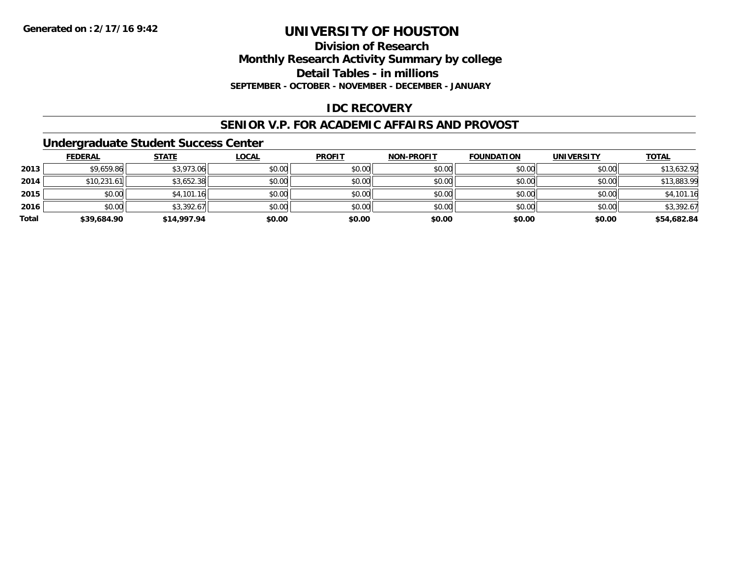### **Division of ResearchMonthly Research Activity Summary by college Detail Tables - in millions SEPTEMBER - OCTOBER - NOVEMBER - DECEMBER - JANUARY**

### **IDC RECOVERY**

#### **SENIOR V.P. FOR ACADEMIC AFFAIRS AND PROVOST**

#### **Undergraduate Student Success Center**

|       | <b>FEDERAL</b> | <u>STATE</u> | <b>LOCAL</b> | <b>PROFIT</b> | <b>NON-PROFIT</b> | <b>FOUNDATION</b> | <b>UNIVERSITY</b> | <b>TOTAL</b> |
|-------|----------------|--------------|--------------|---------------|-------------------|-------------------|-------------------|--------------|
| 2013  | \$9,659.86     | \$3,973.06   | \$0.00       | \$0.00        | \$0.00            | \$0.00            | \$0.00            | \$13,632.92  |
| 2014  | \$10,231.61    | \$3,652.38   | \$0.00       | \$0.00        | \$0.00            | \$0.00            | \$0.00            | \$13,883.99  |
| 2015  | \$0.00         | \$4,101.16   | \$0.00       | \$0.00        | \$0.00            | \$0.00            | \$0.00            | \$4,101.16   |
| 2016  | \$0.00         | \$3,392.67   | \$0.00       | \$0.00        | \$0.00            | \$0.00            | \$0.00            | \$3,392.67   |
| Total | \$39,684.90    | \$14,997.94  | \$0.00       | \$0.00        | \$0.00            | \$0.00            | \$0.00            | \$54,682.84  |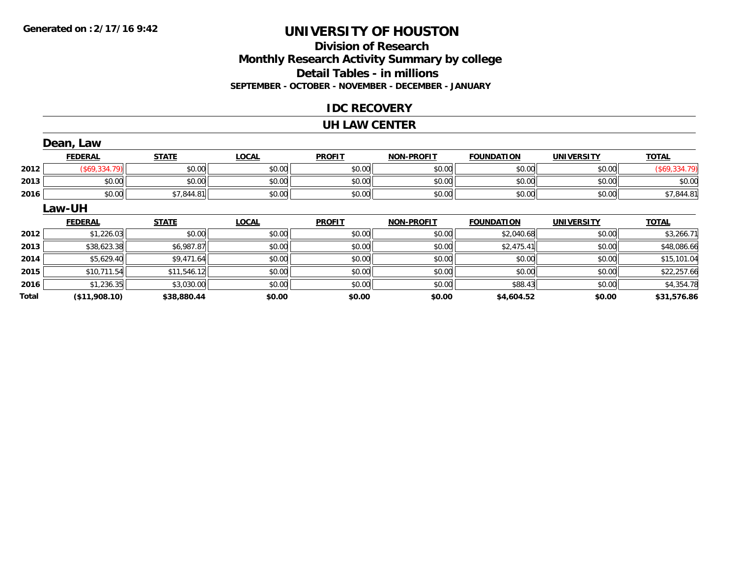### **Division of ResearchMonthly Research Activity Summary by college Detail Tables - in millions SEPTEMBER - OCTOBER - NOVEMBER - DECEMBER - JANUARY**

#### **IDC RECOVERY**

#### **UH LAW CENTER**

|       | Dean, Law      |              |              |               |                   |                   |                   |               |
|-------|----------------|--------------|--------------|---------------|-------------------|-------------------|-------------------|---------------|
|       | <b>FEDERAL</b> | <b>STATE</b> | <b>LOCAL</b> | <b>PROFIT</b> | <b>NON-PROFIT</b> | <b>FOUNDATION</b> | <b>UNIVERSITY</b> | <b>TOTAL</b>  |
| 2012  | (\$69,334.79)  | \$0.00       | \$0.00       | \$0.00        | \$0.00            | \$0.00            | \$0.00            | (\$69,334.79) |
| 2013  | \$0.00         | \$0.00       | \$0.00       | \$0.00        | \$0.00            | \$0.00            | \$0.00            | \$0.00        |
| 2016  | \$0.00         | \$7,844.81   | \$0.00       | \$0.00        | \$0.00            | \$0.00            | \$0.00            | \$7,844.81    |
|       | Law-UH         |              |              |               |                   |                   |                   |               |
|       | <b>FEDERAL</b> | <b>STATE</b> | <b>LOCAL</b> | <b>PROFIT</b> | <b>NON-PROFIT</b> | <b>FOUNDATION</b> | <b>UNIVERSITY</b> | <b>TOTAL</b>  |
| 2012  | \$1,226.03     | \$0.00       | \$0.00       | \$0.00        | \$0.00            | \$2,040.68        | \$0.00            | \$3,266.71    |
| 2013  | \$38,623.38    | \$6,987.87   | \$0.00       | \$0.00        | \$0.00            | \$2,475.41        | \$0.00            | \$48,086.66   |
| 2014  | \$5,629.40     | \$9,471.64   | \$0.00       | \$0.00        | \$0.00            | \$0.00            | \$0.00            | \$15,101.04   |
| 2015  | \$10,711.54    | \$11,546.12  | \$0.00       | \$0.00        | \$0.00            | \$0.00            | \$0.00            | \$22,257.66   |
| 2016  | \$1,236.35     | \$3,030.00   | \$0.00       | \$0.00        | \$0.00            | \$88.43           | \$0.00            | \$4,354.78    |
| Total | (\$11,908.10)  | \$38,880.44  | \$0.00       | \$0.00        | \$0.00            | \$4,604.52        | \$0.00            | \$31,576.86   |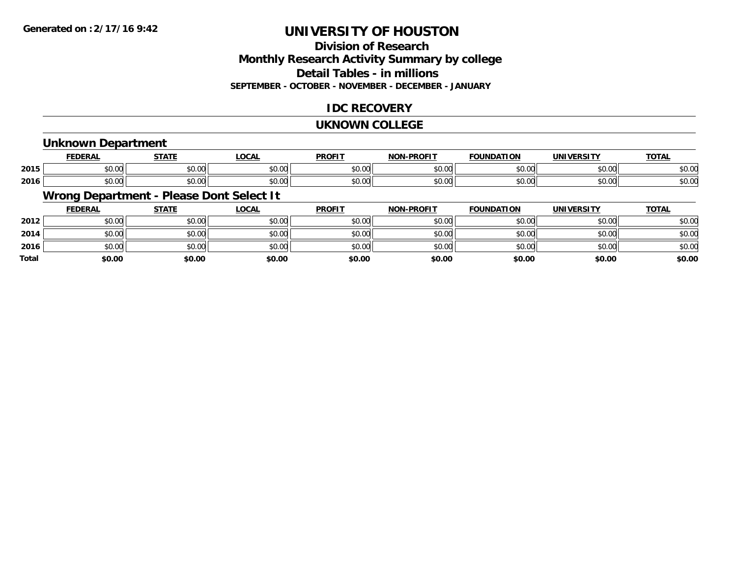### **Division of ResearchMonthly Research Activity Summary by college Detail Tables - in millions SEPTEMBER - OCTOBER - NOVEMBER - DECEMBER - JANUARY**

### **IDC RECOVERY**

#### **UKNOWN COLLEGE**

#### **Unknown Department**

|      | <b>FEDERAL</b>                        | $   -$                 | <b>_OCAI</b> | <b>DDOFIT</b>            | <b>DRAFIT</b><br>יממ | וסו<br>IΊΔ             |                    | $T^{\prime}$<br>101r    |
|------|---------------------------------------|------------------------|--------------|--------------------------|----------------------|------------------------|--------------------|-------------------------|
| 2015 | $\sim$<br>ት ヘ<br>יש.ש                 | $\sim$ $\sim$<br>JU.UU | \$0.00       | $\epsilon$ n nr<br>JU.UV | $\sim$ 00<br>וטטוע   | $\sim$ $\sim$<br>טט.טע | 0.000<br>DU.UG     | $\sim$ $\sim$<br>50.UC  |
| 2016 | $\sim$ $\sim$<br>$\triangle$<br>JU.UU | $\sim$ $\sim$<br>JU.UU | \$0.00       | \$0.00                   | $\sim$ 00<br>וטטוע   | $\sim$ 00<br>JU.UU     | $\sim$ 00<br>JU.UU | $\sim$ $\sim$<br>\$U.UC |

# **Wrong Department - Please Dont Select It**

|              | <b>FEDERAL</b> | <b>STATE</b> | <u>LOCAL</u> | <b>PROFIT</b> | <b>NON-PROFIT</b> | <b>FOUNDATION</b> | <b>UNIVERSITY</b> | <b>TOTAL</b> |
|--------------|----------------|--------------|--------------|---------------|-------------------|-------------------|-------------------|--------------|
| 2012         | \$0.00         | \$0.00       | \$0.00       | \$0.00        | \$0.00            | \$0.00            | \$0.00            | \$0.00       |
| 2014         | \$0.00         | \$0.00       | \$0.00       | \$0.00        | \$0.00            | \$0.00            | \$0.00            | \$0.00       |
| 2016         | \$0.00         | \$0.00       | \$0.00       | \$0.00        | \$0.00            | \$0.00            | \$0.00            | \$0.00       |
| <b>Total</b> | \$0.00         | \$0.00       | \$0.00       | \$0.00        | \$0.00            | \$0.00            | \$0.00            | \$0.00       |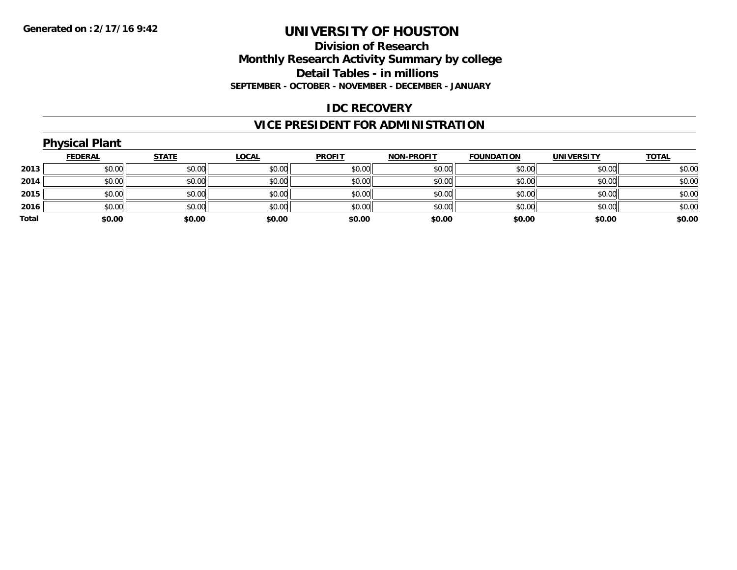### **Division of ResearchMonthly Research Activity Summary by college Detail Tables - in millionsSEPTEMBER - OCTOBER - NOVEMBER - DECEMBER - JANUARY**

#### **IDC RECOVERY**

# **VICE PRESIDENT FOR ADMINISTRATION**

#### **Physical Plant FEDERAL STATE LOCAL PROFIT NON-PROFIT FOUNDATION UNIVERSITY TOTALTOTAL 2013** \$0.00 \$0.00 \$0.00 \$0.00 \$0.00 \$0.00 \$0.00 \$0.00 **2014**4 \$0.00 \$0.00 \$0.00 \$0.00 \$0.00 \$0.00 \$0.00 \$0.00 \$0.00 \$0.00 \$0.00 \$0.00 \$0.00 \$0.00 \$0.00 \$0.00 \$0.00 **2015** \$0.00 \$0.00 \$0.00 \$0.00 \$0.00 \$0.00 \$0.00 \$0.00 **2016** \$0.00 \$0.00 \$0.00 \$0.00 \$0.00 \$0.00 \$0.00 \$0.00 **Total \$0.00\$0.00 \$0.00 \$0.00 \$0.00 \$0.00 \$0.00 \$0.00**